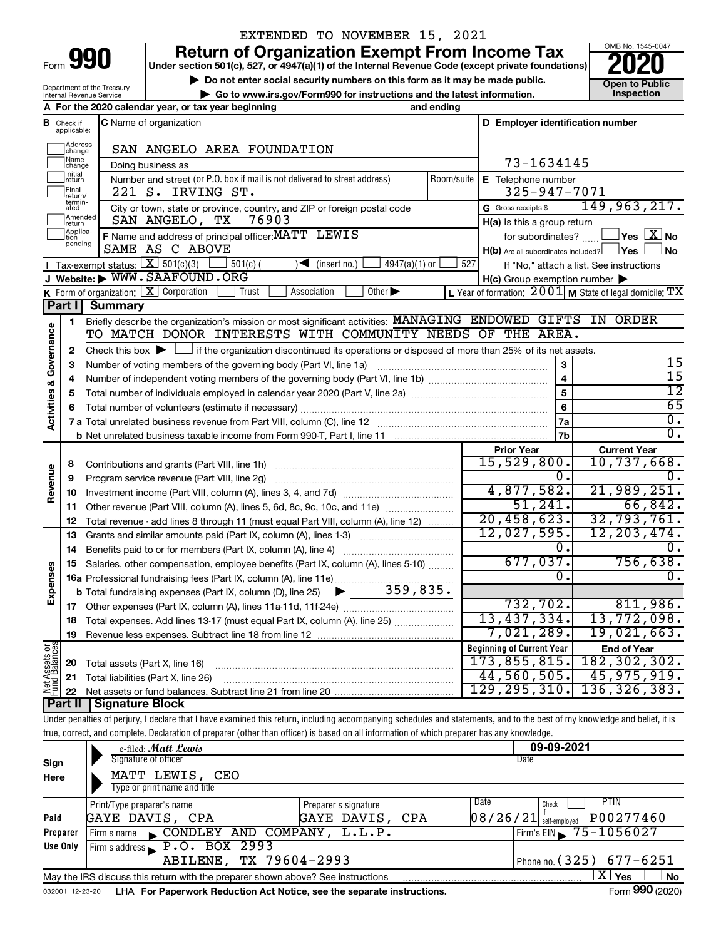| ⊦orm |  |  |
|------|--|--|

## EXTENDED TO NOVEMBER 15, 2021

**990** Return of Organization Exempt From Income Tax <br>
Under section 501(c), 527, or 4947(a)(1) of the Internal Revenue Code (except private foundations)<br> **PO20** 

**b** Do not enter social security numbers on this form as it may be made public.<br> **Go to www.irs.gov/Form990 for instructions and the latest information. This image is the public end of public** ▶ Go to www.irs.gov/Form990 for instructions and the latest information.



Department of the Treasury Internal Revenue Service

|                                       |                               | A For the 2020 calendar year, or tax year beginning<br>and ending                                                                                                          |            |                                                     |                                                                    |
|---------------------------------------|-------------------------------|----------------------------------------------------------------------------------------------------------------------------------------------------------------------------|------------|-----------------------------------------------------|--------------------------------------------------------------------|
|                                       | <b>B</b> Check if applicable: | C Name of organization                                                                                                                                                     |            | D Employer identification number                    |                                                                    |
|                                       | Address<br>change             | SAN ANGELO AREA FOUNDATION                                                                                                                                                 |            |                                                     |                                                                    |
|                                       | Name<br>change                | Doing business as                                                                                                                                                          |            | 73-1634145                                          |                                                                    |
|                                       | nitial<br>return              | Number and street (or P.O. box if mail is not delivered to street address)                                                                                                 | Room/suite | E Telephone number                                  |                                                                    |
|                                       | Final<br>return/              | 221 S. IRVING ST.                                                                                                                                                          |            | 325-947-7071                                        |                                                                    |
|                                       | termin-<br>ated               | City or town, state or province, country, and ZIP or foreign postal code                                                                                                   |            | G Gross receipts \$                                 | 149,963,217.                                                       |
|                                       | Amended<br>return             | SAN ANGELO, TX<br>76903                                                                                                                                                    |            | H(a) Is this a group return                         |                                                                    |
|                                       | Applica-<br>Ition<br>pending  | F Name and address of principal officer: MATT LEWIS                                                                                                                        |            | for subordinates?                                   | $\mathsf{\perp}$ Yes $\mathsf{\perp} \mathbf{X} \mathsf{\perp}$ No |
|                                       |                               | SAME AS C ABOVE                                                                                                                                                            |            | $H(b)$ Are all subordinates included? $\Box$ Yes    | ⊿ No                                                               |
|                                       |                               | <b>I</b> Tax-exempt status: $X \over 301(c)(3)$<br>$501(c)$ (<br>$\blacktriangleleft$ (insert no.)<br>$4947(a)(1)$ or<br>J Website: WWW.SAAFOUND.ORG                       | 527        |                                                     | If "No," attach a list. See instructions                           |
|                                       |                               | K Form of organization: $X$ Corporation<br>Trust<br>Association<br>Other $\blacktriangleright$                                                                             |            | $H(c)$ Group exemption number $\blacktriangleright$ | L Year of formation: $2001$ M State of legal domicile: TX          |
|                                       | Part I                        | <b>Summary</b>                                                                                                                                                             |            |                                                     |                                                                    |
|                                       | $\mathbf{1}$                  | Briefly describe the organization's mission or most significant activities: MANAGING ENDOWED GIFTS IN ORDER                                                                |            |                                                     |                                                                    |
|                                       |                               | TO MATCH DONOR INTERESTS WITH COMMUNITY NEEDS OF THE AREA.                                                                                                                 |            |                                                     |                                                                    |
| Governance                            | 2                             | Check this box $\blacktriangleright \Box$ if the organization discontinued its operations or disposed of more than 25% of its net assets.                                  |            |                                                     |                                                                    |
|                                       | З                             |                                                                                                                                                                            |            | 3                                                   | 15                                                                 |
|                                       | 4                             |                                                                                                                                                                            |            | $\overline{\mathbf{4}}$                             | $\overline{15}$                                                    |
| <b>Activities &amp;</b>               | 5                             |                                                                                                                                                                            |            | $\overline{5}$                                      | $\overline{12}$                                                    |
|                                       | 6                             |                                                                                                                                                                            |            | $\overline{6}$                                      | 65                                                                 |
|                                       |                               |                                                                                                                                                                            |            | 7a                                                  | $\overline{0}$ .                                                   |
|                                       |                               |                                                                                                                                                                            |            | 7b                                                  | $\overline{0}$ .                                                   |
|                                       |                               |                                                                                                                                                                            |            | <b>Prior Year</b>                                   | <b>Current Year</b>                                                |
|                                       | 8                             |                                                                                                                                                                            |            | 15,529,800.<br>0.                                   | $10,737,668$ .<br>$\mathbf 0$ .                                    |
| Revenue                               | 9                             | Program service revenue (Part VIII, line 2g)                                                                                                                               |            | 4,877,582.                                          | 21,989,251.                                                        |
|                                       | 10<br>11                      | Other revenue (Part VIII, column (A), lines 5, 6d, 8c, 9c, 10c, and 11e)                                                                                                   |            | 51,241.                                             | 66,842.                                                            |
|                                       | 12                            | Total revenue - add lines 8 through 11 (must equal Part VIII, column (A), line 12)                                                                                         |            | 20,458,623.                                         | 32,793,761.                                                        |
|                                       | 13                            | Grants and similar amounts paid (Part IX, column (A), lines 1-3)                                                                                                           |            | 12,027,595.                                         | 12, 203, 474.                                                      |
|                                       | 14                            |                                                                                                                                                                            |            | 0.                                                  | 0.                                                                 |
|                                       | 15                            | Salaries, other compensation, employee benefits (Part IX, column (A), lines 5-10)                                                                                          |            | 677,037.                                            | 756,638.                                                           |
| Expenses                              |                               | 16a Professional fundraising fees (Part IX, column (A), line 11e)                                                                                                          |            | $\overline{0}$ .                                    | 0.                                                                 |
|                                       |                               |                                                                                                                                                                            |            |                                                     |                                                                    |
|                                       |                               |                                                                                                                                                                            |            | 732, 702.                                           | 811,986.                                                           |
|                                       |                               | 18 Total expenses. Add lines 13-17 (must equal Part IX, column (A), line 25)                                                                                               |            | 13,437,334.                                         | 13,772,098.                                                        |
|                                       | 19                            | Revenue less expenses. Subtract line 18 from line 12                                                                                                                       |            | 7,021,289.                                          | 19,021,663.                                                        |
| <b>Net Assets or</b><br>Fund Balances |                               |                                                                                                                                                                            |            | <b>Beginning of Current Year</b>                    | <b>End of Year</b>                                                 |
|                                       | 20                            | Total assets (Part X, line 16)                                                                                                                                             |            | 173,855,815.<br>44,560,505.                         | 182, 302, 302.<br>45,975,919.                                      |
|                                       | 21<br>22                      | Total liabilities (Part X, line 26)<br>Net assets or fund balances. Subtract line 21 from line 20                                                                          |            | 129, 295, 310.                                      | 136, 326, 383.                                                     |
|                                       | Part II                       | Signature Block                                                                                                                                                            |            |                                                     |                                                                    |
|                                       |                               | Under penalties of perjury, I declare that I have examined this return, including accompanying schedules and statements, and to the best of my knowledge and belief, it is |            |                                                     |                                                                    |
|                                       |                               | true, correct, and complete. Declaration of preparer (other than officer) is based on all information of which preparer has any knowledge.                                 |            |                                                     |                                                                    |
|                                       |                               | e-filed: <b>Matt Lewis</b>                                                                                                                                                 |            | 09-09-2021                                          |                                                                    |
| Sign                                  |                               | Signature of officer                                                                                                                                                       |            | Date                                                |                                                                    |
| Here                                  |                               | MATT LEWIS, CEO                                                                                                                                                            |            |                                                     |                                                                    |
|                                       |                               | Type or print name and title                                                                                                                                               |            |                                                     |                                                                    |
|                                       |                               | Print/Type preparer's name<br>Preparer's signature                                                                                                                         |            | Date<br>Check<br>if                                 | <b>PTIN</b>                                                        |
| Paid                                  |                               | GAYE DAVIS, CPA<br>GAYE DAVIS, CPA                                                                                                                                         |            | 08/26/21<br>self-employed                           | P00277460                                                          |
|                                       | Preparer                      | CONDLEY AND COMPANY, L.L.P.<br>Firm's name                                                                                                                                 |            | Firm's EIN                                          | 75-1056027                                                         |
|                                       | Use Only                      | Firm's address P.O. BOX 2993<br>ARTLENE TX 79604-2993                                                                                                                      |            |                                                     | Phone no $(325)$ $677 - 6251$                                      |

ABILENE, TX 79604-2993

Phone no. (325) 677-6251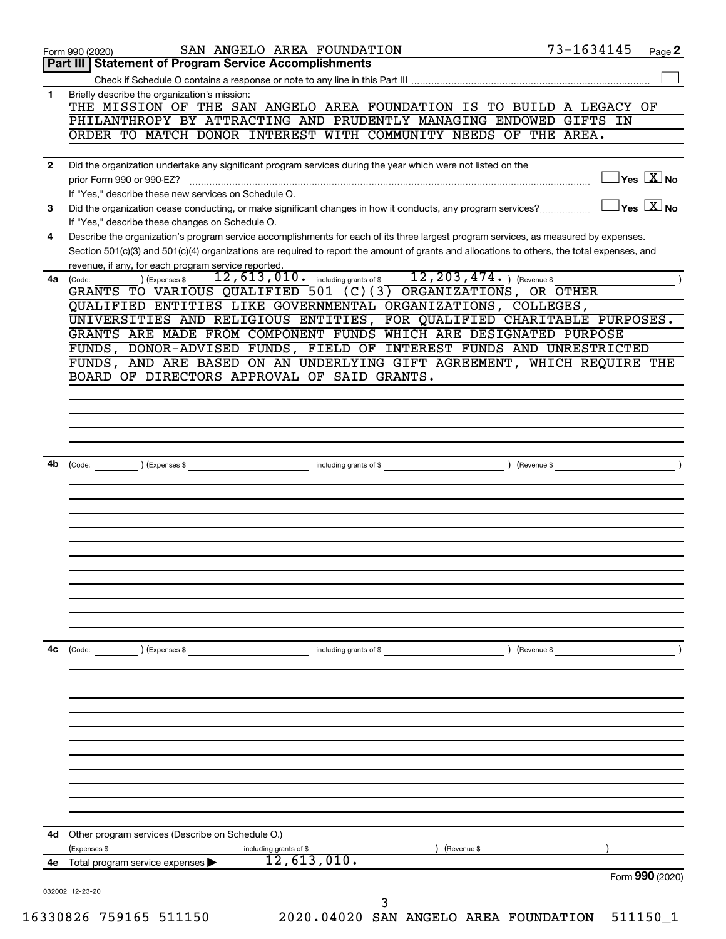|              | SAN ANGELO AREA FOUNDATION<br>Form 990 (2020)                                                                                                                                           | 73-1634145<br>Page 2                             |
|--------------|-----------------------------------------------------------------------------------------------------------------------------------------------------------------------------------------|--------------------------------------------------|
|              | Part III   Statement of Program Service Accomplishments                                                                                                                                 |                                                  |
| 1            | Briefly describe the organization's mission:                                                                                                                                            |                                                  |
|              | THE MISSION OF THE SAN ANGELO AREA FOUNDATION IS TO BUILD A LEGACY OF                                                                                                                   |                                                  |
|              | PHILANTHROPY BY ATTRACTING AND PRUDENTLY MANAGING ENDOWED GIFTS IN                                                                                                                      |                                                  |
|              | ORDER TO MATCH DONOR INTEREST WITH COMMUNITY NEEDS OF THE AREA.                                                                                                                         |                                                  |
| $\mathbf{2}$ | Did the organization undertake any significant program services during the year which were not listed on the                                                                            |                                                  |
|              | prior Form 990 or 990-EZ?                                                                                                                                                               | $\exists$ Yes $\boxed{\text{X}}$ No              |
|              | If "Yes," describe these new services on Schedule O.                                                                                                                                    |                                                  |
| 3            | Did the organization cease conducting, or make significant changes in how it conducts, any program services?                                                                            | $\overline{\ }$ Yes $\overline{\phantom{a}X}$ No |
| 4            | If "Yes," describe these changes on Schedule O.<br>Describe the organization's program service accomplishments for each of its three largest program services, as measured by expenses. |                                                  |
|              | Section 501(c)(3) and 501(c)(4) organizations are required to report the amount of grants and allocations to others, the total expenses, and                                            |                                                  |
|              | revenue, if any, for each program service reported.                                                                                                                                     |                                                  |
| 4a           | $12, 203, 474.$ (Revenue \$<br>$12,613,010$ $\cdot$ including grants of \$<br>) (Expenses \$<br>(Code:                                                                                  |                                                  |
|              | GRANTS TO VARIOUS QUALIFIED 501 (C)(3) ORGANIZATIONS, OR OTHER<br>QUALIFIED ENTITIES LIKE GOVERNMENTAL ORGANIZATIONS, COLLEGES,                                                         |                                                  |
|              | UNIVERSITIES AND RELIGIOUS ENTITIES, FOR QUALIFIED CHARITABLE PURPOSES.                                                                                                                 |                                                  |
|              | GRANTS ARE MADE FROM COMPONENT FUNDS WHICH ARE DESIGNATED PURPOSE                                                                                                                       |                                                  |
|              | FUNDS, DONOR-ADVISED FUNDS, FIELD OF INTEREST FUNDS AND UNRESTRICTED                                                                                                                    |                                                  |
|              | FUNDS, AND ARE BASED ON AN UNDERLYING GIFT AGREEMENT, WHICH REQUIRE THE<br>BOARD OF DIRECTORS APPROVAL OF SAID GRANTS.                                                                  |                                                  |
|              |                                                                                                                                                                                         |                                                  |
|              |                                                                                                                                                                                         |                                                  |
|              |                                                                                                                                                                                         |                                                  |
|              |                                                                                                                                                                                         |                                                  |
|              |                                                                                                                                                                                         | $\overline{\phantom{a}}$                         |
| 4b           | (Code: <u>Code:</u> etc. ) (Expenses \$                                                                                                                                                 |                                                  |
|              |                                                                                                                                                                                         |                                                  |
|              |                                                                                                                                                                                         |                                                  |
|              |                                                                                                                                                                                         |                                                  |
|              |                                                                                                                                                                                         |                                                  |
|              |                                                                                                                                                                                         |                                                  |
|              |                                                                                                                                                                                         |                                                  |
|              |                                                                                                                                                                                         |                                                  |
|              |                                                                                                                                                                                         |                                                  |
|              |                                                                                                                                                                                         |                                                  |
| 4с           | $\left(\text{Code:} \right)$ $\left(\text{Expenses $}\right)$<br>including grants of \$                                                                                                 | ) (Revenue \$                                    |
|              |                                                                                                                                                                                         |                                                  |
|              |                                                                                                                                                                                         |                                                  |
|              |                                                                                                                                                                                         |                                                  |
|              |                                                                                                                                                                                         |                                                  |
|              |                                                                                                                                                                                         |                                                  |
|              |                                                                                                                                                                                         |                                                  |
|              |                                                                                                                                                                                         |                                                  |
|              |                                                                                                                                                                                         |                                                  |
|              |                                                                                                                                                                                         |                                                  |
|              |                                                                                                                                                                                         |                                                  |
| 4d.          | Other program services (Describe on Schedule O.)                                                                                                                                        |                                                  |
| 4е           | (Expenses \$<br>Revenue \$<br>including grants of \$ $12,613,010$ .<br>Total program service expenses                                                                                   |                                                  |
|              |                                                                                                                                                                                         | Form 990 (2020)                                  |
|              | 032002 12-23-20                                                                                                                                                                         |                                                  |
|              | 16330826 759165 511150<br>2020.04020 SAN ANGELO AREA FOUNDATION                                                                                                                         | 511150 1                                         |
|              |                                                                                                                                                                                         |                                                  |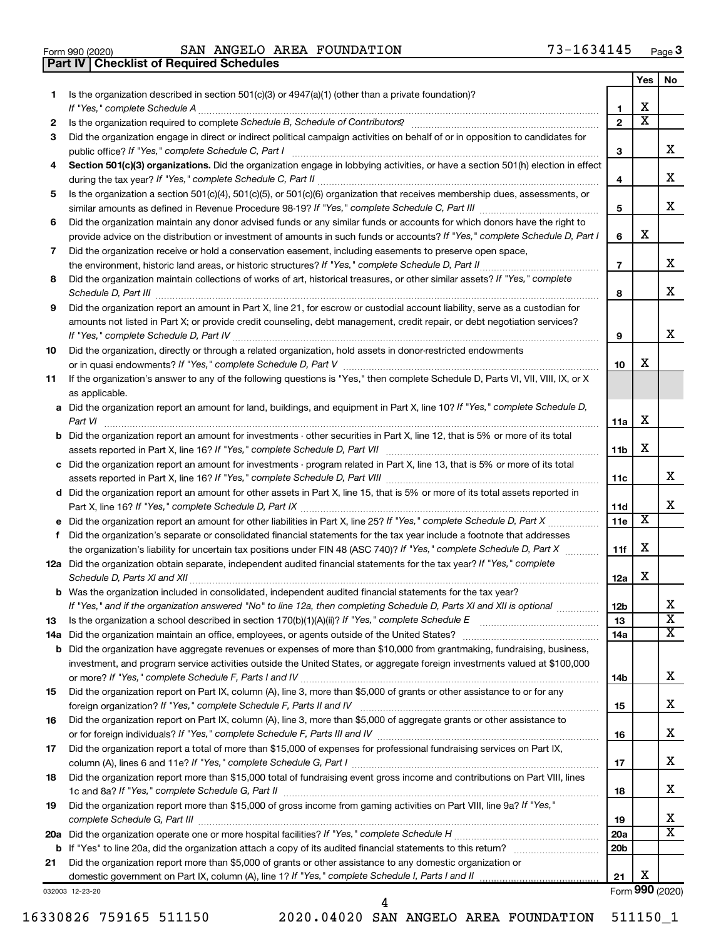|  | Form 990 (2020) |  |
|--|-----------------|--|

**Part IV Checklist of Required Schedules**

Form 990 (2020) **SAN ANGELO AREA FOUNDATION 73-1634145** <sub>Page</sub>

|     |                                                                                                                                                                                                                                     |                 | Yes                     | No                      |
|-----|-------------------------------------------------------------------------------------------------------------------------------------------------------------------------------------------------------------------------------------|-----------------|-------------------------|-------------------------|
| 1   | Is the organization described in section $501(c)(3)$ or $4947(a)(1)$ (other than a private foundation)?                                                                                                                             |                 |                         |                         |
|     | If "Yes," complete Schedule A                                                                                                                                                                                                       | 1               | х                       |                         |
| 2   | Is the organization required to complete Schedule B, Schedule of Contributors? [11] The organization required to complete Schedule B, Schedule of Contributors?                                                                     | $\overline{2}$  | $\overline{\textbf{x}}$ |                         |
| 3   | Did the organization engage in direct or indirect political campaign activities on behalf of or in opposition to candidates for                                                                                                     |                 |                         |                         |
|     | public office? If "Yes," complete Schedule C, Part I                                                                                                                                                                                | 3               |                         | x                       |
| 4   | Section 501(c)(3) organizations. Did the organization engage in lobbying activities, or have a section 501(h) election in effect                                                                                                    |                 |                         |                         |
|     |                                                                                                                                                                                                                                     | 4               |                         | х                       |
| 5   | Is the organization a section 501(c)(4), 501(c)(5), or 501(c)(6) organization that receives membership dues, assessments, or                                                                                                        |                 |                         |                         |
|     |                                                                                                                                                                                                                                     | 5               |                         | x                       |
| 6   | Did the organization maintain any donor advised funds or any similar funds or accounts for which donors have the right to                                                                                                           |                 |                         |                         |
|     | provide advice on the distribution or investment of amounts in such funds or accounts? If "Yes," complete Schedule D, Part I                                                                                                        | 6               | х                       |                         |
| 7   | Did the organization receive or hold a conservation easement, including easements to preserve open space,                                                                                                                           |                 |                         | x.                      |
|     |                                                                                                                                                                                                                                     | $\overline{7}$  |                         |                         |
| 8   | Did the organization maintain collections of works of art, historical treasures, or other similar assets? If "Yes," complete                                                                                                        |                 |                         | x                       |
|     | Schedule D, Part III <b>Process Construction Construction Construction</b> Construction Construction Construction Construction Construction Construction Construction Construction Construction Construction Construction Construct | 8               |                         |                         |
| 9   | Did the organization report an amount in Part X, line 21, for escrow or custodial account liability, serve as a custodian for                                                                                                       |                 |                         |                         |
|     | amounts not listed in Part X; or provide credit counseling, debt management, credit repair, or debt negotiation services?                                                                                                           | 9               |                         | x                       |
|     | If "Yes," complete Schedule D, Part IV.<br>Did the organization, directly or through a related organization, hold assets in donor-restricted endowments                                                                             |                 |                         |                         |
| 10  |                                                                                                                                                                                                                                     | 10              | х                       |                         |
| 11  | If the organization's answer to any of the following questions is "Yes," then complete Schedule D, Parts VI, VII, VIII, IX, or X                                                                                                    |                 |                         |                         |
|     | as applicable.                                                                                                                                                                                                                      |                 |                         |                         |
|     | a Did the organization report an amount for land, buildings, and equipment in Part X, line 10? If "Yes," complete Schedule D,                                                                                                       |                 |                         |                         |
|     | Part VI                                                                                                                                                                                                                             | 11a             | х                       |                         |
|     | <b>b</b> Did the organization report an amount for investments - other securities in Part X, line 12, that is 5% or more of its total                                                                                               |                 |                         |                         |
|     |                                                                                                                                                                                                                                     | 11b             | х                       |                         |
|     | c Did the organization report an amount for investments - program related in Part X, line 13, that is 5% or more of its total                                                                                                       |                 |                         |                         |
|     |                                                                                                                                                                                                                                     | 11c             |                         | x                       |
|     | d Did the organization report an amount for other assets in Part X, line 15, that is 5% or more of its total assets reported in                                                                                                     |                 |                         |                         |
|     |                                                                                                                                                                                                                                     | 11d             |                         | x                       |
|     |                                                                                                                                                                                                                                     | 11e             | X                       |                         |
|     | f Did the organization's separate or consolidated financial statements for the tax year include a footnote that addresses                                                                                                           |                 |                         |                         |
|     | the organization's liability for uncertain tax positions under FIN 48 (ASC 740)? If "Yes," complete Schedule D, Part X                                                                                                              | 11f             | х                       |                         |
|     | 12a Did the organization obtain separate, independent audited financial statements for the tax year? If "Yes," complete                                                                                                             |                 |                         |                         |
|     | Schedule D, Parts XI and XII                                                                                                                                                                                                        | 12a             | х                       |                         |
|     | <b>b</b> Was the organization included in consolidated, independent audited financial statements for the tax year?                                                                                                                  |                 |                         |                         |
|     | If "Yes," and if the organization answered "No" to line 12a, then completing Schedule D, Parts XI and XII is optional                                                                                                               | 12 <sub>b</sub> |                         | Х                       |
| 13  | Is the organization a school described in section $170(b)(1)(A)(ii)?$ If "Yes," complete Schedule E                                                                                                                                 | 13              |                         | $\overline{\textbf{X}}$ |
| 14a | Did the organization maintain an office, employees, or agents outside of the United States? [1111] Did the organization maintain an office, employees, or agents outside of the United States?                                      | 14a             |                         | x                       |
| b   | Did the organization have aggregate revenues or expenses of more than \$10,000 from grantmaking, fundraising, business,                                                                                                             |                 |                         |                         |
|     | investment, and program service activities outside the United States, or aggregate foreign investments valued at \$100,000                                                                                                          |                 |                         |                         |
|     |                                                                                                                                                                                                                                     | 14b             |                         | х                       |
| 15  | Did the organization report on Part IX, column (A), line 3, more than \$5,000 of grants or other assistance to or for any                                                                                                           |                 |                         | х                       |
|     |                                                                                                                                                                                                                                     | 15              |                         |                         |
| 16  | Did the organization report on Part IX, column (A), line 3, more than \$5,000 of aggregate grants or other assistance to                                                                                                            |                 |                         | х                       |
|     | Did the organization report a total of more than \$15,000 of expenses for professional fundraising services on Part IX,                                                                                                             | 16              |                         |                         |
| 17  |                                                                                                                                                                                                                                     |                 |                         | х                       |
| 18  | Did the organization report more than \$15,000 total of fundraising event gross income and contributions on Part VIII, lines                                                                                                        | 17              |                         |                         |
|     |                                                                                                                                                                                                                                     | 18              |                         | х                       |
| 19  | Did the organization report more than \$15,000 of gross income from gaming activities on Part VIII, line 9a? If "Yes,"                                                                                                              |                 |                         |                         |
|     |                                                                                                                                                                                                                                     | 19              |                         | x                       |
|     |                                                                                                                                                                                                                                     | 20a             |                         | x                       |
|     |                                                                                                                                                                                                                                     | 20 <sub>b</sub> |                         |                         |
| 21  | Did the organization report more than \$5,000 of grants or other assistance to any domestic organization or                                                                                                                         |                 |                         |                         |
|     |                                                                                                                                                                                                                                     | 21              | х                       |                         |
|     | 032003 12-23-20                                                                                                                                                                                                                     |                 |                         | Form 990 (2020)         |

16330826 759165 511150 2020.04020 SAN ANGELO AREA FOUNDATION 511150\_1

4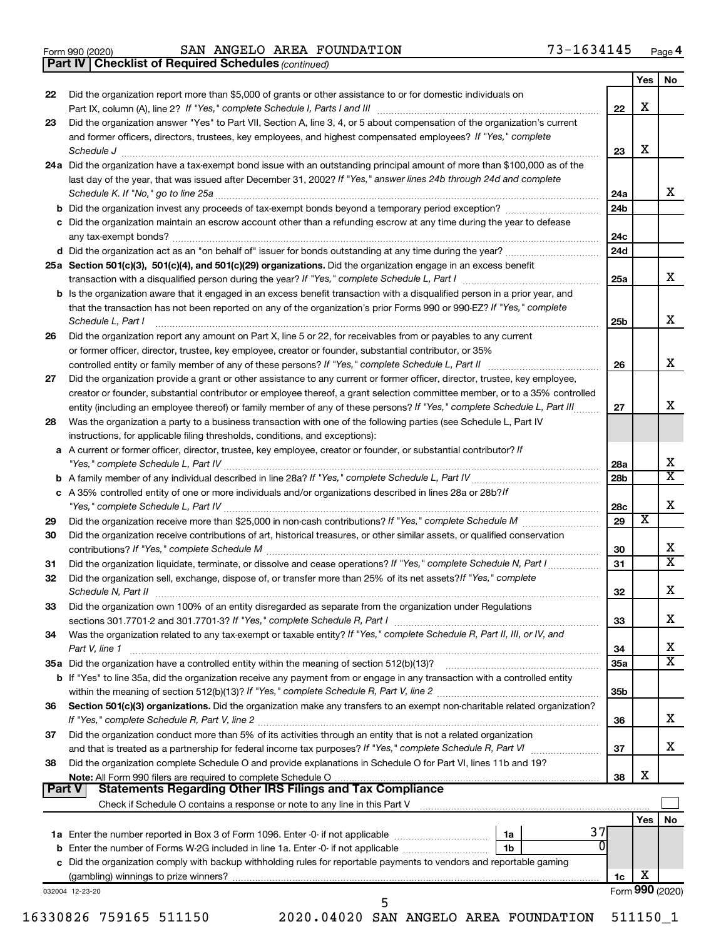|  | Form 990 (2020) |
|--|-----------------|
|  |                 |

Form 990 (2020) **SAN ANGELO AREA FOUNDATION 73-1634145** <sub>Page</sub>

*(continued)* **Part IV Checklist of Required Schedules**

| Did the organization report more than \$5,000 of grants or other assistance to or for domestic individuals on<br>Did the organization answer "Yes" to Part VII, Section A, line 3, 4, or 5 about compensation of the organization's current<br>and former officers, directors, trustees, key employees, and highest compensated employees? If "Yes," complete<br>Schedule J <b>Execute J Execute Contract Contract Contract Contract Contract Contract Contract Contract Contract Contract Contract Contract Contract Contract Contract Contract Contract Contract Contract Contract Contract C</b><br>24a Did the organization have a tax-exempt bond issue with an outstanding principal amount of more than \$100,000 as of the<br>last day of the year, that was issued after December 31, 2002? If "Yes," answer lines 24b through 24d and complete<br>c Did the organization maintain an escrow account other than a refunding escrow at any time during the year to defease<br>25a Section 501(c)(3), 501(c)(4), and 501(c)(29) organizations. Did the organization engage in an excess benefit<br><b>b</b> Is the organization aware that it engaged in an excess benefit transaction with a disqualified person in a prior year, and<br>that the transaction has not been reported on any of the organization's prior Forms 990 or 990-EZ? If "Yes," complete<br>Schedule L, Part I<br>Did the organization report any amount on Part X, line 5 or 22, for receivables from or payables to any current<br>or former officer, director, trustee, key employee, creator or founder, substantial contributor, or 35% | 22<br>23<br>24a<br>24b<br>24с<br>24d<br>25a<br>25b | X<br>X                  | x                                                                                                                                                                                                                                                                  |
|----------------------------------------------------------------------------------------------------------------------------------------------------------------------------------------------------------------------------------------------------------------------------------------------------------------------------------------------------------------------------------------------------------------------------------------------------------------------------------------------------------------------------------------------------------------------------------------------------------------------------------------------------------------------------------------------------------------------------------------------------------------------------------------------------------------------------------------------------------------------------------------------------------------------------------------------------------------------------------------------------------------------------------------------------------------------------------------------------------------------------------------------------------------------------------------------------------------------------------------------------------------------------------------------------------------------------------------------------------------------------------------------------------------------------------------------------------------------------------------------------------------------------------------------------------------------------------------------------------------------------|----------------------------------------------------|-------------------------|--------------------------------------------------------------------------------------------------------------------------------------------------------------------------------------------------------------------------------------------------------------------|
|                                                                                                                                                                                                                                                                                                                                                                                                                                                                                                                                                                                                                                                                                                                                                                                                                                                                                                                                                                                                                                                                                                                                                                                                                                                                                                                                                                                                                                                                                                                                                                                                                            |                                                    |                         |                                                                                                                                                                                                                                                                    |
|                                                                                                                                                                                                                                                                                                                                                                                                                                                                                                                                                                                                                                                                                                                                                                                                                                                                                                                                                                                                                                                                                                                                                                                                                                                                                                                                                                                                                                                                                                                                                                                                                            |                                                    |                         |                                                                                                                                                                                                                                                                    |
|                                                                                                                                                                                                                                                                                                                                                                                                                                                                                                                                                                                                                                                                                                                                                                                                                                                                                                                                                                                                                                                                                                                                                                                                                                                                                                                                                                                                                                                                                                                                                                                                                            |                                                    |                         |                                                                                                                                                                                                                                                                    |
|                                                                                                                                                                                                                                                                                                                                                                                                                                                                                                                                                                                                                                                                                                                                                                                                                                                                                                                                                                                                                                                                                                                                                                                                                                                                                                                                                                                                                                                                                                                                                                                                                            |                                                    |                         |                                                                                                                                                                                                                                                                    |
|                                                                                                                                                                                                                                                                                                                                                                                                                                                                                                                                                                                                                                                                                                                                                                                                                                                                                                                                                                                                                                                                                                                                                                                                                                                                                                                                                                                                                                                                                                                                                                                                                            |                                                    |                         |                                                                                                                                                                                                                                                                    |
|                                                                                                                                                                                                                                                                                                                                                                                                                                                                                                                                                                                                                                                                                                                                                                                                                                                                                                                                                                                                                                                                                                                                                                                                                                                                                                                                                                                                                                                                                                                                                                                                                            |                                                    |                         |                                                                                                                                                                                                                                                                    |
|                                                                                                                                                                                                                                                                                                                                                                                                                                                                                                                                                                                                                                                                                                                                                                                                                                                                                                                                                                                                                                                                                                                                                                                                                                                                                                                                                                                                                                                                                                                                                                                                                            |                                                    |                         |                                                                                                                                                                                                                                                                    |
|                                                                                                                                                                                                                                                                                                                                                                                                                                                                                                                                                                                                                                                                                                                                                                                                                                                                                                                                                                                                                                                                                                                                                                                                                                                                                                                                                                                                                                                                                                                                                                                                                            |                                                    |                         |                                                                                                                                                                                                                                                                    |
|                                                                                                                                                                                                                                                                                                                                                                                                                                                                                                                                                                                                                                                                                                                                                                                                                                                                                                                                                                                                                                                                                                                                                                                                                                                                                                                                                                                                                                                                                                                                                                                                                            |                                                    |                         |                                                                                                                                                                                                                                                                    |
|                                                                                                                                                                                                                                                                                                                                                                                                                                                                                                                                                                                                                                                                                                                                                                                                                                                                                                                                                                                                                                                                                                                                                                                                                                                                                                                                                                                                                                                                                                                                                                                                                            |                                                    |                         |                                                                                                                                                                                                                                                                    |
|                                                                                                                                                                                                                                                                                                                                                                                                                                                                                                                                                                                                                                                                                                                                                                                                                                                                                                                                                                                                                                                                                                                                                                                                                                                                                                                                                                                                                                                                                                                                                                                                                            |                                                    |                         | x                                                                                                                                                                                                                                                                  |
|                                                                                                                                                                                                                                                                                                                                                                                                                                                                                                                                                                                                                                                                                                                                                                                                                                                                                                                                                                                                                                                                                                                                                                                                                                                                                                                                                                                                                                                                                                                                                                                                                            |                                                    |                         |                                                                                                                                                                                                                                                                    |
|                                                                                                                                                                                                                                                                                                                                                                                                                                                                                                                                                                                                                                                                                                                                                                                                                                                                                                                                                                                                                                                                                                                                                                                                                                                                                                                                                                                                                                                                                                                                                                                                                            |                                                    |                         | X                                                                                                                                                                                                                                                                  |
|                                                                                                                                                                                                                                                                                                                                                                                                                                                                                                                                                                                                                                                                                                                                                                                                                                                                                                                                                                                                                                                                                                                                                                                                                                                                                                                                                                                                                                                                                                                                                                                                                            |                                                    |                         |                                                                                                                                                                                                                                                                    |
|                                                                                                                                                                                                                                                                                                                                                                                                                                                                                                                                                                                                                                                                                                                                                                                                                                                                                                                                                                                                                                                                                                                                                                                                                                                                                                                                                                                                                                                                                                                                                                                                                            |                                                    |                         |                                                                                                                                                                                                                                                                    |
|                                                                                                                                                                                                                                                                                                                                                                                                                                                                                                                                                                                                                                                                                                                                                                                                                                                                                                                                                                                                                                                                                                                                                                                                                                                                                                                                                                                                                                                                                                                                                                                                                            | 26                                                 |                         | х                                                                                                                                                                                                                                                                  |
| Did the organization provide a grant or other assistance to any current or former officer, director, trustee, key employee,                                                                                                                                                                                                                                                                                                                                                                                                                                                                                                                                                                                                                                                                                                                                                                                                                                                                                                                                                                                                                                                                                                                                                                                                                                                                                                                                                                                                                                                                                                |                                                    |                         |                                                                                                                                                                                                                                                                    |
| creator or founder, substantial contributor or employee thereof, a grant selection committee member, or to a 35% controlled                                                                                                                                                                                                                                                                                                                                                                                                                                                                                                                                                                                                                                                                                                                                                                                                                                                                                                                                                                                                                                                                                                                                                                                                                                                                                                                                                                                                                                                                                                |                                                    |                         |                                                                                                                                                                                                                                                                    |
| entity (including an employee thereof) or family member of any of these persons? If "Yes," complete Schedule L, Part III                                                                                                                                                                                                                                                                                                                                                                                                                                                                                                                                                                                                                                                                                                                                                                                                                                                                                                                                                                                                                                                                                                                                                                                                                                                                                                                                                                                                                                                                                                   | 27                                                 |                         | х                                                                                                                                                                                                                                                                  |
| Was the organization a party to a business transaction with one of the following parties (see Schedule L, Part IV                                                                                                                                                                                                                                                                                                                                                                                                                                                                                                                                                                                                                                                                                                                                                                                                                                                                                                                                                                                                                                                                                                                                                                                                                                                                                                                                                                                                                                                                                                          |                                                    |                         |                                                                                                                                                                                                                                                                    |
| instructions, for applicable filing thresholds, conditions, and exceptions):                                                                                                                                                                                                                                                                                                                                                                                                                                                                                                                                                                                                                                                                                                                                                                                                                                                                                                                                                                                                                                                                                                                                                                                                                                                                                                                                                                                                                                                                                                                                               |                                                    |                         |                                                                                                                                                                                                                                                                    |
| a A current or former officer, director, trustee, key employee, creator or founder, or substantial contributor? If                                                                                                                                                                                                                                                                                                                                                                                                                                                                                                                                                                                                                                                                                                                                                                                                                                                                                                                                                                                                                                                                                                                                                                                                                                                                                                                                                                                                                                                                                                         |                                                    |                         |                                                                                                                                                                                                                                                                    |
|                                                                                                                                                                                                                                                                                                                                                                                                                                                                                                                                                                                                                                                                                                                                                                                                                                                                                                                                                                                                                                                                                                                                                                                                                                                                                                                                                                                                                                                                                                                                                                                                                            | 28a                                                |                         | х<br>$\overline{\mathbf{X}}$                                                                                                                                                                                                                                       |
|                                                                                                                                                                                                                                                                                                                                                                                                                                                                                                                                                                                                                                                                                                                                                                                                                                                                                                                                                                                                                                                                                                                                                                                                                                                                                                                                                                                                                                                                                                                                                                                                                            | 28b                                                |                         |                                                                                                                                                                                                                                                                    |
| c A 35% controlled entity of one or more individuals and/or organizations described in lines 28a or 28b? If                                                                                                                                                                                                                                                                                                                                                                                                                                                                                                                                                                                                                                                                                                                                                                                                                                                                                                                                                                                                                                                                                                                                                                                                                                                                                                                                                                                                                                                                                                                | 28c                                                |                         | Х                                                                                                                                                                                                                                                                  |
|                                                                                                                                                                                                                                                                                                                                                                                                                                                                                                                                                                                                                                                                                                                                                                                                                                                                                                                                                                                                                                                                                                                                                                                                                                                                                                                                                                                                                                                                                                                                                                                                                            | 29                                                 | $\overline{\textbf{x}}$ |                                                                                                                                                                                                                                                                    |
| Did the organization receive contributions of art, historical treasures, or other similar assets, or qualified conservation                                                                                                                                                                                                                                                                                                                                                                                                                                                                                                                                                                                                                                                                                                                                                                                                                                                                                                                                                                                                                                                                                                                                                                                                                                                                                                                                                                                                                                                                                                |                                                    |                         |                                                                                                                                                                                                                                                                    |
|                                                                                                                                                                                                                                                                                                                                                                                                                                                                                                                                                                                                                                                                                                                                                                                                                                                                                                                                                                                                                                                                                                                                                                                                                                                                                                                                                                                                                                                                                                                                                                                                                            | 30                                                 |                         | х                                                                                                                                                                                                                                                                  |
|                                                                                                                                                                                                                                                                                                                                                                                                                                                                                                                                                                                                                                                                                                                                                                                                                                                                                                                                                                                                                                                                                                                                                                                                                                                                                                                                                                                                                                                                                                                                                                                                                            | 31                                                 |                         | $\overline{\mathbf{X}}$                                                                                                                                                                                                                                            |
| Did the organization sell, exchange, dispose of, or transfer more than 25% of its net assets? If "Yes," complete                                                                                                                                                                                                                                                                                                                                                                                                                                                                                                                                                                                                                                                                                                                                                                                                                                                                                                                                                                                                                                                                                                                                                                                                                                                                                                                                                                                                                                                                                                           | 32                                                 |                         | Χ                                                                                                                                                                                                                                                                  |
| Did the organization own 100% of an entity disregarded as separate from the organization under Regulations                                                                                                                                                                                                                                                                                                                                                                                                                                                                                                                                                                                                                                                                                                                                                                                                                                                                                                                                                                                                                                                                                                                                                                                                                                                                                                                                                                                                                                                                                                                 |                                                    |                         |                                                                                                                                                                                                                                                                    |
|                                                                                                                                                                                                                                                                                                                                                                                                                                                                                                                                                                                                                                                                                                                                                                                                                                                                                                                                                                                                                                                                                                                                                                                                                                                                                                                                                                                                                                                                                                                                                                                                                            | 33                                                 |                         | x                                                                                                                                                                                                                                                                  |
| Was the organization related to any tax-exempt or taxable entity? If "Yes," complete Schedule R, Part II, III, or IV, and                                                                                                                                                                                                                                                                                                                                                                                                                                                                                                                                                                                                                                                                                                                                                                                                                                                                                                                                                                                                                                                                                                                                                                                                                                                                                                                                                                                                                                                                                                  |                                                    |                         |                                                                                                                                                                                                                                                                    |
| Part V, line 1                                                                                                                                                                                                                                                                                                                                                                                                                                                                                                                                                                                                                                                                                                                                                                                                                                                                                                                                                                                                                                                                                                                                                                                                                                                                                                                                                                                                                                                                                                                                                                                                             | 34                                                 |                         | х                                                                                                                                                                                                                                                                  |
|                                                                                                                                                                                                                                                                                                                                                                                                                                                                                                                                                                                                                                                                                                                                                                                                                                                                                                                                                                                                                                                                                                                                                                                                                                                                                                                                                                                                                                                                                                                                                                                                                            | 35a                                                |                         | $\mathbf x$                                                                                                                                                                                                                                                        |
| b If "Yes" to line 35a, did the organization receive any payment from or engage in any transaction with a controlled entity                                                                                                                                                                                                                                                                                                                                                                                                                                                                                                                                                                                                                                                                                                                                                                                                                                                                                                                                                                                                                                                                                                                                                                                                                                                                                                                                                                                                                                                                                                |                                                    |                         |                                                                                                                                                                                                                                                                    |
| Section 501(c)(3) organizations. Did the organization make any transfers to an exempt non-charitable related organization?                                                                                                                                                                                                                                                                                                                                                                                                                                                                                                                                                                                                                                                                                                                                                                                                                                                                                                                                                                                                                                                                                                                                                                                                                                                                                                                                                                                                                                                                                                 | 35b                                                |                         |                                                                                                                                                                                                                                                                    |
|                                                                                                                                                                                                                                                                                                                                                                                                                                                                                                                                                                                                                                                                                                                                                                                                                                                                                                                                                                                                                                                                                                                                                                                                                                                                                                                                                                                                                                                                                                                                                                                                                            | 36                                                 |                         | x                                                                                                                                                                                                                                                                  |
|                                                                                                                                                                                                                                                                                                                                                                                                                                                                                                                                                                                                                                                                                                                                                                                                                                                                                                                                                                                                                                                                                                                                                                                                                                                                                                                                                                                                                                                                                                                                                                                                                            |                                                    |                         |                                                                                                                                                                                                                                                                    |
|                                                                                                                                                                                                                                                                                                                                                                                                                                                                                                                                                                                                                                                                                                                                                                                                                                                                                                                                                                                                                                                                                                                                                                                                                                                                                                                                                                                                                                                                                                                                                                                                                            | 37                                                 |                         | x                                                                                                                                                                                                                                                                  |
| Did the organization conduct more than 5% of its activities through an entity that is not a related organization                                                                                                                                                                                                                                                                                                                                                                                                                                                                                                                                                                                                                                                                                                                                                                                                                                                                                                                                                                                                                                                                                                                                                                                                                                                                                                                                                                                                                                                                                                           |                                                    |                         |                                                                                                                                                                                                                                                                    |
| Did the organization complete Schedule O and provide explanations in Schedule O for Part VI, lines 11b and 19?                                                                                                                                                                                                                                                                                                                                                                                                                                                                                                                                                                                                                                                                                                                                                                                                                                                                                                                                                                                                                                                                                                                                                                                                                                                                                                                                                                                                                                                                                                             | 38                                                 | х                       |                                                                                                                                                                                                                                                                    |
|                                                                                                                                                                                                                                                                                                                                                                                                                                                                                                                                                                                                                                                                                                                                                                                                                                                                                                                                                                                                                                                                                                                                                                                                                                                                                                                                                                                                                                                                                                                                                                                                                            |                                                    |                         |                                                                                                                                                                                                                                                                    |
| <b>Statements Regarding Other IRS Filings and Tax Compliance</b>                                                                                                                                                                                                                                                                                                                                                                                                                                                                                                                                                                                                                                                                                                                                                                                                                                                                                                                                                                                                                                                                                                                                                                                                                                                                                                                                                                                                                                                                                                                                                           |                                                    |                         |                                                                                                                                                                                                                                                                    |
|                                                                                                                                                                                                                                                                                                                                                                                                                                                                                                                                                                                                                                                                                                                                                                                                                                                                                                                                                                                                                                                                                                                                                                                                                                                                                                                                                                                                                                                                                                                                                                                                                            |                                                    |                         |                                                                                                                                                                                                                                                                    |
| 37                                                                                                                                                                                                                                                                                                                                                                                                                                                                                                                                                                                                                                                                                                                                                                                                                                                                                                                                                                                                                                                                                                                                                                                                                                                                                                                                                                                                                                                                                                                                                                                                                         |                                                    |                         |                                                                                                                                                                                                                                                                    |
|                                                                                                                                                                                                                                                                                                                                                                                                                                                                                                                                                                                                                                                                                                                                                                                                                                                                                                                                                                                                                                                                                                                                                                                                                                                                                                                                                                                                                                                                                                                                                                                                                            |                                                    |                         |                                                                                                                                                                                                                                                                    |
| c Did the organization comply with backup withholding rules for reportable payments to vendors and reportable gaming                                                                                                                                                                                                                                                                                                                                                                                                                                                                                                                                                                                                                                                                                                                                                                                                                                                                                                                                                                                                                                                                                                                                                                                                                                                                                                                                                                                                                                                                                                       |                                                    |                         |                                                                                                                                                                                                                                                                    |
|                                                                                                                                                                                                                                                                                                                                                                                                                                                                                                                                                                                                                                                                                                                                                                                                                                                                                                                                                                                                                                                                                                                                                                                                                                                                                                                                                                                                                                                                                                                                                                                                                            | 1c                                                 |                         |                                                                                                                                                                                                                                                                    |
|                                                                                                                                                                                                                                                                                                                                                                                                                                                                                                                                                                                                                                                                                                                                                                                                                                                                                                                                                                                                                                                                                                                                                                                                                                                                                                                                                                                                                                                                                                                                                                                                                            |                                                    | 0                       | Check if Schedule O contains a response or note to any line in this Part V [11] [12] contains according to contains a response or note to any line in this Part V [11] [12] [12] contains according to contain a response or n<br>Yes   No<br>х<br>Form 990 (2020) |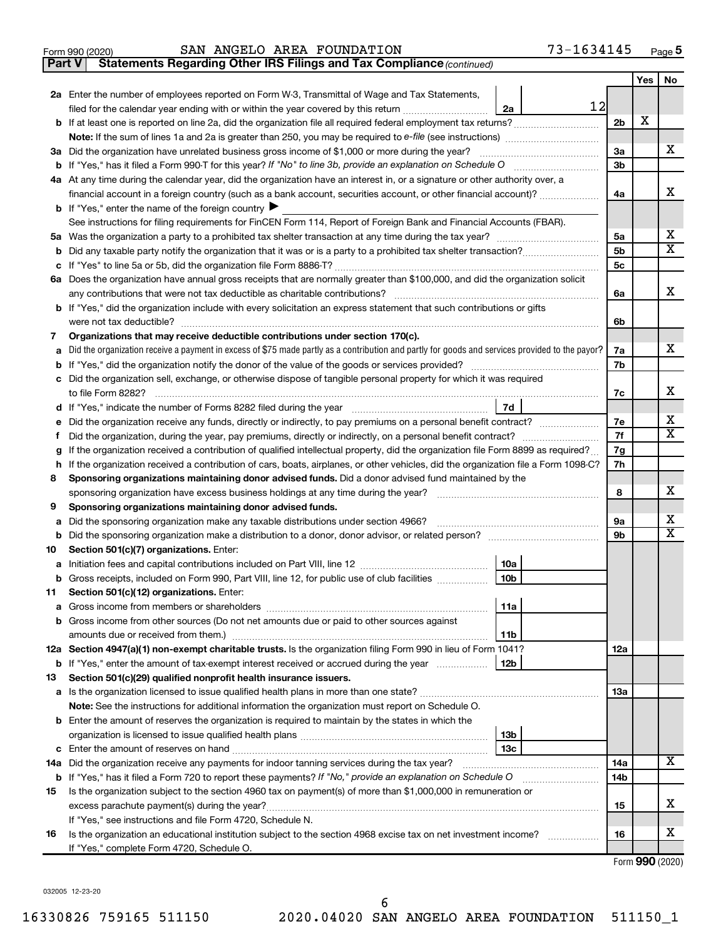|  | Form 990 (2020) |  |
|--|-----------------|--|
|  |                 |  |

#### Form 990 (2020) **SAN ANGELO AREA FOUNDATION 73-1634145** <sub>Page</sub>

**Part V** Statements Regarding Other IRS Filings and Tax Compliance (continued)

| 2a Enter the number of employees reported on Form W-3, Transmittal of Wage and Tax Statements,<br>12<br>filed for the calendar year ending with or within the year covered by this return<br>2a<br>х<br>2 <sub>b</sub><br>b<br>х<br>3a<br>3a Did the organization have unrelated business gross income of \$1,000 or more during the year?<br>3b<br>4a At any time during the calendar year, did the organization have an interest in, or a signature or other authority over, a<br>x<br>financial account in a foreign country (such as a bank account, securities account, or other financial account)?<br>4a<br><b>b</b> If "Yes," enter the name of the foreign country $\blacktriangleright$<br>See instructions for filing requirements for FinCEN Form 114, Report of Foreign Bank and Financial Accounts (FBAR).<br>x<br>5a<br>$\overline{\mathbf{X}}$<br>5b<br>b<br>5с<br>с<br>6a Does the organization have annual gross receipts that are normally greater than \$100,000, and did the organization solicit<br>x<br>6a<br><b>b</b> If "Yes," did the organization include with every solicitation an express statement that such contributions or gifts<br>6b<br>Organizations that may receive deductible contributions under section 170(c).<br>7<br>х<br>Did the organization receive a payment in excess of \$75 made partly as a contribution and partly for goods and services provided to the payor?<br>7a<br>a<br>7b<br>b<br>Did the organization sell, exchange, or otherwise dispose of tangible personal property for which it was required<br>с<br>х<br>7c<br>7d<br>d<br>x<br>Did the organization receive any funds, directly or indirectly, to pay premiums on a personal benefit contract?<br>7е<br>е<br>$\mathbf x$<br>7f<br>f.<br>If the organization received a contribution of qualified intellectual property, did the organization file Form 8899 as required?<br>7g<br>g<br>If the organization received a contribution of cars, boats, airplanes, or other vehicles, did the organization file a Form 1098-C?<br>7h<br>h<br>Sponsoring organizations maintaining donor advised funds. Did a donor advised fund maintained by the<br>8<br>x<br>8<br>sponsoring organization have excess business holdings at any time during the year?<br>Sponsoring organizations maintaining donor advised funds.<br>9<br>x<br>9а<br>Did the sponsoring organization make any taxable distributions under section 4966?<br>а<br>$\overline{\mathbf{X}}$<br>9b<br>b<br>Section 501(c)(7) organizations. Enter:<br>10a<br>а<br>10 <sub>b</sub><br>b Gross receipts, included on Form 990, Part VIII, line 12, for public use of club facilities<br>Section 501(c)(12) organizations. Enter:<br>  11a<br><b>b</b> Gross income from other sources (Do not net amounts due or paid to other sources against<br>11b<br>12a Section 4947(a)(1) non-exempt charitable trusts. Is the organization filing Form 990 in lieu of Form 1041?<br>12a<br><b>b</b> If "Yes," enter the amount of tax-exempt interest received or accrued during the year<br>12b<br>Section 501(c)(29) qualified nonprofit health insurance issuers.<br>13<br>1За<br>Note: See the instructions for additional information the organization must report on Schedule O.<br><b>b</b> Enter the amount of reserves the organization is required to maintain by the states in which the<br>13 <sub>b</sub><br>13с<br>x<br>14a Did the organization receive any payments for indoor tanning services during the tax year?<br>14a<br><b>b</b> If "Yes," has it filed a Form 720 to report these payments? If "No," provide an explanation on Schedule O<br>14b<br>Is the organization subject to the section 4960 tax on payment(s) of more than \$1,000,000 in remuneration or<br>15<br>х<br>excess parachute payment(s) during the year?<br>15<br>If "Yes," see instructions and file Form 4720, Schedule N.<br>x<br>Is the organization an educational institution subject to the section 4968 excise tax on net investment income?<br>16<br>16<br>If "Yes," complete Form 4720, Schedule O. |    |  | Yes | No |
|------------------------------------------------------------------------------------------------------------------------------------------------------------------------------------------------------------------------------------------------------------------------------------------------------------------------------------------------------------------------------------------------------------------------------------------------------------------------------------------------------------------------------------------------------------------------------------------------------------------------------------------------------------------------------------------------------------------------------------------------------------------------------------------------------------------------------------------------------------------------------------------------------------------------------------------------------------------------------------------------------------------------------------------------------------------------------------------------------------------------------------------------------------------------------------------------------------------------------------------------------------------------------------------------------------------------------------------------------------------------------------------------------------------------------------------------------------------------------------------------------------------------------------------------------------------------------------------------------------------------------------------------------------------------------------------------------------------------------------------------------------------------------------------------------------------------------------------------------------------------------------------------------------------------------------------------------------------------------------------------------------------------------------------------------------------------------------------------------------------------------------------------------------------------------------------------------------------------------------------------------------------------------------------------------------------------------------------------------------------------------------------------------------------------------------------------------------------------------------------------------------------------------------------------------------------------------------------------------------------------------------------------------------------------------------------------------------------------------------------------------------------------------------------------------------------------------------------------------------------------------------------------------------------------------------------------------------------------------------------------------------------------------------------------------------------------------------------------------------------------------------------------------------------------------------------------------------------------------------------------------------------------------------------------------------------------------------------------------------------------------------------------------------------------------------------------------------------------------------------------------------------------------------------------------------------------------------------------------------------------------------------------------------------------------------------------------------------------------------------------------------------------------------------------------------------------------------------------------------------------------------------------------------------------------------------------------------------------------------------------------------------------------------------------------------------------------|----|--|-----|----|
|                                                                                                                                                                                                                                                                                                                                                                                                                                                                                                                                                                                                                                                                                                                                                                                                                                                                                                                                                                                                                                                                                                                                                                                                                                                                                                                                                                                                                                                                                                                                                                                                                                                                                                                                                                                                                                                                                                                                                                                                                                                                                                                                                                                                                                                                                                                                                                                                                                                                                                                                                                                                                                                                                                                                                                                                                                                                                                                                                                                                                                                                                                                                                                                                                                                                                                                                                                                                                                                                                                                                                                                                                                                                                                                                                                                                                                                                                                                                                                                                                                                                              |    |  |     |    |
|                                                                                                                                                                                                                                                                                                                                                                                                                                                                                                                                                                                                                                                                                                                                                                                                                                                                                                                                                                                                                                                                                                                                                                                                                                                                                                                                                                                                                                                                                                                                                                                                                                                                                                                                                                                                                                                                                                                                                                                                                                                                                                                                                                                                                                                                                                                                                                                                                                                                                                                                                                                                                                                                                                                                                                                                                                                                                                                                                                                                                                                                                                                                                                                                                                                                                                                                                                                                                                                                                                                                                                                                                                                                                                                                                                                                                                                                                                                                                                                                                                                                              |    |  |     |    |
|                                                                                                                                                                                                                                                                                                                                                                                                                                                                                                                                                                                                                                                                                                                                                                                                                                                                                                                                                                                                                                                                                                                                                                                                                                                                                                                                                                                                                                                                                                                                                                                                                                                                                                                                                                                                                                                                                                                                                                                                                                                                                                                                                                                                                                                                                                                                                                                                                                                                                                                                                                                                                                                                                                                                                                                                                                                                                                                                                                                                                                                                                                                                                                                                                                                                                                                                                                                                                                                                                                                                                                                                                                                                                                                                                                                                                                                                                                                                                                                                                                                                              |    |  |     |    |
|                                                                                                                                                                                                                                                                                                                                                                                                                                                                                                                                                                                                                                                                                                                                                                                                                                                                                                                                                                                                                                                                                                                                                                                                                                                                                                                                                                                                                                                                                                                                                                                                                                                                                                                                                                                                                                                                                                                                                                                                                                                                                                                                                                                                                                                                                                                                                                                                                                                                                                                                                                                                                                                                                                                                                                                                                                                                                                                                                                                                                                                                                                                                                                                                                                                                                                                                                                                                                                                                                                                                                                                                                                                                                                                                                                                                                                                                                                                                                                                                                                                                              |    |  |     |    |
|                                                                                                                                                                                                                                                                                                                                                                                                                                                                                                                                                                                                                                                                                                                                                                                                                                                                                                                                                                                                                                                                                                                                                                                                                                                                                                                                                                                                                                                                                                                                                                                                                                                                                                                                                                                                                                                                                                                                                                                                                                                                                                                                                                                                                                                                                                                                                                                                                                                                                                                                                                                                                                                                                                                                                                                                                                                                                                                                                                                                                                                                                                                                                                                                                                                                                                                                                                                                                                                                                                                                                                                                                                                                                                                                                                                                                                                                                                                                                                                                                                                                              |    |  |     |    |
|                                                                                                                                                                                                                                                                                                                                                                                                                                                                                                                                                                                                                                                                                                                                                                                                                                                                                                                                                                                                                                                                                                                                                                                                                                                                                                                                                                                                                                                                                                                                                                                                                                                                                                                                                                                                                                                                                                                                                                                                                                                                                                                                                                                                                                                                                                                                                                                                                                                                                                                                                                                                                                                                                                                                                                                                                                                                                                                                                                                                                                                                                                                                                                                                                                                                                                                                                                                                                                                                                                                                                                                                                                                                                                                                                                                                                                                                                                                                                                                                                                                                              |    |  |     |    |
|                                                                                                                                                                                                                                                                                                                                                                                                                                                                                                                                                                                                                                                                                                                                                                                                                                                                                                                                                                                                                                                                                                                                                                                                                                                                                                                                                                                                                                                                                                                                                                                                                                                                                                                                                                                                                                                                                                                                                                                                                                                                                                                                                                                                                                                                                                                                                                                                                                                                                                                                                                                                                                                                                                                                                                                                                                                                                                                                                                                                                                                                                                                                                                                                                                                                                                                                                                                                                                                                                                                                                                                                                                                                                                                                                                                                                                                                                                                                                                                                                                                                              |    |  |     |    |
|                                                                                                                                                                                                                                                                                                                                                                                                                                                                                                                                                                                                                                                                                                                                                                                                                                                                                                                                                                                                                                                                                                                                                                                                                                                                                                                                                                                                                                                                                                                                                                                                                                                                                                                                                                                                                                                                                                                                                                                                                                                                                                                                                                                                                                                                                                                                                                                                                                                                                                                                                                                                                                                                                                                                                                                                                                                                                                                                                                                                                                                                                                                                                                                                                                                                                                                                                                                                                                                                                                                                                                                                                                                                                                                                                                                                                                                                                                                                                                                                                                                                              |    |  |     |    |
|                                                                                                                                                                                                                                                                                                                                                                                                                                                                                                                                                                                                                                                                                                                                                                                                                                                                                                                                                                                                                                                                                                                                                                                                                                                                                                                                                                                                                                                                                                                                                                                                                                                                                                                                                                                                                                                                                                                                                                                                                                                                                                                                                                                                                                                                                                                                                                                                                                                                                                                                                                                                                                                                                                                                                                                                                                                                                                                                                                                                                                                                                                                                                                                                                                                                                                                                                                                                                                                                                                                                                                                                                                                                                                                                                                                                                                                                                                                                                                                                                                                                              |    |  |     |    |
|                                                                                                                                                                                                                                                                                                                                                                                                                                                                                                                                                                                                                                                                                                                                                                                                                                                                                                                                                                                                                                                                                                                                                                                                                                                                                                                                                                                                                                                                                                                                                                                                                                                                                                                                                                                                                                                                                                                                                                                                                                                                                                                                                                                                                                                                                                                                                                                                                                                                                                                                                                                                                                                                                                                                                                                                                                                                                                                                                                                                                                                                                                                                                                                                                                                                                                                                                                                                                                                                                                                                                                                                                                                                                                                                                                                                                                                                                                                                                                                                                                                                              |    |  |     |    |
|                                                                                                                                                                                                                                                                                                                                                                                                                                                                                                                                                                                                                                                                                                                                                                                                                                                                                                                                                                                                                                                                                                                                                                                                                                                                                                                                                                                                                                                                                                                                                                                                                                                                                                                                                                                                                                                                                                                                                                                                                                                                                                                                                                                                                                                                                                                                                                                                                                                                                                                                                                                                                                                                                                                                                                                                                                                                                                                                                                                                                                                                                                                                                                                                                                                                                                                                                                                                                                                                                                                                                                                                                                                                                                                                                                                                                                                                                                                                                                                                                                                                              |    |  |     |    |
|                                                                                                                                                                                                                                                                                                                                                                                                                                                                                                                                                                                                                                                                                                                                                                                                                                                                                                                                                                                                                                                                                                                                                                                                                                                                                                                                                                                                                                                                                                                                                                                                                                                                                                                                                                                                                                                                                                                                                                                                                                                                                                                                                                                                                                                                                                                                                                                                                                                                                                                                                                                                                                                                                                                                                                                                                                                                                                                                                                                                                                                                                                                                                                                                                                                                                                                                                                                                                                                                                                                                                                                                                                                                                                                                                                                                                                                                                                                                                                                                                                                                              |    |  |     |    |
|                                                                                                                                                                                                                                                                                                                                                                                                                                                                                                                                                                                                                                                                                                                                                                                                                                                                                                                                                                                                                                                                                                                                                                                                                                                                                                                                                                                                                                                                                                                                                                                                                                                                                                                                                                                                                                                                                                                                                                                                                                                                                                                                                                                                                                                                                                                                                                                                                                                                                                                                                                                                                                                                                                                                                                                                                                                                                                                                                                                                                                                                                                                                                                                                                                                                                                                                                                                                                                                                                                                                                                                                                                                                                                                                                                                                                                                                                                                                                                                                                                                                              |    |  |     |    |
|                                                                                                                                                                                                                                                                                                                                                                                                                                                                                                                                                                                                                                                                                                                                                                                                                                                                                                                                                                                                                                                                                                                                                                                                                                                                                                                                                                                                                                                                                                                                                                                                                                                                                                                                                                                                                                                                                                                                                                                                                                                                                                                                                                                                                                                                                                                                                                                                                                                                                                                                                                                                                                                                                                                                                                                                                                                                                                                                                                                                                                                                                                                                                                                                                                                                                                                                                                                                                                                                                                                                                                                                                                                                                                                                                                                                                                                                                                                                                                                                                                                                              |    |  |     |    |
|                                                                                                                                                                                                                                                                                                                                                                                                                                                                                                                                                                                                                                                                                                                                                                                                                                                                                                                                                                                                                                                                                                                                                                                                                                                                                                                                                                                                                                                                                                                                                                                                                                                                                                                                                                                                                                                                                                                                                                                                                                                                                                                                                                                                                                                                                                                                                                                                                                                                                                                                                                                                                                                                                                                                                                                                                                                                                                                                                                                                                                                                                                                                                                                                                                                                                                                                                                                                                                                                                                                                                                                                                                                                                                                                                                                                                                                                                                                                                                                                                                                                              |    |  |     |    |
|                                                                                                                                                                                                                                                                                                                                                                                                                                                                                                                                                                                                                                                                                                                                                                                                                                                                                                                                                                                                                                                                                                                                                                                                                                                                                                                                                                                                                                                                                                                                                                                                                                                                                                                                                                                                                                                                                                                                                                                                                                                                                                                                                                                                                                                                                                                                                                                                                                                                                                                                                                                                                                                                                                                                                                                                                                                                                                                                                                                                                                                                                                                                                                                                                                                                                                                                                                                                                                                                                                                                                                                                                                                                                                                                                                                                                                                                                                                                                                                                                                                                              |    |  |     |    |
|                                                                                                                                                                                                                                                                                                                                                                                                                                                                                                                                                                                                                                                                                                                                                                                                                                                                                                                                                                                                                                                                                                                                                                                                                                                                                                                                                                                                                                                                                                                                                                                                                                                                                                                                                                                                                                                                                                                                                                                                                                                                                                                                                                                                                                                                                                                                                                                                                                                                                                                                                                                                                                                                                                                                                                                                                                                                                                                                                                                                                                                                                                                                                                                                                                                                                                                                                                                                                                                                                                                                                                                                                                                                                                                                                                                                                                                                                                                                                                                                                                                                              |    |  |     |    |
|                                                                                                                                                                                                                                                                                                                                                                                                                                                                                                                                                                                                                                                                                                                                                                                                                                                                                                                                                                                                                                                                                                                                                                                                                                                                                                                                                                                                                                                                                                                                                                                                                                                                                                                                                                                                                                                                                                                                                                                                                                                                                                                                                                                                                                                                                                                                                                                                                                                                                                                                                                                                                                                                                                                                                                                                                                                                                                                                                                                                                                                                                                                                                                                                                                                                                                                                                                                                                                                                                                                                                                                                                                                                                                                                                                                                                                                                                                                                                                                                                                                                              |    |  |     |    |
|                                                                                                                                                                                                                                                                                                                                                                                                                                                                                                                                                                                                                                                                                                                                                                                                                                                                                                                                                                                                                                                                                                                                                                                                                                                                                                                                                                                                                                                                                                                                                                                                                                                                                                                                                                                                                                                                                                                                                                                                                                                                                                                                                                                                                                                                                                                                                                                                                                                                                                                                                                                                                                                                                                                                                                                                                                                                                                                                                                                                                                                                                                                                                                                                                                                                                                                                                                                                                                                                                                                                                                                                                                                                                                                                                                                                                                                                                                                                                                                                                                                                              |    |  |     |    |
|                                                                                                                                                                                                                                                                                                                                                                                                                                                                                                                                                                                                                                                                                                                                                                                                                                                                                                                                                                                                                                                                                                                                                                                                                                                                                                                                                                                                                                                                                                                                                                                                                                                                                                                                                                                                                                                                                                                                                                                                                                                                                                                                                                                                                                                                                                                                                                                                                                                                                                                                                                                                                                                                                                                                                                                                                                                                                                                                                                                                                                                                                                                                                                                                                                                                                                                                                                                                                                                                                                                                                                                                                                                                                                                                                                                                                                                                                                                                                                                                                                                                              |    |  |     |    |
|                                                                                                                                                                                                                                                                                                                                                                                                                                                                                                                                                                                                                                                                                                                                                                                                                                                                                                                                                                                                                                                                                                                                                                                                                                                                                                                                                                                                                                                                                                                                                                                                                                                                                                                                                                                                                                                                                                                                                                                                                                                                                                                                                                                                                                                                                                                                                                                                                                                                                                                                                                                                                                                                                                                                                                                                                                                                                                                                                                                                                                                                                                                                                                                                                                                                                                                                                                                                                                                                                                                                                                                                                                                                                                                                                                                                                                                                                                                                                                                                                                                                              |    |  |     |    |
|                                                                                                                                                                                                                                                                                                                                                                                                                                                                                                                                                                                                                                                                                                                                                                                                                                                                                                                                                                                                                                                                                                                                                                                                                                                                                                                                                                                                                                                                                                                                                                                                                                                                                                                                                                                                                                                                                                                                                                                                                                                                                                                                                                                                                                                                                                                                                                                                                                                                                                                                                                                                                                                                                                                                                                                                                                                                                                                                                                                                                                                                                                                                                                                                                                                                                                                                                                                                                                                                                                                                                                                                                                                                                                                                                                                                                                                                                                                                                                                                                                                                              |    |  |     |    |
|                                                                                                                                                                                                                                                                                                                                                                                                                                                                                                                                                                                                                                                                                                                                                                                                                                                                                                                                                                                                                                                                                                                                                                                                                                                                                                                                                                                                                                                                                                                                                                                                                                                                                                                                                                                                                                                                                                                                                                                                                                                                                                                                                                                                                                                                                                                                                                                                                                                                                                                                                                                                                                                                                                                                                                                                                                                                                                                                                                                                                                                                                                                                                                                                                                                                                                                                                                                                                                                                                                                                                                                                                                                                                                                                                                                                                                                                                                                                                                                                                                                                              |    |  |     |    |
|                                                                                                                                                                                                                                                                                                                                                                                                                                                                                                                                                                                                                                                                                                                                                                                                                                                                                                                                                                                                                                                                                                                                                                                                                                                                                                                                                                                                                                                                                                                                                                                                                                                                                                                                                                                                                                                                                                                                                                                                                                                                                                                                                                                                                                                                                                                                                                                                                                                                                                                                                                                                                                                                                                                                                                                                                                                                                                                                                                                                                                                                                                                                                                                                                                                                                                                                                                                                                                                                                                                                                                                                                                                                                                                                                                                                                                                                                                                                                                                                                                                                              |    |  |     |    |
|                                                                                                                                                                                                                                                                                                                                                                                                                                                                                                                                                                                                                                                                                                                                                                                                                                                                                                                                                                                                                                                                                                                                                                                                                                                                                                                                                                                                                                                                                                                                                                                                                                                                                                                                                                                                                                                                                                                                                                                                                                                                                                                                                                                                                                                                                                                                                                                                                                                                                                                                                                                                                                                                                                                                                                                                                                                                                                                                                                                                                                                                                                                                                                                                                                                                                                                                                                                                                                                                                                                                                                                                                                                                                                                                                                                                                                                                                                                                                                                                                                                                              |    |  |     |    |
|                                                                                                                                                                                                                                                                                                                                                                                                                                                                                                                                                                                                                                                                                                                                                                                                                                                                                                                                                                                                                                                                                                                                                                                                                                                                                                                                                                                                                                                                                                                                                                                                                                                                                                                                                                                                                                                                                                                                                                                                                                                                                                                                                                                                                                                                                                                                                                                                                                                                                                                                                                                                                                                                                                                                                                                                                                                                                                                                                                                                                                                                                                                                                                                                                                                                                                                                                                                                                                                                                                                                                                                                                                                                                                                                                                                                                                                                                                                                                                                                                                                                              |    |  |     |    |
|                                                                                                                                                                                                                                                                                                                                                                                                                                                                                                                                                                                                                                                                                                                                                                                                                                                                                                                                                                                                                                                                                                                                                                                                                                                                                                                                                                                                                                                                                                                                                                                                                                                                                                                                                                                                                                                                                                                                                                                                                                                                                                                                                                                                                                                                                                                                                                                                                                                                                                                                                                                                                                                                                                                                                                                                                                                                                                                                                                                                                                                                                                                                                                                                                                                                                                                                                                                                                                                                                                                                                                                                                                                                                                                                                                                                                                                                                                                                                                                                                                                                              |    |  |     |    |
|                                                                                                                                                                                                                                                                                                                                                                                                                                                                                                                                                                                                                                                                                                                                                                                                                                                                                                                                                                                                                                                                                                                                                                                                                                                                                                                                                                                                                                                                                                                                                                                                                                                                                                                                                                                                                                                                                                                                                                                                                                                                                                                                                                                                                                                                                                                                                                                                                                                                                                                                                                                                                                                                                                                                                                                                                                                                                                                                                                                                                                                                                                                                                                                                                                                                                                                                                                                                                                                                                                                                                                                                                                                                                                                                                                                                                                                                                                                                                                                                                                                                              |    |  |     |    |
|                                                                                                                                                                                                                                                                                                                                                                                                                                                                                                                                                                                                                                                                                                                                                                                                                                                                                                                                                                                                                                                                                                                                                                                                                                                                                                                                                                                                                                                                                                                                                                                                                                                                                                                                                                                                                                                                                                                                                                                                                                                                                                                                                                                                                                                                                                                                                                                                                                                                                                                                                                                                                                                                                                                                                                                                                                                                                                                                                                                                                                                                                                                                                                                                                                                                                                                                                                                                                                                                                                                                                                                                                                                                                                                                                                                                                                                                                                                                                                                                                                                                              |    |  |     |    |
|                                                                                                                                                                                                                                                                                                                                                                                                                                                                                                                                                                                                                                                                                                                                                                                                                                                                                                                                                                                                                                                                                                                                                                                                                                                                                                                                                                                                                                                                                                                                                                                                                                                                                                                                                                                                                                                                                                                                                                                                                                                                                                                                                                                                                                                                                                                                                                                                                                                                                                                                                                                                                                                                                                                                                                                                                                                                                                                                                                                                                                                                                                                                                                                                                                                                                                                                                                                                                                                                                                                                                                                                                                                                                                                                                                                                                                                                                                                                                                                                                                                                              |    |  |     |    |
|                                                                                                                                                                                                                                                                                                                                                                                                                                                                                                                                                                                                                                                                                                                                                                                                                                                                                                                                                                                                                                                                                                                                                                                                                                                                                                                                                                                                                                                                                                                                                                                                                                                                                                                                                                                                                                                                                                                                                                                                                                                                                                                                                                                                                                                                                                                                                                                                                                                                                                                                                                                                                                                                                                                                                                                                                                                                                                                                                                                                                                                                                                                                                                                                                                                                                                                                                                                                                                                                                                                                                                                                                                                                                                                                                                                                                                                                                                                                                                                                                                                                              |    |  |     |    |
|                                                                                                                                                                                                                                                                                                                                                                                                                                                                                                                                                                                                                                                                                                                                                                                                                                                                                                                                                                                                                                                                                                                                                                                                                                                                                                                                                                                                                                                                                                                                                                                                                                                                                                                                                                                                                                                                                                                                                                                                                                                                                                                                                                                                                                                                                                                                                                                                                                                                                                                                                                                                                                                                                                                                                                                                                                                                                                                                                                                                                                                                                                                                                                                                                                                                                                                                                                                                                                                                                                                                                                                                                                                                                                                                                                                                                                                                                                                                                                                                                                                                              | 10 |  |     |    |
|                                                                                                                                                                                                                                                                                                                                                                                                                                                                                                                                                                                                                                                                                                                                                                                                                                                                                                                                                                                                                                                                                                                                                                                                                                                                                                                                                                                                                                                                                                                                                                                                                                                                                                                                                                                                                                                                                                                                                                                                                                                                                                                                                                                                                                                                                                                                                                                                                                                                                                                                                                                                                                                                                                                                                                                                                                                                                                                                                                                                                                                                                                                                                                                                                                                                                                                                                                                                                                                                                                                                                                                                                                                                                                                                                                                                                                                                                                                                                                                                                                                                              |    |  |     |    |
|                                                                                                                                                                                                                                                                                                                                                                                                                                                                                                                                                                                                                                                                                                                                                                                                                                                                                                                                                                                                                                                                                                                                                                                                                                                                                                                                                                                                                                                                                                                                                                                                                                                                                                                                                                                                                                                                                                                                                                                                                                                                                                                                                                                                                                                                                                                                                                                                                                                                                                                                                                                                                                                                                                                                                                                                                                                                                                                                                                                                                                                                                                                                                                                                                                                                                                                                                                                                                                                                                                                                                                                                                                                                                                                                                                                                                                                                                                                                                                                                                                                                              |    |  |     |    |
|                                                                                                                                                                                                                                                                                                                                                                                                                                                                                                                                                                                                                                                                                                                                                                                                                                                                                                                                                                                                                                                                                                                                                                                                                                                                                                                                                                                                                                                                                                                                                                                                                                                                                                                                                                                                                                                                                                                                                                                                                                                                                                                                                                                                                                                                                                                                                                                                                                                                                                                                                                                                                                                                                                                                                                                                                                                                                                                                                                                                                                                                                                                                                                                                                                                                                                                                                                                                                                                                                                                                                                                                                                                                                                                                                                                                                                                                                                                                                                                                                                                                              | 11 |  |     |    |
|                                                                                                                                                                                                                                                                                                                                                                                                                                                                                                                                                                                                                                                                                                                                                                                                                                                                                                                                                                                                                                                                                                                                                                                                                                                                                                                                                                                                                                                                                                                                                                                                                                                                                                                                                                                                                                                                                                                                                                                                                                                                                                                                                                                                                                                                                                                                                                                                                                                                                                                                                                                                                                                                                                                                                                                                                                                                                                                                                                                                                                                                                                                                                                                                                                                                                                                                                                                                                                                                                                                                                                                                                                                                                                                                                                                                                                                                                                                                                                                                                                                                              |    |  |     |    |
|                                                                                                                                                                                                                                                                                                                                                                                                                                                                                                                                                                                                                                                                                                                                                                                                                                                                                                                                                                                                                                                                                                                                                                                                                                                                                                                                                                                                                                                                                                                                                                                                                                                                                                                                                                                                                                                                                                                                                                                                                                                                                                                                                                                                                                                                                                                                                                                                                                                                                                                                                                                                                                                                                                                                                                                                                                                                                                                                                                                                                                                                                                                                                                                                                                                                                                                                                                                                                                                                                                                                                                                                                                                                                                                                                                                                                                                                                                                                                                                                                                                                              |    |  |     |    |
|                                                                                                                                                                                                                                                                                                                                                                                                                                                                                                                                                                                                                                                                                                                                                                                                                                                                                                                                                                                                                                                                                                                                                                                                                                                                                                                                                                                                                                                                                                                                                                                                                                                                                                                                                                                                                                                                                                                                                                                                                                                                                                                                                                                                                                                                                                                                                                                                                                                                                                                                                                                                                                                                                                                                                                                                                                                                                                                                                                                                                                                                                                                                                                                                                                                                                                                                                                                                                                                                                                                                                                                                                                                                                                                                                                                                                                                                                                                                                                                                                                                                              |    |  |     |    |
|                                                                                                                                                                                                                                                                                                                                                                                                                                                                                                                                                                                                                                                                                                                                                                                                                                                                                                                                                                                                                                                                                                                                                                                                                                                                                                                                                                                                                                                                                                                                                                                                                                                                                                                                                                                                                                                                                                                                                                                                                                                                                                                                                                                                                                                                                                                                                                                                                                                                                                                                                                                                                                                                                                                                                                                                                                                                                                                                                                                                                                                                                                                                                                                                                                                                                                                                                                                                                                                                                                                                                                                                                                                                                                                                                                                                                                                                                                                                                                                                                                                                              |    |  |     |    |
|                                                                                                                                                                                                                                                                                                                                                                                                                                                                                                                                                                                                                                                                                                                                                                                                                                                                                                                                                                                                                                                                                                                                                                                                                                                                                                                                                                                                                                                                                                                                                                                                                                                                                                                                                                                                                                                                                                                                                                                                                                                                                                                                                                                                                                                                                                                                                                                                                                                                                                                                                                                                                                                                                                                                                                                                                                                                                                                                                                                                                                                                                                                                                                                                                                                                                                                                                                                                                                                                                                                                                                                                                                                                                                                                                                                                                                                                                                                                                                                                                                                                              |    |  |     |    |
|                                                                                                                                                                                                                                                                                                                                                                                                                                                                                                                                                                                                                                                                                                                                                                                                                                                                                                                                                                                                                                                                                                                                                                                                                                                                                                                                                                                                                                                                                                                                                                                                                                                                                                                                                                                                                                                                                                                                                                                                                                                                                                                                                                                                                                                                                                                                                                                                                                                                                                                                                                                                                                                                                                                                                                                                                                                                                                                                                                                                                                                                                                                                                                                                                                                                                                                                                                                                                                                                                                                                                                                                                                                                                                                                                                                                                                                                                                                                                                                                                                                                              |    |  |     |    |
|                                                                                                                                                                                                                                                                                                                                                                                                                                                                                                                                                                                                                                                                                                                                                                                                                                                                                                                                                                                                                                                                                                                                                                                                                                                                                                                                                                                                                                                                                                                                                                                                                                                                                                                                                                                                                                                                                                                                                                                                                                                                                                                                                                                                                                                                                                                                                                                                                                                                                                                                                                                                                                                                                                                                                                                                                                                                                                                                                                                                                                                                                                                                                                                                                                                                                                                                                                                                                                                                                                                                                                                                                                                                                                                                                                                                                                                                                                                                                                                                                                                                              |    |  |     |    |
|                                                                                                                                                                                                                                                                                                                                                                                                                                                                                                                                                                                                                                                                                                                                                                                                                                                                                                                                                                                                                                                                                                                                                                                                                                                                                                                                                                                                                                                                                                                                                                                                                                                                                                                                                                                                                                                                                                                                                                                                                                                                                                                                                                                                                                                                                                                                                                                                                                                                                                                                                                                                                                                                                                                                                                                                                                                                                                                                                                                                                                                                                                                                                                                                                                                                                                                                                                                                                                                                                                                                                                                                                                                                                                                                                                                                                                                                                                                                                                                                                                                                              |    |  |     |    |
|                                                                                                                                                                                                                                                                                                                                                                                                                                                                                                                                                                                                                                                                                                                                                                                                                                                                                                                                                                                                                                                                                                                                                                                                                                                                                                                                                                                                                                                                                                                                                                                                                                                                                                                                                                                                                                                                                                                                                                                                                                                                                                                                                                                                                                                                                                                                                                                                                                                                                                                                                                                                                                                                                                                                                                                                                                                                                                                                                                                                                                                                                                                                                                                                                                                                                                                                                                                                                                                                                                                                                                                                                                                                                                                                                                                                                                                                                                                                                                                                                                                                              |    |  |     |    |
|                                                                                                                                                                                                                                                                                                                                                                                                                                                                                                                                                                                                                                                                                                                                                                                                                                                                                                                                                                                                                                                                                                                                                                                                                                                                                                                                                                                                                                                                                                                                                                                                                                                                                                                                                                                                                                                                                                                                                                                                                                                                                                                                                                                                                                                                                                                                                                                                                                                                                                                                                                                                                                                                                                                                                                                                                                                                                                                                                                                                                                                                                                                                                                                                                                                                                                                                                                                                                                                                                                                                                                                                                                                                                                                                                                                                                                                                                                                                                                                                                                                                              |    |  |     |    |
|                                                                                                                                                                                                                                                                                                                                                                                                                                                                                                                                                                                                                                                                                                                                                                                                                                                                                                                                                                                                                                                                                                                                                                                                                                                                                                                                                                                                                                                                                                                                                                                                                                                                                                                                                                                                                                                                                                                                                                                                                                                                                                                                                                                                                                                                                                                                                                                                                                                                                                                                                                                                                                                                                                                                                                                                                                                                                                                                                                                                                                                                                                                                                                                                                                                                                                                                                                                                                                                                                                                                                                                                                                                                                                                                                                                                                                                                                                                                                                                                                                                                              |    |  |     |    |
|                                                                                                                                                                                                                                                                                                                                                                                                                                                                                                                                                                                                                                                                                                                                                                                                                                                                                                                                                                                                                                                                                                                                                                                                                                                                                                                                                                                                                                                                                                                                                                                                                                                                                                                                                                                                                                                                                                                                                                                                                                                                                                                                                                                                                                                                                                                                                                                                                                                                                                                                                                                                                                                                                                                                                                                                                                                                                                                                                                                                                                                                                                                                                                                                                                                                                                                                                                                                                                                                                                                                                                                                                                                                                                                                                                                                                                                                                                                                                                                                                                                                              |    |  |     |    |
|                                                                                                                                                                                                                                                                                                                                                                                                                                                                                                                                                                                                                                                                                                                                                                                                                                                                                                                                                                                                                                                                                                                                                                                                                                                                                                                                                                                                                                                                                                                                                                                                                                                                                                                                                                                                                                                                                                                                                                                                                                                                                                                                                                                                                                                                                                                                                                                                                                                                                                                                                                                                                                                                                                                                                                                                                                                                                                                                                                                                                                                                                                                                                                                                                                                                                                                                                                                                                                                                                                                                                                                                                                                                                                                                                                                                                                                                                                                                                                                                                                                                              |    |  |     |    |
|                                                                                                                                                                                                                                                                                                                                                                                                                                                                                                                                                                                                                                                                                                                                                                                                                                                                                                                                                                                                                                                                                                                                                                                                                                                                                                                                                                                                                                                                                                                                                                                                                                                                                                                                                                                                                                                                                                                                                                                                                                                                                                                                                                                                                                                                                                                                                                                                                                                                                                                                                                                                                                                                                                                                                                                                                                                                                                                                                                                                                                                                                                                                                                                                                                                                                                                                                                                                                                                                                                                                                                                                                                                                                                                                                                                                                                                                                                                                                                                                                                                                              |    |  |     |    |
|                                                                                                                                                                                                                                                                                                                                                                                                                                                                                                                                                                                                                                                                                                                                                                                                                                                                                                                                                                                                                                                                                                                                                                                                                                                                                                                                                                                                                                                                                                                                                                                                                                                                                                                                                                                                                                                                                                                                                                                                                                                                                                                                                                                                                                                                                                                                                                                                                                                                                                                                                                                                                                                                                                                                                                                                                                                                                                                                                                                                                                                                                                                                                                                                                                                                                                                                                                                                                                                                                                                                                                                                                                                                                                                                                                                                                                                                                                                                                                                                                                                                              |    |  |     |    |
|                                                                                                                                                                                                                                                                                                                                                                                                                                                                                                                                                                                                                                                                                                                                                                                                                                                                                                                                                                                                                                                                                                                                                                                                                                                                                                                                                                                                                                                                                                                                                                                                                                                                                                                                                                                                                                                                                                                                                                                                                                                                                                                                                                                                                                                                                                                                                                                                                                                                                                                                                                                                                                                                                                                                                                                                                                                                                                                                                                                                                                                                                                                                                                                                                                                                                                                                                                                                                                                                                                                                                                                                                                                                                                                                                                                                                                                                                                                                                                                                                                                                              |    |  |     |    |
|                                                                                                                                                                                                                                                                                                                                                                                                                                                                                                                                                                                                                                                                                                                                                                                                                                                                                                                                                                                                                                                                                                                                                                                                                                                                                                                                                                                                                                                                                                                                                                                                                                                                                                                                                                                                                                                                                                                                                                                                                                                                                                                                                                                                                                                                                                                                                                                                                                                                                                                                                                                                                                                                                                                                                                                                                                                                                                                                                                                                                                                                                                                                                                                                                                                                                                                                                                                                                                                                                                                                                                                                                                                                                                                                                                                                                                                                                                                                                                                                                                                                              |    |  |     |    |

Form (2020) **990**

032005 12-23-20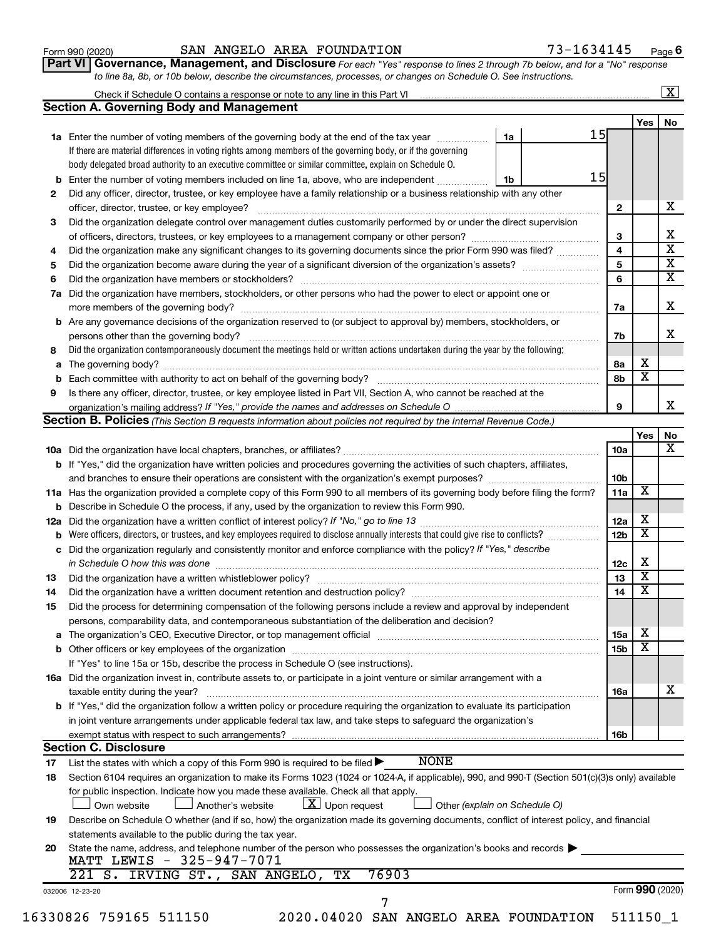#### Form 990 (2020) Page SAN ANGELO AREA FOUNDATION 73-1634145

**Part VI** Governance, Management, and Disclosure For each "Yes" response to lines 2 through 7b below, and for a "No" response *to line 8a, 8b, or 10b below, describe the circumstances, processes, or changes on Schedule O. See instructions.*

|     | Check if Schedule O contains a response or note to any line in this Part VI [1] [1] [1] [1] [1] [1] [1] [1] [1                                                                                                   |    |  |                 |                         | $\mathbf{X}$            |
|-----|------------------------------------------------------------------------------------------------------------------------------------------------------------------------------------------------------------------|----|--|-----------------|-------------------------|-------------------------|
|     | <b>Section A. Governing Body and Management</b>                                                                                                                                                                  |    |  |                 |                         |                         |
|     |                                                                                                                                                                                                                  |    |  |                 | Yes                     | No                      |
|     | 1a Enter the number of voting members of the governing body at the end of the tax year                                                                                                                           | 1a |  | 15              |                         |                         |
|     | If there are material differences in voting rights among members of the governing body, or if the governing                                                                                                      |    |  |                 |                         |                         |
|     | body delegated broad authority to an executive committee or similar committee, explain on Schedule O.                                                                                                            |    |  |                 |                         |                         |
| b   | Enter the number of voting members included on line 1a, above, who are independent <i></i>                                                                                                                       | 1b |  | 15              |                         |                         |
| 2   | Did any officer, director, trustee, or key employee have a family relationship or a business relationship with any other                                                                                         |    |  |                 |                         |                         |
|     | officer, director, trustee, or key employee?                                                                                                                                                                     |    |  | $\mathbf{2}$    |                         | x                       |
| 3   | Did the organization delegate control over management duties customarily performed by or under the direct supervision                                                                                            |    |  |                 |                         |                         |
|     |                                                                                                                                                                                                                  |    |  | 3               |                         | х                       |
| 4   | Did the organization make any significant changes to its governing documents since the prior Form 990 was filed?                                                                                                 |    |  | 4               |                         | $\overline{\textbf{x}}$ |
| 5   |                                                                                                                                                                                                                  |    |  | 5               |                         | $\overline{\textbf{X}}$ |
| 6   |                                                                                                                                                                                                                  |    |  | 6               |                         | $\overline{\textbf{x}}$ |
| 7a  | Did the organization have members, stockholders, or other persons who had the power to elect or appoint one or                                                                                                   |    |  |                 |                         |                         |
|     |                                                                                                                                                                                                                  |    |  |                 |                         | x                       |
|     |                                                                                                                                                                                                                  |    |  | 7a              |                         |                         |
| b   | Are any governance decisions of the organization reserved to (or subject to approval by) members, stockholders, or                                                                                               |    |  |                 |                         |                         |
|     |                                                                                                                                                                                                                  |    |  | 7b              |                         | X                       |
| 8   | Did the organization contemporaneously document the meetings held or written actions undertaken during the year by the following:                                                                                |    |  |                 |                         |                         |
| а   |                                                                                                                                                                                                                  |    |  | 8а              | х                       |                         |
| b   |                                                                                                                                                                                                                  |    |  | 8b              | $\overline{\mathbf{x}}$ |                         |
| 9   | Is there any officer, director, trustee, or key employee listed in Part VII, Section A, who cannot be reached at the                                                                                             |    |  |                 |                         |                         |
|     |                                                                                                                                                                                                                  |    |  | 9               |                         | x                       |
|     | <b>Section B. Policies</b> (This Section B requests information about policies not required by the Internal Revenue Code.)                                                                                       |    |  |                 |                         |                         |
|     |                                                                                                                                                                                                                  |    |  |                 | Yes                     | No                      |
|     |                                                                                                                                                                                                                  |    |  | 10a             |                         | x                       |
|     | b If "Yes," did the organization have written policies and procedures governing the activities of such chapters, affiliates,                                                                                     |    |  |                 |                         |                         |
|     |                                                                                                                                                                                                                  |    |  | 10 <sub>b</sub> |                         |                         |
|     | 11a Has the organization provided a complete copy of this Form 990 to all members of its governing body before filing the form?                                                                                  |    |  | 11a             | х                       |                         |
|     | <b>b</b> Describe in Schedule O the process, if any, used by the organization to review this Form 990.                                                                                                           |    |  |                 |                         |                         |
| 12a |                                                                                                                                                                                                                  |    |  | 12a             | х                       |                         |
| b   | Were officers, directors, or trustees, and key employees required to disclose annually interests that could give rise to conflicts?                                                                              |    |  | 12 <sub>b</sub> | х                       |                         |
| с   | Did the organization regularly and consistently monitor and enforce compliance with the policy? If "Yes," describe                                                                                               |    |  |                 |                         |                         |
|     |                                                                                                                                                                                                                  |    |  | 12c             | X                       |                         |
| 13  |                                                                                                                                                                                                                  |    |  | 13              | $\overline{\textbf{x}}$ |                         |
| 14  | Did the organization have a written document retention and destruction policy? [11] manufaction model of the organization have a written document retention and destruction policy?                              |    |  | 14              | $\overline{\mathbf{X}}$ |                         |
|     |                                                                                                                                                                                                                  |    |  |                 |                         |                         |
| 15  | Did the process for determining compensation of the following persons include a review and approval by independent                                                                                               |    |  |                 |                         |                         |
|     | persons, comparability data, and contemporaneous substantiation of the deliberation and decision?                                                                                                                |    |  |                 |                         |                         |
| а   | The organization's CEO, Executive Director, or top management official manufactured content of the organization's CEO, Executive Director, or top management official manufactured content of the organization's |    |  | <b>15a</b>      | х                       |                         |
|     |                                                                                                                                                                                                                  |    |  | 15 <sub>b</sub> | х                       |                         |
|     | If "Yes" to line 15a or 15b, describe the process in Schedule O (see instructions).                                                                                                                              |    |  |                 |                         |                         |
|     | 16a Did the organization invest in, contribute assets to, or participate in a joint venture or similar arrangement with a                                                                                        |    |  |                 |                         |                         |
|     | taxable entity during the year?                                                                                                                                                                                  |    |  | 16a             |                         | х                       |
|     | b If "Yes," did the organization follow a written policy or procedure requiring the organization to evaluate its participation                                                                                   |    |  |                 |                         |                         |
|     | in joint venture arrangements under applicable federal tax law, and take steps to safeguard the organization's                                                                                                   |    |  |                 |                         |                         |
|     | exempt status with respect to such arrangements?                                                                                                                                                                 |    |  | 16b             |                         |                         |
|     | <b>Section C. Disclosure</b>                                                                                                                                                                                     |    |  |                 |                         |                         |
| 17  | <b>NONE</b><br>List the states with which a copy of this Form 990 is required to be filed $\blacktriangleright$                                                                                                  |    |  |                 |                         |                         |
| 18  | Section 6104 requires an organization to make its Forms 1023 (1024 or 1024-A, if applicable), 990, and 990-T (Section 501(c)(3)s only) available                                                                 |    |  |                 |                         |                         |
|     | for public inspection. Indicate how you made these available. Check all that apply.                                                                                                                              |    |  |                 |                         |                         |
|     | $ \underline{X} $ Upon request<br>Own website<br>Another's website<br>Other (explain on Schedule O)                                                                                                              |    |  |                 |                         |                         |
|     |                                                                                                                                                                                                                  |    |  |                 |                         |                         |
| 19  | Describe on Schedule O whether (and if so, how) the organization made its governing documents, conflict of interest policy, and financial                                                                        |    |  |                 |                         |                         |
|     | statements available to the public during the tax year.                                                                                                                                                          |    |  |                 |                         |                         |
| 20  | State the name, address, and telephone number of the person who possesses the organization's books and records                                                                                                   |    |  |                 |                         |                         |
|     | MATT LEWIS - 325-947-7071                                                                                                                                                                                        |    |  |                 |                         |                         |
|     | 76903<br>221 S. IRVING ST., SAN ANGELO, TX                                                                                                                                                                       |    |  |                 |                         |                         |
|     | 032006 12-23-20                                                                                                                                                                                                  |    |  |                 | Form 990 (2020)         |                         |
|     | 7                                                                                                                                                                                                                |    |  |                 |                         |                         |
|     | 16330826 759165 511150<br>2020.04020 SAN ANGELO AREA FOUNDATION                                                                                                                                                  |    |  |                 | 511150_1                |                         |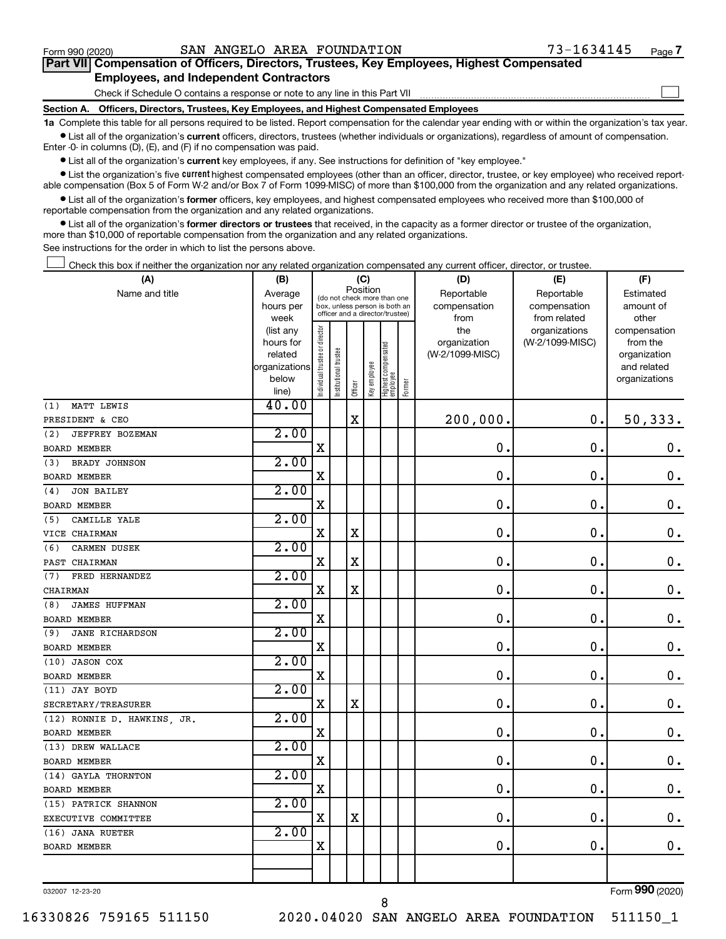$\Box$ 

| Part VII Compensation of Officers, Directors, Trustees, Key Employees, Highest Compensated |  |  |  |  |
|--------------------------------------------------------------------------------------------|--|--|--|--|
| <b>Employees, and Independent Contractors</b>                                              |  |  |  |  |

Check if Schedule O contains a response or note to any line in this Part VII

**Section A. Officers, Directors, Trustees, Key Employees, and Highest Compensated Employees**

**1a** Complete this table for all persons required to be listed. Report compensation for the calendar year ending with or within the organization's tax year.  $\bullet$  List all of the organization's current officers, directors, trustees (whether individuals or organizations), regardless of amount of compensation.

Enter -0- in columns (D), (E), and (F) if no compensation was paid.

**•** List all of the organization's current key employees, if any. See instructions for definition of "key employee."

• List the organization's five *current* highest compensated employees (other than an officer, director, trustee, or key employee) who received reportable compensation (Box 5 of Form W-2 and/or Box 7 of Form 1099-MISC) of more than \$100,000 from the organization and any related organizations.

 $\bullet$  List all of the organization's former officers, key employees, and highest compensated employees who received more than \$100,000 of reportable compensation from the organization and any related organizations.

**•** List all of the organization's former directors or trustees that received, in the capacity as a former director or trustee of the organization, more than \$10,000 of reportable compensation from the organization and any related organizations.

See instructions for the order in which to list the persons above.

Check this box if neither the organization nor any related organization compensated any current officer, director, or trustee.  $\Box$ 

| (A)                           | (C)<br>(B)<br>Position |                                |                                                                  |             |              |                                 |        | (D)             | (E)                              | (F)                      |
|-------------------------------|------------------------|--------------------------------|------------------------------------------------------------------|-------------|--------------|---------------------------------|--------|-----------------|----------------------------------|--------------------------|
| Name and title                | Average                |                                | (do not check more than one                                      |             |              |                                 |        | Reportable      | Reportable                       | Estimated                |
|                               | hours per              |                                | box, unless person is both an<br>officer and a director/trustee) |             |              |                                 |        | compensation    | compensation                     | amount of                |
|                               | week                   |                                |                                                                  |             |              |                                 |        | from<br>the     | from related                     | other                    |
|                               | (list any<br>hours for |                                |                                                                  |             |              |                                 |        | organization    | organizations<br>(W-2/1099-MISC) | compensation<br>from the |
|                               | related                |                                |                                                                  |             |              |                                 |        | (W-2/1099-MISC) |                                  | organization             |
|                               | organizations          |                                |                                                                  |             |              |                                 |        |                 |                                  | and related              |
|                               | below                  | Individual trustee or director | Institutional trustee                                            |             | Key employee | Highest compensated<br>employee |        |                 |                                  | organizations            |
|                               | line)                  |                                |                                                                  | Officer     |              |                                 | Former |                 |                                  |                          |
| MATT LEWIS<br>(1)             | 40.00                  |                                |                                                                  |             |              |                                 |        |                 |                                  |                          |
| PRESIDENT & CEO               |                        |                                |                                                                  | $\mathbf X$ |              |                                 |        | 200,000.        | $\mathbf 0$ .                    | 50, 333.                 |
| JEFFREY BOZEMAN<br>(2)        | 2.00                   |                                |                                                                  |             |              |                                 |        |                 |                                  |                          |
| <b>BOARD MEMBER</b>           |                        | X                              |                                                                  |             |              |                                 |        | 0.              | $\mathbf 0$ .                    | $\mathbf 0$ .            |
| BRADY JOHNSON<br>(3)          | 2.00                   |                                |                                                                  |             |              |                                 |        |                 |                                  |                          |
| <b>BOARD MEMBER</b>           |                        | X                              |                                                                  |             |              |                                 |        | 0               | $\mathbf 0$                      | $\mathbf 0$ .            |
| <b>JON BAILEY</b><br>(4)      | 2.00                   |                                |                                                                  |             |              |                                 |        |                 |                                  |                          |
| BOARD MEMBER                  |                        | X                              |                                                                  |             |              |                                 |        | $\mathbf 0$ .   | $\mathbf 0$ .                    | $\mathbf 0$ .            |
| CAMILLE YALE<br>(5)           | 2.00                   |                                |                                                                  |             |              |                                 |        |                 |                                  |                          |
| VICE CHAIRMAN                 |                        | $\mathbf X$                    |                                                                  | $\mathbf X$ |              |                                 |        | $\mathbf 0$     | $\mathbf 0$ .                    | $\mathbf 0$ .            |
| <b>CARMEN DUSEK</b><br>(6)    | 2.00                   |                                |                                                                  |             |              |                                 |        |                 |                                  |                          |
| PAST CHAIRMAN                 |                        | X                              |                                                                  | X           |              |                                 |        | 0               | $\mathbf 0$ .                    | $\mathbf 0$ .            |
| FRED HERNANDEZ<br>(7)         | 2.00                   |                                |                                                                  |             |              |                                 |        |                 |                                  |                          |
| CHAIRMAN                      |                        | X                              |                                                                  | $\mathbf X$ |              |                                 |        | $\mathbf 0$ .   | $\mathbf 0$ .                    | $\mathbf 0$ .            |
| <b>JAMES HUFFMAN</b><br>(8)   | 2.00                   |                                |                                                                  |             |              |                                 |        |                 |                                  |                          |
| <b>BOARD MEMBER</b>           |                        | $\mathbf X$                    |                                                                  |             |              |                                 |        | $\mathbf 0$ .   | $\mathbf 0$ .                    | $\mathbf 0$ .            |
| <b>JANE RICHARDSON</b><br>(9) | 2.00                   |                                |                                                                  |             |              |                                 |        |                 |                                  |                          |
| <b>BOARD MEMBER</b>           |                        | X                              |                                                                  |             |              |                                 |        | $\mathbf 0$ .   | $\mathbf 0$ .                    | $\mathbf 0$ .            |
| (10) JASON COX                | 2.00                   |                                |                                                                  |             |              |                                 |        |                 |                                  |                          |
| <b>BOARD MEMBER</b>           |                        | $\mathbf X$                    |                                                                  |             |              |                                 |        | $\mathbf 0$     | $\mathbf 0$ .                    | $\mathbf 0$ .            |
| (11) JAY BOYD                 | 2.00                   |                                |                                                                  |             |              |                                 |        |                 |                                  |                          |
| SECRETARY/TREASURER           |                        | X                              |                                                                  | $\rm X$     |              |                                 |        | $\mathbf 0$ .   | $\mathbf 0$ .                    | $\mathbf 0$ .            |
| (12) RONNIE D. HAWKINS, JR.   | 2.00                   |                                |                                                                  |             |              |                                 |        |                 |                                  |                          |
| <b>BOARD MEMBER</b>           |                        | $\rm X$                        |                                                                  |             |              |                                 |        | $\mathbf 0$ .   | $\mathbf 0$ .                    | $\mathbf 0$ .            |
| (13) DREW WALLACE             | 2.00                   |                                |                                                                  |             |              |                                 |        |                 |                                  |                          |
| <b>BOARD MEMBER</b>           |                        | X                              |                                                                  |             |              |                                 |        | $\mathbf 0$ .   | $\mathbf 0$ .                    | $\mathbf 0$ .            |
| (14) GAYLA THORNTON           | 2.00                   |                                |                                                                  |             |              |                                 |        |                 |                                  |                          |
| BOARD MEMBER                  |                        | $\mathbf X$                    |                                                                  |             |              |                                 |        | 0               | $\mathbf 0$ .                    | $\boldsymbol{0}$ .       |
| (15) PATRICK SHANNON          | 2.00                   |                                |                                                                  |             |              |                                 |        |                 |                                  |                          |
| EXECUTIVE COMMITTEE           |                        | X                              |                                                                  | $\mathbf X$ |              |                                 |        | $\mathbf 0$ .   | $\mathbf 0$ .                    | $\boldsymbol{0}$ .       |
| (16) JANA RUETER              | 2.00                   |                                |                                                                  |             |              |                                 |        |                 |                                  |                          |
| BOARD MEMBER                  |                        | X                              |                                                                  |             |              |                                 |        | 0.              | $\mathbf 0$ .                    | $\mathbf 0$ .            |
|                               |                        |                                |                                                                  |             |              |                                 |        |                 |                                  |                          |
|                               |                        |                                |                                                                  |             |              |                                 |        |                 |                                  |                          |

032007 12-23-20

16330826 759165 511150 2020.04020 SAN ANGELO AREA FOUNDATION 511150\_1

8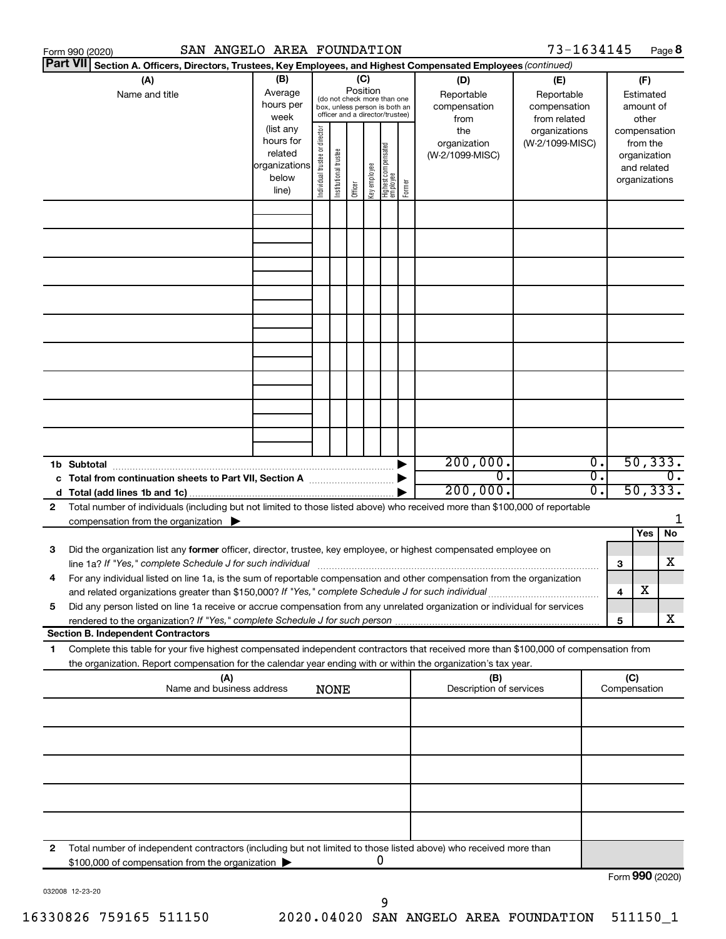|    | SAN ANGELO AREA FOUNDATION<br>Form 990 (2020)                                                                                                                                                                                                          |                                                                      |                                                                                                                                                                 |                       |         |              |                                   |                                                   |                                        | 73-1634145                       |                                        |                     |                                                                          | Page 8 |
|----|--------------------------------------------------------------------------------------------------------------------------------------------------------------------------------------------------------------------------------------------------------|----------------------------------------------------------------------|-----------------------------------------------------------------------------------------------------------------------------------------------------------------|-----------------------|---------|--------------|-----------------------------------|---------------------------------------------------|----------------------------------------|----------------------------------|----------------------------------------|---------------------|--------------------------------------------------------------------------|--------|
|    | <b>Part VII</b><br>Section A. Officers, Directors, Trustees, Key Employees, and Highest Compensated Employees (continued)                                                                                                                              |                                                                      |                                                                                                                                                                 |                       |         |              |                                   |                                                   |                                        |                                  |                                        |                     |                                                                          |        |
|    | (A)<br>Name and title                                                                                                                                                                                                                                  | (B)<br>Average<br>hours per<br>week                                  | (C)<br>(D)<br>Position<br>Reportable<br>(do not check more than one<br>compensation<br>box, unless person is both an<br>officer and a director/trustee)<br>from |                       |         |              |                                   | (E)<br>Reportable<br>compensation<br>from related |                                        |                                  | (F)<br>Estimated<br>amount of<br>other |                     |                                                                          |        |
|    |                                                                                                                                                                                                                                                        | (list any<br>hours for<br>related<br>organizations<br>below<br>line) | ndividual trustee or director                                                                                                                                   | Institutional trustee | Officer | Key employee | Highest compensated<br>  employee | Former                                            | the<br>organization<br>(W-2/1099-MISC) | organizations<br>(W-2/1099-MISC) |                                        |                     | compensation<br>from the<br>organization<br>and related<br>organizations |        |
|    |                                                                                                                                                                                                                                                        |                                                                      |                                                                                                                                                                 |                       |         |              |                                   |                                                   |                                        |                                  |                                        |                     |                                                                          |        |
|    |                                                                                                                                                                                                                                                        |                                                                      |                                                                                                                                                                 |                       |         |              |                                   |                                                   |                                        |                                  |                                        |                     |                                                                          |        |
|    |                                                                                                                                                                                                                                                        |                                                                      |                                                                                                                                                                 |                       |         |              |                                   |                                                   |                                        |                                  |                                        |                     |                                                                          |        |
|    |                                                                                                                                                                                                                                                        |                                                                      |                                                                                                                                                                 |                       |         |              |                                   |                                                   |                                        |                                  |                                        |                     |                                                                          |        |
|    |                                                                                                                                                                                                                                                        |                                                                      |                                                                                                                                                                 |                       |         |              |                                   |                                                   |                                        |                                  |                                        |                     |                                                                          |        |
|    |                                                                                                                                                                                                                                                        |                                                                      |                                                                                                                                                                 |                       |         |              |                                   |                                                   |                                        |                                  |                                        |                     |                                                                          |        |
|    |                                                                                                                                                                                                                                                        |                                                                      |                                                                                                                                                                 |                       |         |              |                                   |                                                   |                                        |                                  |                                        |                     |                                                                          |        |
|    |                                                                                                                                                                                                                                                        |                                                                      |                                                                                                                                                                 |                       |         |              |                                   |                                                   |                                        |                                  |                                        |                     |                                                                          |        |
|    | 1b Subtotal                                                                                                                                                                                                                                            |                                                                      |                                                                                                                                                                 |                       |         |              |                                   |                                                   | 200,000.                               |                                  | $\overline{0}$ .                       |                     | 50, 333.                                                                 |        |
|    | c Total from continuation sheets to Part VII, Section A manufactured by                                                                                                                                                                                |                                                                      |                                                                                                                                                                 |                       |         |              |                                   |                                                   | $\overline{0}$ .<br>200,000.           |                                  | σ.<br>σ.                               |                     | 50, 333.                                                                 | 0.     |
| 2  | Total number of individuals (including but not limited to those listed above) who received more than \$100,000 of reportable<br>compensation from the organization $\blacktriangleright$                                                               |                                                                      |                                                                                                                                                                 |                       |         |              |                                   |                                                   |                                        |                                  |                                        |                     |                                                                          | 1      |
| 3  | Did the organization list any former officer, director, trustee, key employee, or highest compensated employee on                                                                                                                                      |                                                                      |                                                                                                                                                                 |                       |         |              |                                   |                                                   |                                        |                                  |                                        |                     | Yes                                                                      | No     |
|    | For any individual listed on line 1a, is the sum of reportable compensation and other compensation from the organization                                                                                                                               |                                                                      |                                                                                                                                                                 |                       |         |              |                                   |                                                   |                                        |                                  |                                        | 3                   |                                                                          | х      |
| 5  | and related organizations greater than \$150,000? If "Yes," complete Schedule J for such individual<br>Did any person listed on line 1a receive or accrue compensation from any unrelated organization or individual for services                      |                                                                      |                                                                                                                                                                 |                       |         |              |                                   |                                                   |                                        |                                  |                                        | 4                   | х                                                                        |        |
|    | rendered to the organization? If "Yes," complete Schedule J for such person<br><b>Section B. Independent Contractors</b>                                                                                                                               |                                                                      |                                                                                                                                                                 |                       |         |              |                                   |                                                   |                                        |                                  |                                        | 5                   |                                                                          | x      |
| 1. | Complete this table for your five highest compensated independent contractors that received more than \$100,000 of compensation from<br>the organization. Report compensation for the calendar year ending with or within the organization's tax year. |                                                                      |                                                                                                                                                                 |                       |         |              |                                   |                                                   |                                        |                                  |                                        |                     |                                                                          |        |
|    | (A)<br>Name and business address                                                                                                                                                                                                                       |                                                                      |                                                                                                                                                                 | <b>NONE</b>           |         |              |                                   |                                                   | (B)<br>Description of services         |                                  |                                        | (C)<br>Compensation |                                                                          |        |
|    |                                                                                                                                                                                                                                                        |                                                                      |                                                                                                                                                                 |                       |         |              |                                   |                                                   |                                        |                                  |                                        |                     |                                                                          |        |
|    |                                                                                                                                                                                                                                                        |                                                                      |                                                                                                                                                                 |                       |         |              |                                   |                                                   |                                        |                                  |                                        |                     |                                                                          |        |
|    |                                                                                                                                                                                                                                                        |                                                                      |                                                                                                                                                                 |                       |         |              |                                   |                                                   |                                        |                                  |                                        |                     |                                                                          |        |
|    |                                                                                                                                                                                                                                                        |                                                                      |                                                                                                                                                                 |                       |         |              |                                   |                                                   |                                        |                                  |                                        |                     |                                                                          |        |
| 2  | Total number of independent contractors (including but not limited to those listed above) who received more than                                                                                                                                       |                                                                      |                                                                                                                                                                 |                       |         |              |                                   |                                                   |                                        |                                  |                                        |                     |                                                                          |        |
|    | \$100,000 of compensation from the organization                                                                                                                                                                                                        |                                                                      |                                                                                                                                                                 |                       |         |              | U                                 |                                                   |                                        |                                  |                                        | Form 990 (2020)     |                                                                          |        |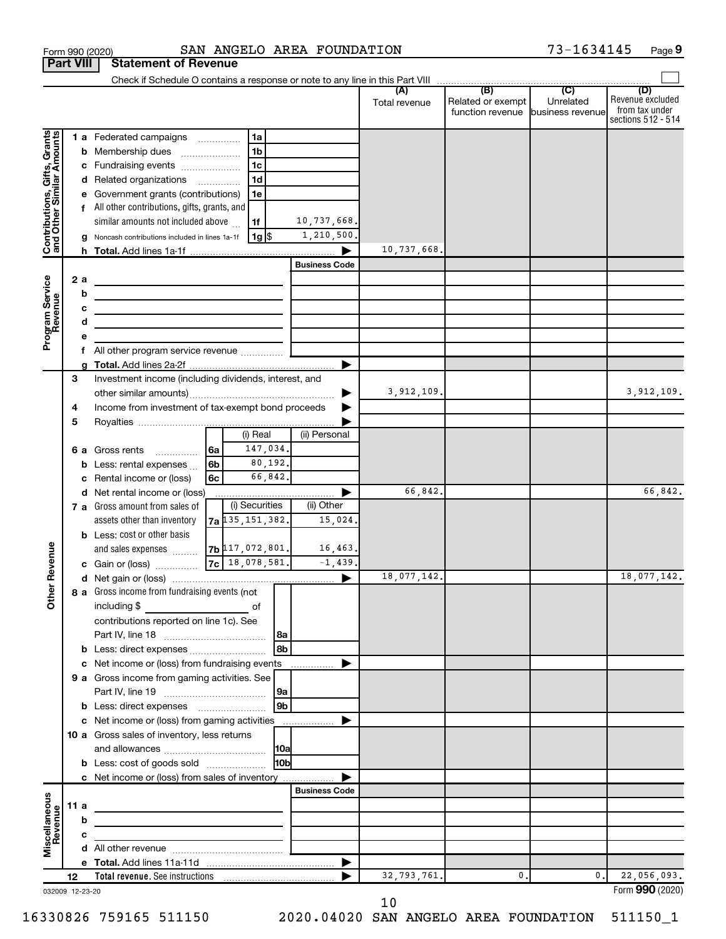|                                                           | <b>Part VIII</b> |    | <b>Statement of Revenue</b>                                                        |     |                                            |                 |                      |               |                                                        |                |                                                          |
|-----------------------------------------------------------|------------------|----|------------------------------------------------------------------------------------|-----|--------------------------------------------|-----------------|----------------------|---------------|--------------------------------------------------------|----------------|----------------------------------------------------------|
|                                                           |                  |    |                                                                                    |     |                                            |                 |                      |               |                                                        |                | (D)                                                      |
|                                                           |                  |    |                                                                                    |     |                                            |                 |                      | Total revenue | Related or exempt<br>function revenue business revenue | Unrelated      | Revenue excluded<br>from tax under<br>sections 512 - 514 |
|                                                           |                  |    | 1 a Federated campaigns                                                            |     | 1a                                         |                 |                      |               |                                                        |                |                                                          |
|                                                           |                  |    | <b>b</b> Membership dues<br>$\ldots \ldots \ldots \ldots \ldots$                   |     | 1 <sub>b</sub>                             |                 |                      |               |                                                        |                |                                                          |
|                                                           |                  |    | c Fundraising events                                                               |     | l 1c                                       |                 |                      |               |                                                        |                |                                                          |
|                                                           |                  |    | d Related organizations                                                            |     | 1 <sub>d</sub><br>$\overline{\phantom{a}}$ |                 |                      |               |                                                        |                |                                                          |
| Contributions, Gifts, Grants<br>and Other Similar Amounts |                  |    | e Government grants (contributions)                                                |     | 1e                                         |                 |                      |               |                                                        |                |                                                          |
|                                                           |                  |    | All other contributions, gifts, grants, and                                        |     |                                            |                 |                      |               |                                                        |                |                                                          |
|                                                           |                  |    | similar amounts not included above                                                 |     | 1f                                         |                 | 10,737,668.          |               |                                                        |                |                                                          |
|                                                           |                  |    | Noncash contributions included in lines 1a-1f                                      |     | 1g  \$                                     |                 | 1,210,500.           |               |                                                        |                |                                                          |
|                                                           |                  |    |                                                                                    |     |                                            |                 |                      | 10,737,668.   |                                                        |                |                                                          |
|                                                           |                  |    |                                                                                    |     |                                            |                 | <b>Business Code</b> |               |                                                        |                |                                                          |
| Program Service<br>Revenue                                |                  | 2a | the control of the control of the control of the control of the                    |     |                                            |                 |                      |               |                                                        |                |                                                          |
|                                                           |                  | b  | the control of the control of the control of the control of the control of         |     |                                            |                 |                      |               |                                                        |                |                                                          |
|                                                           |                  | с  | the contract of the contract of the contract of the contract of                    |     |                                            |                 |                      |               |                                                        |                |                                                          |
|                                                           |                  | d  | <u> 1989 - Johann Barbara, martxa alemaniar a</u>                                  |     |                                            |                 |                      |               |                                                        |                |                                                          |
|                                                           |                  | f  | All other program service revenue  [                                               |     |                                            |                 |                      |               |                                                        |                |                                                          |
|                                                           |                  |    |                                                                                    |     |                                            |                 | ▶                    |               |                                                        |                |                                                          |
|                                                           | 3                |    | Investment income (including dividends, interest, and                              |     |                                            |                 |                      |               |                                                        |                |                                                          |
|                                                           |                  |    |                                                                                    |     |                                            |                 |                      | 3,912,109.    |                                                        |                | 3,912,109.                                               |
|                                                           | 4                |    | Income from investment of tax-exempt bond proceeds                                 |     |                                            |                 |                      |               |                                                        |                |                                                          |
|                                                           | 5                |    |                                                                                    |     |                                            |                 |                      |               |                                                        |                |                                                          |
|                                                           |                  |    |                                                                                    |     | (i) Real                                   |                 | (ii) Personal        |               |                                                        |                |                                                          |
|                                                           |                  |    | <b>6 a</b> Gross rents                                                             | l6a | 147,034.                                   |                 |                      |               |                                                        |                |                                                          |
|                                                           |                  | b  | Less: rental expenses                                                              | 6b  |                                            | 80,192.         |                      |               |                                                        |                |                                                          |
|                                                           |                  |    | Rental income or (loss)                                                            | 6с  |                                            | 66,842.         |                      |               |                                                        |                |                                                          |
|                                                           |                  |    | d Net rental income or (loss)                                                      |     |                                            |                 |                      | 66,842.       |                                                        |                | 66,842.                                                  |
|                                                           |                  |    | 7 a Gross amount from sales of                                                     |     | (i) Securities                             |                 | (ii) Other           |               |                                                        |                |                                                          |
|                                                           |                  |    | assets other than inventory                                                        |     | $7a$ 135, 151, 382.                        |                 | 15,024.              |               |                                                        |                |                                                          |
|                                                           |                  |    | <b>b</b> Less: cost or other basis                                                 |     |                                            |                 |                      |               |                                                        |                |                                                          |
| Revenue                                                   |                  |    | and sales expenses                                                                 |     | $ 7b $ <sup>117</sup> , 072, 801.          |                 | 16,463.              |               |                                                        |                |                                                          |
|                                                           |                  |    | c Gain or (loss)                                                                   |     | $ 7c $ 18,078,581.                         |                 | $-1,439.$            |               |                                                        |                |                                                          |
| ৯                                                         |                  |    | 8 a Gross income from fundraising events (not                                      |     |                                            |                 |                      | 18,077,142.   |                                                        |                | 18,077,142.                                              |
| Ĕ                                                         |                  |    | including $$$                                                                      |     | of                                         |                 |                      |               |                                                        |                |                                                          |
|                                                           |                  |    | <u> 1990 - Johann Barbara, martin a</u><br>contributions reported on line 1c). See |     |                                            |                 |                      |               |                                                        |                |                                                          |
|                                                           |                  |    |                                                                                    |     |                                            | l 8a            |                      |               |                                                        |                |                                                          |
|                                                           |                  |    |                                                                                    |     |                                            | 8b              |                      |               |                                                        |                |                                                          |
|                                                           |                  |    | c Net income or (loss) from fundraising events                                     |     |                                            |                 |                      |               |                                                        |                |                                                          |
|                                                           |                  |    | 9 a Gross income from gaming activities. See                                       |     |                                            |                 |                      |               |                                                        |                |                                                          |
|                                                           |                  |    |                                                                                    |     |                                            | 9a              |                      |               |                                                        |                |                                                          |
|                                                           |                  |    |                                                                                    |     |                                            | 9 <sub>b</sub>  |                      |               |                                                        |                |                                                          |
|                                                           |                  |    |                                                                                    |     |                                            |                 |                      |               |                                                        |                |                                                          |
|                                                           |                  |    | 10 a Gross sales of inventory, less returns                                        |     |                                            |                 |                      |               |                                                        |                |                                                          |
|                                                           |                  |    |                                                                                    |     |                                            |                 |                      |               |                                                        |                |                                                          |
|                                                           |                  |    | <b>b</b> Less: cost of goods sold                                                  |     |                                            | H <sub>0b</sub> |                      |               |                                                        |                |                                                          |
|                                                           |                  |    | c Net income or (loss) from sales of inventory                                     |     |                                            |                 |                      |               |                                                        |                |                                                          |
|                                                           |                  |    |                                                                                    |     |                                            |                 | <b>Business Code</b> |               |                                                        |                |                                                          |
|                                                           | 11a              |    | <u> 1989 - Johann Barbara, martxa alemaniar a</u>                                  |     |                                            |                 |                      |               |                                                        |                |                                                          |
| Miscellaneous<br>Revenue                                  |                  | b  |                                                                                    |     |                                            |                 |                      |               |                                                        |                |                                                          |
|                                                           |                  |    | <u> 1980 - Jan Barnett, fransk politiker (d. 1980)</u>                             |     |                                            |                 |                      |               |                                                        |                |                                                          |
|                                                           |                  |    |                                                                                    |     |                                            |                 |                      |               |                                                        |                |                                                          |
|                                                           | 12               |    |                                                                                    |     |                                            |                 |                      | 32,793,761.   | 0.                                                     | 0 <sub>1</sub> | 22,056,093.                                              |
| 032009 12-23-20                                           |                  |    |                                                                                    |     |                                            |                 |                      |               |                                                        |                | Form 990 (2020)                                          |

Form 990 (2020) Page SAN ANGELO AREA FOUNDATION 73-1634145

73-1634145 Page 9

10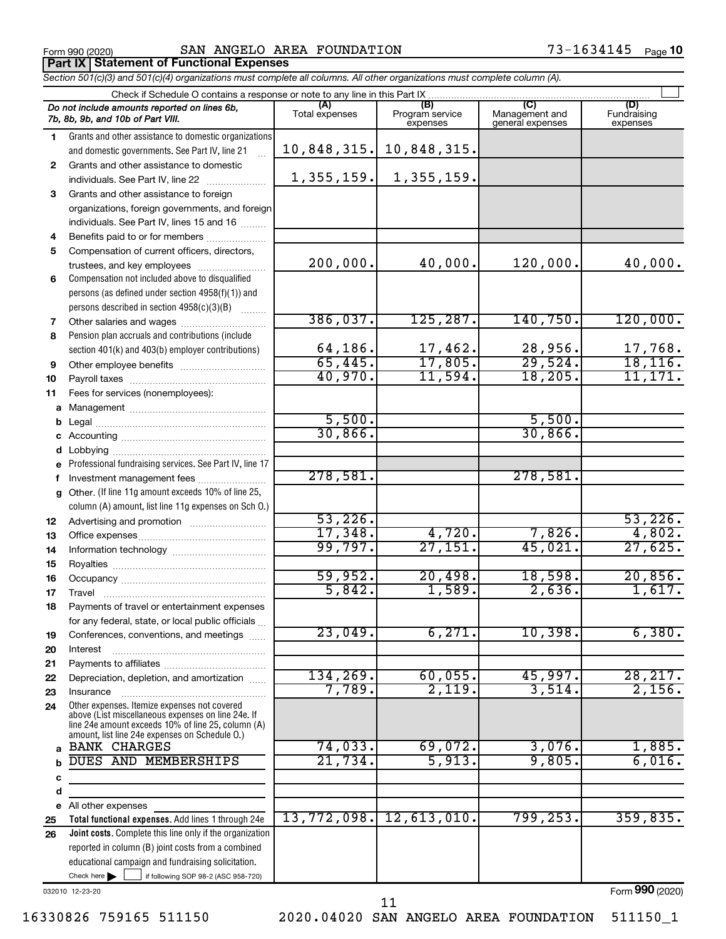**a b c d e 25 26**

|              | Form 990 (2020)                                                                                                                                    | SAN ANGELO AREA FOUNDATION |                             |                                    | 73-1634145<br>Page 10   |
|--------------|----------------------------------------------------------------------------------------------------------------------------------------------------|----------------------------|-----------------------------|------------------------------------|-------------------------|
|              | Part IX   Statement of Functional Expenses                                                                                                         |                            |                             |                                    |                         |
|              | Section 501(c)(3) and 501(c)(4) organizations must complete all columns. All other organizations must complete column (A).                         |                            |                             |                                    |                         |
|              |                                                                                                                                                    |                            | (B)                         | (C)                                | (D)                     |
|              | Do not include amounts reported on lines 6b,<br>7b, 8b, 9b, and 10b of Part VIII.                                                                  | (A)<br>Total expenses      | Program service<br>expenses | Management and<br>general expenses | Fundraising<br>expenses |
| 1.           | Grants and other assistance to domestic organizations<br>and domestic governments. See Part IV, line 21                                            | 10,848,315.                | 10,848,315.                 |                                    |                         |
| $\mathbf{2}$ | Grants and other assistance to domestic<br>individuals. See Part IV, line 22                                                                       | 1,355,159.                 | 1,355,159.                  |                                    |                         |
| 3            | Grants and other assistance to foreign<br>organizations, foreign governments, and foreign<br>individuals. See Part IV, lines 15 and 16             |                            |                             |                                    |                         |
| 4            | Benefits paid to or for members                                                                                                                    |                            |                             |                                    |                         |
| 5            | Compensation of current officers, directors,<br>trustees, and key employees                                                                        | 200,000.                   | 40,000.                     | 120,000.                           | 40,000.                 |
| 6            | Compensation not included above to disqualified<br>persons (as defined under section 4958(f)(1)) and<br>persons described in section 4958(c)(3)(B) |                            |                             |                                    |                         |
| 7            | Other salaries and wages                                                                                                                           | 386,037.                   | 125, 287.                   | 140,750.                           | 120,000.                |
| 8            | Pension plan accruals and contributions (include<br>section 401(k) and 403(b) employer contributions)                                              | 64,186.                    | 17,462.                     | 28,956.                            | 17,768.                 |
| 9            |                                                                                                                                                    | 65,445.                    | 17,805.                     | 29,524.                            | 18, 116.                |
| 10           |                                                                                                                                                    | 40,970.                    | 11,594.                     | 18, 205.                           | 11, 171.                |
| 11           | Fees for services (nonemployees):                                                                                                                  |                            |                             |                                    |                         |
|              |                                                                                                                                                    |                            |                             |                                    |                         |
|              |                                                                                                                                                    | 5,500.                     |                             | 5,500.                             |                         |
|              |                                                                                                                                                    | 30,866.                    |                             | 30,866.                            |                         |
|              |                                                                                                                                                    |                            |                             |                                    |                         |
|              | e Professional fundraising services. See Part IV, line 17                                                                                          |                            |                             |                                    |                         |
| f            | Investment management fees                                                                                                                         | 278,581.                   |                             | 278,581.                           |                         |
|              | g Other. (If line 11g amount exceeds 10% of line 25,<br>column (A) amount, list line 11g expenses on Sch O.)                                       |                            |                             |                                    |                         |
| 12           |                                                                                                                                                    | 53,226.                    |                             |                                    | 53,226.                 |
| 13           | Office expenses                                                                                                                                    | 17,348.                    | 4,720.                      | 7,826.                             | 4,802.                  |

All other expenses

Form (2020) **990**

11

BANK CHARGES **1.885. 1.885. 74,033. 69,072. 3,076. 1,885.** DUES AND MEMBERSHIPS | 21,734. 5,913. 9,805. 6,016.

99,797. 27,151. 45,021. 27,625.

59,952. 20,498. 18,598. 20,856. 5,842. 1,589. 2,636. 1,617.

23,049. 6,271. 10,398. 6,380.

134,269. 60,055. 45,997. 28,217. 7,789. 2,119. 3,514. 2,156.

13,772,098. 12,613,010. 799,253. 359,835.

Check here  $\begin{array}{c} \begin{array}{|c} \hline \end{array} \end{array}$  if following SOP 98-2 (ASC 958-720)

reported in column (B) joint costs from a combined educational campaign and fundraising solicitation.

**Total functional expenses.** Add lines 1 through 24e **Joint costs.** Complete this line only if the organization

Other expenses. Itemize expenses not covered above (List miscellaneous expenses on line 24e. If line 24e amount exceeds 10% of line 25, column (A) amount, list line 24e expenses on Schedule O.)

Office expenses ~~~~~~~~~~~~~~~ Information technology ~~~~~~~~~~~ Royalties ~~~~~~~~~~~~~~~~~~

Occupancy ~~~~~~~~~~~~~~~~~  $\begin{minipage}{0.5\textwidth} \centering \begin{tabular}{|c|c|c|} \hline \textbf{True} & \textbf{True} & \textbf{True} & \textbf{True} \\ \hline \textbf{True} & \textbf{True} & \textbf{True} & \textbf{True} \\ \hline \textbf{True} & \textbf{True} & \textbf{True} & \textbf{True} \\ \hline \end{tabular} \end{minipage}$ Payments of travel or entertainment expenses for any federal, state, or local public officials ... Conferences, conventions, and meetings Interest ~~~~~~~~~~~~~~~~~~ Payments to affiliates ~~~~~~~~~~~~ Depreciation, depletion, and amortization ...... Insurance ~~~~~~~~~~~~~~~~~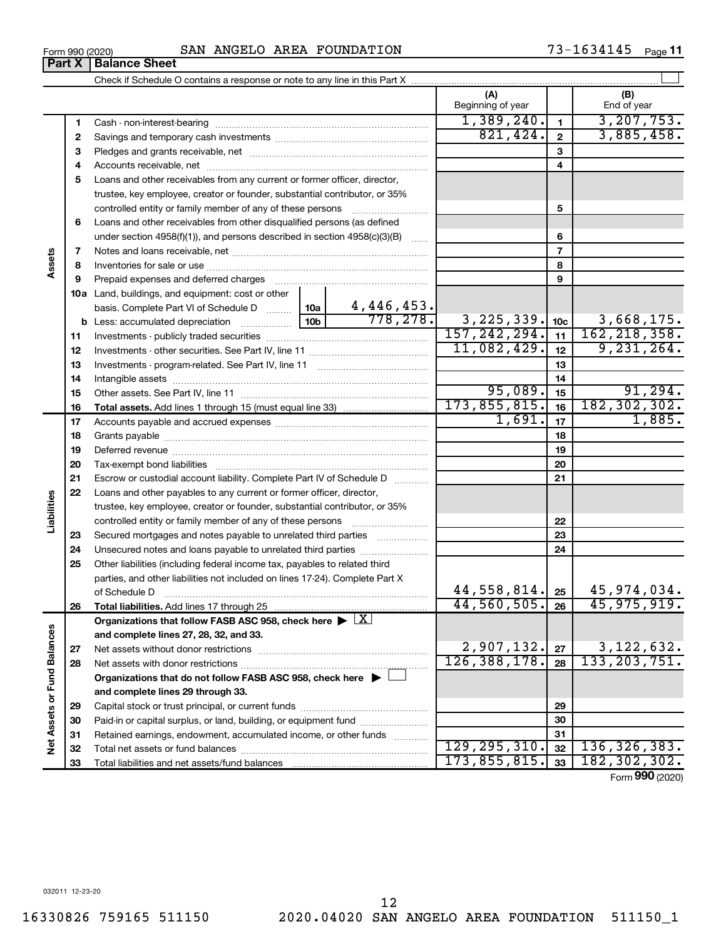| Form 990 (2020) | SAN ANGELO AREA FOUNDATION | 73-1634145<br>Page 11 |
|-----------------|----------------------------|-----------------------|
|-----------------|----------------------------|-----------------------|

|                             |              |                                                                                                                                                                                                                                |                |                               | (A)                         |                 | (B)             |
|-----------------------------|--------------|--------------------------------------------------------------------------------------------------------------------------------------------------------------------------------------------------------------------------------|----------------|-------------------------------|-----------------------------|-----------------|-----------------|
|                             |              |                                                                                                                                                                                                                                |                |                               | Beginning of year           |                 | End of year     |
|                             | 1            |                                                                                                                                                                                                                                |                |                               | 1,389,240.                  | $\mathbf{1}$    | 3, 207, 753.    |
|                             | $\mathbf{2}$ |                                                                                                                                                                                                                                |                |                               | 821,424.                    | $\mathbf{2}$    | 3,885,458.      |
|                             | з            |                                                                                                                                                                                                                                |                |                               |                             | 3               |                 |
|                             | 4            |                                                                                                                                                                                                                                |                |                               |                             | 4               |                 |
|                             | 5            | Loans and other receivables from any current or former officer, director,                                                                                                                                                      |                |                               |                             |                 |                 |
|                             |              | trustee, key employee, creator or founder, substantial contributor, or 35%                                                                                                                                                     |                |                               |                             |                 |                 |
|                             |              |                                                                                                                                                                                                                                |                |                               |                             | 5               |                 |
|                             | 6            | Loans and other receivables from other disqualified persons (as defined                                                                                                                                                        |                |                               |                             |                 |                 |
|                             |              | under section $4958(f)(1)$ , and persons described in section $4958(c)(3)(B)$                                                                                                                                                  |                | $\sim$                        |                             | 6               |                 |
|                             | 7            |                                                                                                                                                                                                                                |                |                               |                             | $\overline{7}$  |                 |
| Assets                      | 8            |                                                                                                                                                                                                                                |                |                               |                             | 8               |                 |
|                             | 9            | Prepaid expenses and deferred charges [11] matter continues and the charges [11] matter continues and the Prepaid expenses and deferred charges [11] matter continues and the Prepaid experiment of Prepaid experiment and the |                |                               |                             | 9               |                 |
|                             |              | 10a Land, buildings, and equipment: cost or other                                                                                                                                                                              |                |                               |                             |                 |                 |
|                             |              | basis. Complete Part VI of Schedule D  10a                                                                                                                                                                                     |                | $\frac{4,446,453.}{778,278.}$ |                             |                 |                 |
|                             |              |                                                                                                                                                                                                                                |                |                               | 3, 225, 339.                | 10 <sub>c</sub> | 3,668,175.      |
|                             | 11           |                                                                                                                                                                                                                                |                |                               | 157, 242, 294.              | 11              | 162, 218, 358.  |
|                             | 12           |                                                                                                                                                                                                                                |                |                               | 11,082,429.                 | 12              | 9,231,264.      |
|                             | 13           |                                                                                                                                                                                                                                |                |                               |                             | 13              |                 |
|                             | 14           |                                                                                                                                                                                                                                |                |                               |                             | 14              |                 |
|                             | 15           |                                                                                                                                                                                                                                |                |                               | 95,089.                     | 15              | 91, 294.        |
|                             | 16           |                                                                                                                                                                                                                                |                |                               | 173,855,815.                | 16              | 182, 302, 302.  |
|                             | 17           |                                                                                                                                                                                                                                |                |                               | 1,691.                      | 17              | 1,885.          |
|                             | 18           |                                                                                                                                                                                                                                |                |                               |                             | 18              |                 |
|                             | 19           |                                                                                                                                                                                                                                |                | 19                            |                             |                 |                 |
|                             | 20           |                                                                                                                                                                                                                                |                |                               | 20                          |                 |                 |
|                             | 21           | Escrow or custodial account liability. Complete Part IV of Schedule D                                                                                                                                                          |                |                               |                             | 21              |                 |
|                             | 22           | Loans and other payables to any current or former officer, director,                                                                                                                                                           |                |                               |                             |                 |                 |
| Liabilities                 |              | trustee, key employee, creator or founder, substantial contributor, or 35%                                                                                                                                                     |                |                               |                             |                 |                 |
|                             |              | controlled entity or family member of any of these persons                                                                                                                                                                     |                |                               |                             | 22              |                 |
|                             | 23           | Secured mortgages and notes payable to unrelated third parties                                                                                                                                                                 |                |                               |                             | 23              |                 |
|                             | 24           |                                                                                                                                                                                                                                |                |                               |                             | 24              |                 |
|                             | 25           | Other liabilities (including federal income tax, payables to related third                                                                                                                                                     |                |                               |                             |                 |                 |
|                             |              | parties, and other liabilities not included on lines 17-24). Complete Part X                                                                                                                                                   |                |                               |                             |                 |                 |
|                             |              |                                                                                                                                                                                                                                |                |                               | $44,558,814.$ 25            |                 | 45,974,034.     |
|                             | 26           | <b>Total liabilities.</b> Add lines 17 through 25                                                                                                                                                                              |                |                               | $\overline{44}$ , 560, 505. | 26              | 45, 975, 919.   |
|                             |              | Organizations that follow FASB ASC 958, check here $\blacktriangleright \lfloor \underline{X} \rfloor$                                                                                                                         |                |                               |                             |                 |                 |
|                             |              | and complete lines 27, 28, 32, and 33.                                                                                                                                                                                         |                |                               |                             |                 |                 |
|                             | 27           | Net assets without donor restrictions                                                                                                                                                                                          | 2,907,132.     | 27                            | 3,122,632.                  |                 |                 |
|                             | 28           |                                                                                                                                                                                                                                | 126, 388, 178. | 28                            | 133, 203, 751.              |                 |                 |
|                             |              | Organizations that do not follow FASB ASC 958, check here $\blacktriangleright$                                                                                                                                                |                |                               |                             |                 |                 |
|                             |              | and complete lines 29 through 33.                                                                                                                                                                                              |                |                               |                             |                 |                 |
|                             | 29           |                                                                                                                                                                                                                                |                |                               | 29                          |                 |                 |
|                             | 30           | Paid-in or capital surplus, or land, building, or equipment fund                                                                                                                                                               |                |                               | 30                          |                 |                 |
| Net Assets or Fund Balances | 31           | Retained earnings, endowment, accumulated income, or other funds                                                                                                                                                               |                |                               |                             | 31              |                 |
|                             | 32           |                                                                                                                                                                                                                                |                |                               | 129, 295, 310.              | 32              | 136, 326, 383.  |
|                             | 33           |                                                                                                                                                                                                                                |                |                               | 173,855,815.                | 33              | 182, 302, 302.  |
|                             |              |                                                                                                                                                                                                                                |                |                               |                             |                 | Form 990 (2020) |

**Part X Balance Sheet**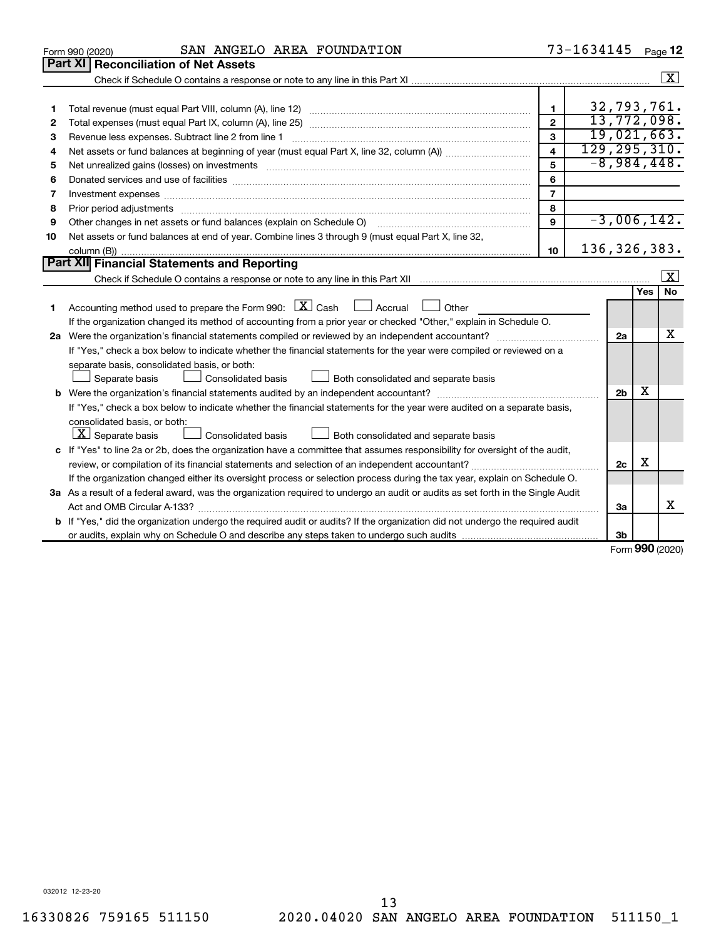| Part XI<br><b>Reconciliation of Net Assets</b><br>32,793,761.<br>$\mathbf{1}$<br>1<br>13,772,098.<br>$\overline{2}$<br>2<br>19,021,663.<br>3<br>Revenue less expenses. Subtract line 2 from line 1<br>з<br>129, 295, 310.<br>$\overline{\mathbf{4}}$<br>4<br>$-8,984,448.$<br>5<br>5<br>6<br>6<br>$\overline{7}$<br>7<br>8<br>8<br>$-3,006,142.$<br>9<br>Other changes in net assets or fund balances (explain on Schedule O)<br>9<br>Net assets or fund balances at end of year. Combine lines 3 through 9 (must equal Part X, line 32,<br>10<br>136, 326, 383.<br>10<br>Part XII Financial Statements and Reporting<br>$\lfloor x \rfloor$<br><b>No</b><br>Yes<br>Accounting method used to prepare the Form 990: $X \subset X$ Cash<br>Accrual<br>Other<br>1.<br>If the organization changed its method of accounting from a prior year or checked "Other," explain in Schedule O.<br>х<br>2a<br>If "Yes," check a box below to indicate whether the financial statements for the year were compiled or reviewed on a<br>separate basis, consolidated basis, or both:<br>Both consolidated and separate basis<br>Separate basis<br>Consolidated basis<br>x<br>2 <sub>b</sub><br>If "Yes," check a box below to indicate whether the financial statements for the year were audited on a separate basis,<br>consolidated basis, or both:<br>$ \mathbf{X} $ Separate basis<br>Consolidated basis<br>Both consolidated and separate basis<br>c If "Yes" to line 2a or 2b, does the organization have a committee that assumes responsibility for oversight of the audit,<br>х<br>2c<br>If the organization changed either its oversight process or selection process during the tax year, explain on Schedule O.<br>3a As a result of a federal award, was the organization required to undergo an audit or audits as set forth in the Single Audit | SAN ANGELO AREA FOUNDATION<br>Form 990 (2020) |  | 73-1634145 |  |  | Page 12              |  |  |  |  |
|-----------------------------------------------------------------------------------------------------------------------------------------------------------------------------------------------------------------------------------------------------------------------------------------------------------------------------------------------------------------------------------------------------------------------------------------------------------------------------------------------------------------------------------------------------------------------------------------------------------------------------------------------------------------------------------------------------------------------------------------------------------------------------------------------------------------------------------------------------------------------------------------------------------------------------------------------------------------------------------------------------------------------------------------------------------------------------------------------------------------------------------------------------------------------------------------------------------------------------------------------------------------------------------------------------------------------------------------------------------------------------------------------------------------------------------------------------------------------------------------------------------------------------------------------------------------------------------------------------------------------------------------------------------------------------------------------------------------------------------------------------------------------------------------------------------------------------------------------------|-----------------------------------------------|--|------------|--|--|----------------------|--|--|--|--|
|                                                                                                                                                                                                                                                                                                                                                                                                                                                                                                                                                                                                                                                                                                                                                                                                                                                                                                                                                                                                                                                                                                                                                                                                                                                                                                                                                                                                                                                                                                                                                                                                                                                                                                                                                                                                                                                     |                                               |  |            |  |  |                      |  |  |  |  |
|                                                                                                                                                                                                                                                                                                                                                                                                                                                                                                                                                                                                                                                                                                                                                                                                                                                                                                                                                                                                                                                                                                                                                                                                                                                                                                                                                                                                                                                                                                                                                                                                                                                                                                                                                                                                                                                     |                                               |  |            |  |  | $\boxed{\textbf{X}}$ |  |  |  |  |
|                                                                                                                                                                                                                                                                                                                                                                                                                                                                                                                                                                                                                                                                                                                                                                                                                                                                                                                                                                                                                                                                                                                                                                                                                                                                                                                                                                                                                                                                                                                                                                                                                                                                                                                                                                                                                                                     |                                               |  |            |  |  |                      |  |  |  |  |
|                                                                                                                                                                                                                                                                                                                                                                                                                                                                                                                                                                                                                                                                                                                                                                                                                                                                                                                                                                                                                                                                                                                                                                                                                                                                                                                                                                                                                                                                                                                                                                                                                                                                                                                                                                                                                                                     |                                               |  |            |  |  |                      |  |  |  |  |
|                                                                                                                                                                                                                                                                                                                                                                                                                                                                                                                                                                                                                                                                                                                                                                                                                                                                                                                                                                                                                                                                                                                                                                                                                                                                                                                                                                                                                                                                                                                                                                                                                                                                                                                                                                                                                                                     |                                               |  |            |  |  |                      |  |  |  |  |
|                                                                                                                                                                                                                                                                                                                                                                                                                                                                                                                                                                                                                                                                                                                                                                                                                                                                                                                                                                                                                                                                                                                                                                                                                                                                                                                                                                                                                                                                                                                                                                                                                                                                                                                                                                                                                                                     |                                               |  |            |  |  |                      |  |  |  |  |
|                                                                                                                                                                                                                                                                                                                                                                                                                                                                                                                                                                                                                                                                                                                                                                                                                                                                                                                                                                                                                                                                                                                                                                                                                                                                                                                                                                                                                                                                                                                                                                                                                                                                                                                                                                                                                                                     |                                               |  |            |  |  |                      |  |  |  |  |
|                                                                                                                                                                                                                                                                                                                                                                                                                                                                                                                                                                                                                                                                                                                                                                                                                                                                                                                                                                                                                                                                                                                                                                                                                                                                                                                                                                                                                                                                                                                                                                                                                                                                                                                                                                                                                                                     |                                               |  |            |  |  |                      |  |  |  |  |
|                                                                                                                                                                                                                                                                                                                                                                                                                                                                                                                                                                                                                                                                                                                                                                                                                                                                                                                                                                                                                                                                                                                                                                                                                                                                                                                                                                                                                                                                                                                                                                                                                                                                                                                                                                                                                                                     |                                               |  |            |  |  |                      |  |  |  |  |
|                                                                                                                                                                                                                                                                                                                                                                                                                                                                                                                                                                                                                                                                                                                                                                                                                                                                                                                                                                                                                                                                                                                                                                                                                                                                                                                                                                                                                                                                                                                                                                                                                                                                                                                                                                                                                                                     |                                               |  |            |  |  |                      |  |  |  |  |
|                                                                                                                                                                                                                                                                                                                                                                                                                                                                                                                                                                                                                                                                                                                                                                                                                                                                                                                                                                                                                                                                                                                                                                                                                                                                                                                                                                                                                                                                                                                                                                                                                                                                                                                                                                                                                                                     |                                               |  |            |  |  |                      |  |  |  |  |
|                                                                                                                                                                                                                                                                                                                                                                                                                                                                                                                                                                                                                                                                                                                                                                                                                                                                                                                                                                                                                                                                                                                                                                                                                                                                                                                                                                                                                                                                                                                                                                                                                                                                                                                                                                                                                                                     |                                               |  |            |  |  |                      |  |  |  |  |
|                                                                                                                                                                                                                                                                                                                                                                                                                                                                                                                                                                                                                                                                                                                                                                                                                                                                                                                                                                                                                                                                                                                                                                                                                                                                                                                                                                                                                                                                                                                                                                                                                                                                                                                                                                                                                                                     |                                               |  |            |  |  |                      |  |  |  |  |
|                                                                                                                                                                                                                                                                                                                                                                                                                                                                                                                                                                                                                                                                                                                                                                                                                                                                                                                                                                                                                                                                                                                                                                                                                                                                                                                                                                                                                                                                                                                                                                                                                                                                                                                                                                                                                                                     |                                               |  |            |  |  |                      |  |  |  |  |
|                                                                                                                                                                                                                                                                                                                                                                                                                                                                                                                                                                                                                                                                                                                                                                                                                                                                                                                                                                                                                                                                                                                                                                                                                                                                                                                                                                                                                                                                                                                                                                                                                                                                                                                                                                                                                                                     |                                               |  |            |  |  |                      |  |  |  |  |
|                                                                                                                                                                                                                                                                                                                                                                                                                                                                                                                                                                                                                                                                                                                                                                                                                                                                                                                                                                                                                                                                                                                                                                                                                                                                                                                                                                                                                                                                                                                                                                                                                                                                                                                                                                                                                                                     |                                               |  |            |  |  |                      |  |  |  |  |
|                                                                                                                                                                                                                                                                                                                                                                                                                                                                                                                                                                                                                                                                                                                                                                                                                                                                                                                                                                                                                                                                                                                                                                                                                                                                                                                                                                                                                                                                                                                                                                                                                                                                                                                                                                                                                                                     |                                               |  |            |  |  |                      |  |  |  |  |
|                                                                                                                                                                                                                                                                                                                                                                                                                                                                                                                                                                                                                                                                                                                                                                                                                                                                                                                                                                                                                                                                                                                                                                                                                                                                                                                                                                                                                                                                                                                                                                                                                                                                                                                                                                                                                                                     |                                               |  |            |  |  |                      |  |  |  |  |
|                                                                                                                                                                                                                                                                                                                                                                                                                                                                                                                                                                                                                                                                                                                                                                                                                                                                                                                                                                                                                                                                                                                                                                                                                                                                                                                                                                                                                                                                                                                                                                                                                                                                                                                                                                                                                                                     |                                               |  |            |  |  |                      |  |  |  |  |
|                                                                                                                                                                                                                                                                                                                                                                                                                                                                                                                                                                                                                                                                                                                                                                                                                                                                                                                                                                                                                                                                                                                                                                                                                                                                                                                                                                                                                                                                                                                                                                                                                                                                                                                                                                                                                                                     |                                               |  |            |  |  |                      |  |  |  |  |
|                                                                                                                                                                                                                                                                                                                                                                                                                                                                                                                                                                                                                                                                                                                                                                                                                                                                                                                                                                                                                                                                                                                                                                                                                                                                                                                                                                                                                                                                                                                                                                                                                                                                                                                                                                                                                                                     |                                               |  |            |  |  |                      |  |  |  |  |
|                                                                                                                                                                                                                                                                                                                                                                                                                                                                                                                                                                                                                                                                                                                                                                                                                                                                                                                                                                                                                                                                                                                                                                                                                                                                                                                                                                                                                                                                                                                                                                                                                                                                                                                                                                                                                                                     |                                               |  |            |  |  |                      |  |  |  |  |
|                                                                                                                                                                                                                                                                                                                                                                                                                                                                                                                                                                                                                                                                                                                                                                                                                                                                                                                                                                                                                                                                                                                                                                                                                                                                                                                                                                                                                                                                                                                                                                                                                                                                                                                                                                                                                                                     |                                               |  |            |  |  |                      |  |  |  |  |
|                                                                                                                                                                                                                                                                                                                                                                                                                                                                                                                                                                                                                                                                                                                                                                                                                                                                                                                                                                                                                                                                                                                                                                                                                                                                                                                                                                                                                                                                                                                                                                                                                                                                                                                                                                                                                                                     |                                               |  |            |  |  |                      |  |  |  |  |
|                                                                                                                                                                                                                                                                                                                                                                                                                                                                                                                                                                                                                                                                                                                                                                                                                                                                                                                                                                                                                                                                                                                                                                                                                                                                                                                                                                                                                                                                                                                                                                                                                                                                                                                                                                                                                                                     |                                               |  |            |  |  |                      |  |  |  |  |
|                                                                                                                                                                                                                                                                                                                                                                                                                                                                                                                                                                                                                                                                                                                                                                                                                                                                                                                                                                                                                                                                                                                                                                                                                                                                                                                                                                                                                                                                                                                                                                                                                                                                                                                                                                                                                                                     |                                               |  |            |  |  |                      |  |  |  |  |
|                                                                                                                                                                                                                                                                                                                                                                                                                                                                                                                                                                                                                                                                                                                                                                                                                                                                                                                                                                                                                                                                                                                                                                                                                                                                                                                                                                                                                                                                                                                                                                                                                                                                                                                                                                                                                                                     |                                               |  |            |  |  |                      |  |  |  |  |
|                                                                                                                                                                                                                                                                                                                                                                                                                                                                                                                                                                                                                                                                                                                                                                                                                                                                                                                                                                                                                                                                                                                                                                                                                                                                                                                                                                                                                                                                                                                                                                                                                                                                                                                                                                                                                                                     |                                               |  |            |  |  |                      |  |  |  |  |
|                                                                                                                                                                                                                                                                                                                                                                                                                                                                                                                                                                                                                                                                                                                                                                                                                                                                                                                                                                                                                                                                                                                                                                                                                                                                                                                                                                                                                                                                                                                                                                                                                                                                                                                                                                                                                                                     |                                               |  |            |  |  |                      |  |  |  |  |
|                                                                                                                                                                                                                                                                                                                                                                                                                                                                                                                                                                                                                                                                                                                                                                                                                                                                                                                                                                                                                                                                                                                                                                                                                                                                                                                                                                                                                                                                                                                                                                                                                                                                                                                                                                                                                                                     |                                               |  |            |  |  |                      |  |  |  |  |
|                                                                                                                                                                                                                                                                                                                                                                                                                                                                                                                                                                                                                                                                                                                                                                                                                                                                                                                                                                                                                                                                                                                                                                                                                                                                                                                                                                                                                                                                                                                                                                                                                                                                                                                                                                                                                                                     |                                               |  |            |  |  |                      |  |  |  |  |
| Act and OMB Circular A-133?<br>3a                                                                                                                                                                                                                                                                                                                                                                                                                                                                                                                                                                                                                                                                                                                                                                                                                                                                                                                                                                                                                                                                                                                                                                                                                                                                                                                                                                                                                                                                                                                                                                                                                                                                                                                                                                                                                   |                                               |  |            |  |  | x                    |  |  |  |  |
| <b>b</b> If "Yes," did the organization undergo the required audit or audits? If the organization did not undergo the required audit                                                                                                                                                                                                                                                                                                                                                                                                                                                                                                                                                                                                                                                                                                                                                                                                                                                                                                                                                                                                                                                                                                                                                                                                                                                                                                                                                                                                                                                                                                                                                                                                                                                                                                                |                                               |  |            |  |  |                      |  |  |  |  |
| 3b<br>$\sim$                                                                                                                                                                                                                                                                                                                                                                                                                                                                                                                                                                                                                                                                                                                                                                                                                                                                                                                                                                                                                                                                                                                                                                                                                                                                                                                                                                                                                                                                                                                                                                                                                                                                                                                                                                                                                                        |                                               |  |            |  |  |                      |  |  |  |  |

Form (2020) **990**

032012 12-23-20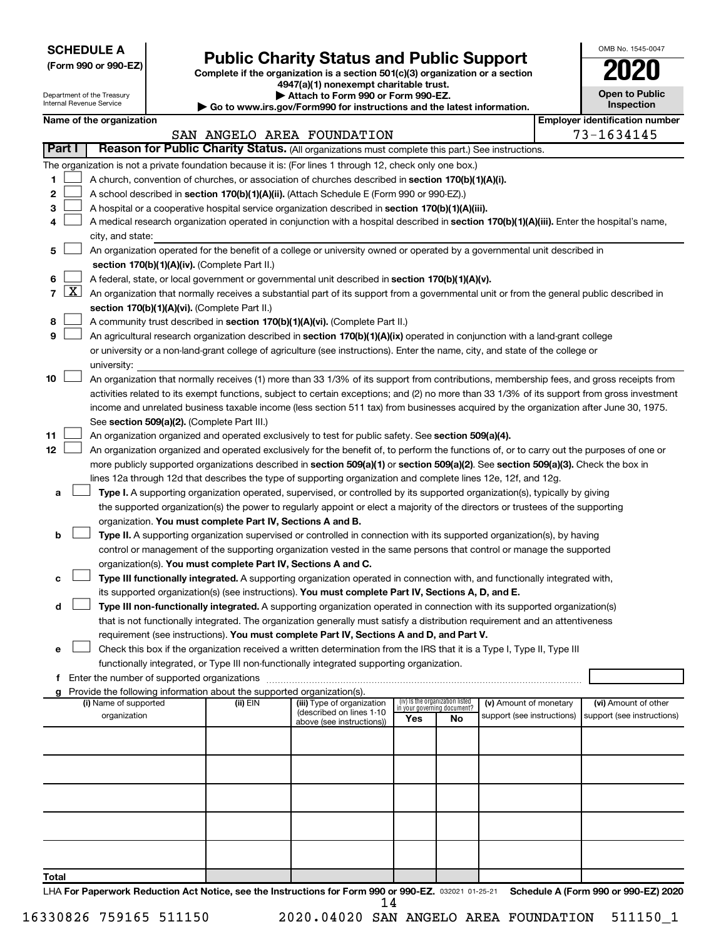**SCHEDULE A**

# **(Form 990 or 990-EZ) Complete if the organization is a section 501(c)(3) organization or a section Public Charity Status and Public Support 2020**

**4947(a)(1) nonexempt charitable trust.**

|    | <b>Open to Public</b><br>Inspection |
|----|-------------------------------------|
| ٩ľ | dentification numi                  |

OMB No. 1545-0047

|                |                     | Department of the Treasury<br>Internal Revenue Service |                                                                        | Attach to Form 990 or Form 990-EZ.                                                                                                                                                                                                              |     |                                 |                                                      | <b>Open to Public</b><br>Inspection                |
|----------------|---------------------|--------------------------------------------------------|------------------------------------------------------------------------|-------------------------------------------------------------------------------------------------------------------------------------------------------------------------------------------------------------------------------------------------|-----|---------------------------------|------------------------------------------------------|----------------------------------------------------|
|                |                     |                                                        |                                                                        | ► Go to www.irs.gov/Form990 for instructions and the latest information.                                                                                                                                                                        |     |                                 |                                                      | <b>Employer identification number</b>              |
|                |                     | Name of the organization                               |                                                                        | SAN ANGELO AREA FOUNDATION                                                                                                                                                                                                                      |     |                                 |                                                      | 73-1634145                                         |
|                | Part I              |                                                        |                                                                        | Reason for Public Charity Status. (All organizations must complete this part.) See instructions.                                                                                                                                                |     |                                 |                                                      |                                                    |
|                |                     |                                                        |                                                                        |                                                                                                                                                                                                                                                 |     |                                 |                                                      |                                                    |
|                |                     |                                                        |                                                                        | The organization is not a private foundation because it is: (For lines 1 through 12, check only one box.)                                                                                                                                       |     |                                 |                                                      |                                                    |
| 1              |                     |                                                        |                                                                        | A church, convention of churches, or association of churches described in section 170(b)(1)(A)(i).                                                                                                                                              |     |                                 |                                                      |                                                    |
| 2              |                     |                                                        |                                                                        | A school described in section 170(b)(1)(A)(ii). (Attach Schedule E (Form 990 or 990-EZ).)                                                                                                                                                       |     |                                 |                                                      |                                                    |
| 3              |                     |                                                        |                                                                        | A hospital or a cooperative hospital service organization described in section 170(b)(1)(A)(iii).<br>A medical research organization operated in conjunction with a hospital described in section 170(b)(1)(A)(iii). Enter the hospital's name, |     |                                 |                                                      |                                                    |
| 4              |                     |                                                        |                                                                        |                                                                                                                                                                                                                                                 |     |                                 |                                                      |                                                    |
| 5              |                     | city, and state:                                       |                                                                        |                                                                                                                                                                                                                                                 |     |                                 |                                                      |                                                    |
|                |                     |                                                        | section 170(b)(1)(A)(iv). (Complete Part II.)                          | An organization operated for the benefit of a college or university owned or operated by a governmental unit described in                                                                                                                       |     |                                 |                                                      |                                                    |
| 6              |                     |                                                        |                                                                        |                                                                                                                                                                                                                                                 |     |                                 |                                                      |                                                    |
| $\overline{7}$ | $\lfloor x \rfloor$ |                                                        |                                                                        | A federal, state, or local government or governmental unit described in section 170(b)(1)(A)(v).                                                                                                                                                |     |                                 |                                                      |                                                    |
|                |                     |                                                        |                                                                        | An organization that normally receives a substantial part of its support from a governmental unit or from the general public described in                                                                                                       |     |                                 |                                                      |                                                    |
| 8              |                     |                                                        | section 170(b)(1)(A)(vi). (Complete Part II.)                          | A community trust described in section 170(b)(1)(A)(vi). (Complete Part II.)                                                                                                                                                                    |     |                                 |                                                      |                                                    |
| 9              |                     |                                                        |                                                                        | An agricultural research organization described in section 170(b)(1)(A)(ix) operated in conjunction with a land-grant college                                                                                                                   |     |                                 |                                                      |                                                    |
|                |                     |                                                        |                                                                        | or university or a non-land-grant college of agriculture (see instructions). Enter the name, city, and state of the college or                                                                                                                  |     |                                 |                                                      |                                                    |
|                |                     | university:                                            |                                                                        |                                                                                                                                                                                                                                                 |     |                                 |                                                      |                                                    |
| 10             |                     |                                                        |                                                                        | An organization that normally receives (1) more than 33 1/3% of its support from contributions, membership fees, and gross receipts from                                                                                                        |     |                                 |                                                      |                                                    |
|                |                     |                                                        |                                                                        | activities related to its exempt functions, subject to certain exceptions; and (2) no more than 33 1/3% of its support from gross investment                                                                                                    |     |                                 |                                                      |                                                    |
|                |                     |                                                        |                                                                        | income and unrelated business taxable income (less section 511 tax) from businesses acquired by the organization after June 30, 1975.                                                                                                           |     |                                 |                                                      |                                                    |
|                |                     |                                                        | See section 509(a)(2). (Complete Part III.)                            |                                                                                                                                                                                                                                                 |     |                                 |                                                      |                                                    |
| 11             |                     |                                                        |                                                                        | An organization organized and operated exclusively to test for public safety. See section 509(a)(4).                                                                                                                                            |     |                                 |                                                      |                                                    |
| 12             |                     |                                                        |                                                                        | An organization organized and operated exclusively for the benefit of, to perform the functions of, or to carry out the purposes of one or                                                                                                      |     |                                 |                                                      |                                                    |
|                |                     |                                                        |                                                                        | more publicly supported organizations described in section 509(a)(1) or section 509(a)(2). See section 509(a)(3). Check the box in                                                                                                              |     |                                 |                                                      |                                                    |
|                |                     |                                                        |                                                                        | lines 12a through 12d that describes the type of supporting organization and complete lines 12e, 12f, and 12g.                                                                                                                                  |     |                                 |                                                      |                                                    |
| а              |                     |                                                        |                                                                        | Type I. A supporting organization operated, supervised, or controlled by its supported organization(s), typically by giving                                                                                                                     |     |                                 |                                                      |                                                    |
|                |                     |                                                        |                                                                        | the supported organization(s) the power to regularly appoint or elect a majority of the directors or trustees of the supporting                                                                                                                 |     |                                 |                                                      |                                                    |
|                |                     |                                                        | organization. You must complete Part IV, Sections A and B.             |                                                                                                                                                                                                                                                 |     |                                 |                                                      |                                                    |
| b              |                     |                                                        |                                                                        | Type II. A supporting organization supervised or controlled in connection with its supported organization(s), by having                                                                                                                         |     |                                 |                                                      |                                                    |
|                |                     |                                                        |                                                                        | control or management of the supporting organization vested in the same persons that control or manage the supported                                                                                                                            |     |                                 |                                                      |                                                    |
|                |                     |                                                        | organization(s). You must complete Part IV, Sections A and C.          |                                                                                                                                                                                                                                                 |     |                                 |                                                      |                                                    |
| с              |                     |                                                        |                                                                        | Type III functionally integrated. A supporting organization operated in connection with, and functionally integrated with,                                                                                                                      |     |                                 |                                                      |                                                    |
|                |                     |                                                        |                                                                        | its supported organization(s) (see instructions). You must complete Part IV, Sections A, D, and E.                                                                                                                                              |     |                                 |                                                      |                                                    |
| d              |                     |                                                        |                                                                        | Type III non-functionally integrated. A supporting organization operated in connection with its supported organization(s)                                                                                                                       |     |                                 |                                                      |                                                    |
|                |                     |                                                        |                                                                        | that is not functionally integrated. The organization generally must satisfy a distribution requirement and an attentiveness                                                                                                                    |     |                                 |                                                      |                                                    |
|                |                     |                                                        |                                                                        | requirement (see instructions). You must complete Part IV, Sections A and D, and Part V.                                                                                                                                                        |     |                                 |                                                      |                                                    |
|                |                     |                                                        |                                                                        | Check this box if the organization received a written determination from the IRS that it is a Type I, Type II, Type III                                                                                                                         |     |                                 |                                                      |                                                    |
|                |                     |                                                        |                                                                        | functionally integrated, or Type III non-functionally integrated supporting organization.                                                                                                                                                       |     |                                 |                                                      |                                                    |
|                |                     |                                                        |                                                                        |                                                                                                                                                                                                                                                 |     |                                 |                                                      |                                                    |
|                |                     |                                                        | Provide the following information about the supported organization(s). |                                                                                                                                                                                                                                                 |     | (iv) Is the organization listed |                                                      |                                                    |
|                |                     | (i) Name of supported<br>organization                  | (ii) EIN                                                               | (iii) Type of organization<br>(described on lines 1-10                                                                                                                                                                                          |     | in your governing document?     | (v) Amount of monetary<br>support (see instructions) | (vi) Amount of other<br>support (see instructions) |
|                |                     |                                                        |                                                                        | above (see instructions))                                                                                                                                                                                                                       | Yes | No                              |                                                      |                                                    |
|                |                     |                                                        |                                                                        |                                                                                                                                                                                                                                                 |     |                                 |                                                      |                                                    |
|                |                     |                                                        |                                                                        |                                                                                                                                                                                                                                                 |     |                                 |                                                      |                                                    |
|                |                     |                                                        |                                                                        |                                                                                                                                                                                                                                                 |     |                                 |                                                      |                                                    |
|                |                     |                                                        |                                                                        |                                                                                                                                                                                                                                                 |     |                                 |                                                      |                                                    |
|                |                     |                                                        |                                                                        |                                                                                                                                                                                                                                                 |     |                                 |                                                      |                                                    |
|                |                     |                                                        |                                                                        |                                                                                                                                                                                                                                                 |     |                                 |                                                      |                                                    |
|                |                     |                                                        |                                                                        |                                                                                                                                                                                                                                                 |     |                                 |                                                      |                                                    |
|                |                     |                                                        |                                                                        |                                                                                                                                                                                                                                                 |     |                                 |                                                      |                                                    |
|                |                     |                                                        |                                                                        |                                                                                                                                                                                                                                                 |     |                                 |                                                      |                                                    |
|                |                     |                                                        |                                                                        |                                                                                                                                                                                                                                                 |     |                                 |                                                      |                                                    |
| Total          |                     |                                                        |                                                                        |                                                                                                                                                                                                                                                 |     |                                 |                                                      |                                                    |

LHA For Paperwork Reduction Act Notice, see the Instructions for Form 990 or 990-EZ. 032021 01-25-21 Schedule A (Form 990 or 990-EZ) 2020 14

16330826 759165 511150 2020.04020 SAN ANGELO AREA FOUNDATION 511150\_1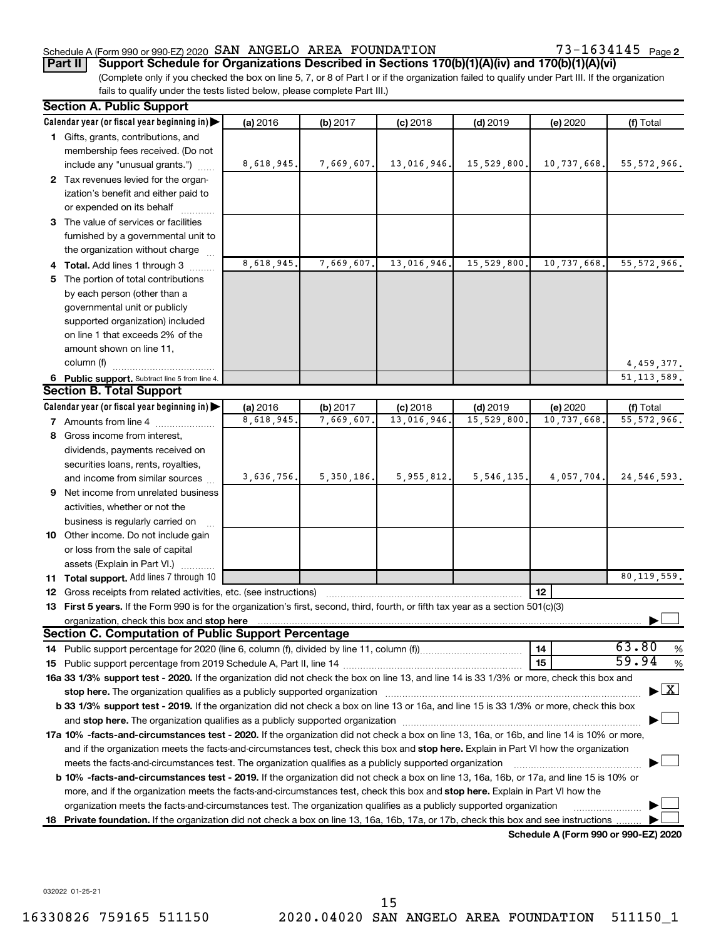#### Schedule A (Form 990 or 990-EZ) 2020 Page SAN ANGELO AREA FOUNDATION 73-1634145

73-1634145 Page 2

## **Part II** | Support Schedule for Organizations Described in Sections 170(b)(1)(A)(iv) and 170(b)(1)(A)(vi)

(Complete only if you checked the box on line 5, 7, or 8 of Part I or if the organization failed to qualify under Part III. If the organization fails to qualify under the tests listed below, please complete Part III.)

| <b>Section A. Public Support</b>                                                                                                                                                                                                                                                                  |            |              |             |              |                                      |                                          |
|---------------------------------------------------------------------------------------------------------------------------------------------------------------------------------------------------------------------------------------------------------------------------------------------------|------------|--------------|-------------|--------------|--------------------------------------|------------------------------------------|
| Calendar year (or fiscal year beginning in)                                                                                                                                                                                                                                                       | (a) 2016   | (b) 2017     | $(c)$ 2018  | $(d)$ 2019   | (e) 2020                             | (f) Total                                |
| 1 Gifts, grants, contributions, and                                                                                                                                                                                                                                                               |            |              |             |              |                                      |                                          |
| membership fees received. (Do not                                                                                                                                                                                                                                                                 |            |              |             |              |                                      |                                          |
| include any "unusual grants.")                                                                                                                                                                                                                                                                    | 8,618,945. | 7,669,607    | 13,016,946. | 15,529,800.  | 10,737,668.                          | 55, 572, 966.                            |
| 2 Tax revenues levied for the organ-                                                                                                                                                                                                                                                              |            |              |             |              |                                      |                                          |
| ization's benefit and either paid to                                                                                                                                                                                                                                                              |            |              |             |              |                                      |                                          |
| or expended on its behalf                                                                                                                                                                                                                                                                         |            |              |             |              |                                      |                                          |
| 3 The value of services or facilities                                                                                                                                                                                                                                                             |            |              |             |              |                                      |                                          |
| furnished by a governmental unit to                                                                                                                                                                                                                                                               |            |              |             |              |                                      |                                          |
| the organization without charge                                                                                                                                                                                                                                                                   |            |              |             |              |                                      |                                          |
| 4 Total. Add lines 1 through 3                                                                                                                                                                                                                                                                    | 8,618,945. | 7,669,607    | 13,016,946  | 15,529,800   | 10,737,668.                          | 55, 572, 966.                            |
| 5 The portion of total contributions                                                                                                                                                                                                                                                              |            |              |             |              |                                      |                                          |
| by each person (other than a                                                                                                                                                                                                                                                                      |            |              |             |              |                                      |                                          |
| governmental unit or publicly                                                                                                                                                                                                                                                                     |            |              |             |              |                                      |                                          |
| supported organization) included                                                                                                                                                                                                                                                                  |            |              |             |              |                                      |                                          |
| on line 1 that exceeds 2% of the                                                                                                                                                                                                                                                                  |            |              |             |              |                                      |                                          |
| amount shown on line 11,                                                                                                                                                                                                                                                                          |            |              |             |              |                                      |                                          |
| column (f)                                                                                                                                                                                                                                                                                        |            |              |             |              |                                      | 4,459,377.                               |
| 6 Public support. Subtract line 5 from line 4.                                                                                                                                                                                                                                                    |            |              |             |              |                                      | 51, 113, 589.                            |
| <b>Section B. Total Support</b>                                                                                                                                                                                                                                                                   |            |              |             |              |                                      |                                          |
| Calendar year (or fiscal year beginning in)                                                                                                                                                                                                                                                       | (a) 2016   | (b) 2017     | $(c)$ 2018  | $(d)$ 2019   | (e) 2020                             | (f) Total                                |
| <b>7</b> Amounts from line 4                                                                                                                                                                                                                                                                      | 8,618,945  | 7,669,607    | 13,016,946  | 15,529,800   | 10,737,668                           | 55, 572, 966.                            |
| 8 Gross income from interest,                                                                                                                                                                                                                                                                     |            |              |             |              |                                      |                                          |
| dividends, payments received on                                                                                                                                                                                                                                                                   |            |              |             |              |                                      |                                          |
| securities loans, rents, royalties,                                                                                                                                                                                                                                                               |            |              |             |              |                                      |                                          |
| and income from similar sources                                                                                                                                                                                                                                                                   | 3,636,756. | 5, 350, 186. | 5,955,812.  | 5, 546, 135. | 4,057,704.                           | 24, 546, 593.                            |
| 9 Net income from unrelated business                                                                                                                                                                                                                                                              |            |              |             |              |                                      |                                          |
| activities, whether or not the                                                                                                                                                                                                                                                                    |            |              |             |              |                                      |                                          |
| business is regularly carried on                                                                                                                                                                                                                                                                  |            |              |             |              |                                      |                                          |
| 10 Other income. Do not include gain                                                                                                                                                                                                                                                              |            |              |             |              |                                      |                                          |
| or loss from the sale of capital                                                                                                                                                                                                                                                                  |            |              |             |              |                                      |                                          |
| assets (Explain in Part VI.)                                                                                                                                                                                                                                                                      |            |              |             |              |                                      |                                          |
| 11 Total support. Add lines 7 through 10                                                                                                                                                                                                                                                          |            |              |             |              |                                      | 80, 119, 559.                            |
| <b>12</b> Gross receipts from related activities, etc. (see instructions)                                                                                                                                                                                                                         |            |              |             |              | 12                                   |                                          |
| 13 First 5 years. If the Form 990 is for the organization's first, second, third, fourth, or fifth tax year as a section 501(c)(3)                                                                                                                                                                |            |              |             |              |                                      |                                          |
| organization, check this box and stop here <b>construction and construction</b> construction of the state of the state of the state of the state of the state of the state of the state of the state of the state of the state of t<br><b>Section C. Computation of Public Support Percentage</b> |            |              |             |              |                                      |                                          |
|                                                                                                                                                                                                                                                                                                   |            |              |             |              | 14                                   | 63.80                                    |
|                                                                                                                                                                                                                                                                                                   |            |              |             |              | 15                                   | %<br>59.94<br>$\%$                       |
| 16a 33 1/3% support test - 2020. If the organization did not check the box on line 13, and line 14 is 33 1/3% or more, check this box and                                                                                                                                                         |            |              |             |              |                                      |                                          |
| stop here. The organization qualifies as a publicly supported organization manufaction manufacture or manufacture or the state of the state of the state of the state of the state of the state of the state of the state of t                                                                    |            |              |             |              |                                      | $\blacktriangleright$ $\boxed{\text{X}}$ |
| b 33 1/3% support test - 2019. If the organization did not check a box on line 13 or 16a, and line 15 is 33 1/3% or more, check this box                                                                                                                                                          |            |              |             |              |                                      |                                          |
|                                                                                                                                                                                                                                                                                                   |            |              |             |              |                                      |                                          |
| 17a 10% -facts-and-circumstances test - 2020. If the organization did not check a box on line 13, 16a, or 16b, and line 14 is 10% or more,                                                                                                                                                        |            |              |             |              |                                      |                                          |
| and if the organization meets the facts-and-circumstances test, check this box and stop here. Explain in Part VI how the organization                                                                                                                                                             |            |              |             |              |                                      |                                          |
| meets the facts-and-circumstances test. The organization qualifies as a publicly supported organization                                                                                                                                                                                           |            |              |             |              |                                      |                                          |
| b 10% -facts-and-circumstances test - 2019. If the organization did not check a box on line 13, 16a, 16b, or 17a, and line 15 is 10% or                                                                                                                                                           |            |              |             |              |                                      |                                          |
| more, and if the organization meets the facts-and-circumstances test, check this box and stop here. Explain in Part VI how the                                                                                                                                                                    |            |              |             |              |                                      |                                          |
| organization meets the facts-and-circumstances test. The organization qualifies as a publicly supported organization                                                                                                                                                                              |            |              |             |              |                                      |                                          |
| 18 Private foundation. If the organization did not check a box on line 13, 16a, 16b, 17a, or 17b, check this box and see instructions.                                                                                                                                                            |            |              |             |              |                                      |                                          |
|                                                                                                                                                                                                                                                                                                   |            |              |             |              | Schedule A (Form 990 or 990-EZ) 2020 |                                          |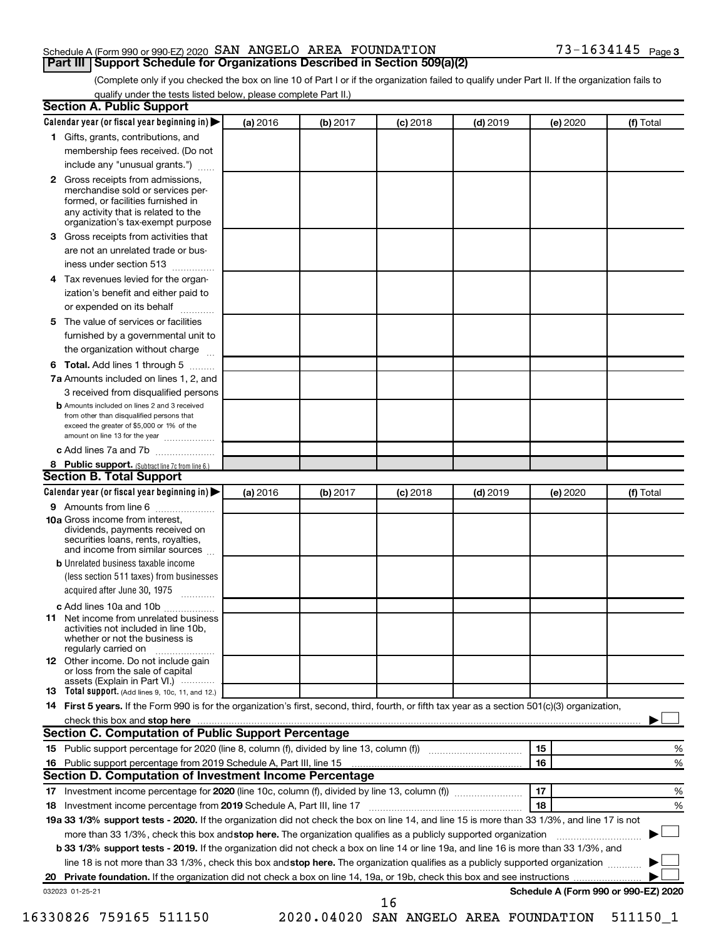#### Schedule A (Form 990 or 990-EZ) 2020 Page SAN ANGELO AREA FOUNDATION 73-1634145 **Part III | Support Schedule for Organizations Described in Section 509(a)(2)**

(Complete only if you checked the box on line 10 of Part I or if the organization failed to qualify under Part II. If the organization fails to qualify under the tests listed below, please complete Part II.)

|    | Calendar year (or fiscal year beginning in)                                                                                                                                                                                    | (a) 2016 | (b) 2017 | $(c)$ 2018                            | $(d)$ 2019 | (e) 2020 | (f) Total                            |
|----|--------------------------------------------------------------------------------------------------------------------------------------------------------------------------------------------------------------------------------|----------|----------|---------------------------------------|------------|----------|--------------------------------------|
|    | 1 Gifts, grants, contributions, and                                                                                                                                                                                            |          |          |                                       |            |          |                                      |
|    | membership fees received. (Do not                                                                                                                                                                                              |          |          |                                       |            |          |                                      |
|    | include any "unusual grants.")                                                                                                                                                                                                 |          |          |                                       |            |          |                                      |
|    | 2 Gross receipts from admissions,                                                                                                                                                                                              |          |          |                                       |            |          |                                      |
|    | merchandise sold or services per-                                                                                                                                                                                              |          |          |                                       |            |          |                                      |
|    | formed, or facilities furnished in<br>any activity that is related to the                                                                                                                                                      |          |          |                                       |            |          |                                      |
|    | organization's tax-exempt purpose                                                                                                                                                                                              |          |          |                                       |            |          |                                      |
| 3  | Gross receipts from activities that                                                                                                                                                                                            |          |          |                                       |            |          |                                      |
|    | are not an unrelated trade or bus-                                                                                                                                                                                             |          |          |                                       |            |          |                                      |
|    | iness under section 513                                                                                                                                                                                                        |          |          |                                       |            |          |                                      |
| 4  | Tax revenues levied for the organ-                                                                                                                                                                                             |          |          |                                       |            |          |                                      |
|    | ization's benefit and either paid to                                                                                                                                                                                           |          |          |                                       |            |          |                                      |
|    | or expended on its behalf<br>.                                                                                                                                                                                                 |          |          |                                       |            |          |                                      |
| 5  | The value of services or facilities                                                                                                                                                                                            |          |          |                                       |            |          |                                      |
|    | furnished by a governmental unit to                                                                                                                                                                                            |          |          |                                       |            |          |                                      |
|    | the organization without charge                                                                                                                                                                                                |          |          |                                       |            |          |                                      |
| 6  | Total. Add lines 1 through 5                                                                                                                                                                                                   |          |          |                                       |            |          |                                      |
|    | 7a Amounts included on lines 1, 2, and                                                                                                                                                                                         |          |          |                                       |            |          |                                      |
|    | 3 received from disqualified persons                                                                                                                                                                                           |          |          |                                       |            |          |                                      |
|    | <b>b</b> Amounts included on lines 2 and 3 received                                                                                                                                                                            |          |          |                                       |            |          |                                      |
|    | from other than disqualified persons that<br>exceed the greater of \$5,000 or 1% of the                                                                                                                                        |          |          |                                       |            |          |                                      |
|    | amount on line 13 for the year                                                                                                                                                                                                 |          |          |                                       |            |          |                                      |
|    | c Add lines 7a and 7b                                                                                                                                                                                                          |          |          |                                       |            |          |                                      |
|    | 8 Public support. (Subtract line 7c from line 6.)                                                                                                                                                                              |          |          |                                       |            |          |                                      |
|    | <b>Section B. Total Support</b>                                                                                                                                                                                                |          |          |                                       |            |          |                                      |
|    | Calendar year (or fiscal year beginning in)                                                                                                                                                                                    | (a) 2016 | (b) 2017 | $(c)$ 2018                            | $(d)$ 2019 | (e) 2020 | (f) Total                            |
|    | <b>9</b> Amounts from line 6                                                                                                                                                                                                   |          |          |                                       |            |          |                                      |
|    | <b>10a</b> Gross income from interest,<br>dividends, payments received on<br>securities loans, rents, royalties,<br>and income from similar sources                                                                            |          |          |                                       |            |          |                                      |
|    | <b>b</b> Unrelated business taxable income                                                                                                                                                                                     |          |          |                                       |            |          |                                      |
|    | (less section 511 taxes) from businesses                                                                                                                                                                                       |          |          |                                       |            |          |                                      |
|    | acquired after June 30, 1975                                                                                                                                                                                                   |          |          |                                       |            |          |                                      |
|    | c Add lines 10a and 10b                                                                                                                                                                                                        |          |          |                                       |            |          |                                      |
|    | <b>11</b> Net income from unrelated business<br>activities not included in line 10b.<br>whether or not the business is                                                                                                         |          |          |                                       |            |          |                                      |
|    | regularly carried on                                                                                                                                                                                                           |          |          |                                       |            |          |                                      |
|    | 12 Other income. Do not include gain<br>or loss from the sale of capital                                                                                                                                                       |          |          |                                       |            |          |                                      |
|    | assets (Explain in Part VI.)                                                                                                                                                                                                   |          |          |                                       |            |          |                                      |
|    | 13 Total support. (Add lines 9, 10c, 11, and 12.)                                                                                                                                                                              |          |          |                                       |            |          |                                      |
|    | 14 First 5 years. If the Form 990 is for the organization's first, second, third, fourth, or fifth tax year as a section 501(c)(3) organization,                                                                               |          |          |                                       |            |          |                                      |
|    | check this box and stop here measurements and contain the state of the state of the state of the state of the state of the state of the state of the state of the state of the state of the state of the state of the state of |          |          |                                       |            |          |                                      |
|    | <b>Section C. Computation of Public Support Percentage</b>                                                                                                                                                                     |          |          |                                       |            |          |                                      |
|    |                                                                                                                                                                                                                                |          |          |                                       |            | 15       | %                                    |
|    |                                                                                                                                                                                                                                |          |          |                                       |            | 16       | %                                    |
|    | <b>Section D. Computation of Investment Income Percentage</b>                                                                                                                                                                  |          |          |                                       |            |          |                                      |
|    | 17 Investment income percentage for 2020 (line 10c, column (f), divided by line 13, column (f)) <i></i>                                                                                                                        |          |          |                                       |            | 17       | %                                    |
| 18 | Investment income percentage from 2019 Schedule A, Part III, line 17                                                                                                                                                           |          |          |                                       |            | 18       | %                                    |
|    | 19a 33 1/3% support tests - 2020. If the organization did not check the box on line 14, and line 15 is more than 33 1/3%, and line 17 is not                                                                                   |          |          |                                       |            |          |                                      |
|    | more than 33 1/3%, check this box and stop here. The organization qualifies as a publicly supported organization                                                                                                               |          |          |                                       |            |          |                                      |
|    | <b>b 33 1/3% support tests - 2019.</b> If the organization did not check a box on line 14 or line 19a, and line 16 is more than 33 1/3%, and                                                                                   |          |          |                                       |            |          |                                      |
|    | line 18 is not more than 33 1/3%, check this box and stop here. The organization qualifies as a publicly supported organization                                                                                                |          |          |                                       |            |          |                                      |
|    |                                                                                                                                                                                                                                |          |          |                                       |            |          |                                      |
|    | 032023 01-25-21                                                                                                                                                                                                                |          |          |                                       |            |          | Schedule A (Form 990 or 990-EZ) 2020 |
|    |                                                                                                                                                                                                                                |          |          | 16                                    |            |          |                                      |
|    | 16330826 759165 511150                                                                                                                                                                                                         |          |          | 2020.04020 SAN ANGELO AREA FOUNDATION |            |          | 511150_1                             |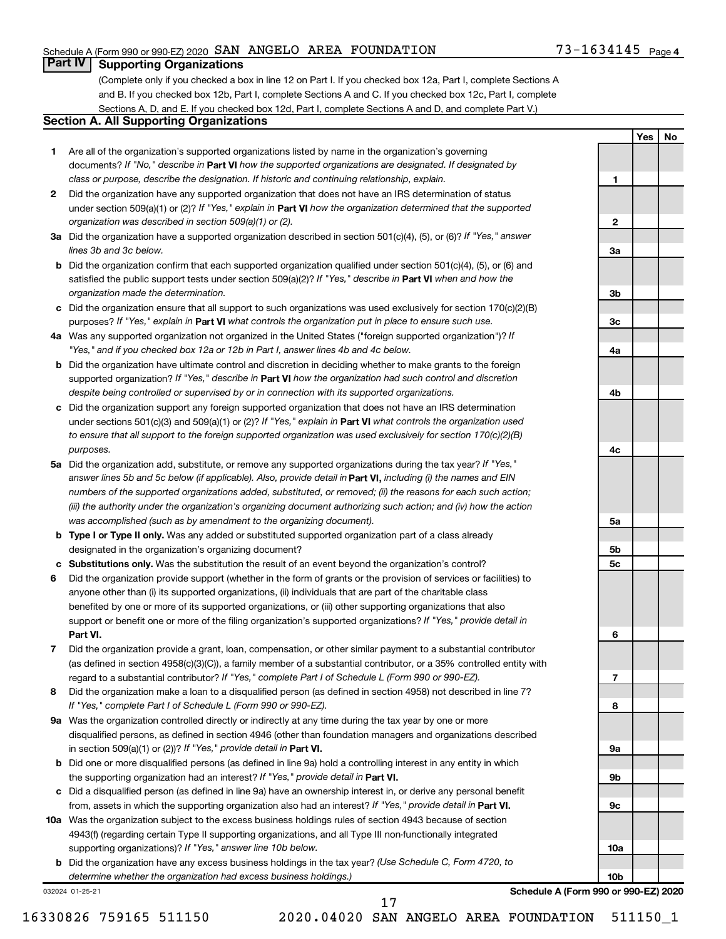**1**

**Yes No**

## **Part IV Supporting Organizations**

(Complete only if you checked a box in line 12 on Part I. If you checked box 12a, Part I, complete Sections A and B. If you checked box 12b, Part I, complete Sections A and C. If you checked box 12c, Part I, complete Sections A, D, and E. If you checked box 12d, Part I, complete Sections A and D, and complete Part V.)

## **Section A. All Supporting Organizations**

- **1** Are all of the organization's supported organizations listed by name in the organization's governing documents? If "No," describe in Part VI how the supported organizations are designated. If designated by *class or purpose, describe the designation. If historic and continuing relationship, explain.*
- **2** Did the organization have any supported organization that does not have an IRS determination of status under section 509(a)(1) or (2)? If "Yes," explain in Part **VI** how the organization determined that the supported *organization was described in section 509(a)(1) or (2).*
- **3a** Did the organization have a supported organization described in section 501(c)(4), (5), or (6)? If "Yes," answer *lines 3b and 3c below.*
- **b** Did the organization confirm that each supported organization qualified under section 501(c)(4), (5), or (6) and satisfied the public support tests under section 509(a)(2)? If "Yes," describe in Part VI when and how the *organization made the determination.*
- **c** Did the organization ensure that all support to such organizations was used exclusively for section 170(c)(2)(B) purposes? If "Yes," explain in Part VI what controls the organization put in place to ensure such use.
- **4 a** *If* Was any supported organization not organized in the United States ("foreign supported organization")? *"Yes," and if you checked box 12a or 12b in Part I, answer lines 4b and 4c below.*
- **b** Did the organization have ultimate control and discretion in deciding whether to make grants to the foreign supported organization? If "Yes," describe in Part VI how the organization had such control and discretion *despite being controlled or supervised by or in connection with its supported organizations.*
- **c** Did the organization support any foreign supported organization that does not have an IRS determination under sections 501(c)(3) and 509(a)(1) or (2)? If "Yes," explain in Part VI what controls the organization used *to ensure that all support to the foreign supported organization was used exclusively for section 170(c)(2)(B) purposes.*
- **5a** Did the organization add, substitute, or remove any supported organizations during the tax year? If "Yes," answer lines 5b and 5c below (if applicable). Also, provide detail in **Part VI,** including (i) the names and EIN *numbers of the supported organizations added, substituted, or removed; (ii) the reasons for each such action; (iii) the authority under the organization's organizing document authorizing such action; and (iv) how the action was accomplished (such as by amendment to the organizing document).*
- **b Type I or Type II only.** Was any added or substituted supported organization part of a class already designated in the organization's organizing document?
- **c Substitutions only.** Was the substitution the result of an event beyond the organization's control?
- **6** Did the organization provide support (whether in the form of grants or the provision of services or facilities) to **Part VI.** support or benefit one or more of the filing organization's supported organizations? If "Yes," provide detail in anyone other than (i) its supported organizations, (ii) individuals that are part of the charitable class benefited by one or more of its supported organizations, or (iii) other supporting organizations that also
- **7** Did the organization provide a grant, loan, compensation, or other similar payment to a substantial contributor regard to a substantial contributor? If "Yes," complete Part I of Schedule L (Form 990 or 990-EZ). (as defined in section 4958(c)(3)(C)), a family member of a substantial contributor, or a 35% controlled entity with
- **8** Did the organization make a loan to a disqualified person (as defined in section 4958) not described in line 7? *If "Yes," complete Part I of Schedule L (Form 990 or 990-EZ).*
- **9 a** Was the organization controlled directly or indirectly at any time during the tax year by one or more in section 509(a)(1) or (2))? If "Yes," provide detail in Part VI. disqualified persons, as defined in section 4946 (other than foundation managers and organizations described
- **b** Did one or more disqualified persons (as defined in line 9a) hold a controlling interest in any entity in which the supporting organization had an interest? If "Yes," provide detail in Part VI.
- **c** Did a disqualified person (as defined in line 9a) have an ownership interest in, or derive any personal benefit from, assets in which the supporting organization also had an interest? If "Yes," provide detail in Part VI.
- **10 a** Was the organization subject to the excess business holdings rules of section 4943 because of section supporting organizations)? If "Yes," answer line 10b below. 4943(f) (regarding certain Type II supporting organizations, and all Type III non-functionally integrated
	- **b** Did the organization have any excess business holdings in the tax year? (Use Schedule C, Form 4720, to *determine whether the organization had excess business holdings.)*

032024 01-25-21

**Schedule A (Form 990 or 990-EZ) 2020**

17

**2 3a 3b 3c 4a 4b 4c 5a 5b 5c 6 7 8 9a 9b 9c 10a 10b**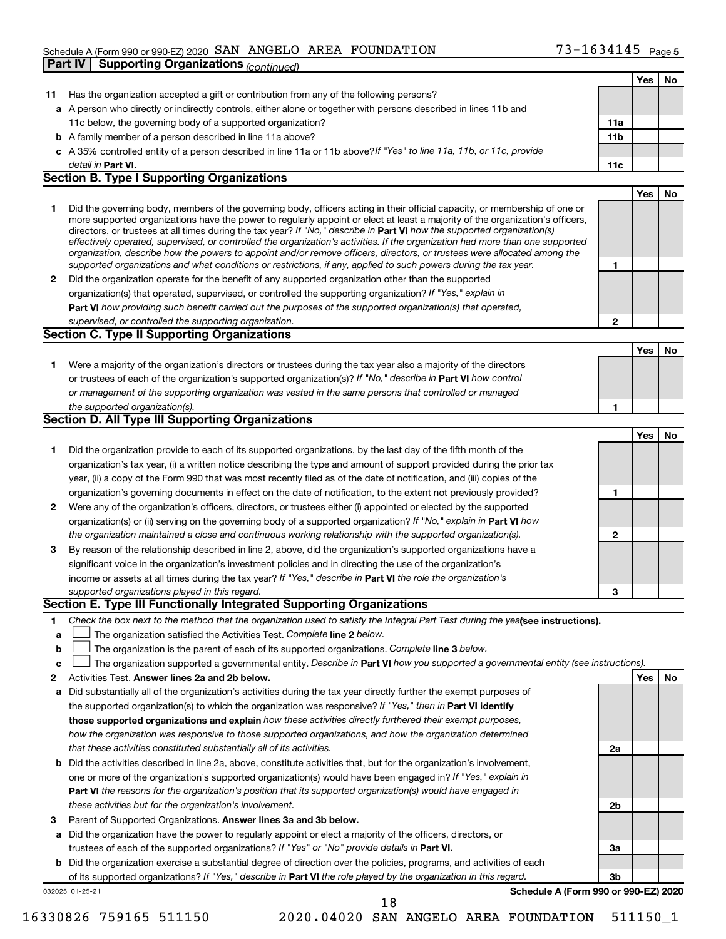#### Schedule A (Form 990 or 990-EZ) 2020 Page SAN ANGELO AREA FOUNDATION 73-1634145 **Part IV Supporting Organizations** *(continued)*

|              |                                                                                                                                                                                                                                                           |              | Yes | No |
|--------------|-----------------------------------------------------------------------------------------------------------------------------------------------------------------------------------------------------------------------------------------------------------|--------------|-----|----|
| 11           | Has the organization accepted a gift or contribution from any of the following persons?                                                                                                                                                                   |              |     |    |
|              | a A person who directly or indirectly controls, either alone or together with persons described in lines 11b and                                                                                                                                          |              |     |    |
|              | 11c below, the governing body of a supported organization?                                                                                                                                                                                                | 11a          |     |    |
|              | <b>b</b> A family member of a person described in line 11a above?                                                                                                                                                                                         | 11b          |     |    |
|              | c A 35% controlled entity of a person described in line 11a or 11b above?If "Yes" to line 11a, 11b, or 11c, provide                                                                                                                                       |              |     |    |
|              | detail in Part VI.                                                                                                                                                                                                                                        | 11c          |     |    |
|              | <b>Section B. Type I Supporting Organizations</b>                                                                                                                                                                                                         |              |     |    |
|              |                                                                                                                                                                                                                                                           |              | Yes | No |
| 1.           | Did the governing body, members of the governing body, officers acting in their official capacity, or membership of one or                                                                                                                                |              |     |    |
|              | more supported organizations have the power to regularly appoint or elect at least a majority of the organization's officers,                                                                                                                             |              |     |    |
|              | directors, or trustees at all times during the tax year? If "No," describe in Part VI how the supported organization(s)<br>effectively operated, supervised, or controlled the organization's activities. If the organization had more than one supported |              |     |    |
|              | organization, describe how the powers to appoint and/or remove officers, directors, or trustees were allocated among the                                                                                                                                  |              |     |    |
|              | supported organizations and what conditions or restrictions, if any, applied to such powers during the tax year.                                                                                                                                          | 1            |     |    |
| $\mathbf{2}$ | Did the organization operate for the benefit of any supported organization other than the supported                                                                                                                                                       |              |     |    |
|              | organization(s) that operated, supervised, or controlled the supporting organization? If "Yes," explain in                                                                                                                                                |              |     |    |
|              | Part VI how providing such benefit carried out the purposes of the supported organization(s) that operated,                                                                                                                                               |              |     |    |
|              | supervised, or controlled the supporting organization.                                                                                                                                                                                                    | $\mathbf{2}$ |     |    |
|              | <b>Section C. Type II Supporting Organizations</b>                                                                                                                                                                                                        |              |     |    |
|              |                                                                                                                                                                                                                                                           |              | Yes | No |
| 1.           | Were a majority of the organization's directors or trustees during the tax year also a majority of the directors                                                                                                                                          |              |     |    |
|              | or trustees of each of the organization's supported organization(s)? If "No," describe in Part VI how control                                                                                                                                             |              |     |    |
|              | or management of the supporting organization was vested in the same persons that controlled or managed                                                                                                                                                    |              |     |    |
|              | the supported organization(s).<br>Section D. All Type III Supporting Organizations                                                                                                                                                                        | 1            |     |    |
|              |                                                                                                                                                                                                                                                           |              |     |    |
|              |                                                                                                                                                                                                                                                           |              | Yes | No |
| 1            | Did the organization provide to each of its supported organizations, by the last day of the fifth month of the                                                                                                                                            |              |     |    |
|              | organization's tax year, (i) a written notice describing the type and amount of support provided during the prior tax                                                                                                                                     |              |     |    |
|              | year, (ii) a copy of the Form 990 that was most recently filed as of the date of notification, and (iii) copies of the<br>organization's governing documents in effect on the date of notification, to the extent not previously provided?                | 1            |     |    |
| $\mathbf{2}$ | Were any of the organization's officers, directors, or trustees either (i) appointed or elected by the supported                                                                                                                                          |              |     |    |
|              | organization(s) or (ii) serving on the governing body of a supported organization? If "No," explain in <b>Part VI</b> how                                                                                                                                 |              |     |    |
|              | the organization maintained a close and continuous working relationship with the supported organization(s).                                                                                                                                               | $\mathbf{2}$ |     |    |
| 3            | By reason of the relationship described in line 2, above, did the organization's supported organizations have a                                                                                                                                           |              |     |    |
|              | significant voice in the organization's investment policies and in directing the use of the organization's                                                                                                                                                |              |     |    |
|              | income or assets at all times during the tax year? If "Yes," describe in Part VI the role the organization's                                                                                                                                              |              |     |    |
|              | supported organizations played in this regard.                                                                                                                                                                                                            | 3            |     |    |
|              | Section E. Type III Functionally Integrated Supporting Organizations                                                                                                                                                                                      |              |     |    |
| 1            | Check the box next to the method that the organization used to satisfy the Integral Part Test during the yealsee instructions).                                                                                                                           |              |     |    |
| a            | The organization satisfied the Activities Test. Complete line 2 below.                                                                                                                                                                                    |              |     |    |
| b            | The organization is the parent of each of its supported organizations. Complete line 3 below.                                                                                                                                                             |              |     |    |
| с            | The organization supported a governmental entity. Describe in Part VI how you supported a governmental entity (see instructions).                                                                                                                         |              |     |    |
| 2            | Activities Test. Answer lines 2a and 2b below.                                                                                                                                                                                                            |              | Yes | No |
| а            | Did substantially all of the organization's activities during the tax year directly further the exempt purposes of                                                                                                                                        |              |     |    |
|              | the supported organization(s) to which the organization was responsive? If "Yes," then in Part VI identify                                                                                                                                                |              |     |    |
|              | those supported organizations and explain how these activities directly furthered their exempt purposes,                                                                                                                                                  |              |     |    |
|              | how the organization was responsive to those supported organizations, and how the organization determined                                                                                                                                                 |              |     |    |
|              | that these activities constituted substantially all of its activities.                                                                                                                                                                                    | 2a           |     |    |
|              | <b>b</b> Did the activities described in line 2a, above, constitute activities that, but for the organization's involvement,                                                                                                                              |              |     |    |
|              | one or more of the organization's supported organization(s) would have been engaged in? If "Yes," explain in                                                                                                                                              |              |     |    |
|              | Part VI the reasons for the organization's position that its supported organization(s) would have engaged in                                                                                                                                              |              |     |    |
|              | these activities but for the organization's involvement.                                                                                                                                                                                                  | 2b           |     |    |
| 3            | Parent of Supported Organizations. Answer lines 3a and 3b below.                                                                                                                                                                                          |              |     |    |
|              | a Did the organization have the power to regularly appoint or elect a majority of the officers, directors, or                                                                                                                                             |              |     |    |
|              | trustees of each of the supported organizations? If "Yes" or "No" provide details in Part VI.                                                                                                                                                             | За           |     |    |
|              | <b>b</b> Did the organization exercise a substantial degree of direction over the policies, programs, and activities of each                                                                                                                              |              |     |    |
|              | of its supported organizations? If "Yes," describe in Part VI the role played by the organization in this regard.                                                                                                                                         | 3b           |     |    |
|              | Schedule A (Form 990 or 990-EZ) 2020<br>032025 01-25-21                                                                                                                                                                                                   |              |     |    |

18

<sup>16330826 759165 511150</sup> 2020.04020 SAN ANGELO AREA FOUNDATION 511150\_1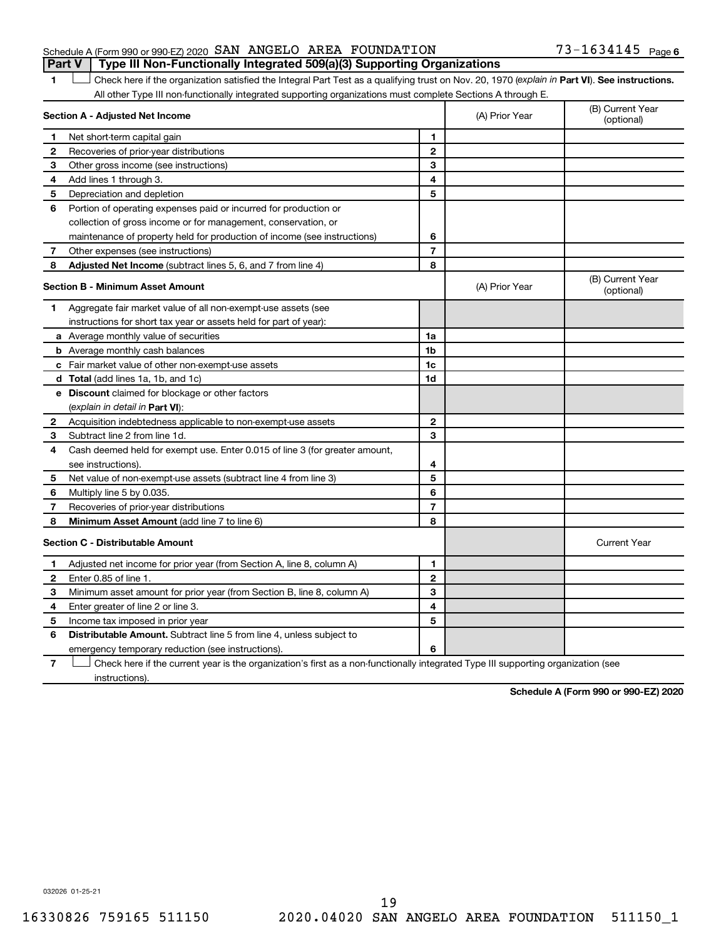#### Schedule A (Form 990 or 990-EZ) 2020 Page SAN ANGELO AREA FOUNDATION 73-1634145 **Part V** | Type III Non-Functionally Integrated 509(a)(3) Supporting Organizations

1 **D** Check here if the organization satisfied the Integral Part Test as a qualifying trust on Nov. 20, 1970 (explain in Part **VI**). See instructions. All other Type III non-functionally integrated supporting organizations must complete Sections A through E.

|              | Section A - Adjusted Net Income                                                                                             | (A) Prior Year | (B) Current Year<br>(optional) |                                |
|--------------|-----------------------------------------------------------------------------------------------------------------------------|----------------|--------------------------------|--------------------------------|
| 1            | Net short-term capital gain                                                                                                 | 1              |                                |                                |
| 2            | Recoveries of prior-year distributions                                                                                      | $\mathbf{2}$   |                                |                                |
| З            | Other gross income (see instructions)                                                                                       | 3              |                                |                                |
| 4            | Add lines 1 through 3.                                                                                                      | 4              |                                |                                |
| 5            | Depreciation and depletion                                                                                                  | 5              |                                |                                |
| 6            | Portion of operating expenses paid or incurred for production or                                                            |                |                                |                                |
|              | collection of gross income or for management, conservation, or                                                              |                |                                |                                |
|              | maintenance of property held for production of income (see instructions)                                                    | 6              |                                |                                |
| 7            | Other expenses (see instructions)                                                                                           | $\overline{7}$ |                                |                                |
| 8            | Adjusted Net Income (subtract lines 5, 6, and 7 from line 4)                                                                | 8              |                                |                                |
|              | <b>Section B - Minimum Asset Amount</b>                                                                                     |                | (A) Prior Year                 | (B) Current Year<br>(optional) |
| 1.           | Aggregate fair market value of all non-exempt-use assets (see                                                               |                |                                |                                |
|              | instructions for short tax year or assets held for part of year):                                                           |                |                                |                                |
|              | a Average monthly value of securities                                                                                       | 1a             |                                |                                |
|              | <b>b</b> Average monthly cash balances                                                                                      | 1b             |                                |                                |
|              | <b>c</b> Fair market value of other non-exempt-use assets                                                                   | 1c             |                                |                                |
|              | d Total (add lines 1a, 1b, and 1c)                                                                                          | 1d             |                                |                                |
|              | e Discount claimed for blockage or other factors                                                                            |                |                                |                                |
|              | (explain in detail in <b>Part VI</b> ):                                                                                     |                |                                |                                |
| $\mathbf{2}$ | Acquisition indebtedness applicable to non-exempt-use assets                                                                | $\mathbf{2}$   |                                |                                |
| 3            | Subtract line 2 from line 1d.                                                                                               | 3              |                                |                                |
| 4            | Cash deemed held for exempt use. Enter 0.015 of line 3 (for greater amount,                                                 |                |                                |                                |
|              | see instructions).                                                                                                          | 4              |                                |                                |
| 5            | Net value of non-exempt-use assets (subtract line 4 from line 3)                                                            | 5              |                                |                                |
| 6            | Multiply line 5 by 0.035.                                                                                                   | 6              |                                |                                |
| 7            | Recoveries of prior-year distributions                                                                                      | 7              |                                |                                |
| 8            | Minimum Asset Amount (add line 7 to line 6)                                                                                 | 8              |                                |                                |
|              | <b>Section C - Distributable Amount</b>                                                                                     |                |                                | <b>Current Year</b>            |
| 1            | Adjusted net income for prior year (from Section A, line 8, column A)                                                       | 1              |                                |                                |
| 2            | Enter 0.85 of line 1.                                                                                                       | $\mathbf{2}$   |                                |                                |
| 3            | Minimum asset amount for prior year (from Section B, line 8, column A)                                                      | 3              |                                |                                |
| 4            | Enter greater of line 2 or line 3.                                                                                          | 4              |                                |                                |
| 5            | Income tax imposed in prior year                                                                                            | 5              |                                |                                |
| 6            | <b>Distributable Amount.</b> Subtract line 5 from line 4, unless subject to                                                 |                |                                |                                |
|              | emergency temporary reduction (see instructions).                                                                           | 6              |                                |                                |
|              | Objects to be a contribution of a concern to contract the dis-<br>والمستنقص والمستمر فالمراد<br>المستقلة والمستورة والمقارن |                |                                |                                |

**7** Check here if the current year is the organization's first as a non-functionally integrated Type III supporting organization (see instructions).

**Schedule A (Form 990 or 990-EZ) 2020**

032026 01-25-21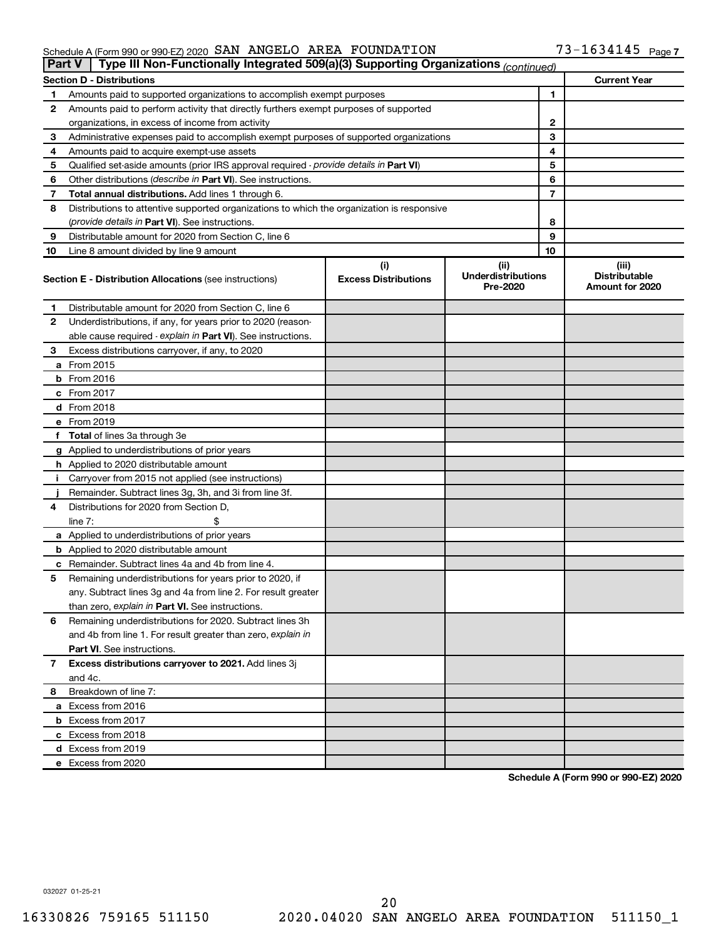#### Schedule A (Form 990 or 990-EZ) 2020 SAN ANGELIO AKEA FOUNDATION / 3-L b 34 L 4 5 Page SAN ANGELO AREA FOUNDATION 73-1634145

| Part V | Type III Non-Functionally Integrated 509(a)(3) Supporting Organizations (continued)        |                                    |                                               |    |                                                  |
|--------|--------------------------------------------------------------------------------------------|------------------------------------|-----------------------------------------------|----|--------------------------------------------------|
|        | <b>Section D - Distributions</b>                                                           |                                    |                                               |    | <b>Current Year</b>                              |
| 1      | Amounts paid to supported organizations to accomplish exempt purposes                      |                                    |                                               | 1  |                                                  |
| 2      | Amounts paid to perform activity that directly furthers exempt purposes of supported       |                                    |                                               |    |                                                  |
|        | organizations, in excess of income from activity                                           |                                    |                                               | 2  |                                                  |
| 3      | Administrative expenses paid to accomplish exempt purposes of supported organizations      |                                    | 3                                             |    |                                                  |
| 4      | Amounts paid to acquire exempt-use assets                                                  | 4                                  |                                               |    |                                                  |
| 5      | Qualified set-aside amounts (prior IRS approval required - provide details in Part VI)     | 5                                  |                                               |    |                                                  |
| 6      | Other distributions (describe in Part VI). See instructions.                               | 6                                  |                                               |    |                                                  |
| 7      | Total annual distributions. Add lines 1 through 6.                                         |                                    |                                               | 7  |                                                  |
| 8      | Distributions to attentive supported organizations to which the organization is responsive |                                    |                                               |    |                                                  |
|        | ( <i>provide details in Part VI</i> ). See instructions.                                   |                                    |                                               | 8  |                                                  |
| 9      | Distributable amount for 2020 from Section C, line 6                                       |                                    |                                               | 9  |                                                  |
| 10     | Line 8 amount divided by line 9 amount                                                     |                                    |                                               | 10 |                                                  |
|        | <b>Section E - Distribution Allocations (see instructions)</b>                             | (i)<br><b>Excess Distributions</b> | (ii)<br><b>Underdistributions</b><br>Pre-2020 |    | (iii)<br><b>Distributable</b><br>Amount for 2020 |
| 1      | Distributable amount for 2020 from Section C, line 6                                       |                                    |                                               |    |                                                  |
| 2      | Underdistributions, if any, for years prior to 2020 (reason-                               |                                    |                                               |    |                                                  |
|        | able cause required - explain in Part VI). See instructions.                               |                                    |                                               |    |                                                  |
| З      | Excess distributions carryover, if any, to 2020                                            |                                    |                                               |    |                                                  |
|        | a From 2015                                                                                |                                    |                                               |    |                                                  |
|        | $b$ From 2016                                                                              |                                    |                                               |    |                                                  |
|        | c From 2017                                                                                |                                    |                                               |    |                                                  |
|        | <b>d</b> From 2018                                                                         |                                    |                                               |    |                                                  |
|        | e From 2019                                                                                |                                    |                                               |    |                                                  |
|        | f Total of lines 3a through 3e                                                             |                                    |                                               |    |                                                  |
|        | g Applied to underdistributions of prior years                                             |                                    |                                               |    |                                                  |
|        | <b>h</b> Applied to 2020 distributable amount                                              |                                    |                                               |    |                                                  |
| Ť.     | Carryover from 2015 not applied (see instructions)                                         |                                    |                                               |    |                                                  |
|        | Remainder. Subtract lines 3g, 3h, and 3i from line 3f.                                     |                                    |                                               |    |                                                  |
| 4      | Distributions for 2020 from Section D,                                                     |                                    |                                               |    |                                                  |
|        | line 7:                                                                                    |                                    |                                               |    |                                                  |
|        | a Applied to underdistributions of prior years                                             |                                    |                                               |    |                                                  |
|        | <b>b</b> Applied to 2020 distributable amount                                              |                                    |                                               |    |                                                  |
|        | c Remainder. Subtract lines 4a and 4b from line 4.                                         |                                    |                                               |    |                                                  |
| 5      | Remaining underdistributions for years prior to 2020, if                                   |                                    |                                               |    |                                                  |
|        | any. Subtract lines 3g and 4a from line 2. For result greater                              |                                    |                                               |    |                                                  |
|        | than zero, explain in Part VI. See instructions.                                           |                                    |                                               |    |                                                  |
| 6      | Remaining underdistributions for 2020. Subtract lines 3h                                   |                                    |                                               |    |                                                  |
|        | and 4b from line 1. For result greater than zero, explain in                               |                                    |                                               |    |                                                  |
|        | <b>Part VI.</b> See instructions.                                                          |                                    |                                               |    |                                                  |
| 7      | Excess distributions carryover to 2021. Add lines 3j                                       |                                    |                                               |    |                                                  |
|        | and 4c.                                                                                    |                                    |                                               |    |                                                  |
| 8      | Breakdown of line 7:                                                                       |                                    |                                               |    |                                                  |
|        | a Excess from 2016                                                                         |                                    |                                               |    |                                                  |
|        | <b>b</b> Excess from 2017                                                                  |                                    |                                               |    |                                                  |
|        | c Excess from 2018                                                                         |                                    |                                               |    |                                                  |
|        | d Excess from 2019                                                                         |                                    |                                               |    |                                                  |
|        | e Excess from 2020                                                                         |                                    |                                               |    |                                                  |

**Schedule A (Form 990 or 990-EZ) 2020**

032027 01-25-21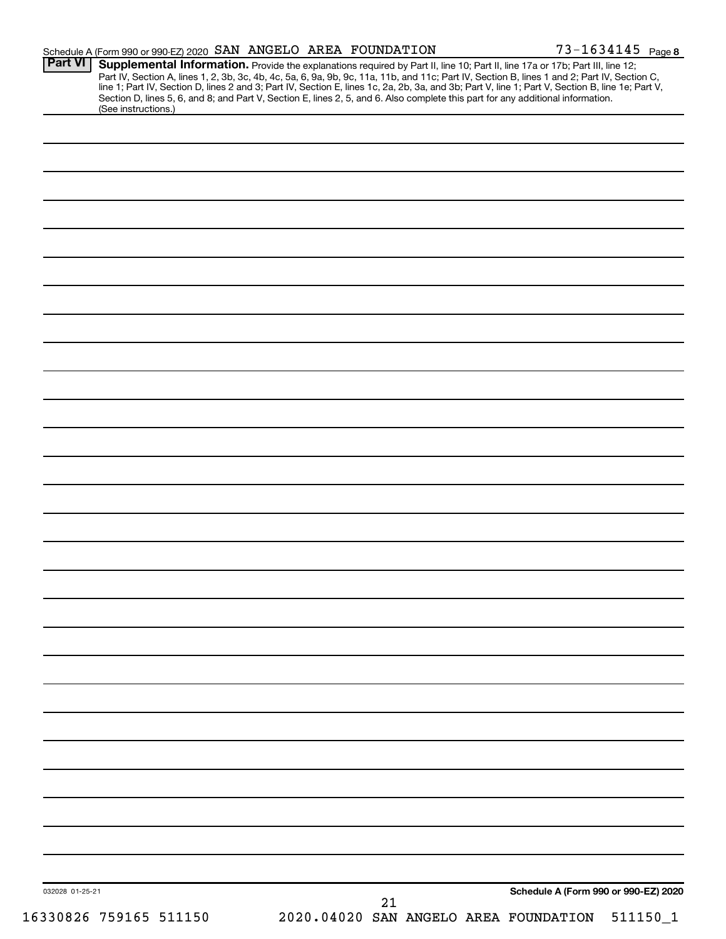|                 | Schedule A (Form 990 or 990-EZ) 2020 SAN ANGELO AREA FOUNDATION |  |    |  |                                                                                                                                                                                                                                                                                                                                                                                                                                   | 73-1634145 Page 8 |
|-----------------|-----------------------------------------------------------------|--|----|--|-----------------------------------------------------------------------------------------------------------------------------------------------------------------------------------------------------------------------------------------------------------------------------------------------------------------------------------------------------------------------------------------------------------------------------------|-------------------|
| <b>Part VI</b>  |                                                                 |  |    |  | Supplemental Information. Provide the explanations required by Part II, line 10; Part II, line 17a or 17b; Part III, line 12;<br>Part IV, Section A, lines 1, 2, 3b, 3c, 4b, 4c, 5a, 6, 9a, 9b, 9c, 11a, 11b, and 11c; Part IV, Section B, lines 1 and 2; Part IV, Section C,<br>line 1; Part IV, Section D, lines 2 and 3; Part IV, Section E, lines 1c, 2a, 2b, 3a, and 3b; Part V, line 1; Part V, Section B, line 1e; Part V, |                   |
|                 | (See instructions.)                                             |  |    |  | Section D, lines 5, 6, and 8; and Part V, Section E, lines 2, 5, and 6. Also complete this part for any additional information.                                                                                                                                                                                                                                                                                                   |                   |
|                 |                                                                 |  |    |  |                                                                                                                                                                                                                                                                                                                                                                                                                                   |                   |
|                 |                                                                 |  |    |  |                                                                                                                                                                                                                                                                                                                                                                                                                                   |                   |
|                 |                                                                 |  |    |  |                                                                                                                                                                                                                                                                                                                                                                                                                                   |                   |
|                 |                                                                 |  |    |  |                                                                                                                                                                                                                                                                                                                                                                                                                                   |                   |
|                 |                                                                 |  |    |  |                                                                                                                                                                                                                                                                                                                                                                                                                                   |                   |
|                 |                                                                 |  |    |  |                                                                                                                                                                                                                                                                                                                                                                                                                                   |                   |
|                 |                                                                 |  |    |  |                                                                                                                                                                                                                                                                                                                                                                                                                                   |                   |
|                 |                                                                 |  |    |  |                                                                                                                                                                                                                                                                                                                                                                                                                                   |                   |
|                 |                                                                 |  |    |  |                                                                                                                                                                                                                                                                                                                                                                                                                                   |                   |
|                 |                                                                 |  |    |  |                                                                                                                                                                                                                                                                                                                                                                                                                                   |                   |
|                 |                                                                 |  |    |  |                                                                                                                                                                                                                                                                                                                                                                                                                                   |                   |
|                 |                                                                 |  |    |  |                                                                                                                                                                                                                                                                                                                                                                                                                                   |                   |
|                 |                                                                 |  |    |  |                                                                                                                                                                                                                                                                                                                                                                                                                                   |                   |
|                 |                                                                 |  |    |  |                                                                                                                                                                                                                                                                                                                                                                                                                                   |                   |
|                 |                                                                 |  |    |  |                                                                                                                                                                                                                                                                                                                                                                                                                                   |                   |
|                 |                                                                 |  |    |  |                                                                                                                                                                                                                                                                                                                                                                                                                                   |                   |
|                 |                                                                 |  |    |  |                                                                                                                                                                                                                                                                                                                                                                                                                                   |                   |
|                 |                                                                 |  |    |  |                                                                                                                                                                                                                                                                                                                                                                                                                                   |                   |
|                 |                                                                 |  |    |  |                                                                                                                                                                                                                                                                                                                                                                                                                                   |                   |
|                 |                                                                 |  |    |  |                                                                                                                                                                                                                                                                                                                                                                                                                                   |                   |
|                 |                                                                 |  |    |  |                                                                                                                                                                                                                                                                                                                                                                                                                                   |                   |
|                 |                                                                 |  |    |  |                                                                                                                                                                                                                                                                                                                                                                                                                                   |                   |
|                 |                                                                 |  |    |  |                                                                                                                                                                                                                                                                                                                                                                                                                                   |                   |
|                 |                                                                 |  |    |  |                                                                                                                                                                                                                                                                                                                                                                                                                                   |                   |
|                 |                                                                 |  |    |  |                                                                                                                                                                                                                                                                                                                                                                                                                                   |                   |
|                 |                                                                 |  |    |  |                                                                                                                                                                                                                                                                                                                                                                                                                                   |                   |
|                 |                                                                 |  |    |  |                                                                                                                                                                                                                                                                                                                                                                                                                                   |                   |
|                 |                                                                 |  |    |  |                                                                                                                                                                                                                                                                                                                                                                                                                                   |                   |
|                 |                                                                 |  |    |  |                                                                                                                                                                                                                                                                                                                                                                                                                                   |                   |
|                 |                                                                 |  |    |  |                                                                                                                                                                                                                                                                                                                                                                                                                                   |                   |
|                 |                                                                 |  |    |  |                                                                                                                                                                                                                                                                                                                                                                                                                                   |                   |
|                 |                                                                 |  |    |  |                                                                                                                                                                                                                                                                                                                                                                                                                                   |                   |
|                 |                                                                 |  |    |  |                                                                                                                                                                                                                                                                                                                                                                                                                                   |                   |
|                 |                                                                 |  |    |  |                                                                                                                                                                                                                                                                                                                                                                                                                                   |                   |
|                 |                                                                 |  |    |  |                                                                                                                                                                                                                                                                                                                                                                                                                                   |                   |
| 032028 01-25-21 |                                                                 |  | 21 |  | Schedule A (Form 990 or 990-EZ) 2020                                                                                                                                                                                                                                                                                                                                                                                              |                   |
|                 | 16330826 759165 511150                                          |  |    |  | 2020.04020 SAN ANGELO AREA FOUNDATION                                                                                                                                                                                                                                                                                                                                                                                             | 511150_1          |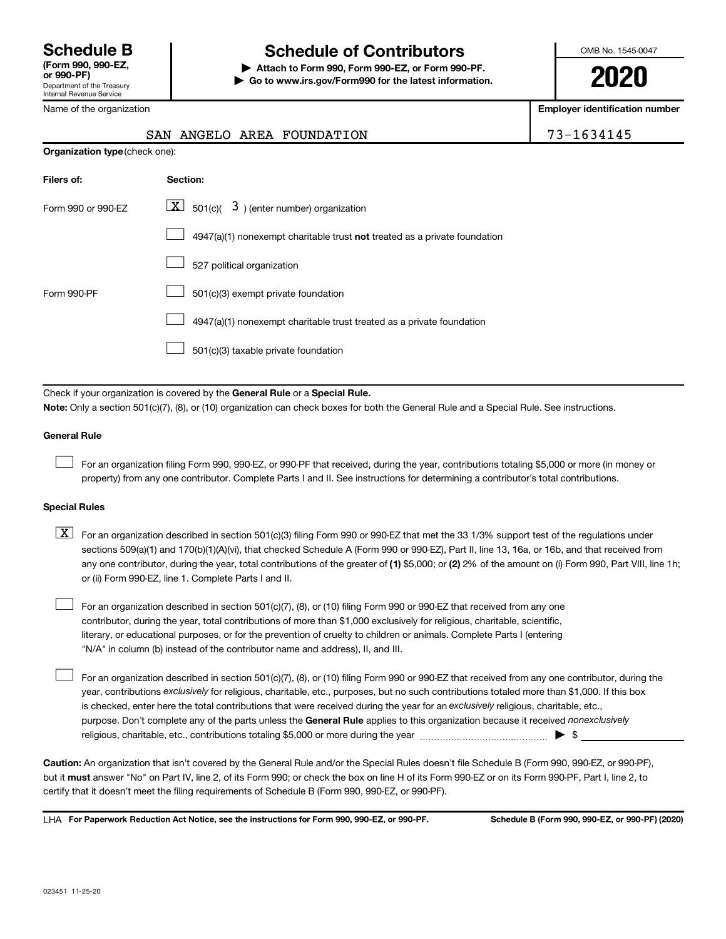Name of the organization

**Organization type** (check one):

Internal Revenue Service

# **Schedule B Schedule of Contributors**

**or 990-PF) | Attach to Form 990, Form 990-EZ, or Form 990-PF. | Go to www.irs.gov/Form990 for the latest information.** OMB No. 1545-0047

**2020**

**Employer identification number**

|  | SAN ANGELO AREA FOUNDATION |  |
|--|----------------------------|--|

| $3 - 1634145$ |  |  |  |  |
|---------------|--|--|--|--|
|               |  |  |  |  |

| Filers of:         | Section:                                                                  |
|--------------------|---------------------------------------------------------------------------|
| Form 990 or 990-FZ | $ \underline{X} $ 501(c)( 3) (enter number) organization                  |
|                    | 4947(a)(1) nonexempt charitable trust not treated as a private foundation |
|                    | 527 political organization                                                |
| Form 990-PF        | 501(c)(3) exempt private foundation                                       |
|                    | 4947(a)(1) nonexempt charitable trust treated as a private foundation     |
|                    | 501(c)(3) taxable private foundation                                      |

Check if your organization is covered by the General Rule or a Special Rule.

**Note:** Only a section 501(c)(7), (8), or (10) organization can check boxes for both the General Rule and a Special Rule. See instructions.

#### **General Rule**

 $\mathcal{L}^{\text{eff}}$ 

 $\mathcal{L}^{\text{eff}}$ 

For an organization filing Form 990, 990-EZ, or 990-PF that received, during the year, contributions totaling \$5,000 or more (in money or property) from any one contributor. Complete Parts I and II. See instructions for determining a contributor's total contributions.

#### **Special Rules**

- any one contributor, during the year, total contributions of the greater of (1) \$5,000; or (2) 2% of the amount on (i) Form 990, Part VIII, line 1h;  $\boxed{\text{X}}$  For an organization described in section 501(c)(3) filing Form 990 or 990-EZ that met the 33 1/3% support test of the regulations under sections 509(a)(1) and 170(b)(1)(A)(vi), that checked Schedule A (Form 990 or 990-EZ), Part II, line 13, 16a, or 16b, and that received from or (ii) Form 990-EZ, line 1. Complete Parts I and II.
- For an organization described in section 501(c)(7), (8), or (10) filing Form 990 or 990-EZ that received from any one contributor, during the year, total contributions of more than \$1,000 exclusively for religious, charitable, scientific, literary, or educational purposes, or for the prevention of cruelty to children or animals. Complete Parts I (entering "N/A" in column (b) instead of the contributor name and address), II, and III.  $\mathcal{L}^{\text{eff}}$

purpose. Don't complete any of the parts unless the General Rule applies to this organization because it received nonexclusively year, contributions exclusively for religious, charitable, etc., purposes, but no such contributions totaled more than \$1,000. If this box is checked, enter here the total contributions that were received during the year for an exclusively religious, charitable, etc., For an organization described in section 501(c)(7), (8), or (10) filing Form 990 or 990-EZ that received from any one contributor, during the religious, charitable, etc., contributions totaling \$5,000 or more during the year  $~\ldots\ldots\ldots\ldots\ldots\ldots\ldots\ldots\blacktriangleright~$ \$

**Caution:** An organization that isn't covered by the General Rule and/or the Special Rules doesn't file Schedule B (Form 990, 990-EZ, or 990-PF), **must** but it answer "No" on Part IV, line 2, of its Form 990; or check the box on line H of its Form 990-EZ or on its Form 990-PF, Part I, line 2, to certify that it doesn't meet the filing requirements of Schedule B (Form 990, 990-EZ, or 990-PF).

**For Paperwork Reduction Act Notice, see the instructions for Form 990, 990-EZ, or 990-PF. Schedule B (Form 990, 990-EZ, or 990-PF) (2020)** LHA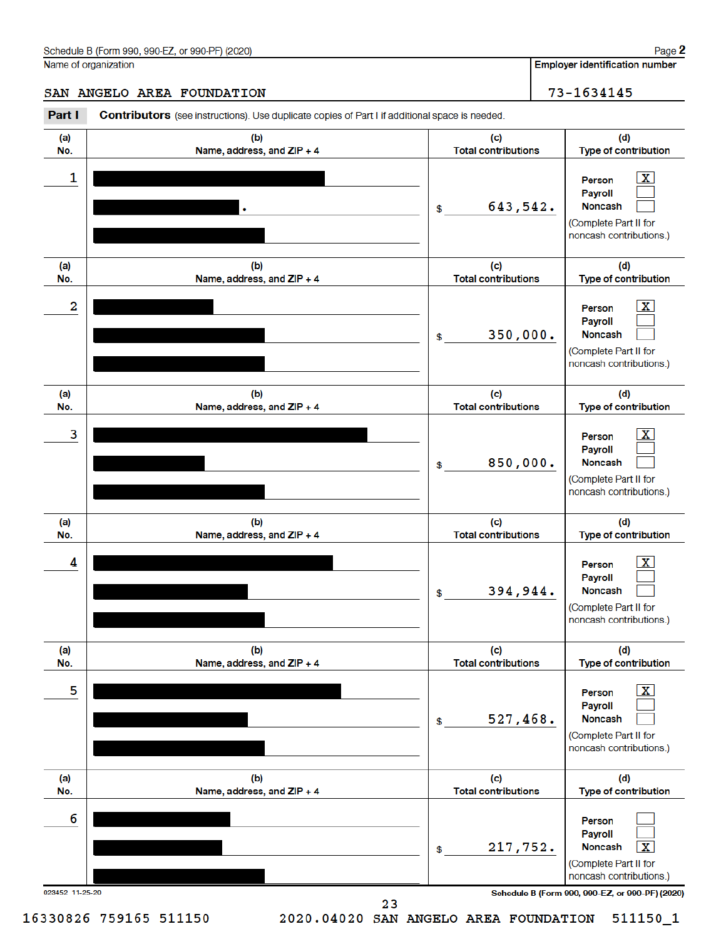**Employer identification number** 

73-1634145

#### SAN ANGELO AREA FOUNDATION

Part I **Contributors** (see instructions). Use duplicate copies of Part I if additional space is needed.  $(a)$  $(b)$  $(d)$ (c) No. Name, address, and ZIP + 4 **Total contributions** Type of contribution 1 Person Payroll 643,542. **Noncash** \$ (Complete Part II for noncash contributions.)  $(a)$  $(b)$  $(c)$  $(d)$ Name, address, and ZIP + 4 Type of contribution No. **Total contributions**  $\overline{a}$  $|\mathbf{X}|$ Person Payroll 350,000. **Noncash** \$ (Complete Part II for noncash contributions.)  $(a)$  $(b)$  $(c)$ (d) **Total contributions** No. Name, address, and ZIP + 4 **Type of contribution** 3  $\mathbf{x}$ Person Payroll 850,000. **Noncash** \$ (Complete Part II for noncash contributions.) (a)  $(b)$  $(c)$ (d) **Total contributions** Type of contribution No. Name, address, and ZIP + 4  $\lfloor x \rfloor$ 4 Person **Payroll** 394,944. **Noncash** \$ (Complete Part II for noncash contributions.)  $(a)$  $(b)$ (c) (d) Type of contribution No. Name, address, and ZIP + 4 **Total contributions** 5  $\lfloor x \rfloor$ Person Payroll 527,468. Noncash (Complete Part II for noncash contributions.)  $(d)$  $(a)$  $(b)$ (c) No. Name, address, and ZIP + 4 **Total contributions** Type of contribution 6 Person **Payroll** 217,752. **Noncash**  $\sqrt{x}$ \$ (Complete Part II for noncash contributions.) 023452 11-25-20 Schedule B (Form 990, 990-EZ, or 990-PF) (2020) 23

16330826 759165 511150

2020.04020 SAN ANGELO AREA FOUNDATION

511150 1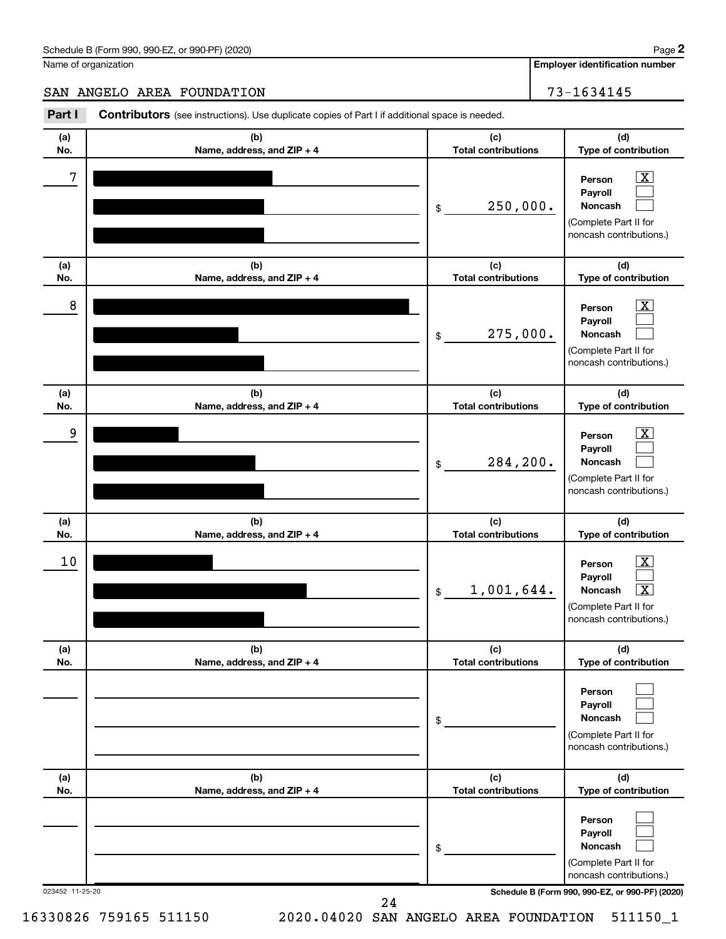**Employer identification number**

SAN ANGELO AREA FOUNDATION 73-1634145

#### 023452 11-25-20 **Schedule B (Form 990, 990-EZ, or 990-PF) (2020) (a) No. (b) Name, address, and ZIP + 4 (c) Total contributions (d) Type of contribution Person Payroll Noncash (a) No. (b) Name, address, and ZIP + 4 (c) Total contributions (d) Type of contribution Person Payroll Noncash (a) No. (b) Name, address, and ZIP + 4 (c) Total contributions (d) Type of contribution Person Payroll Noncash (a) No. (b) Name, address, and ZIP + 4 (c) Total contributions (d) Type of contribution Person Payroll Noncash (a) No. (b) Name, address, and ZIP + 4 (c) Total contributions (d) Type of contribution Person Payroll Noncash (a) No. (b) Name, address, and ZIP + 4 (c) Total contributions (d) Type of contribution Person Payroll Noncash** Part I Contributors (see instructions). Use duplicate copies of Part I if additional space is needed. \$ (Complete Part II for noncash contributions.) \$ (Complete Part II for noncash contributions.) \$ (Complete Part II for noncash contributions.) \$ (Complete Part II for noncash contributions.) \$ (Complete Part II for noncash contributions.) \$ (Complete Part II for noncash contributions.)  $\boxed{\textbf{X}}$  $\Box$  $\Box$  $\boxed{\textbf{X}}$  $\Box$  $\Box$  $\boxed{\textbf{X}}$  $\Box$  $\Box$  $\boxed{\text{X}}$  $\Box$  $\lceil \texttt{X} \rceil$  $\Box$  $\Box$  $\Box$  $\Box$  $\Box$  $\Box$  $7$   $|$  Person  $\overline{\text{X}}$ 250,000.  $8$  Person  $\overline{\text{X}}$ 275,000.  $9$  Person  $\overline{\text{X}}$ 284,200.  $10$  Person  $\overline{\text{X}}$ 1,001,644.

24

16330826 759165 511150 2020.04020 SAN ANGELO AREA FOUNDATION 511150\_1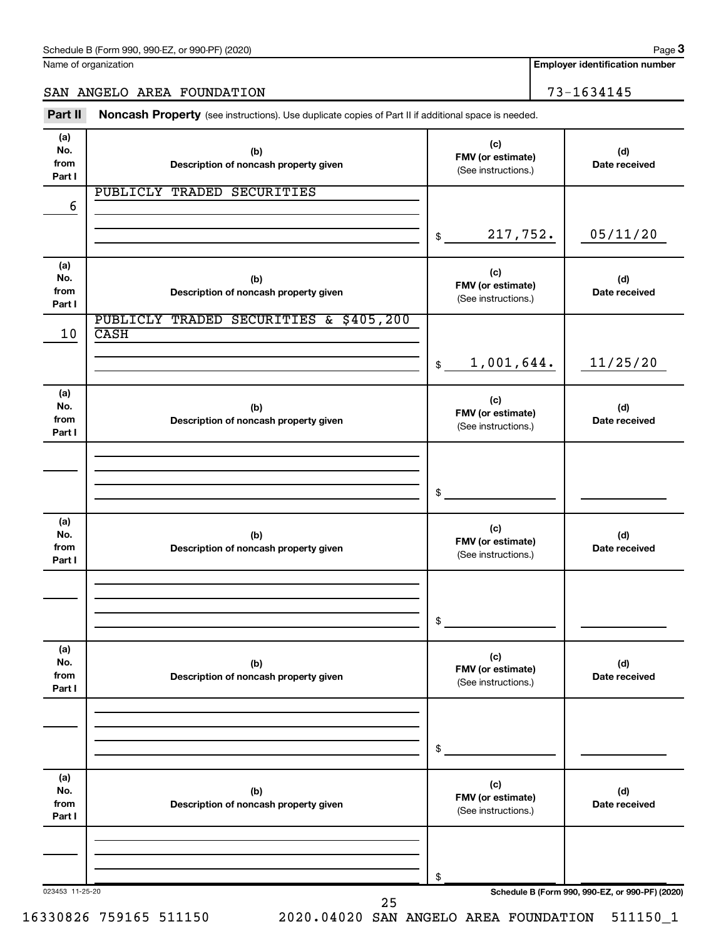Name of organization

**Employer identification number**

SAN ANGELO AREA FOUNDATION 73-1634145

Part II Noncash Property (see instructions). Use duplicate copies of Part II if additional space is needed.

| (a)<br>No.<br>from<br>Part I | (b)<br>Description of noncash property given          | (c)<br>FMV (or estimate)<br>(See instructions.) | (d)<br>Date received                            |
|------------------------------|-------------------------------------------------------|-------------------------------------------------|-------------------------------------------------|
| 6                            | PUBLICLY TRADED SECURITIES                            |                                                 |                                                 |
|                              |                                                       | 217,752.<br>$\mathfrak{S}$                      | 05/11/20                                        |
| (a)<br>No.<br>from<br>Part I | (b)<br>Description of noncash property given          | (c)<br>FMV (or estimate)<br>(See instructions.) | (d)<br>Date received                            |
| 10                           | PUBLICLY TRADED SECURITIES & \$405,200<br><b>CASH</b> |                                                 |                                                 |
|                              |                                                       | 1,001,644.<br>$\frac{1}{2}$                     | 11/25/20                                        |
| (a)<br>No.<br>from<br>Part I | (b)<br>Description of noncash property given          | (c)<br>FMV (or estimate)<br>(See instructions.) | (d)<br>Date received                            |
|                              |                                                       |                                                 |                                                 |
|                              |                                                       | \$                                              |                                                 |
| (a)<br>No.<br>from<br>Part I | (b)<br>Description of noncash property given          | (c)<br>FMV (or estimate)<br>(See instructions.) | (d)<br>Date received                            |
|                              |                                                       |                                                 |                                                 |
|                              |                                                       | \$                                              |                                                 |
| (a)<br>No.<br>from<br>Part I | (b)<br>Description of noncash property given          | (c)<br>FMV (or estimate)<br>(See instructions.) | (d)<br>Date received                            |
|                              |                                                       |                                                 |                                                 |
|                              |                                                       | \$                                              |                                                 |
| (a)<br>No.<br>from<br>Part I | (b)<br>Description of noncash property given          | (c)<br>FMV (or estimate)<br>(See instructions.) | (d)<br>Date received                            |
|                              |                                                       |                                                 |                                                 |
|                              |                                                       | \$                                              |                                                 |
| 023453 11-25-20              | 25                                                    |                                                 | Schedule B (Form 990, 990-EZ, or 990-PF) (2020) |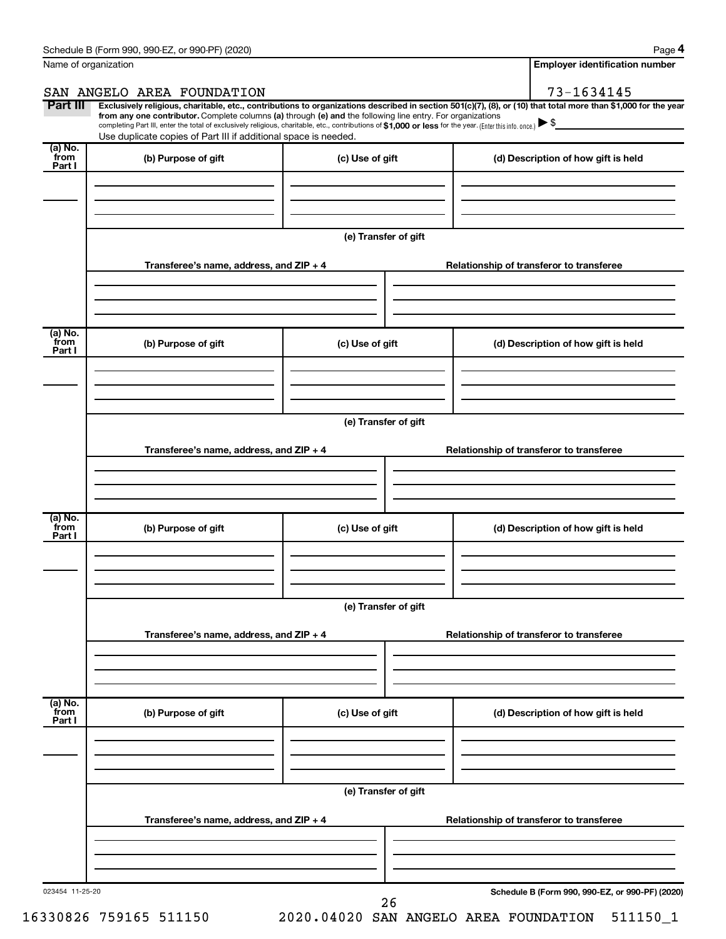**4**

|                            | Name of organization                                                                                                                                                                                                                                                                                                                                                                                                                                                                                        |                      |  |                                     | <b>Employer identification number</b>           |  |  |
|----------------------------|-------------------------------------------------------------------------------------------------------------------------------------------------------------------------------------------------------------------------------------------------------------------------------------------------------------------------------------------------------------------------------------------------------------------------------------------------------------------------------------------------------------|----------------------|--|-------------------------------------|-------------------------------------------------|--|--|
|                            | SAN ANGELO AREA FOUNDATION                                                                                                                                                                                                                                                                                                                                                                                                                                                                                  |                      |  |                                     | 73-1634145                                      |  |  |
| Part III                   | Exclusively religious, charitable, etc., contributions to organizations described in section 501(c)(7), (8), or (10) that total more than \$1,000 for the year<br>from any one contributor. Complete columns (a) through (e) and the following line entry. For organizations<br>completing Part III, enter the total of exclusively religious, charitable, etc., contributions of \$1,000 or less for the year. (Enter this info. once.)<br>Use duplicate copies of Part III if additional space is needed. |                      |  |                                     |                                                 |  |  |
| (a) No.<br>`from<br>Part I | (b) Purpose of gift                                                                                                                                                                                                                                                                                                                                                                                                                                                                                         | (c) Use of gift      |  | (d) Description of how gift is held |                                                 |  |  |
|                            |                                                                                                                                                                                                                                                                                                                                                                                                                                                                                                             |                      |  |                                     |                                                 |  |  |
|                            |                                                                                                                                                                                                                                                                                                                                                                                                                                                                                                             | (e) Transfer of gift |  |                                     |                                                 |  |  |
|                            | Transferee's name, address, and ZIP + 4                                                                                                                                                                                                                                                                                                                                                                                                                                                                     |                      |  |                                     | Relationship of transferor to transferee        |  |  |
| (a) No.<br>from            | (b) Purpose of gift                                                                                                                                                                                                                                                                                                                                                                                                                                                                                         | (c) Use of gift      |  |                                     | (d) Description of how gift is held             |  |  |
| Part I                     |                                                                                                                                                                                                                                                                                                                                                                                                                                                                                                             |                      |  |                                     |                                                 |  |  |
|                            |                                                                                                                                                                                                                                                                                                                                                                                                                                                                                                             | (e) Transfer of gift |  |                                     |                                                 |  |  |
|                            | Transferee's name, address, and ZIP + 4                                                                                                                                                                                                                                                                                                                                                                                                                                                                     |                      |  |                                     | Relationship of transferor to transferee        |  |  |
| (a) No.<br>`from<br>Part I | (b) Purpose of gift                                                                                                                                                                                                                                                                                                                                                                                                                                                                                         | (c) Use of gift      |  |                                     | (d) Description of how gift is held             |  |  |
|                            |                                                                                                                                                                                                                                                                                                                                                                                                                                                                                                             |                      |  |                                     |                                                 |  |  |
|                            |                                                                                                                                                                                                                                                                                                                                                                                                                                                                                                             |                      |  |                                     |                                                 |  |  |
|                            | Transferee's name, address, and ZIP + 4                                                                                                                                                                                                                                                                                                                                                                                                                                                                     |                      |  |                                     | Relationship of transferor to transferee        |  |  |
| (a) No.<br>from<br>Part I  | (b) Purpose of gift                                                                                                                                                                                                                                                                                                                                                                                                                                                                                         | (c) Use of gift      |  |                                     | (d) Description of how gift is held             |  |  |
|                            |                                                                                                                                                                                                                                                                                                                                                                                                                                                                                                             |                      |  |                                     |                                                 |  |  |
|                            | (e) Transfer of gift                                                                                                                                                                                                                                                                                                                                                                                                                                                                                        |                      |  |                                     |                                                 |  |  |
|                            | Transferee's name, address, and ZIP + 4                                                                                                                                                                                                                                                                                                                                                                                                                                                                     |                      |  |                                     | Relationship of transferor to transferee        |  |  |
|                            |                                                                                                                                                                                                                                                                                                                                                                                                                                                                                                             |                      |  |                                     |                                                 |  |  |
| 023454 11-25-20            |                                                                                                                                                                                                                                                                                                                                                                                                                                                                                                             | 26                   |  |                                     | Schedule B (Form 990, 990-EZ, or 990-PF) (2020) |  |  |

16330826 759165 511150 2020.04020 SAN ANGELO AREA FOUNDATION 511150\_1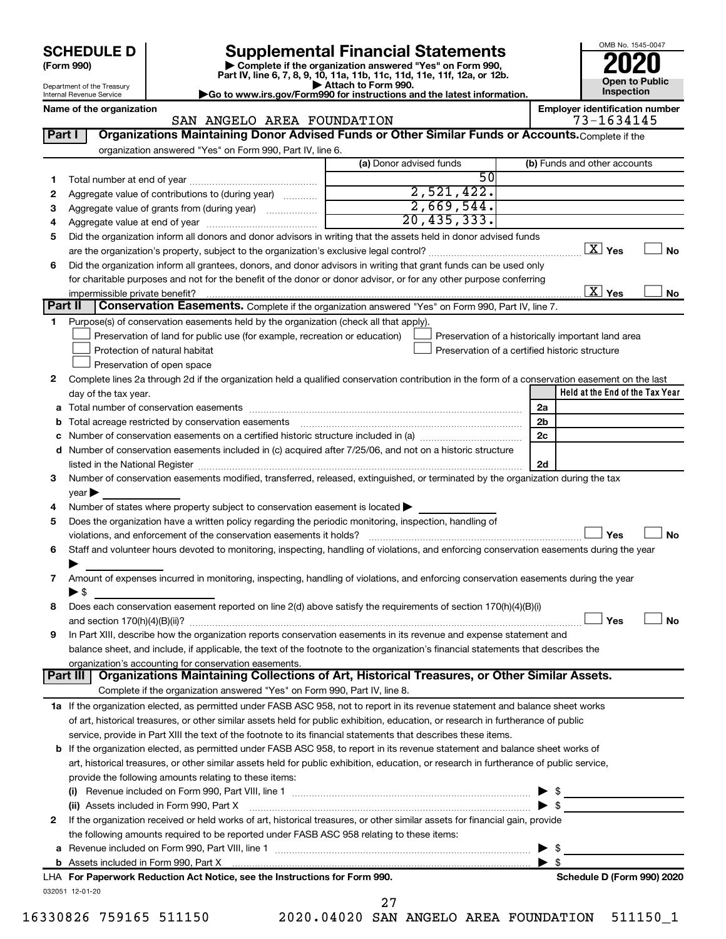| (Form 990) |  |
|------------|--|
|------------|--|

# **SCHEDULE D Supplemental Financial Statements**<br> **Form 990 2020**<br> **Part IV** line 6.7.8.9.10, 11a, 11b, 11d, 11d, 11d, 11d, 11d, 12a, 0r, 12b

**(Form 990) | Complete if the organization answered "Yes" on Form 990, Part IV, line 6, 7, 8, 9, 10, 11a, 11b, 11c, 11d, 11e, 11f, 12a, or 12b.**

**| Attach to Form 990. |Go to www.irs.gov/Form990 for instructions and the latest information.**



Department of the Treasury Internal Revenue Service

#### Name of the organization<br>
SAN ANGELO AREA FOUNDATION<br>
73-1634145 SAN ANGELO AREA FOUNDATION

|    |                                                                                                                                                | (a) Donor advised funds |                 | (b) Funds and other accounts                       |
|----|------------------------------------------------------------------------------------------------------------------------------------------------|-------------------------|-----------------|----------------------------------------------------|
| 1  |                                                                                                                                                |                         | $\overline{50}$ |                                                    |
| 2  | Aggregate value of contributions to (during year)                                                                                              | 2,521,422.              |                 |                                                    |
| 3  | Aggregate value of grants from (during year)                                                                                                   | 2,669,544.              |                 |                                                    |
| 4  |                                                                                                                                                | 20, 435, 333.           |                 |                                                    |
| 5  | Did the organization inform all donors and donor advisors in writing that the assets held in donor advised funds                               |                         |                 |                                                    |
|    |                                                                                                                                                |                         |                 | $\boxed{\text{X}}$ Yes                             |
| 6  | Did the organization inform all grantees, donors, and donor advisors in writing that grant funds can be used only                              |                         |                 |                                                    |
|    | for charitable purposes and not for the benefit of the donor or donor advisor, or for any other purpose conferring                             |                         |                 |                                                    |
|    |                                                                                                                                                |                         |                 | $\overline{\text{X}}$ Yes                          |
|    | Part II<br>Conservation Easements. Complete if the organization answered "Yes" on Form 990, Part IV, line 7.                                   |                         |                 |                                                    |
| 1. | Purpose(s) of conservation easements held by the organization (check all that apply).                                                          |                         |                 |                                                    |
|    | Preservation of land for public use (for example, recreation or education)                                                                     |                         |                 | Preservation of a historically important land area |
|    | Protection of natural habitat                                                                                                                  |                         |                 | Preservation of a certified historic structure     |
|    | Preservation of open space                                                                                                                     |                         |                 |                                                    |
| 2  | Complete lines 2a through 2d if the organization held a qualified conservation contribution in the form of a conservation easement on the last |                         |                 |                                                    |
|    | day of the tax year.                                                                                                                           |                         |                 | Held at the End of the Tax Year                    |
| а  |                                                                                                                                                |                         |                 | 2a                                                 |
|    |                                                                                                                                                |                         |                 | 2 <sub>b</sub>                                     |
|    |                                                                                                                                                |                         |                 | 2c                                                 |
| d  | Number of conservation easements included in (c) acquired after 7/25/06, and not on a historic structure                                       |                         |                 |                                                    |
|    | listed in the National Register [11, 2003] March 2014 The National Register [11, 2014] March 2014 The National                                 |                         |                 | 2d                                                 |
| 3  | Number of conservation easements modified, transferred, released, extinguished, or terminated by the organization during the tax               |                         |                 |                                                    |
|    | $year \blacktriangleright$                                                                                                                     |                         |                 |                                                    |
| 4  | Number of states where property subject to conservation easement is located >                                                                  |                         |                 |                                                    |
|    |                                                                                                                                                |                         |                 |                                                    |
|    |                                                                                                                                                |                         |                 |                                                    |
| 5  | Does the organization have a written policy regarding the periodic monitoring, inspection, handling of                                         |                         |                 |                                                    |
|    |                                                                                                                                                |                         |                 | Yes                                                |
| 6  | Staff and volunteer hours devoted to monitoring, inspecting, handling of violations, and enforcing conservation easements during the year      |                         |                 |                                                    |
|    |                                                                                                                                                |                         |                 |                                                    |
| 7  | Amount of expenses incurred in monitoring, inspecting, handling of violations, and enforcing conservation easements during the year            |                         |                 |                                                    |
|    | $\blacktriangleright$ s                                                                                                                        |                         |                 |                                                    |
| 8  | Does each conservation easement reported on line 2(d) above satisfy the requirements of section 170(h)(4)(B)(i)                                |                         |                 |                                                    |
|    |                                                                                                                                                |                         |                 | Yes                                                |
| 9  | In Part XIII, describe how the organization reports conservation easements in its revenue and expense statement and                            |                         |                 |                                                    |
|    | balance sheet, and include, if applicable, the text of the footnote to the organization's financial statements that describes the              |                         |                 |                                                    |
|    | organization's accounting for conservation easements.                                                                                          |                         |                 |                                                    |
|    | Organizations Maintaining Collections of Art, Historical Treasures, or Other Similar Assets.<br>Part III                                       |                         |                 |                                                    |
|    | Complete if the organization answered "Yes" on Form 990, Part IV, line 8.                                                                      |                         |                 |                                                    |
|    | 1a If the organization elected, as permitted under FASB ASC 958, not to report in its revenue statement and balance sheet works                |                         |                 |                                                    |
|    | of art, historical treasures, or other similar assets held for public exhibition, education, or research in furtherance of public              |                         |                 |                                                    |
|    | service, provide in Part XIII the text of the footnote to its financial statements that describes these items.                                 |                         |                 |                                                    |
|    | b If the organization elected, as permitted under FASB ASC 958, to report in its revenue statement and balance sheet works of                  |                         |                 |                                                    |
|    | art, historical treasures, or other similar assets held for public exhibition, education, or research in furtherance of public service,        |                         |                 |                                                    |
|    | provide the following amounts relating to these items:                                                                                         |                         |                 |                                                    |
|    |                                                                                                                                                |                         |                 |                                                    |
|    | (ii) Assets included in Form 990, Part X                                                                                                       |                         |                 | $\blacktriangleright$ \$                           |
| 2  | If the organization received or held works of art, historical treasures, or other similar assets for financial gain, provide                   |                         |                 |                                                    |
|    | the following amounts required to be reported under FASB ASC 958 relating to these items:                                                      |                         |                 |                                                    |
| а  |                                                                                                                                                |                         |                 | - \$                                               |
|    |                                                                                                                                                |                         |                 | $\blacktriangleright$ s                            |
|    | LHA For Paperwork Reduction Act Notice, see the Instructions for Form 990.                                                                     |                         |                 | Schedule D (Form 990) 2020                         |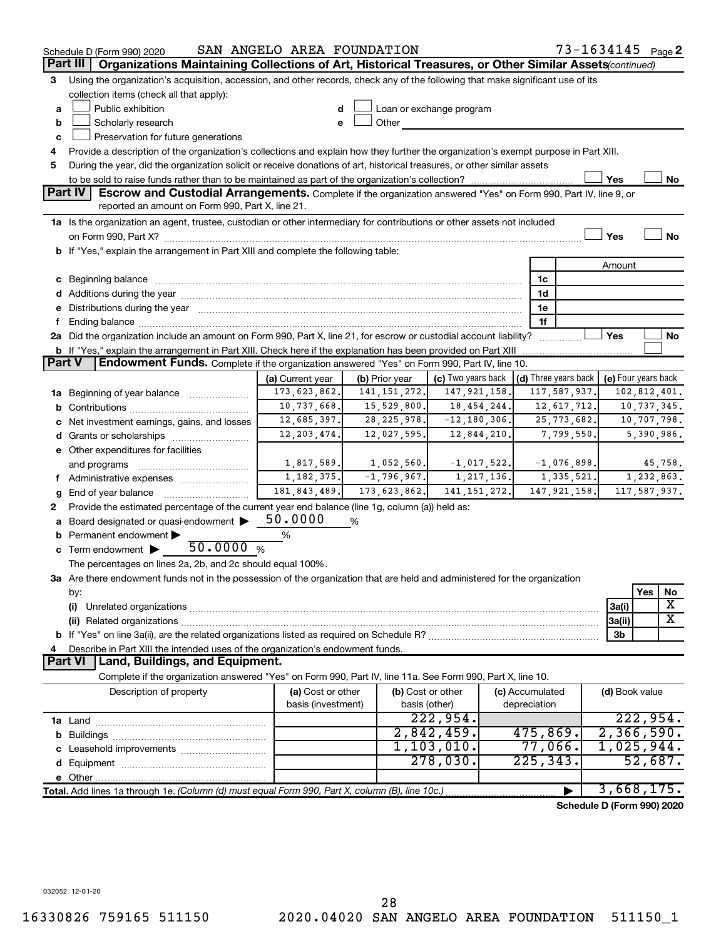|               | Schedule D (Form 990) 2020                                                                                                                                                                                                     | SAN ANGELO AREA FOUNDATION       |                                  |                          |                                      | 73-1634145 Page 2   |  |  |
|---------------|--------------------------------------------------------------------------------------------------------------------------------------------------------------------------------------------------------------------------------|----------------------------------|----------------------------------|--------------------------|--------------------------------------|---------------------|--|--|
|               | Organizations Maintaining Collections of Art, Historical Treasures, or Other Similar Assets (continued)<br>Part III                                                                                                            |                                  |                                  |                          |                                      |                     |  |  |
| З             | Using the organization's acquisition, accession, and other records, check any of the following that make significant use of its                                                                                                |                                  |                                  |                          |                                      |                     |  |  |
|               | collection items (check all that apply):                                                                                                                                                                                       |                                  |                                  |                          |                                      |                     |  |  |
| a             | Public exhibition                                                                                                                                                                                                              |                                  |                                  | Loan or exchange program |                                      |                     |  |  |
| b             | Scholarly research                                                                                                                                                                                                             |                                  | Other                            |                          |                                      |                     |  |  |
| с             | Preservation for future generations                                                                                                                                                                                            |                                  |                                  |                          |                                      |                     |  |  |
| 4             | Provide a description of the organization's collections and explain how they further the organization's exempt purpose in Part XIII.                                                                                           |                                  |                                  |                          |                                      |                     |  |  |
| 5             | During the year, did the organization solicit or receive donations of art, historical treasures, or other similar assets                                                                                                       |                                  |                                  |                          |                                      |                     |  |  |
|               | Yes<br>No                                                                                                                                                                                                                      |                                  |                                  |                          |                                      |                     |  |  |
|               | Part IV<br><b>Escrow and Custodial Arrangements.</b> Complete if the organization answered "Yes" on Form 990, Part IV, line 9, or                                                                                              |                                  |                                  |                          |                                      |                     |  |  |
|               | reported an amount on Form 990, Part X, line 21.                                                                                                                                                                               |                                  |                                  |                          |                                      |                     |  |  |
|               | 1a Is the organization an agent, trustee, custodian or other intermediary for contributions or other assets not included                                                                                                       |                                  |                                  |                          |                                      |                     |  |  |
|               |                                                                                                                                                                                                                                |                                  |                                  |                          |                                      | Yes<br>No           |  |  |
|               | b If "Yes," explain the arrangement in Part XIII and complete the following table:                                                                                                                                             |                                  |                                  |                          |                                      |                     |  |  |
|               |                                                                                                                                                                                                                                |                                  |                                  |                          |                                      | Amount              |  |  |
|               | c Beginning balance measurements and the contract of the contract of the contract of the contract of the contract of the contract of the contract of the contract of the contract of the contract of the contract of the contr |                                  |                                  |                          | 1c                                   |                     |  |  |
|               |                                                                                                                                                                                                                                |                                  |                                  |                          | 1d                                   |                     |  |  |
|               | e Distributions during the year manufactured and continuum control of the control of the control of the state of the state of the control of the control of the control of the control of the control of the control of the co |                                  |                                  |                          | 1e                                   |                     |  |  |
|               |                                                                                                                                                                                                                                |                                  |                                  |                          | 1f                                   |                     |  |  |
|               | 2a Did the organization include an amount on Form 990, Part X, line 21, for escrow or custodial account liability?                                                                                                             |                                  |                                  |                          | .                                    | Yes<br>No           |  |  |
| <b>Part V</b> | <b>b</b> If "Yes," explain the arrangement in Part XIII. Check here if the explanation has been provided on Part XIII<br><b>Endowment Funds.</b> Complete if the organization answered "Yes" on Form 990, Part IV, line 10.    |                                  |                                  |                          |                                      |                     |  |  |
|               |                                                                                                                                                                                                                                |                                  |                                  | (c) Two years back       | $\vert$ (d) Three years back $\vert$ | (e) Four years back |  |  |
|               |                                                                                                                                                                                                                                | (a) Current year<br>173,623,862. | (b) Prior year<br>141, 151, 272. | 147, 921, 158.           | 117,587,937.                         | 102,812,401.        |  |  |
|               | 1a Beginning of year balance                                                                                                                                                                                                   | 10,737,668.                      | 15,529,800.                      | 18, 454, 244.            | 12,617,712.                          | 10,737,345.         |  |  |
|               | c Net investment earnings, gains, and losses                                                                                                                                                                                   | 12,685,397.                      | 28, 225, 978.                    | $-12, 180, 306.$         | 25, 773, 682.                        | 10,707,798.         |  |  |
|               | <b>d</b> Grants or scholarships <i></i>                                                                                                                                                                                        | 12, 203, 474.                    | 12,027,595.                      | 12,844,210.              | 7,799,550                            | 5,390,986.          |  |  |
|               | e Other expenditures for facilities                                                                                                                                                                                            |                                  |                                  |                          |                                      |                     |  |  |
|               | and programs                                                                                                                                                                                                                   | 1,817,589.                       | 1,052,560.                       | $-1,017,522.$            | $-1,076,898.$                        | 45,758.             |  |  |
|               | f Administrative expenses                                                                                                                                                                                                      | 1, 182, 375.                     | $-1,796,967.$                    | 1, 217, 136.             | 1,335,521.                           | 1,232,863.          |  |  |
|               | <b>g</b> End of year balance $\ldots$                                                                                                                                                                                          | 181, 843, 489.                   | 173,623,862.                     | 141, 151, 272.           | 147, 921, 158.                       | 117,587,937.        |  |  |
| 2             | Provide the estimated percentage of the current year end balance (line 1g, column (a)) held as:                                                                                                                                |                                  |                                  |                          |                                      |                     |  |  |
|               | Board designated or quasi-endowment                                                                                                                                                                                            | 50.0000                          | %                                |                          |                                      |                     |  |  |
|               | <b>b</b> Permanent endowment $\blacktriangleright$                                                                                                                                                                             | %                                |                                  |                          |                                      |                     |  |  |
|               | 50.0000 $%$<br>$\mathbf c$ Term endowment $\blacktriangleright$                                                                                                                                                                |                                  |                                  |                          |                                      |                     |  |  |
|               | The percentages on lines 2a, 2b, and 2c should equal 100%.                                                                                                                                                                     |                                  |                                  |                          |                                      |                     |  |  |
|               | 3a Are there endowment funds not in the possession of the organization that are held and administered for the organization                                                                                                     |                                  |                                  |                          |                                      |                     |  |  |
|               | by:                                                                                                                                                                                                                            |                                  |                                  |                          |                                      | Yes<br>No           |  |  |
|               | (i)                                                                                                                                                                                                                            |                                  |                                  |                          |                                      | X<br>3a(i)          |  |  |
|               |                                                                                                                                                                                                                                |                                  |                                  |                          |                                      | х<br>3a(ii)         |  |  |
|               |                                                                                                                                                                                                                                |                                  |                                  |                          |                                      | 3b                  |  |  |
| 4             | Describe in Part XIII the intended uses of the organization's endowment funds.                                                                                                                                                 |                                  |                                  |                          |                                      |                     |  |  |
|               | Land, Buildings, and Equipment.<br><b>Part VI</b>                                                                                                                                                                              |                                  |                                  |                          |                                      |                     |  |  |
|               | Complete if the organization answered "Yes" on Form 990, Part IV, line 11a. See Form 990, Part X, line 10.                                                                                                                     |                                  |                                  |                          |                                      |                     |  |  |
|               | Description of property                                                                                                                                                                                                        | (a) Cost or other                |                                  | (b) Cost or other        | (c) Accumulated                      | (d) Book value      |  |  |
|               |                                                                                                                                                                                                                                | basis (investment)               |                                  | basis (other)            | depreciation                         |                     |  |  |
|               |                                                                                                                                                                                                                                |                                  |                                  | 222,954.                 |                                      | 222,954.            |  |  |
|               |                                                                                                                                                                                                                                |                                  |                                  | 2,842,459.               | 475,869.                             | 2,366,590.          |  |  |
|               |                                                                                                                                                                                                                                |                                  |                                  | 1, 103, 010.             | $77,066$ .                           | 1,025,944.          |  |  |
|               |                                                                                                                                                                                                                                |                                  |                                  | 278,030.                 | 225, 343.                            | 52,687.             |  |  |
|               |                                                                                                                                                                                                                                |                                  |                                  |                          |                                      |                     |  |  |
|               | Total. Add lines 1a through 1e. (Column (d) must equal Form 990, Part X, column (B), line 10c.)                                                                                                                                |                                  |                                  |                          |                                      | 3,668,175.          |  |  |

**Schedule D (Form 990) 2020**

032052 12-01-20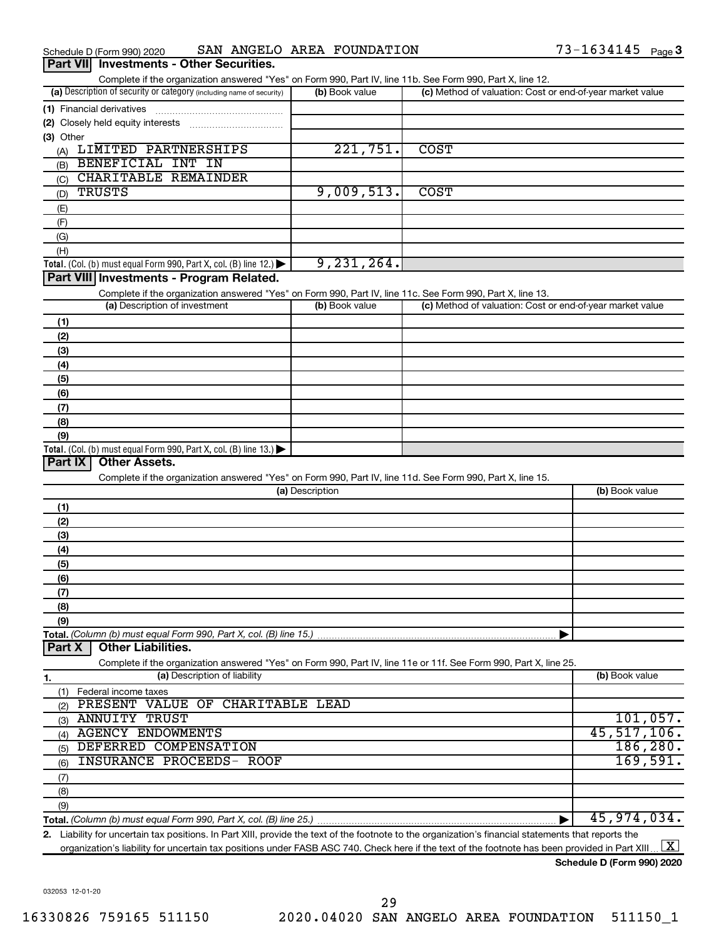| Schedule D (Form 990) 2020                      | SAN ANGELO AREA FOUNDATION | $73 - 1634145$ Page 3 |  |
|-------------------------------------------------|----------------------------|-----------------------|--|
| <b>Dart VIII</b> Investments - Other Securities |                            |                       |  |

| Complete if the organization answered "Yes" on Form 990, Part IV, line 11b. See Form 990, Part X, line 12.        |                 |                                                           |                |
|-------------------------------------------------------------------------------------------------------------------|-----------------|-----------------------------------------------------------|----------------|
| (a) Description of security or category (including name of security)                                              | (b) Book value  | (c) Method of valuation: Cost or end-of-year market value |                |
| (1) Financial derivatives                                                                                         |                 |                                                           |                |
| (2) Closely held equity interests                                                                                 |                 |                                                           |                |
| (3) Other                                                                                                         |                 |                                                           |                |
| (A) LIMITED PARTNERSHIPS                                                                                          | 221,751.        | <b>COST</b>                                               |                |
| BENEFICIAL INT IN<br>(B)                                                                                          |                 |                                                           |                |
| CHARITABLE REMAINDER<br>(C)                                                                                       |                 |                                                           |                |
| <b>TRUSTS</b><br>(D)                                                                                              | 9,009,513.      | <b>COST</b>                                               |                |
|                                                                                                                   |                 |                                                           |                |
| (E)                                                                                                               |                 |                                                           |                |
| (F)                                                                                                               |                 |                                                           |                |
| (G)                                                                                                               |                 |                                                           |                |
| (H)                                                                                                               | 9, 231, 264.    |                                                           |                |
| Total. (Col. (b) must equal Form 990, Part X, col. (B) line 12.) $\blacktriangleright$                            |                 |                                                           |                |
| Part VIII Investments - Program Related.                                                                          |                 |                                                           |                |
| Complete if the organization answered "Yes" on Form 990, Part IV, line 11c. See Form 990, Part X, line 13.        |                 |                                                           |                |
| (a) Description of investment                                                                                     | (b) Book value  | (c) Method of valuation: Cost or end-of-year market value |                |
| (1)                                                                                                               |                 |                                                           |                |
| (2)                                                                                                               |                 |                                                           |                |
| (3)                                                                                                               |                 |                                                           |                |
| (4)                                                                                                               |                 |                                                           |                |
| (5)                                                                                                               |                 |                                                           |                |
| (6)                                                                                                               |                 |                                                           |                |
| (7)                                                                                                               |                 |                                                           |                |
| (8)                                                                                                               |                 |                                                           |                |
| (9)                                                                                                               |                 |                                                           |                |
| Total. (Col. (b) must equal Form 990, Part X, col. (B) line 13.)                                                  |                 |                                                           |                |
| <b>Other Assets.</b><br>Part IX                                                                                   |                 |                                                           |                |
| Complete if the organization answered "Yes" on Form 990, Part IV, line 11d. See Form 990, Part X, line 15.        |                 |                                                           |                |
|                                                                                                                   | (a) Description |                                                           | (b) Book value |
| (1)                                                                                                               |                 |                                                           |                |
| (2)                                                                                                               |                 |                                                           |                |
| (3)                                                                                                               |                 |                                                           |                |
| (4)                                                                                                               |                 |                                                           |                |
| (5)                                                                                                               |                 |                                                           |                |
| (6)                                                                                                               |                 |                                                           |                |
| (7)                                                                                                               |                 |                                                           |                |
| (8)                                                                                                               |                 |                                                           |                |
| (9)                                                                                                               |                 |                                                           |                |
| Total. (Column (b) must equal Form 990, Part X, col. (B) line 15.)                                                |                 |                                                           |                |
| <b>Other Liabilities.</b><br>Part X                                                                               |                 |                                                           |                |
| Complete if the organization answered "Yes" on Form 990, Part IV, line 11e or 11f. See Form 990, Part X, line 25. |                 |                                                           |                |
| (a) Description of liability<br>1.                                                                                |                 |                                                           | (b) Book value |
| Federal income taxes<br>(1)                                                                                       |                 |                                                           |                |
| PRESENT VALUE OF CHARITABLE LEAD<br>(2)                                                                           |                 |                                                           |                |
| <b>ANNUITY TRUST</b><br>(3)                                                                                       |                 |                                                           | 101,057.       |
| <b>AGENCY ENDOWMENTS</b><br>(4)                                                                                   |                 |                                                           | 45,517,106.    |
| DEFERRED COMPENSATION<br>(5)                                                                                      |                 |                                                           | 186, 280.      |
| <b>INSURANCE PROCEEDS- ROOF</b>                                                                                   |                 |                                                           | 169,591.       |
| (6)                                                                                                               |                 |                                                           |                |
| (7)                                                                                                               |                 |                                                           |                |
| (8)                                                                                                               |                 |                                                           |                |
|                                                                                                                   |                 |                                                           |                |
| (9)                                                                                                               |                 |                                                           | 45,974,034.    |

organization's liability for uncertain tax positions under FASB ASC 740. Check here if the text of the footnote has been provided in Part XIII ...  $\fbox{\bf X}$ 

**Schedule D (Form 990) 2020**

032053 12-01-20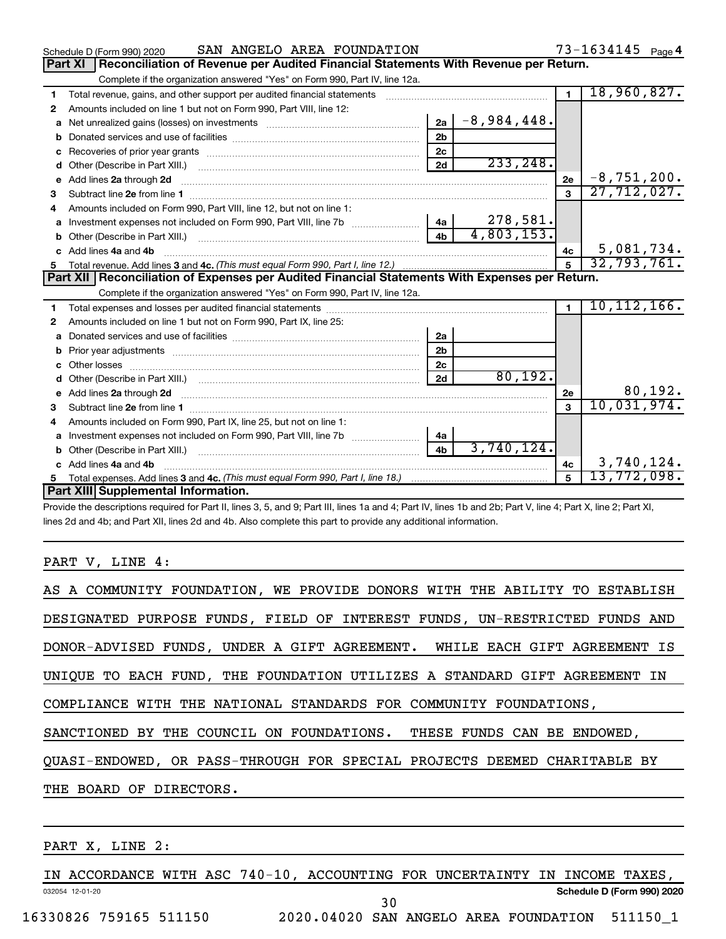|    | SAN ANGELO AREA FOUNDATION<br>Schedule D (Form 990) 2020                                                                                                                                                                       |                |               |                | $73 - 1634145$ Page 4 |
|----|--------------------------------------------------------------------------------------------------------------------------------------------------------------------------------------------------------------------------------|----------------|---------------|----------------|-----------------------|
|    | Reconciliation of Revenue per Audited Financial Statements With Revenue per Return.<br>Part XI                                                                                                                                 |                |               |                |                       |
|    | Complete if the organization answered "Yes" on Form 990, Part IV, line 12a.                                                                                                                                                    |                |               |                |                       |
| 1  | Total revenue, gains, and other support per audited financial statements [111] [11] Total revenue, gains, and other support per audited financial statements                                                                   |                |               | $\blacksquare$ | 18,960,827.           |
| 2  | Amounts included on line 1 but not on Form 990, Part VIII, line 12:                                                                                                                                                            |                |               |                |                       |
| a  |                                                                                                                                                                                                                                | 2a             | $-8,984,448.$ |                |                       |
|    |                                                                                                                                                                                                                                | 2 <sub>b</sub> |               |                |                       |
|    | Recoveries of prior year grants [111] matter contracts and prior year grants [11] matter contracts and a recovering to the contract of the contracts of prior year grants [11] matter contracts and a recovering to the contra | 2c             |               |                |                       |
| d  |                                                                                                                                                                                                                                | 2d             | 233, 248.     |                |                       |
| е  | Add lines 2a through 2d                                                                                                                                                                                                        |                |               | 2e             | $-8, 751, 200.$       |
| з  |                                                                                                                                                                                                                                |                |               | 3              | 27,712,027.           |
| 4  | Amounts included on Form 990, Part VIII, line 12, but not on line 1:                                                                                                                                                           |                |               |                |                       |
|    |                                                                                                                                                                                                                                |                | 278,581.      |                |                       |
| b  | Other (Describe in Part XIII.) <b>Construction Contract Construction</b> Chemistry Chemistry Chemistry Chemistry Chemistry                                                                                                     | 4 <sub>h</sub> | 4,803,153.    |                |                       |
| c. | Add lines 4a and 4b                                                                                                                                                                                                            |                |               | 4c             | 5,081,734.            |
|    |                                                                                                                                                                                                                                |                |               |                | 32,793,761.           |
|    |                                                                                                                                                                                                                                |                |               |                |                       |
|    | Part XII   Reconciliation of Expenses per Audited Financial Statements With Expenses per Return.                                                                                                                               |                |               |                |                       |
|    | Complete if the organization answered "Yes" on Form 990, Part IV, line 12a.                                                                                                                                                    |                |               |                |                       |
| 1  |                                                                                                                                                                                                                                |                |               | $\blacksquare$ | 10, 112, 166.         |
| 2  | Amounts included on line 1 but not on Form 990, Part IX, line 25:                                                                                                                                                              |                |               |                |                       |
| a  |                                                                                                                                                                                                                                | 2a             |               |                |                       |
| b  |                                                                                                                                                                                                                                | 2 <sub>b</sub> |               |                |                       |
|    |                                                                                                                                                                                                                                | 2 <sub>c</sub> |               |                |                       |
| d  | Other (Describe in Part XIII.) [100] [2010] [2010] [2010] [2010] [2010] [2010] [2010] [2010] [2010] [2010] [20                                                                                                                 | 2d             | 80, 192.      |                |                       |
|    | e Add lines 2a through 2d [11] manual contract and a set of the contract of the contract of the contract of the contract of the contract of the contract of the contract of the contract of the contract of the contract of th |                |               | 2е             | 80,192.               |
| 3  | Subtract line 2e from line 1 <b>manufacture in the contract of the 2e</b> from line 1                                                                                                                                          |                |               | $\mathbf{a}$   | 10,031,974.           |
| 4  | Amounts included on Form 990, Part IX, line 25, but not on line 1:                                                                                                                                                             |                |               |                |                       |
|    |                                                                                                                                                                                                                                | 4a             |               |                |                       |
| b  |                                                                                                                                                                                                                                | 4 <sub>b</sub> | 3,740,124.    |                |                       |
|    | Add lines 4a and 4b                                                                                                                                                                                                            |                |               | 4c             | 3,740,124.            |
|    | Part XIII Supplemental Information.                                                                                                                                                                                            |                |               | 5              | 13,772,098.           |

Provide the descriptions required for Part II, lines 3, 5, and 9; Part III, lines 1a and 4; Part IV, lines 1b and 2b; Part V, line 4; Part X, line 2; Part XI, lines 2d and 4b; and Part XII, lines 2d and 4b. Also complete this part to provide any additional information.

#### PART V, LINE 4:

### PART X, LINE 2:

032054 12-01-20 **Schedule D (Form 990) 2020** IN ACCORDANCE WITH ASC 740-10, ACCOUNTING FOR UNCERTAINTY IN INCOME TAXES, 30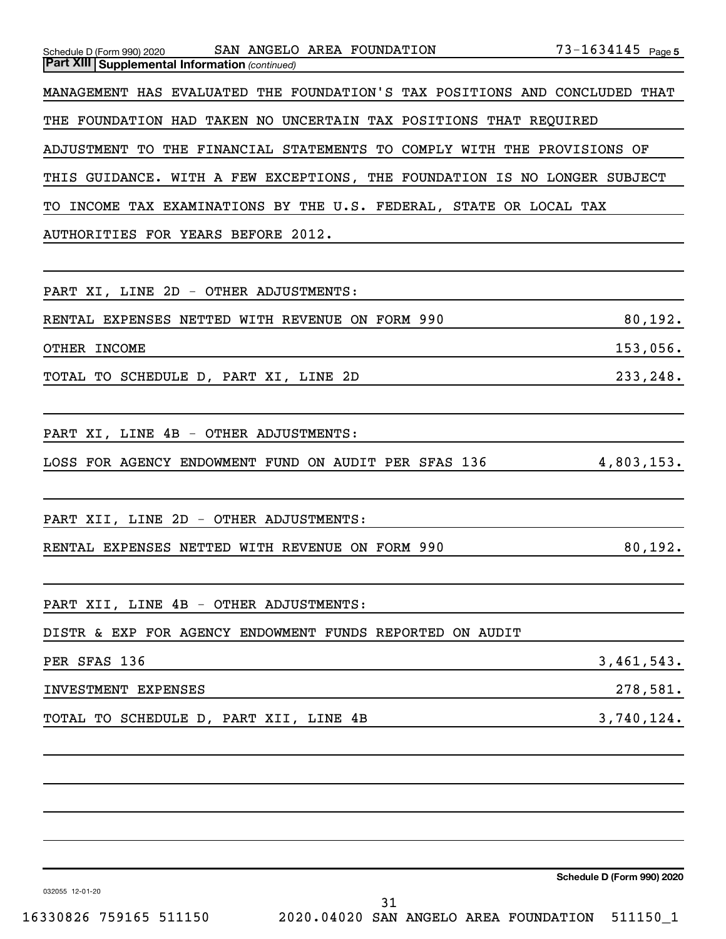| $73 - 1634145$ Page 5<br>Schedule D (Form 990) 2020 SAN ANGELO AREA FOUNDATION |
|--------------------------------------------------------------------------------|
| <b>Part XIII Supplemental Information (continued)</b>                          |
| MANAGEMENT HAS EVALUATED THE FOUNDATION'S TAX POSITIONS AND CONCLUDED THAT     |
| THE FOUNDATION HAD TAKEN NO UNCERTAIN TAX POSITIONS THAT REQUIRED              |
| ADJUSTMENT TO THE FINANCIAL STATEMENTS TO COMPLY WITH THE PROVISIONS OF        |
| THIS GUIDANCE. WITH A FEW EXCEPTIONS, THE FOUNDATION IS NO LONGER SUBJECT      |
| TO INCOME TAX EXAMINATIONS BY THE U.S. FEDERAL, STATE OR LOCAL TAX             |
| AUTHORITIES FOR YEARS BEFORE 2012.                                             |
|                                                                                |
| PART XI, LINE 2D - OTHER ADJUSTMENTS:                                          |
| 80,192.<br>RENTAL EXPENSES NETTED WITH REVENUE ON FORM 990                     |
| OTHER INCOME<br>153,056.                                                       |
| 233,248.<br>TOTAL TO SCHEDULE D, PART XI, LINE 2D                              |
|                                                                                |
| PART XI, LINE 4B - OTHER ADJUSTMENTS:                                          |
| LOSS FOR AGENCY ENDOWMENT FUND ON AUDIT PER SFAS 136<br>4,803,153.             |
|                                                                                |
| PART XII, LINE 2D - OTHER ADJUSTMENTS:                                         |
| 80, 192.<br>RENTAL EXPENSES NETTED WITH REVENUE ON FORM 990                    |
|                                                                                |
| PART XII, LINE 4B - OTHER ADJUSTMENTS:                                         |
| DISTR & EXP FOR AGENCY ENDOWMENT FUNDS REPORTED ON AUDIT                       |
| 3,461,543.<br>PER SFAS 136                                                     |
| 278,581.<br>INVESTMENT EXPENSES                                                |
| 3,740,124.<br>TOTAL TO SCHEDULE D, PART XII, LINE 4B                           |
|                                                                                |
|                                                                                |
|                                                                                |
|                                                                                |
|                                                                                |
| Schedule D (Form 990) 2020<br>032055 12-01-20                                  |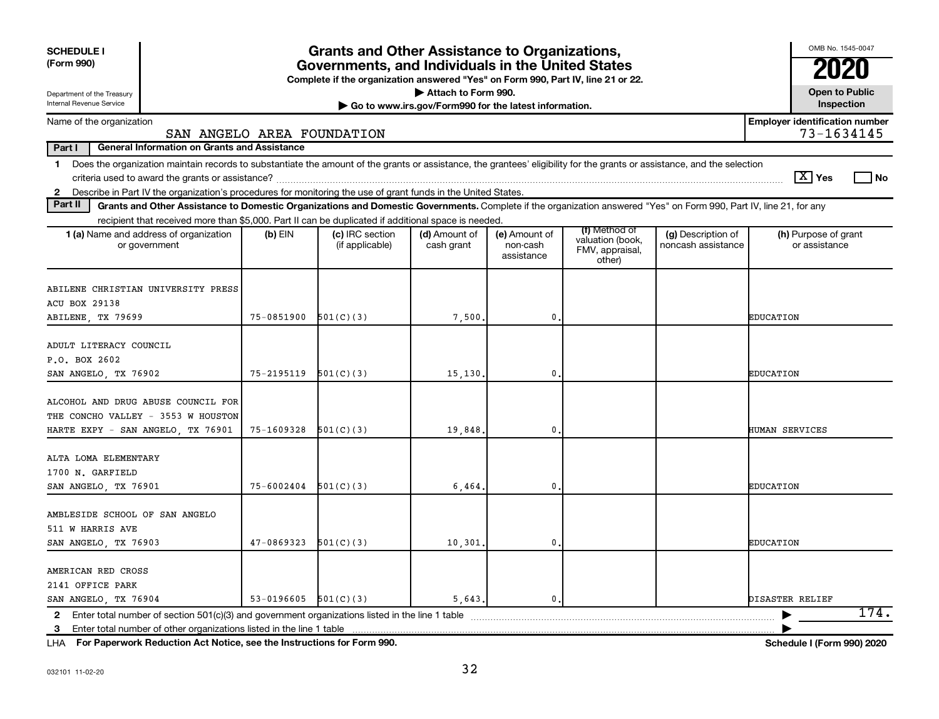| <b>SCHEDULE I</b><br>(Form 990)                                                                                                                                                                                                                                           |            | <b>Grants and Other Assistance to Organizations,</b><br>Governments, and Individuals in the United States |                                                                              |                                         |                                                                |                                          | OMB No. 1545-0047                                   |
|---------------------------------------------------------------------------------------------------------------------------------------------------------------------------------------------------------------------------------------------------------------------------|------------|-----------------------------------------------------------------------------------------------------------|------------------------------------------------------------------------------|-----------------------------------------|----------------------------------------------------------------|------------------------------------------|-----------------------------------------------------|
|                                                                                                                                                                                                                                                                           |            | Complete if the organization answered "Yes" on Form 990, Part IV, line 21 or 22.                          |                                                                              |                                         |                                                                |                                          |                                                     |
| Department of the Treasury<br>Internal Revenue Service                                                                                                                                                                                                                    |            |                                                                                                           | Attach to Form 990.<br>Go to www.irs.gov/Form990 for the latest information. |                                         |                                                                |                                          | <b>Open to Public</b><br>Inspection                 |
| Name of the organization<br>SAN ANGELO AREA FOUNDATION                                                                                                                                                                                                                    |            |                                                                                                           |                                                                              |                                         |                                                                |                                          | <b>Employer identification number</b><br>73-1634145 |
| Part I<br><b>General Information on Grants and Assistance</b>                                                                                                                                                                                                             |            |                                                                                                           |                                                                              |                                         |                                                                |                                          |                                                     |
| Does the organization maintain records to substantiate the amount of the grants or assistance, the grantees' eligibility for the grants or assistance, and the selection<br>$\mathbf 1$                                                                                   |            |                                                                                                           |                                                                              |                                         |                                                                |                                          | ∣ X   Yes<br>l No                                   |
| 2 Describe in Part IV the organization's procedures for monitoring the use of grant funds in the United States.<br>Part II                                                                                                                                                |            |                                                                                                           |                                                                              |                                         |                                                                |                                          |                                                     |
| Grants and Other Assistance to Domestic Organizations and Domestic Governments. Complete if the organization answered "Yes" on Form 990, Part IV, line 21, for any<br>recipient that received more than \$5,000. Part II can be duplicated if additional space is needed. |            |                                                                                                           |                                                                              |                                         |                                                                |                                          |                                                     |
| 1 (a) Name and address of organization<br>or government                                                                                                                                                                                                                   | $(b)$ EIN  | (c) IRC section<br>(if applicable)                                                                        | (d) Amount of<br>cash grant                                                  | (e) Amount of<br>non-cash<br>assistance | (f) Method of<br>valuation (book,<br>FMV, appraisal,<br>other) | (g) Description of<br>noncash assistance | (h) Purpose of grant<br>or assistance               |
| ABILENE CHRISTIAN UNIVERSITY PRESS                                                                                                                                                                                                                                        |            |                                                                                                           |                                                                              |                                         |                                                                |                                          |                                                     |
| <b>ACU BOX 29138</b>                                                                                                                                                                                                                                                      | 75-0851900 | 501(C)(3)                                                                                                 |                                                                              | $\mathbf 0$                             |                                                                |                                          | <b>EDUCATION</b>                                    |
| ABILENE, TX 79699                                                                                                                                                                                                                                                         |            |                                                                                                           | 7,500.                                                                       |                                         |                                                                |                                          |                                                     |
| ADULT LITERACY COUNCIL                                                                                                                                                                                                                                                    |            |                                                                                                           |                                                                              |                                         |                                                                |                                          |                                                     |
| P.O. BOX 2602                                                                                                                                                                                                                                                             |            |                                                                                                           |                                                                              |                                         |                                                                |                                          |                                                     |
| SAN ANGELO, TX 76902                                                                                                                                                                                                                                                      | 75-2195119 | 501(C)(3)                                                                                                 | 15,130.                                                                      | $\mathbf 0$                             |                                                                |                                          | <b>EDUCATION</b>                                    |
| ALCOHOL AND DRUG ABUSE COUNCIL FOR<br>THE CONCHO VALLEY - 3553 W HOUSTON                                                                                                                                                                                                  |            |                                                                                                           |                                                                              |                                         |                                                                |                                          |                                                     |
| HARTE EXPY - SAN ANGELO, TX 76901                                                                                                                                                                                                                                         | 75-1609328 | 501(C)(3)                                                                                                 | 19,848.                                                                      | $\mathbf 0$                             |                                                                |                                          | <b>HUMAN SERVICES</b>                               |
| ALTA LOMA ELEMENTARY<br>1700 N. GARFIELD                                                                                                                                                                                                                                  |            |                                                                                                           |                                                                              |                                         |                                                                |                                          |                                                     |
| SAN ANGELO, TX 76901                                                                                                                                                                                                                                                      | 75-6002404 | 501(C)(3)                                                                                                 | 6,464.                                                                       | 0                                       |                                                                |                                          | EDUCATION                                           |
| AMBLESIDE SCHOOL OF SAN ANGELO<br>511 W HARRIS AVE                                                                                                                                                                                                                        |            |                                                                                                           |                                                                              |                                         |                                                                |                                          |                                                     |
| SAN ANGELO, TX 76903                                                                                                                                                                                                                                                      | 47-0869323 | 501(C)(3)                                                                                                 | 10, 301.                                                                     | $\mathbf 0$                             |                                                                |                                          | <b>EDUCATION</b>                                    |
| AMERICAN RED CROSS<br>2141 OFFICE PARK                                                                                                                                                                                                                                    |            |                                                                                                           |                                                                              |                                         |                                                                |                                          |                                                     |
| SAN ANGELO, TX 76904                                                                                                                                                                                                                                                      | 53-0196605 | 501(C)(3)                                                                                                 | 5.643.                                                                       | 0.                                      |                                                                |                                          | DISASTER RELIEF                                     |
|                                                                                                                                                                                                                                                                           |            |                                                                                                           |                                                                              |                                         |                                                                |                                          | 174.                                                |
| 3                                                                                                                                                                                                                                                                         |            |                                                                                                           |                                                                              |                                         |                                                                |                                          |                                                     |

**For Paperwork Reduction Act Notice, see the Instructions for Form 990. Schedule I (Form 990) 2020** LHA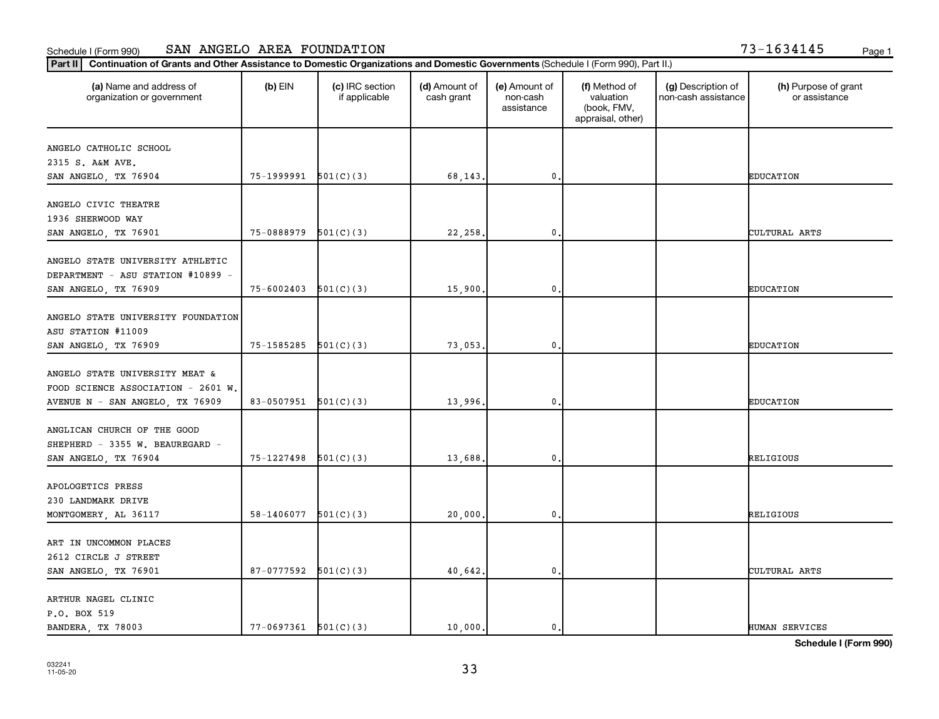| 13-1634145 | Page |
|------------|------|
|------------|------|

| Continuation of Grants and Other Assistance to Domestic Organizations and Domestic Governments (Schedule I (Form 990), Part II.)<br>Part II |                            |                                  |                             |                                         |                                                                |                                           |                                       |
|---------------------------------------------------------------------------------------------------------------------------------------------|----------------------------|----------------------------------|-----------------------------|-----------------------------------------|----------------------------------------------------------------|-------------------------------------------|---------------------------------------|
| (a) Name and address of<br>organization or government                                                                                       | $(b)$ EIN                  | (c) IRC section<br>if applicable | (d) Amount of<br>cash grant | (e) Amount of<br>non-cash<br>assistance | (f) Method of<br>valuation<br>(book, FMV,<br>appraisal, other) | (g) Description of<br>non-cash assistance | (h) Purpose of grant<br>or assistance |
|                                                                                                                                             |                            |                                  |                             |                                         |                                                                |                                           |                                       |
| ANGELO CATHOLIC SCHOOL<br>2315 S. A&M AVE.                                                                                                  |                            |                                  |                             |                                         |                                                                |                                           |                                       |
| SAN ANGELO, TX 76904                                                                                                                        | 75-1999991                 | 501(C)(3)                        | 68,143.                     | $\mathbf 0$                             |                                                                |                                           | <b>EDUCATION</b>                      |
| ANGELO CIVIC THEATRE<br>1936 SHERWOOD WAY<br>SAN ANGELO, TX 76901                                                                           | 75-0888979                 | 501(C)(3)                        | 22,258.                     | $\mathbf 0$                             |                                                                |                                           | CULTURAL ARTS                         |
|                                                                                                                                             |                            |                                  |                             |                                         |                                                                |                                           |                                       |
| ANGELO STATE UNIVERSITY ATHLETIC<br>DEPARTMENT - ASU STATION #10899 -<br>SAN ANGELO, TX 76909                                               | 75-6002403                 | 501(C)(3)                        | 15,900.                     | $\mathbf{0}$                            |                                                                |                                           | <b>EDUCATION</b>                      |
| ANGELO STATE UNIVERSITY FOUNDATION<br>ASU STATION #11009<br>SAN ANGELO, TX 76909                                                            | $75-1585285$ $501(C)(3)$   |                                  | 73,053.                     | $\mathbf 0$                             |                                                                |                                           | <b>EDUCATION</b>                      |
|                                                                                                                                             |                            |                                  |                             |                                         |                                                                |                                           |                                       |
| ANGELO STATE UNIVERSITY MEAT &<br>FOOD SCIENCE ASSOCIATION - 2601 W.<br>AVENUE N - SAN ANGELO, TX 76909                                     | 83-0507951                 | 501(C)(3)                        | 13,996.                     | $\mathbf 0$                             |                                                                |                                           | <b>EDUCATION</b>                      |
|                                                                                                                                             |                            |                                  |                             |                                         |                                                                |                                           |                                       |
| ANGLICAN CHURCH OF THE GOOD<br>SHEPHERD - 3355 W. BEAUREGARD -<br>SAN ANGELO, TX 76904                                                      | 75-1227498                 | 501(C)(3)                        | 13,688.                     | 0                                       |                                                                |                                           | RELIGIOUS                             |
|                                                                                                                                             |                            |                                  |                             |                                         |                                                                |                                           |                                       |
| APOLOGETICS PRESS                                                                                                                           |                            |                                  |                             |                                         |                                                                |                                           |                                       |
| 230 LANDMARK DRIVE<br>MONTGOMERY, AL 36117                                                                                                  | 58-1406077                 | 501(C)(3)                        | 20,000.                     | $\mathbf 0$                             |                                                                |                                           | RELIGIOUS                             |
|                                                                                                                                             |                            |                                  |                             |                                         |                                                                |                                           |                                       |
| ART IN UNCOMMON PLACES                                                                                                                      |                            |                                  |                             |                                         |                                                                |                                           |                                       |
| 2612 CIRCLE J STREET                                                                                                                        |                            |                                  |                             |                                         |                                                                |                                           |                                       |
| SAN ANGELO, TX 76901                                                                                                                        | 87-0777592                 | 501(C)(3)                        | 40,642.                     | $\mathbf{0}$                            |                                                                |                                           | CULTURAL ARTS                         |
| ARTHUR NAGEL CLINIC<br>P.O. BOX 519                                                                                                         |                            |                                  |                             |                                         |                                                                |                                           |                                       |
| BANDERA, TX 78003                                                                                                                           | $77 - 0697361$ $501(C)(3)$ |                                  | 10,000.                     | 0.                                      |                                                                |                                           | <b>HUMAN SERVICES</b>                 |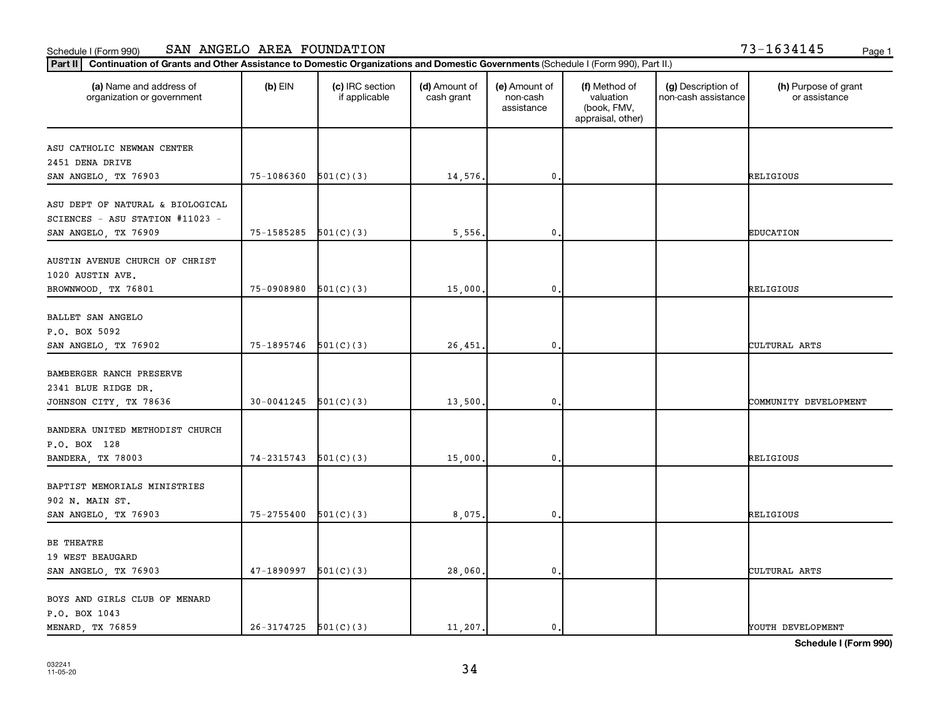| '3-1634145 |  | Page |
|------------|--|------|
|------------|--|------|

| Continuation of Grants and Other Assistance to Domestic Organizations and Domestic Governments (Schedule I (Form 990), Part II.)<br>Part II |                          |                                  |                             |                                         |                                                                |                                           |                                       |
|---------------------------------------------------------------------------------------------------------------------------------------------|--------------------------|----------------------------------|-----------------------------|-----------------------------------------|----------------------------------------------------------------|-------------------------------------------|---------------------------------------|
| (a) Name and address of<br>organization or government                                                                                       | $(b)$ EIN                | (c) IRC section<br>if applicable | (d) Amount of<br>cash grant | (e) Amount of<br>non-cash<br>assistance | (f) Method of<br>valuation<br>(book, FMV,<br>appraisal, other) | (g) Description of<br>non-cash assistance | (h) Purpose of grant<br>or assistance |
| ASU CATHOLIC NEWMAN CENTER                                                                                                                  |                          |                                  |                             |                                         |                                                                |                                           |                                       |
| 2451 DENA DRIVE<br>SAN ANGELO, TX 76903                                                                                                     | 75-1086360               | 501(C)(3)                        | 14,576.                     | 0,                                      |                                                                |                                           | RELIGIOUS                             |
| ASU DEPT OF NATURAL & BIOLOGICAL<br>SCIENCES - ASU STATION #11023 -                                                                         |                          |                                  |                             |                                         |                                                                |                                           |                                       |
| SAN ANGELO, TX 76909                                                                                                                        | $75-1585285$ $501(C)(3)$ |                                  | 5,556.                      | $\mathbf{0}$ .                          |                                                                |                                           | <b>EDUCATION</b>                      |
| AUSTIN AVENUE CHURCH OF CHRIST<br>1020 AUSTIN AVE.<br>BROWNWOOD, TX 76801                                                                   | 75-0908980               | 501(C)(3)                        | 15,000.                     | $\mathbf{0}$                            |                                                                |                                           | RELIGIOUS                             |
| BALLET SAN ANGELO<br>P.O. BOX 5092<br>SAN ANGELO, TX 76902                                                                                  | $75-1895746$ $501(C)(3)$ |                                  | 26,451.                     | $\mathbf 0$ .                           |                                                                |                                           | CULTURAL ARTS                         |
| BAMBERGER RANCH PRESERVE<br>2341 BLUE RIDGE DR.<br>JOHNSON CITY, TX 78636                                                                   | $30-0041245$ $501(C)(3)$ |                                  | 13,500.                     | $\mathbf 0$                             |                                                                |                                           | COMMUNITY DEVELOPMENT                 |
| BANDERA UNITED METHODIST CHURCH<br>P.O. BOX 128<br>BANDERA, TX 78003                                                                        | 74-2315743               | 501(C)(3)                        | 15,000.                     | $\mathbf{0}$                            |                                                                |                                           | RELIGIOUS                             |
| BAPTIST MEMORIALS MINISTRIES<br>902 N. MAIN ST.<br>SAN ANGELO, TX 76903                                                                     | 75-2755400               | 501(C)(3)                        | 8,075.                      | 0.                                      |                                                                |                                           | RELIGIOUS                             |
| BE THEATRE<br>19 WEST BEAUGARD<br>SAN ANGELO, TX 76903                                                                                      | 47-1890997               | 501(C)(3)                        | 28,060.                     | $\mathbf{0}$                            |                                                                |                                           | CULTURAL ARTS                         |
| BOYS AND GIRLS CLUB OF MENARD<br>P.O. BOX 1043<br>MENARD, TX 76859                                                                          | $26-3174725$ $501(C)(3)$ |                                  | 11,207.                     | 0.                                      |                                                                |                                           | YOUTH DEVELOPMENT                     |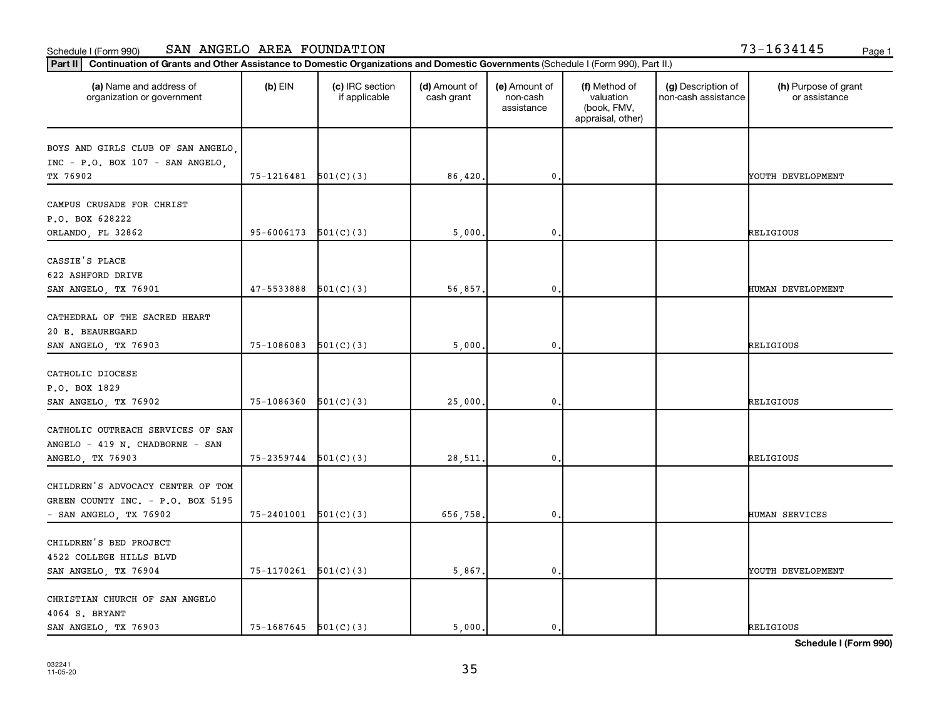|  | 3-1634145 |  |  |  |  |  | Page |
|--|-----------|--|--|--|--|--|------|
|--|-----------|--|--|--|--|--|------|

| Continuation of Grants and Other Assistance to Domestic Organizations and Domestic Governments (Schedule I (Form 990), Part II.)<br>Part II |                            |                                  |                             |                                         |                                                                |                                           |                                       |
|---------------------------------------------------------------------------------------------------------------------------------------------|----------------------------|----------------------------------|-----------------------------|-----------------------------------------|----------------------------------------------------------------|-------------------------------------------|---------------------------------------|
| (a) Name and address of<br>organization or government                                                                                       | $(b)$ EIN                  | (c) IRC section<br>if applicable | (d) Amount of<br>cash grant | (e) Amount of<br>non-cash<br>assistance | (f) Method of<br>valuation<br>(book, FMV,<br>appraisal, other) | (g) Description of<br>non-cash assistance | (h) Purpose of grant<br>or assistance |
| BOYS AND GIRLS CLUB OF SAN ANGELO,<br>INC - P.O. BOX 107 - SAN ANGELO,<br>TX 76902                                                          | $75-1216481$ $501(C)(3)$   |                                  | 86,420.                     | $\mathbf 0$                             |                                                                |                                           | YOUTH DEVELOPMENT                     |
| CAMPUS CRUSADE FOR CHRIST<br>P.O. BOX 628222<br>ORLANDO, FL 32862                                                                           | 95-6006173                 | 501(C)(3)                        | 5,000.                      | $\mathbf 0$                             |                                                                |                                           | RELIGIOUS                             |
| CASSIE'S PLACE<br>622 ASHFORD DRIVE<br>SAN ANGELO, TX 76901                                                                                 | 47-5533888                 | 501(C)(3)                        | 56,857.                     | $\mathbf 0$                             |                                                                |                                           | HUMAN DEVELOPMENT                     |
| CATHEDRAL OF THE SACRED HEART<br>20 E. BEAUREGARD<br>SAN ANGELO, TX 76903                                                                   | $75-1086083$ $501(C)(3)$   |                                  | 5,000.                      | $\mathbf 0$                             |                                                                |                                           | RELIGIOUS                             |
| CATHOLIC DIOCESE<br>P.O. BOX 1829<br>SAN ANGELO, TX 76902                                                                                   | 75-1086360                 | 501(C)(3)                        | 25,000.                     | $\mathbf 0$                             |                                                                |                                           | RELIGIOUS                             |
| CATHOLIC OUTREACH SERVICES OF SAN<br>ANGELO - 419 N. CHADBORNE - SAN<br>ANGELO, TX 76903                                                    | 75-2359744                 | 501(C)(3)                        | 28,511.                     | $\mathbf 0$                             |                                                                |                                           | RELIGIOUS                             |
| CHILDREN'S ADVOCACY CENTER OF TOM<br>GREEN COUNTY INC. - P.O. BOX 5195<br>- SAN ANGELO, TX 76902                                            | $75 - 2401001$ $501(C)(3)$ |                                  | 656,758.                    | $\mathbf 0$                             |                                                                |                                           | HUMAN SERVICES                        |
| CHILDREN'S BED PROJECT<br>4522 COLLEGE HILLS BLVD<br>SAN ANGELO, TX 76904                                                                   | 75-1170261                 | 501(C)(3)                        | 5,867.                      | $\mathbf{0}$                            |                                                                |                                           | YOUTH DEVELOPMENT                     |
| CHRISTIAN CHURCH OF SAN ANGELO<br>4064 S. BRYANT<br>SAN ANGELO, TX 76903                                                                    | $75-1687645$ $501(C)(3)$   |                                  | 5.000.                      | 0.                                      |                                                                |                                           | RELIGIOUS                             |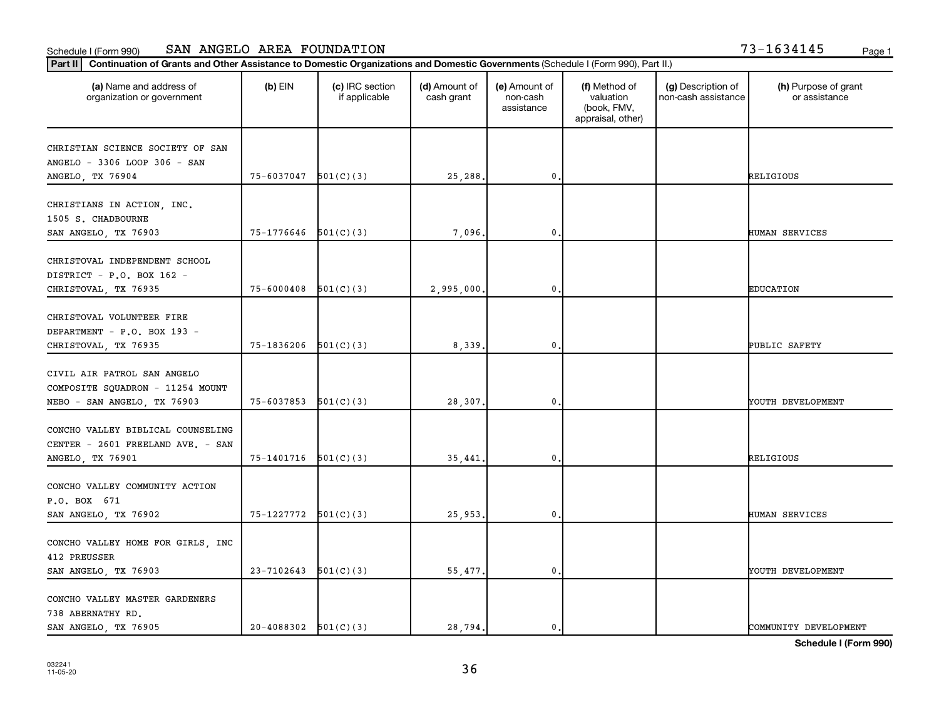| 13-1634145 | Page |
|------------|------|
|------------|------|

| Continuation of Grants and Other Assistance to Domestic Organizations and Domestic Governments (Schedule I (Form 990), Part II.)<br>Part II |                          |                                  |                             |                                         |                                                                |                                           |                                       |
|---------------------------------------------------------------------------------------------------------------------------------------------|--------------------------|----------------------------------|-----------------------------|-----------------------------------------|----------------------------------------------------------------|-------------------------------------------|---------------------------------------|
| (a) Name and address of<br>organization or government                                                                                       | $(b)$ EIN                | (c) IRC section<br>if applicable | (d) Amount of<br>cash grant | (e) Amount of<br>non-cash<br>assistance | (f) Method of<br>valuation<br>(book, FMV,<br>appraisal, other) | (g) Description of<br>non-cash assistance | (h) Purpose of grant<br>or assistance |
| CHRISTIAN SCIENCE SOCIETY OF SAN<br>ANGELO - 3306 LOOP 306 - SAN<br>ANGELO, TX 76904                                                        | 75-6037047               | 501(C)(3)                        | 25,288.                     | 0                                       |                                                                |                                           | RELIGIOUS                             |
| CHRISTIANS IN ACTION, INC.<br>1505 S. CHADBOURNE<br>SAN ANGELO, TX 76903                                                                    | 75-1776646               | 501(C)(3)                        | 7,096.                      | 0                                       |                                                                |                                           | HUMAN SERVICES                        |
| CHRISTOVAL INDEPENDENT SCHOOL<br>DISTRICT - P.O. BOX 162 -<br>CHRISTOVAL, TX 76935                                                          | 75-6000408               | 501(C)(3)                        | 2,995,000.                  | 0                                       |                                                                |                                           | <b>EDUCATION</b>                      |
| CHRISTOVAL VOLUNTEER FIRE<br>DEPARTMENT - P.O. BOX 193 -<br>CHRISTOVAL, TX 76935                                                            | $75-1836206$ $501(C)(3)$ |                                  | 8,339.                      | $\mathbf 0$ .                           |                                                                |                                           | PUBLIC SAFETY                         |
| CIVIL AIR PATROL SAN ANGELO<br>COMPOSITE SQUADRON - 11254 MOUNT<br>NEBO - SAN ANGELO, TX 76903                                              | 75-6037853               | 501(C)(3)                        | 28,307.                     | 0                                       |                                                                |                                           | YOUTH DEVELOPMENT                     |
| CONCHO VALLEY BIBLICAL COUNSELING<br>CENTER - 2601 FREELAND AVE. - SAN<br>ANGELO, TX 76901                                                  | 75-1401716               | 501(C)(3)                        | 35,441.                     | 0                                       |                                                                |                                           | RELIGIOUS                             |
| CONCHO VALLEY COMMUNITY ACTION<br>P.O. BOX 671<br>SAN ANGELO, TX 76902                                                                      | $75-1227772$ $501(C)(3)$ |                                  | 25,953.                     | $\mathbf 0$                             |                                                                |                                           | HUMAN SERVICES                        |
| CONCHO VALLEY HOME FOR GIRLS, INC<br>412 PREUSSER<br>SAN ANGELO, TX 76903                                                                   | 23-7102643               | 501(C)(3)                        | 55,477.                     | 0                                       |                                                                |                                           | YOUTH DEVELOPMENT                     |
| CONCHO VALLEY MASTER GARDENERS<br>738 ABERNATHY RD.<br>SAN ANGELO, TX 76905                                                                 | $20-4088302$ $501(C)(3)$ |                                  | 28,794.                     | 0.                                      |                                                                |                                           | COMMUNITY DEVELOPMENT                 |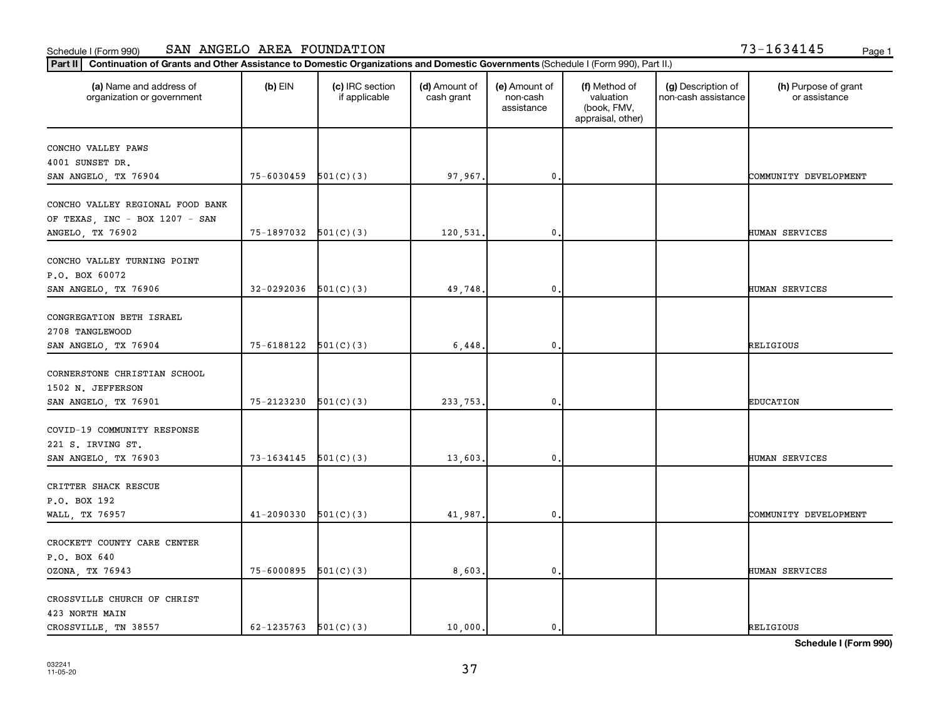| Continuation of Grants and Other Assistance to Domestic Organizations and Domestic Governments (Schedule I (Form 990), Part II.)<br>  Part II |                            |                                  |                             |                                         |                                                                |                                           |                                       |
|-----------------------------------------------------------------------------------------------------------------------------------------------|----------------------------|----------------------------------|-----------------------------|-----------------------------------------|----------------------------------------------------------------|-------------------------------------------|---------------------------------------|
| (a) Name and address of<br>organization or government                                                                                         | $(b)$ EIN                  | (c) IRC section<br>if applicable | (d) Amount of<br>cash grant | (e) Amount of<br>non-cash<br>assistance | (f) Method of<br>valuation<br>(book, FMV,<br>appraisal, other) | (g) Description of<br>non-cash assistance | (h) Purpose of grant<br>or assistance |
| CONCHO VALLEY PAWS<br>4001 SUNSET DR.<br>SAN ANGELO, TX 76904                                                                                 | $75 - 6030459$ $501(C)(3)$ |                                  | 97,967.                     | $\mathbf{0}$                            |                                                                |                                           | COMMUNITY DEVELOPMENT                 |
| CONCHO VALLEY REGIONAL FOOD BANK<br>OF TEXAS, INC - BOX 1207 - SAN<br>ANGELO, TX 76902                                                        | 75-1897032 501(C)(3)       |                                  | 120,531.                    | 0                                       |                                                                |                                           | HUMAN SERVICES                        |
| CONCHO VALLEY TURNING POINT<br>P.O. BOX 60072<br>SAN ANGELO, TX 76906                                                                         | 32-0292036                 | 501(C)(3)                        | 49,748.                     | 0                                       |                                                                |                                           | HUMAN SERVICES                        |
| CONGREGATION BETH ISRAEL<br>2708 TANGLEWOOD<br>SAN ANGELO, TX 76904                                                                           | 75-6188122 501(C)(3)       |                                  | 6,448,                      | 0                                       |                                                                |                                           | RELIGIOUS                             |
| CORNERSTONE CHRISTIAN SCHOOL<br>1502 N. JEFFERSON<br>SAN ANGELO, TX 76901                                                                     | $75 - 2123230$ $501(C)(3)$ |                                  | 233,753.                    | 0                                       |                                                                |                                           | <b>EDUCATION</b>                      |
| COVID-19 COMMUNITY RESPONSE<br>221 S. IRVING ST.<br>SAN ANGELO, TX 76903                                                                      | 73-1634145                 | 501(C)(3)                        | 13,603.                     | 0                                       |                                                                |                                           | HUMAN SERVICES                        |
| CRITTER SHACK RESCUE<br>P.O. BOX 192<br>WALL, TX 76957                                                                                        | 41-2090330                 | 501(C)(3)                        | 41,987.                     | 0                                       |                                                                |                                           | COMMUNITY DEVELOPMENT                 |
| CROCKETT COUNTY CARE CENTER<br>P.O. BOX 640<br>OZONA, TX 76943                                                                                | $75 - 6000895$ $501(C)(3)$ |                                  | 8,603.                      | $\mathbf{0}$                            |                                                                |                                           | <b>HUMAN SERVICES</b>                 |
| CROSSVILLE CHURCH OF CHRIST<br>423 NORTH MAIN<br>CROSSVILLE, TN 38557                                                                         | 62-1235763 $501(C)(3)$     |                                  | 10,000.                     | $\mathbf 0$ .                           |                                                                |                                           | <b>RELIGIOUS</b>                      |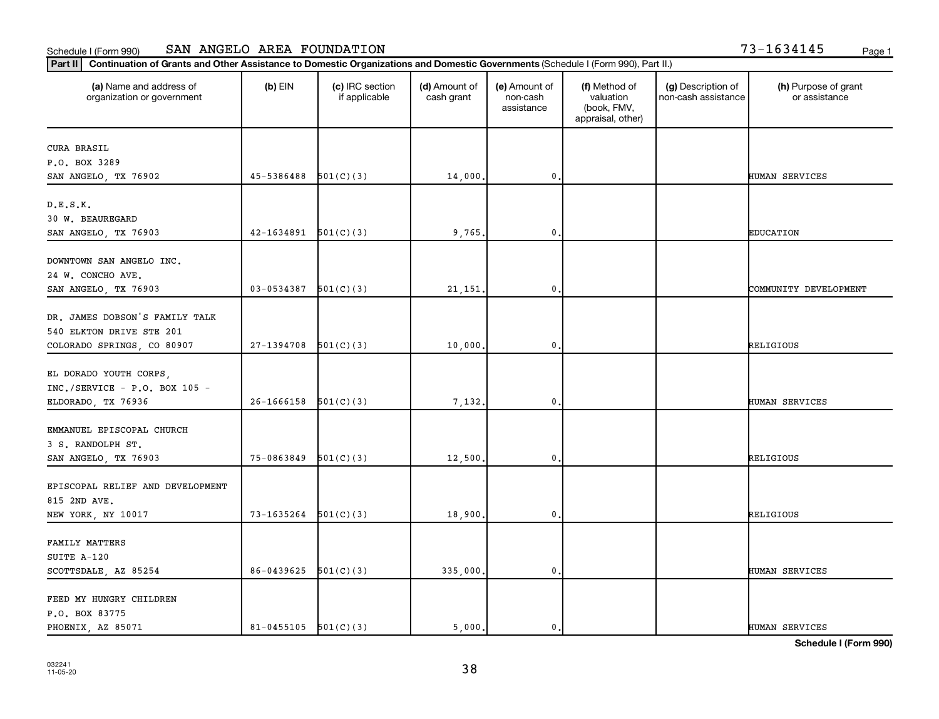#### **Part II Continuation of Grants and Other Assistance to Domestic Organizations and Domestic Governments** (Sch Schedule I (Form 990) SAN ANGELO AREA FOUNDATION 73-1634145 Page 1

| '3-1634145 |  | Page |
|------------|--|------|
|------------|--|------|

| Continuation of Grants and Other Assistance to Domestic Organizations and Domestic Governments (Schedule I (Form 990), Part II.)<br>$ $ Part II |                          |                                  |                             |                                         |                                                                |                                           |                                       |
|-------------------------------------------------------------------------------------------------------------------------------------------------|--------------------------|----------------------------------|-----------------------------|-----------------------------------------|----------------------------------------------------------------|-------------------------------------------|---------------------------------------|
| (a) Name and address of<br>organization or government                                                                                           | $(b)$ EIN                | (c) IRC section<br>if applicable | (d) Amount of<br>cash grant | (e) Amount of<br>non-cash<br>assistance | (f) Method of<br>valuation<br>(book, FMV,<br>appraisal, other) | (g) Description of<br>non-cash assistance | (h) Purpose of grant<br>or assistance |
| <b>CURA BRASIL</b>                                                                                                                              |                          |                                  |                             |                                         |                                                                |                                           |                                       |
| P.O. BOX 3289                                                                                                                                   |                          |                                  |                             |                                         |                                                                |                                           |                                       |
| SAN ANGELO, TX 76902                                                                                                                            | 45-5386488               | 501(C)(3)                        | 14,000.                     | $\mathbf 0$ .                           |                                                                |                                           | HUMAN SERVICES                        |
| D.E.S.K.                                                                                                                                        |                          |                                  |                             |                                         |                                                                |                                           |                                       |
| 30 W. BEAUREGARD                                                                                                                                |                          |                                  |                             |                                         |                                                                |                                           |                                       |
| SAN ANGELO, TX 76903                                                                                                                            | 42-1634891               | 501(C)(3)                        | 9,765.                      | $\mathbf 0$                             |                                                                |                                           | <b>EDUCATION</b>                      |
| DOWNTOWN SAN ANGELO INC.                                                                                                                        |                          |                                  |                             |                                         |                                                                |                                           |                                       |
| 24 W. CONCHO AVE.                                                                                                                               |                          |                                  |                             |                                         |                                                                |                                           |                                       |
| SAN ANGELO, TX 76903                                                                                                                            | 03-0534387               | 501(C)(3)                        | 21, 151.                    | $\mathbf 0$                             |                                                                |                                           | COMMUNITY DEVELOPMENT                 |
|                                                                                                                                                 |                          |                                  |                             |                                         |                                                                |                                           |                                       |
| DR. JAMES DOBSON'S FAMILY TALK                                                                                                                  |                          |                                  |                             |                                         |                                                                |                                           |                                       |
| 540 ELKTON DRIVE STE 201                                                                                                                        |                          |                                  |                             |                                         |                                                                |                                           |                                       |
| COLORADO SPRINGS, CO 80907                                                                                                                      | 27-1394708               | 501(C)(3)                        | 10,000.                     | $\mathbf 0$ .                           |                                                                |                                           | RELIGIOUS                             |
|                                                                                                                                                 |                          |                                  |                             |                                         |                                                                |                                           |                                       |
| EL DORADO YOUTH CORPS,<br>$INC./SERVICE - P.O. BOX 105 -$                                                                                       |                          |                                  |                             |                                         |                                                                |                                           |                                       |
| ELDORADO, TX 76936                                                                                                                              | 26-1666158               | 501(C)(3)                        | 7,132.                      | $\mathbf 0$                             |                                                                |                                           | HUMAN SERVICES                        |
|                                                                                                                                                 |                          |                                  |                             |                                         |                                                                |                                           |                                       |
| EMMANUEL EPISCOPAL CHURCH                                                                                                                       |                          |                                  |                             |                                         |                                                                |                                           |                                       |
| 3 S. RANDOLPH ST.                                                                                                                               |                          |                                  |                             |                                         |                                                                |                                           |                                       |
| SAN ANGELO, TX 76903                                                                                                                            | 75-0863849               | 501(C)(3)                        | 12,500.                     | $\mathbf 0$                             |                                                                |                                           | RELIGIOUS                             |
|                                                                                                                                                 |                          |                                  |                             |                                         |                                                                |                                           |                                       |
| EPISCOPAL RELIEF AND DEVELOPMENT                                                                                                                |                          |                                  |                             |                                         |                                                                |                                           |                                       |
| 815 2ND AVE.                                                                                                                                    |                          |                                  |                             |                                         |                                                                |                                           |                                       |
| NEW YORK, NY 10017                                                                                                                              | 73-1635264               | 501(C)(3)                        | 18,900.                     | $\mathbf 0$                             |                                                                |                                           | RELIGIOUS                             |
| FAMILY MATTERS                                                                                                                                  |                          |                                  |                             |                                         |                                                                |                                           |                                       |
| SUITE A-120                                                                                                                                     |                          |                                  |                             |                                         |                                                                |                                           |                                       |
| SCOTTSDALE, AZ 85254                                                                                                                            | 86-0439625               | 501(C)(3)                        | 335,000.                    | $\mathbf 0$                             |                                                                |                                           | HUMAN SERVICES                        |
|                                                                                                                                                 |                          |                                  |                             |                                         |                                                                |                                           |                                       |
| FEED MY HUNGRY CHILDREN                                                                                                                         |                          |                                  |                             |                                         |                                                                |                                           |                                       |
| P.O. BOX 83775                                                                                                                                  |                          |                                  |                             |                                         |                                                                |                                           |                                       |
| PHOENIX, AZ 85071                                                                                                                               | $81-0455105$ $501(C)(3)$ |                                  | 5,000.                      | $\mathbf 0$                             |                                                                |                                           | HUMAN SERVICES                        |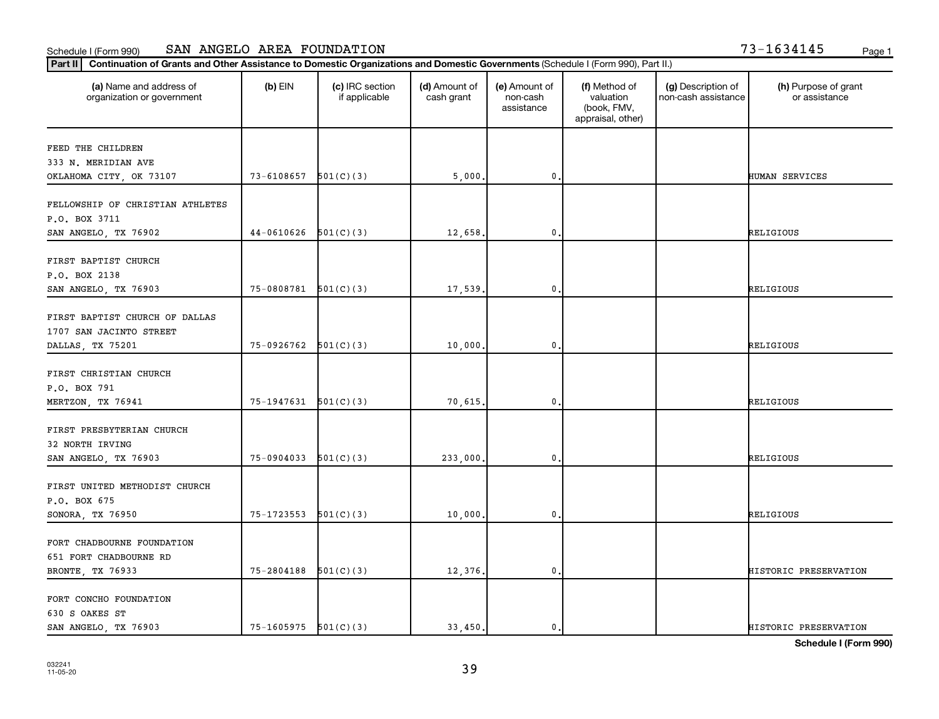| $3 - 1634145$ | Page |
|---------------|------|
|---------------|------|

| Continuation of Grants and Other Assistance to Domestic Organizations and Domestic Governments (Schedule I (Form 990), Part II.)<br>$ $ Part II |                          |                                  |                             |                                         |                                                                |                                           |                                       |
|-------------------------------------------------------------------------------------------------------------------------------------------------|--------------------------|----------------------------------|-----------------------------|-----------------------------------------|----------------------------------------------------------------|-------------------------------------------|---------------------------------------|
| (a) Name and address of<br>organization or government                                                                                           | $(b)$ EIN                | (c) IRC section<br>if applicable | (d) Amount of<br>cash grant | (e) Amount of<br>non-cash<br>assistance | (f) Method of<br>valuation<br>(book, FMV,<br>appraisal, other) | (g) Description of<br>non-cash assistance | (h) Purpose of grant<br>or assistance |
| FEED THE CHILDREN                                                                                                                               |                          |                                  |                             |                                         |                                                                |                                           |                                       |
| 333 N. MERIDIAN AVE                                                                                                                             |                          |                                  |                             |                                         |                                                                |                                           |                                       |
| OKLAHOMA CITY, OK 73107                                                                                                                         | 73-6108657               | 501(C)(3)                        | 5,000.                      | $\mathbf 0$ .                           |                                                                |                                           | HUMAN SERVICES                        |
| FELLOWSHIP OF CHRISTIAN ATHLETES<br>P.O. BOX 3711                                                                                               |                          |                                  |                             |                                         |                                                                |                                           |                                       |
| SAN ANGELO, TX 76902                                                                                                                            | 44-0610626               | 501(C)(3)                        | 12,658.                     | $\mathbf 0$                             |                                                                |                                           | RELIGIOUS                             |
| FIRST BAPTIST CHURCH<br>P.O. BOX 2138<br>SAN ANGELO, TX 76903                                                                                   | 75-0808781               | 501(C)(3)                        | 17,539.                     | $\mathbf 0$                             |                                                                |                                           | <b>RELIGIOUS</b>                      |
|                                                                                                                                                 |                          |                                  |                             |                                         |                                                                |                                           |                                       |
| FIRST BAPTIST CHURCH OF DALLAS<br>1707 SAN JACINTO STREET                                                                                       |                          |                                  |                             |                                         |                                                                |                                           |                                       |
| DALLAS, TX 75201                                                                                                                                | $75-0926762$ $501(C)(3)$ |                                  | 10,000.                     | $\mathbf 0$ .                           |                                                                |                                           | RELIGIOUS                             |
| FIRST CHRISTIAN CHURCH<br>P.O. BOX 791                                                                                                          |                          |                                  |                             |                                         |                                                                |                                           |                                       |
| MERTZON, TX 76941                                                                                                                               | 75-1947631               | 501(C)(3)                        | 70,615.                     | $\mathbf 0$                             |                                                                |                                           | RELIGIOUS                             |
| FIRST PRESBYTERIAN CHURCH<br>32 NORTH IRVING<br>SAN ANGELO, TX 76903                                                                            | 75-0904033               | 501(C)(3)                        | 233,000.                    | $\mathbf 0$                             |                                                                |                                           | RELIGIOUS                             |
| FIRST UNITED METHODIST CHURCH<br>P.O. BOX 675                                                                                                   |                          |                                  |                             |                                         |                                                                |                                           |                                       |
| SONORA, TX 76950                                                                                                                                | 75-1723553               | 501(C)(3)                        | 10,000.                     | $\mathbf 0$                             |                                                                |                                           | RELIGIOUS                             |
| FORT CHADBOURNE FOUNDATION<br>651 FORT CHADBOURNE RD<br>BRONTE, TX 76933                                                                        | 75-2804188               | 501(C)(3)                        | 12,376.                     | $\mathbf 0$                             |                                                                |                                           | HISTORIC PRESERVATION                 |
|                                                                                                                                                 |                          |                                  |                             |                                         |                                                                |                                           |                                       |
| FORT CONCHO FOUNDATION<br>630 S OAKES ST                                                                                                        |                          |                                  |                             |                                         |                                                                |                                           |                                       |
| SAN ANGELO, TX 76903                                                                                                                            | $75-1605975$ $501(C)(3)$ |                                  | 33,450.                     | $\mathbf 0$                             |                                                                |                                           | HISTORIC PRESERVATION                 |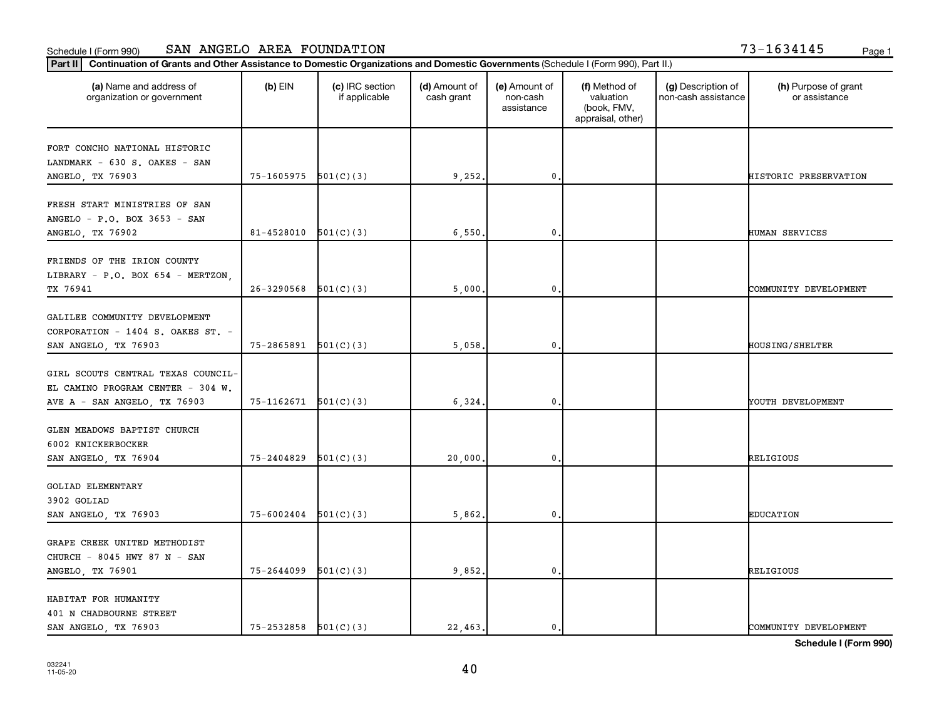| Part II   Continuation of Grants and Other Assistance to Domestic Organizations and Domestic Governments (Schedule I (Form 990), Part II.) |            |                                  |                             |                                         |                                                                |                                           |                                       |
|--------------------------------------------------------------------------------------------------------------------------------------------|------------|----------------------------------|-----------------------------|-----------------------------------------|----------------------------------------------------------------|-------------------------------------------|---------------------------------------|
| (a) Name and address of<br>organization or government                                                                                      | $(b)$ EIN  | (c) IRC section<br>if applicable | (d) Amount of<br>cash grant | (e) Amount of<br>non-cash<br>assistance | (f) Method of<br>valuation<br>(book, FMV,<br>appraisal, other) | (g) Description of<br>non-cash assistance | (h) Purpose of grant<br>or assistance |
| FORT CONCHO NATIONAL HISTORIC                                                                                                              |            |                                  |                             |                                         |                                                                |                                           |                                       |
| LANDMARK - 630 S. OAKES - SAN                                                                                                              |            |                                  |                             |                                         |                                                                |                                           |                                       |
| ANGELO, TX 76903                                                                                                                           | 75-1605975 | 501(C)(3)                        | 9,252                       | $\mathbf 0$                             |                                                                |                                           | HISTORIC PRESERVATION                 |
|                                                                                                                                            |            |                                  |                             |                                         |                                                                |                                           |                                       |
| FRESH START MINISTRIES OF SAN                                                                                                              |            |                                  |                             |                                         |                                                                |                                           |                                       |
| ANGELO - P.O. BOX 3653 - SAN                                                                                                               |            |                                  |                             |                                         |                                                                |                                           |                                       |
| ANGELO, TX 76902                                                                                                                           | 81-4528010 | 501(C)(3)                        | 6,550                       | 0                                       |                                                                |                                           | HUMAN SERVICES                        |
|                                                                                                                                            |            |                                  |                             |                                         |                                                                |                                           |                                       |
| FRIENDS OF THE IRION COUNTY                                                                                                                |            |                                  |                             |                                         |                                                                |                                           |                                       |
| LIBRARY - P.O. BOX 654 - MERTZON,                                                                                                          |            |                                  |                             |                                         |                                                                |                                           |                                       |
| TX 76941                                                                                                                                   | 26-3290568 | 501(C)(3)                        | 5,000                       | 0                                       |                                                                |                                           | COMMUNITY DEVELOPMENT                 |
| GALILEE COMMUNITY DEVELOPMENT                                                                                                              |            |                                  |                             |                                         |                                                                |                                           |                                       |
| CORPORATION - 1404 S. OAKES ST. -                                                                                                          |            |                                  |                             |                                         |                                                                |                                           |                                       |
| SAN ANGELO, TX 76903                                                                                                                       | 75-2865891 | 501(C)(3)                        | 5,058                       | $\mathbf 0$                             |                                                                |                                           | <b>HOUSING/SHELTER</b>                |
|                                                                                                                                            |            |                                  |                             |                                         |                                                                |                                           |                                       |
| GIRL SCOUTS CENTRAL TEXAS COUNCIL-                                                                                                         |            |                                  |                             |                                         |                                                                |                                           |                                       |
| EL CAMINO PROGRAM CENTER - 304 W.                                                                                                          |            |                                  |                             |                                         |                                                                |                                           |                                       |
| AVE A - SAN ANGELO, TX 76903                                                                                                               | 75-1162671 | 501(C)(3)                        | 6,324                       | $\pmb{0}$                               |                                                                |                                           | YOUTH DEVELOPMENT                     |
|                                                                                                                                            |            |                                  |                             |                                         |                                                                |                                           |                                       |
| GLEN MEADOWS BAPTIST CHURCH                                                                                                                |            |                                  |                             |                                         |                                                                |                                           |                                       |
| 6002 KNICKERBOCKER                                                                                                                         |            |                                  |                             |                                         |                                                                |                                           |                                       |
| SAN ANGELO, TX 76904                                                                                                                       | 75-2404829 | 501(C)(3)                        | 20,000                      | $\mathbf 0$                             |                                                                |                                           | RELIGIOUS                             |
|                                                                                                                                            |            |                                  |                             |                                         |                                                                |                                           |                                       |
| <b>GOLIAD ELEMENTARY</b><br>3902 GOLIAD                                                                                                    |            |                                  |                             |                                         |                                                                |                                           |                                       |
|                                                                                                                                            | 75-6002404 | 501(C)(3)                        |                             | 0                                       |                                                                |                                           | <b>EDUCATION</b>                      |
| SAN ANGELO, TX 76903                                                                                                                       |            |                                  | 5,862                       |                                         |                                                                |                                           |                                       |
| GRAPE CREEK UNITED METHODIST                                                                                                               |            |                                  |                             |                                         |                                                                |                                           |                                       |
| CHURCH - 8045 HWY 87 N - SAN                                                                                                               |            |                                  |                             |                                         |                                                                |                                           |                                       |
| ANGELO, TX 76901                                                                                                                           | 75-2644099 | 501(C)(3)                        | 9,852.                      | 0                                       |                                                                |                                           | RELIGIOUS                             |
|                                                                                                                                            |            |                                  |                             |                                         |                                                                |                                           |                                       |
| HABITAT FOR HUMANITY                                                                                                                       |            |                                  |                             |                                         |                                                                |                                           |                                       |
| 401 N CHADBOURNE STREET                                                                                                                    |            |                                  |                             |                                         |                                                                |                                           |                                       |
| SAN ANGELO, TX 76903                                                                                                                       | 75-2532858 | 501(C)(3)                        | 22,463.                     | 0.                                      |                                                                |                                           | COMMUNITY DEVELOPMENT                 |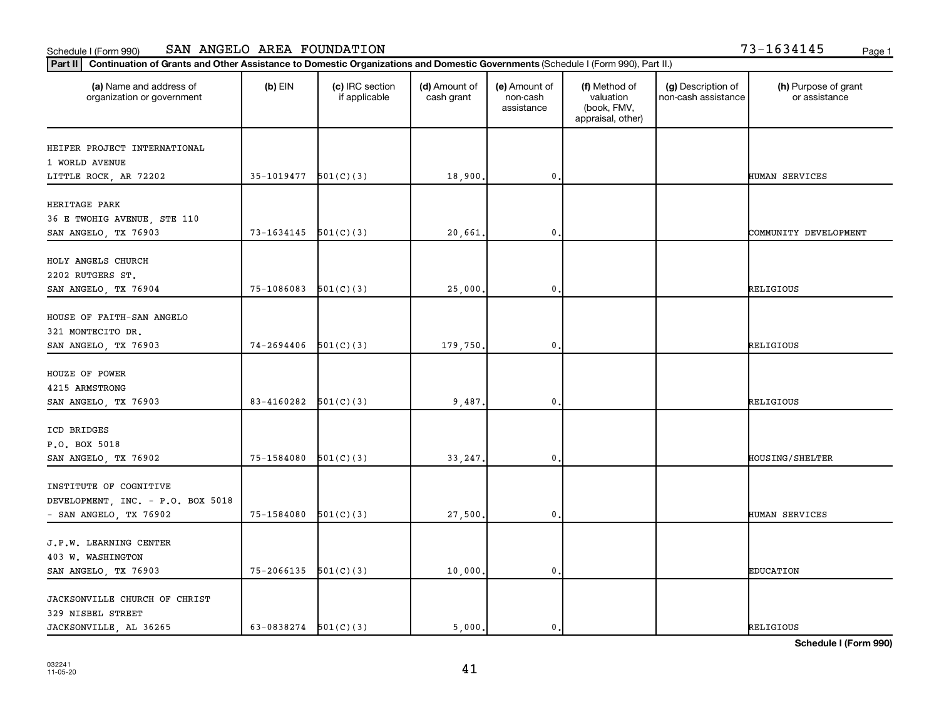| $3 - 1634145$ | Page |
|---------------|------|
|---------------|------|

| (a) Name and address of<br>organization or government | $(b)$ EIN                | (c) IRC section<br>if applicable | (d) Amount of<br>cash grant | (e) Amount of<br>non-cash<br>assistance | (f) Method of<br>valuation<br>(book, FMV,<br>appraisal, other) | (g) Description of<br>non-cash assistance | (h) Purpose of grant<br>or assistance |
|-------------------------------------------------------|--------------------------|----------------------------------|-----------------------------|-----------------------------------------|----------------------------------------------------------------|-------------------------------------------|---------------------------------------|
| HEIFER PROJECT INTERNATIONAL                          |                          |                                  |                             |                                         |                                                                |                                           |                                       |
| 1 WORLD AVENUE                                        |                          |                                  |                             |                                         |                                                                |                                           |                                       |
| LITTLE ROCK, AR 72202                                 | $35-1019477$ $501(C)(3)$ |                                  | 18,900.                     | 0                                       |                                                                |                                           | HUMAN SERVICES                        |
| HERITAGE PARK                                         |                          |                                  |                             |                                         |                                                                |                                           |                                       |
| 36 E TWOHIG AVENUE, STE 110                           |                          |                                  |                             |                                         |                                                                |                                           |                                       |
| SAN ANGELO, TX 76903                                  | 73-1634145               | 501(C)(3)                        | 20,661.                     | 0                                       |                                                                |                                           | COMMUNITY DEVELOPMENT                 |
| HOLY ANGELS CHURCH                                    |                          |                                  |                             |                                         |                                                                |                                           |                                       |
| 2202 RUTGERS ST.                                      |                          |                                  |                             |                                         |                                                                |                                           |                                       |
| SAN ANGELO, TX 76904                                  | 75-1086083               | 501(C)(3)                        | 25,000.                     | 0                                       |                                                                |                                           | RELIGIOUS                             |
|                                                       |                          |                                  |                             |                                         |                                                                |                                           |                                       |
| HOUSE OF FAITH-SAN ANGELO<br>321 MONTECITO DR.        |                          |                                  |                             |                                         |                                                                |                                           |                                       |
| SAN ANGELO, TX 76903                                  | 74-2694406               | 501(C)(3)                        | 179,750.                    | 0                                       |                                                                |                                           | RELIGIOUS                             |
|                                                       |                          |                                  |                             |                                         |                                                                |                                           |                                       |
| HOUZE OF POWER                                        |                          |                                  |                             |                                         |                                                                |                                           |                                       |
| 4215 ARMSTRONG                                        |                          |                                  |                             |                                         |                                                                |                                           |                                       |
| SAN ANGELO, TX 76903                                  | $83-4160282$ $501(C)(3)$ |                                  | 9,487.                      | 0                                       |                                                                |                                           | RELIGIOUS                             |
| ICD BRIDGES                                           |                          |                                  |                             |                                         |                                                                |                                           |                                       |
| P.O. BOX 5018                                         |                          |                                  |                             |                                         |                                                                |                                           |                                       |
| SAN ANGELO, TX 76902                                  | 75-1584080               | 501(C)(3)                        | 33.247.                     | 0                                       |                                                                |                                           | HOUSING/SHELTER                       |
| INSTITUTE OF COGNITIVE                                |                          |                                  |                             |                                         |                                                                |                                           |                                       |
| DEVELOPMENT, INC. - P.O. BOX 5018                     |                          |                                  |                             |                                         |                                                                |                                           |                                       |
| - SAN ANGELO, TX 76902                                | 75-1584080               | 501(C)(3)                        | 27,500.                     | $\mathbf 0$                             |                                                                |                                           | HUMAN SERVICES                        |
|                                                       |                          |                                  |                             |                                         |                                                                |                                           |                                       |
| J.P.W. LEARNING CENTER                                |                          |                                  |                             |                                         |                                                                |                                           |                                       |
| 403 W. WASHINGTON                                     |                          |                                  |                             |                                         |                                                                |                                           |                                       |
| SAN ANGELO, TX 76903                                  | 75-2066135               | 501(C)(3)                        | 10,000.                     | 0                                       |                                                                |                                           | <b>EDUCATION</b>                      |
| JACKSONVILLE CHURCH OF CHRIST                         |                          |                                  |                             |                                         |                                                                |                                           |                                       |
| 329 NISBEL STREET                                     |                          |                                  |                             |                                         |                                                                |                                           |                                       |
| JACKSONVILLE, AL 36265                                | 63-0838274 $501(C)(3)$   |                                  | 5.000.                      | $\mathbf{0}$ .                          |                                                                |                                           | <b>RELIGIOUS</b>                      |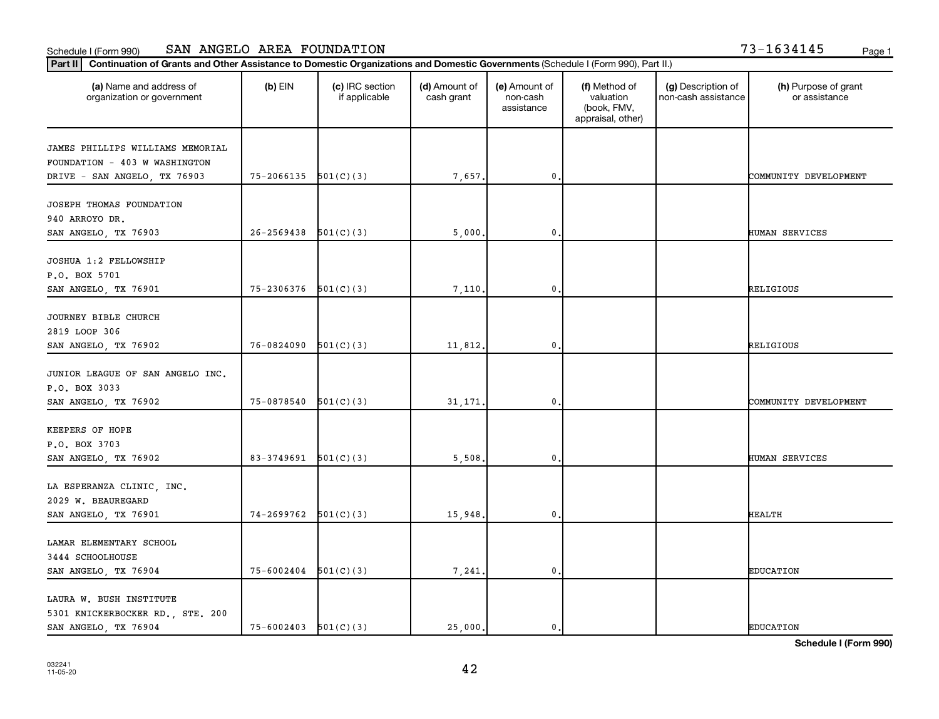| $3 - 1634145$<br>Page |
|-----------------------|
|-----------------------|

| (a) Name and address of<br>organization or government | $(b)$ EIN                  | (c) IRC section<br>if applicable | (d) Amount of<br>cash grant | (e) Amount of<br>non-cash<br>assistance | (f) Method of<br>valuation<br>(book, FMV,<br>appraisal, other) | (g) Description of<br>non-cash assistance | (h) Purpose of grant<br>or assistance |
|-------------------------------------------------------|----------------------------|----------------------------------|-----------------------------|-----------------------------------------|----------------------------------------------------------------|-------------------------------------------|---------------------------------------|
| JAMES PHILLIPS WILLIAMS MEMORIAL                      |                            |                                  |                             |                                         |                                                                |                                           |                                       |
| FOUNDATION - 403 W WASHINGTON                         |                            |                                  |                             |                                         |                                                                |                                           |                                       |
| DRIVE - SAN ANGELO, TX 76903                          | $75-2066135$ $501(C)(3)$   |                                  | 7,657.                      | $\mathbf 0$                             |                                                                |                                           | COMMUNITY DEVELOPMENT                 |
|                                                       |                            |                                  |                             |                                         |                                                                |                                           |                                       |
| JOSEPH THOMAS FOUNDATION                              |                            |                                  |                             |                                         |                                                                |                                           |                                       |
| 940 ARROYO DR.                                        |                            |                                  |                             |                                         |                                                                |                                           |                                       |
| SAN ANGELO, TX 76903                                  | 26-2569438                 | 501(C)(3)                        | 5,000.                      | $\mathbf 0$                             |                                                                |                                           | HUMAN SERVICES                        |
|                                                       |                            |                                  |                             |                                         |                                                                |                                           |                                       |
| JOSHUA 1:2 FELLOWSHIP                                 |                            |                                  |                             |                                         |                                                                |                                           |                                       |
| P.O. BOX 5701                                         |                            |                                  |                             |                                         |                                                                |                                           |                                       |
| SAN ANGELO, TX 76901                                  | $75 - 2306376$ $501(C)(3)$ |                                  | 7.110.                      | $\mathbf{0}$                            |                                                                |                                           | RELIGIOUS                             |
|                                                       |                            |                                  |                             |                                         |                                                                |                                           |                                       |
| JOURNEY BIBLE CHURCH                                  |                            |                                  |                             |                                         |                                                                |                                           |                                       |
| 2819 LOOP 306                                         |                            |                                  |                             |                                         |                                                                |                                           |                                       |
| SAN ANGELO, TX 76902                                  | 76-0824090                 | 501(C)(3)                        | 11,812.                     | $\mathbf 0$                             |                                                                |                                           | RELIGIOUS                             |
| JUNIOR LEAGUE OF SAN ANGELO INC.                      |                            |                                  |                             |                                         |                                                                |                                           |                                       |
| P.O. BOX 3033                                         |                            |                                  |                             |                                         |                                                                |                                           |                                       |
| SAN ANGELO, TX 76902                                  | 75-0878540                 | 501(C)(3)                        | 31, 171.                    | $\mathbf 0$                             |                                                                |                                           | COMMUNITY DEVELOPMENT                 |
|                                                       |                            |                                  |                             |                                         |                                                                |                                           |                                       |
| KEEPERS OF HOPE                                       |                            |                                  |                             |                                         |                                                                |                                           |                                       |
| P.O. BOX 3703                                         |                            |                                  |                             |                                         |                                                                |                                           |                                       |
| SAN ANGELO, TX 76902                                  | 83-3749691                 | 501(C)(3)                        | 5,508.                      | 0                                       |                                                                |                                           | HUMAN SERVICES                        |
|                                                       |                            |                                  |                             |                                         |                                                                |                                           |                                       |
| LA ESPERANZA CLINIC, INC.                             |                            |                                  |                             |                                         |                                                                |                                           |                                       |
| 2029 W. BEAUREGARD                                    |                            |                                  |                             |                                         |                                                                |                                           |                                       |
| SAN ANGELO, TX 76901                                  | $74 - 2699762$ $501(C)(3)$ |                                  | 15,948.                     | $\mathbf 0$ .                           |                                                                |                                           | <b>HEALTH</b>                         |
|                                                       |                            |                                  |                             |                                         |                                                                |                                           |                                       |
| LAMAR ELEMENTARY SCHOOL                               |                            |                                  |                             |                                         |                                                                |                                           |                                       |
| 3444 SCHOOLHOUSE                                      |                            |                                  |                             |                                         |                                                                |                                           |                                       |
| SAN ANGELO, TX 76904                                  | 75-6002404                 | 501(C)(3)                        | 7,241.                      | $\mathbf 0$                             |                                                                |                                           | <b>EDUCATION</b>                      |
|                                                       |                            |                                  |                             |                                         |                                                                |                                           |                                       |
| LAURA W. BUSH INSTITUTE                               |                            |                                  |                             |                                         |                                                                |                                           |                                       |
| 5301 KNICKERBOCKER RD., STE. 200                      |                            |                                  |                             |                                         |                                                                |                                           |                                       |
| SAN ANGELO, TX 76904                                  | $75 - 6002403$ $501(C)(3)$ |                                  | 25,000.                     | 0.                                      |                                                                |                                           | <b>EDUCATION</b>                      |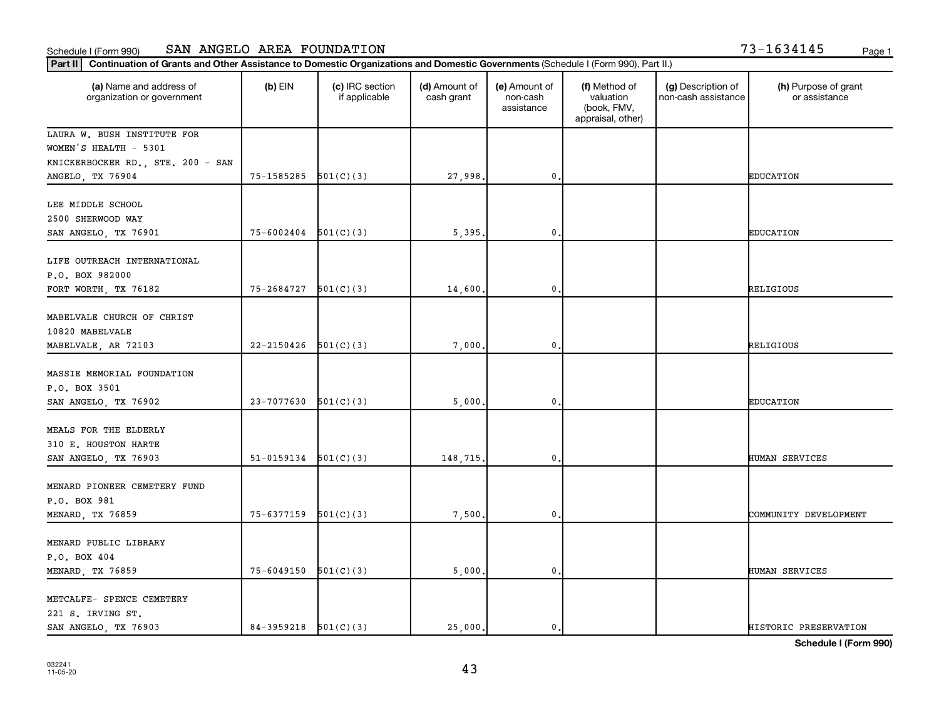#### **Part II Continuation of Grants and Other Assistance to Domestic Organizations and Domestic Governments** (Sch Schedule I (Form 990) SAN ANGELO AREA FOUNDATION 73-1634145 Page 1

| '3-1634145 |  |  |  |  | Page |
|------------|--|--|--|--|------|
|------------|--|--|--|--|------|

| $ $ Part II<br>Continuation of Grants and Other Assistance to Domestic Organizations and Domestic Governments (Schedule I (Form 990), Part II.) |                          |                                  |                             |                                         |                                                                |                                           |                                       |
|-------------------------------------------------------------------------------------------------------------------------------------------------|--------------------------|----------------------------------|-----------------------------|-----------------------------------------|----------------------------------------------------------------|-------------------------------------------|---------------------------------------|
| (a) Name and address of<br>organization or government                                                                                           | $(b)$ EIN                | (c) IRC section<br>if applicable | (d) Amount of<br>cash grant | (e) Amount of<br>non-cash<br>assistance | (f) Method of<br>valuation<br>(book, FMV,<br>appraisal, other) | (g) Description of<br>non-cash assistance | (h) Purpose of grant<br>or assistance |
| LAURA W. BUSH INSTITUTE FOR                                                                                                                     |                          |                                  |                             |                                         |                                                                |                                           |                                       |
| WOMEN'S HEALTH - 5301                                                                                                                           |                          |                                  |                             |                                         |                                                                |                                           |                                       |
| KNICKERBOCKER RD., STE. 200 - SAN                                                                                                               |                          |                                  |                             |                                         |                                                                |                                           |                                       |
| ANGELO, TX 76904                                                                                                                                | $75-1585285$ $501(C)(3)$ |                                  | 27,998.                     | $\mathbf 0$ .                           |                                                                |                                           | <b>EDUCATION</b>                      |
| LEE MIDDLE SCHOOL                                                                                                                               |                          |                                  |                             |                                         |                                                                |                                           |                                       |
| 2500 SHERWOOD WAY                                                                                                                               |                          |                                  |                             |                                         |                                                                |                                           |                                       |
| SAN ANGELO, TX 76901                                                                                                                            | 75-6002404               | 501(C)(3)                        | 5,395.                      | $\mathbf 0$                             |                                                                |                                           | <b>EDUCATION</b>                      |
|                                                                                                                                                 |                          |                                  |                             |                                         |                                                                |                                           |                                       |
| LIFE OUTREACH INTERNATIONAL                                                                                                                     |                          |                                  |                             |                                         |                                                                |                                           |                                       |
| P.O. BOX 982000                                                                                                                                 |                          |                                  |                             |                                         |                                                                |                                           |                                       |
| FORT WORTH, TX 76182                                                                                                                            | 75-2684727               | 501(C)(3)                        | 14,600.                     | 0                                       |                                                                |                                           | <b>RELIGIOUS</b>                      |
|                                                                                                                                                 |                          |                                  |                             |                                         |                                                                |                                           |                                       |
| MABELVALE CHURCH OF CHRIST                                                                                                                      |                          |                                  |                             |                                         |                                                                |                                           |                                       |
| 10820 MABELVALE                                                                                                                                 |                          |                                  |                             |                                         |                                                                |                                           |                                       |
| MABELVALE, AR 72103                                                                                                                             | 22-2150426               | 501(C)(3)                        | 7,000.                      | $\mathbf 0$ .                           |                                                                |                                           | RELIGIOUS                             |
|                                                                                                                                                 |                          |                                  |                             |                                         |                                                                |                                           |                                       |
| MASSIE MEMORIAL FOUNDATION                                                                                                                      |                          |                                  |                             |                                         |                                                                |                                           |                                       |
| P.O. BOX 3501                                                                                                                                   |                          |                                  |                             |                                         |                                                                |                                           |                                       |
| SAN ANGELO, TX 76902                                                                                                                            | 23-7077630               | 501(C)(3)                        | 5,000.                      | $\mathbf 0$                             |                                                                |                                           | <b>EDUCATION</b>                      |
|                                                                                                                                                 |                          |                                  |                             |                                         |                                                                |                                           |                                       |
| MEALS FOR THE ELDERLY                                                                                                                           |                          |                                  |                             |                                         |                                                                |                                           |                                       |
| 310 E. HOUSTON HARTE                                                                                                                            |                          |                                  |                             |                                         |                                                                |                                           |                                       |
| SAN ANGELO, TX 76903                                                                                                                            | 51-0159134               | 501(C)(3)                        | 148,715.                    | $\mathbf 0$                             |                                                                |                                           | <b>HUMAN SERVICES</b>                 |
|                                                                                                                                                 |                          |                                  |                             |                                         |                                                                |                                           |                                       |
| MENARD PIONEER CEMETERY FUND                                                                                                                    |                          |                                  |                             |                                         |                                                                |                                           |                                       |
| P.O. BOX 981                                                                                                                                    |                          |                                  |                             |                                         |                                                                |                                           |                                       |
| MENARD, TX 76859                                                                                                                                | 75-6377159               | 501(C)(3)                        | 7,500.                      | $\mathbf 0$                             |                                                                |                                           | COMMUNITY DEVELOPMENT                 |
|                                                                                                                                                 |                          |                                  |                             |                                         |                                                                |                                           |                                       |
| MENARD PUBLIC LIBRARY                                                                                                                           |                          |                                  |                             |                                         |                                                                |                                           |                                       |
| P.O. BOX 404                                                                                                                                    |                          |                                  |                             |                                         |                                                                |                                           |                                       |
| MENARD, TX 76859                                                                                                                                | 75-6049150               | 501(C)(3)                        | 5,000.                      | $\mathbf 0$                             |                                                                |                                           | HUMAN SERVICES                        |
| METCALFE- SPENCE CEMETERY                                                                                                                       |                          |                                  |                             |                                         |                                                                |                                           |                                       |
| 221 S. IRVING ST.                                                                                                                               |                          |                                  |                             |                                         |                                                                |                                           |                                       |
| SAN ANGELO, TX 76903                                                                                                                            | $84-3959218$ $501(C)(3)$ |                                  | 25,000.                     | $\mathbf 0$                             |                                                                |                                           | HISTORIC PRESERVATION                 |
|                                                                                                                                                 |                          |                                  |                             |                                         |                                                                |                                           |                                       |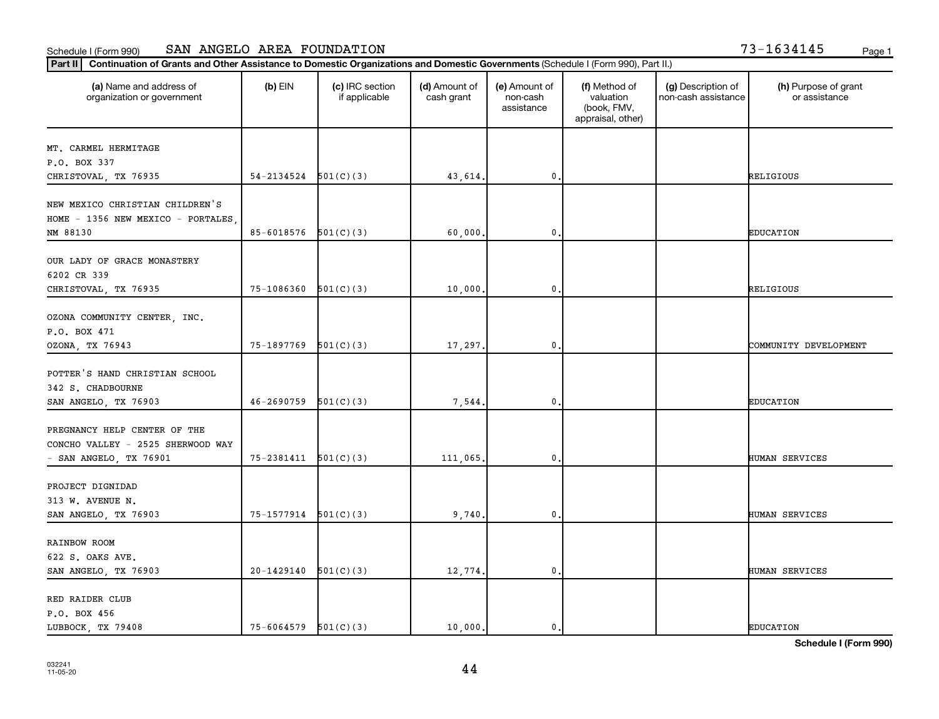|  |  | '3-1634145 | Page |
|--|--|------------|------|
|  |  |            |      |

| (a) Name and address of<br>organization or government                                       | $(b)$ EIN                  | (c) IRC section<br>if applicable | (d) Amount of<br>cash grant | (e) Amount of<br>non-cash<br>assistance | (f) Method of<br>valuation<br>(book, FMV,<br>appraisal, other) | (g) Description of<br>non-cash assistance | (h) Purpose of grant<br>or assistance |
|---------------------------------------------------------------------------------------------|----------------------------|----------------------------------|-----------------------------|-----------------------------------------|----------------------------------------------------------------|-------------------------------------------|---------------------------------------|
| MT. CARMEL HERMITAGE                                                                        |                            |                                  |                             |                                         |                                                                |                                           |                                       |
| P.O. BOX 337                                                                                |                            |                                  |                             |                                         |                                                                |                                           |                                       |
| CHRISTOVAL, TX 76935                                                                        | 54-2134524                 | 501(C)(3)                        | 43,614.                     | $\mathbf{0}$                            |                                                                |                                           | RELIGIOUS                             |
| NEW MEXICO CHRISTIAN CHILDREN'S<br>HOME - 1356 NEW MEXICO - PORTALES                        |                            |                                  |                             |                                         |                                                                |                                           |                                       |
| NM 88130                                                                                    | 85-6018576                 | 501(C)(3)                        | 60,000                      | $\mathbf 0$                             |                                                                |                                           | <b>EDUCATION</b>                      |
| OUR LADY OF GRACE MONASTERY<br>6202 CR 339                                                  |                            |                                  |                             |                                         |                                                                |                                           |                                       |
| CHRISTOVAL, TX 76935                                                                        | 75-1086360                 | 501(C)(3)                        | 10,000.                     | $\mathbf 0$ .                           |                                                                |                                           | RELIGIOUS                             |
| OZONA COMMUNITY CENTER, INC.<br>P.O. BOX 471<br>OZONA, TX 76943                             | 75-1897769                 | 501(C)(3)                        | 17,297.                     | $\mathbf 0$                             |                                                                |                                           | COMMUNITY DEVELOPMENT                 |
| POTTER'S HAND CHRISTIAN SCHOOL<br>342 S. CHADBOURNE                                         |                            |                                  |                             |                                         |                                                                |                                           |                                       |
| SAN ANGELO, TX 76903                                                                        | 46-2690759                 | 501(C)(3)                        | 7,544.                      | $\mathbf 0$                             |                                                                |                                           | <b>EDUCATION</b>                      |
| PREGNANCY HELP CENTER OF THE<br>CONCHO VALLEY - 2525 SHERWOOD WAY<br>- SAN ANGELO, TX 76901 | 75-2381411                 | 501(C)(3)                        | 111,065.                    | $\mathbf 0$                             |                                                                |                                           | HUMAN SERVICES                        |
|                                                                                             |                            |                                  |                             |                                         |                                                                |                                           |                                       |
| PROJECT DIGNIDAD<br>313 W. AVENUE N.                                                        |                            |                                  |                             |                                         |                                                                |                                           |                                       |
| SAN ANGELO, TX 76903                                                                        | $75 - 1577914$ $501(C)(3)$ |                                  | 9,740.                      | $\mathbf 0$ .                           |                                                                |                                           | HUMAN SERVICES                        |
| RAINBOW ROOM<br>622 S. OAKS AVE.                                                            |                            |                                  |                             |                                         |                                                                |                                           |                                       |
| SAN ANGELO, TX 76903                                                                        | 20-1429140                 | 501(C)(3)                        | 12,774.                     | $\mathbf{0}$                            |                                                                |                                           | HUMAN SERVICES                        |
| RED RAIDER CLUB<br>P.O. BOX 456                                                             |                            |                                  |                             |                                         |                                                                |                                           |                                       |
| LUBBOCK TX 79408                                                                            | $75 - 6064579$ $501(C)(3)$ |                                  | 10,000.                     | 0.                                      |                                                                |                                           | <b>EDUCATION</b>                      |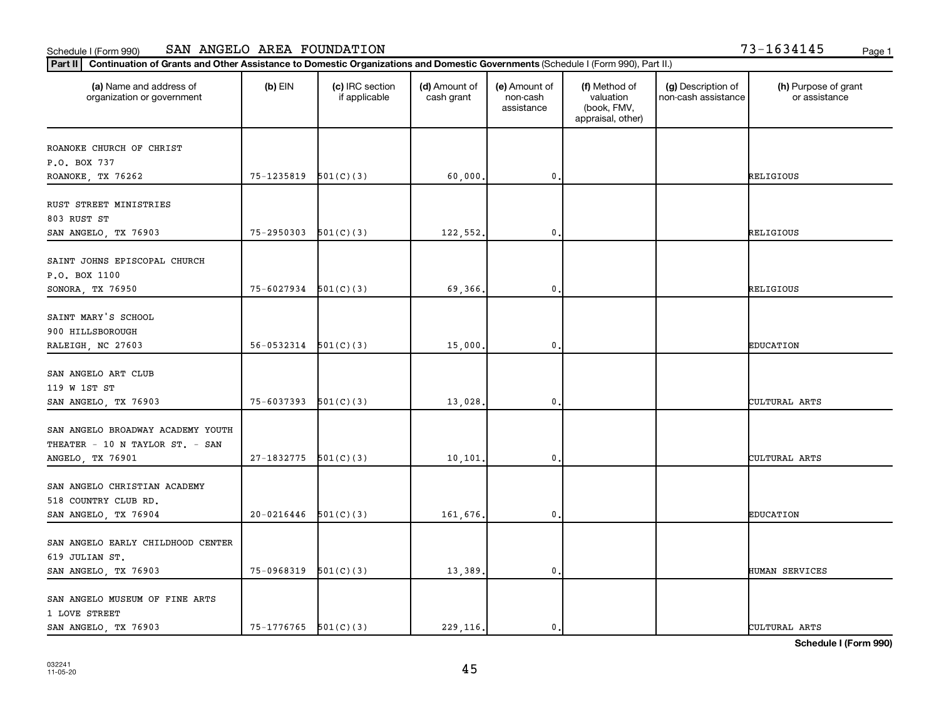| '3-1634145 |  | Page |
|------------|--|------|
|------------|--|------|

| Part II                                                                                  | Continuation of Grants and Other Assistance to Domestic Organizations and Domestic Governments (Schedule I (Form 990), Part II.) |                                  |                             |                                         |                                                                |                                           |                                       |  |  |
|------------------------------------------------------------------------------------------|----------------------------------------------------------------------------------------------------------------------------------|----------------------------------|-----------------------------|-----------------------------------------|----------------------------------------------------------------|-------------------------------------------|---------------------------------------|--|--|
| (a) Name and address of<br>organization or government                                    | $(b)$ EIN                                                                                                                        | (c) IRC section<br>if applicable | (d) Amount of<br>cash grant | (e) Amount of<br>non-cash<br>assistance | (f) Method of<br>valuation<br>(book, FMV,<br>appraisal, other) | (g) Description of<br>non-cash assistance | (h) Purpose of grant<br>or assistance |  |  |
| ROANOKE CHURCH OF CHRIST                                                                 |                                                                                                                                  |                                  |                             |                                         |                                                                |                                           |                                       |  |  |
| P.O. BOX 737                                                                             |                                                                                                                                  |                                  |                             |                                         |                                                                |                                           |                                       |  |  |
| ROANOKE, TX 76262                                                                        | 75-1235819                                                                                                                       | 501(C)(3)                        | 60,000.                     | 0,                                      |                                                                |                                           | RELIGIOUS                             |  |  |
| RUST STREET MINISTRIES<br>803 RUST ST                                                    |                                                                                                                                  |                                  |                             |                                         |                                                                |                                           |                                       |  |  |
| SAN ANGELO, TX 76903                                                                     | 75-2950303                                                                                                                       | 501(C)(3)                        | 122,552.                    | $\mathbf 0$ .                           |                                                                |                                           | RELIGIOUS                             |  |  |
| SAINT JOHNS EPISCOPAL CHURCH<br>P.O. BOX 1100<br>SONORA, TX 76950                        | 75-6027934                                                                                                                       | 501(C)(3)                        | 69,366.                     | $\mathbf{0}$                            |                                                                |                                           | RELIGIOUS                             |  |  |
|                                                                                          |                                                                                                                                  |                                  |                             |                                         |                                                                |                                           |                                       |  |  |
| SAINT MARY'S SCHOOL                                                                      |                                                                                                                                  |                                  |                             |                                         |                                                                |                                           |                                       |  |  |
| 900 HILLSBOROUGH                                                                         |                                                                                                                                  |                                  |                             |                                         |                                                                |                                           |                                       |  |  |
| RALEIGH, NC 27603                                                                        | $56-0532314$ $501(C)(3)$                                                                                                         |                                  | 15,000.                     | 0,                                      |                                                                |                                           | <b>EDUCATION</b>                      |  |  |
| SAN ANGELO ART CLUB<br>119 W 1ST ST<br>SAN ANGELO, TX 76903                              | 75-6037393                                                                                                                       | 501(C)(3)                        | 13,028.                     | $\mathbf 0$                             |                                                                |                                           | CULTURAL ARTS                         |  |  |
|                                                                                          |                                                                                                                                  |                                  |                             |                                         |                                                                |                                           |                                       |  |  |
| SAN ANGELO BROADWAY ACADEMY YOUTH<br>THEATER - 10 N TAYLOR ST. - SAN<br>ANGELO, TX 76901 | 27-1832775                                                                                                                       | 501(C)(3)                        | 10,101                      | $\mathbf{0}$                            |                                                                |                                           | CULTURAL ARTS                         |  |  |
| SAN ANGELO CHRISTIAN ACADEMY<br>518 COUNTRY CLUB RD.                                     |                                                                                                                                  |                                  |                             |                                         |                                                                |                                           |                                       |  |  |
| SAN ANGELO, TX 76904                                                                     | 20-0216446                                                                                                                       | 501(C)(3)                        | 161,676.                    | 0.                                      |                                                                |                                           | <b>EDUCATION</b>                      |  |  |
| SAN ANGELO EARLY CHILDHOOD CENTER<br>619 JULIAN ST.<br>SAN ANGELO, TX 76903              | 75-0968319                                                                                                                       | 501(C)(3)                        | 13,389.                     | $\mathbf{0}$                            |                                                                |                                           | HUMAN SERVICES                        |  |  |
| SAN ANGELO MUSEUM OF FINE ARTS<br>1 LOVE STREET<br>SAN ANGELO, TX 76903                  | $75-1776765$ $501(C)(3)$                                                                                                         |                                  | 229, 116.                   | 0.                                      |                                                                |                                           | CULTURAL ARTS                         |  |  |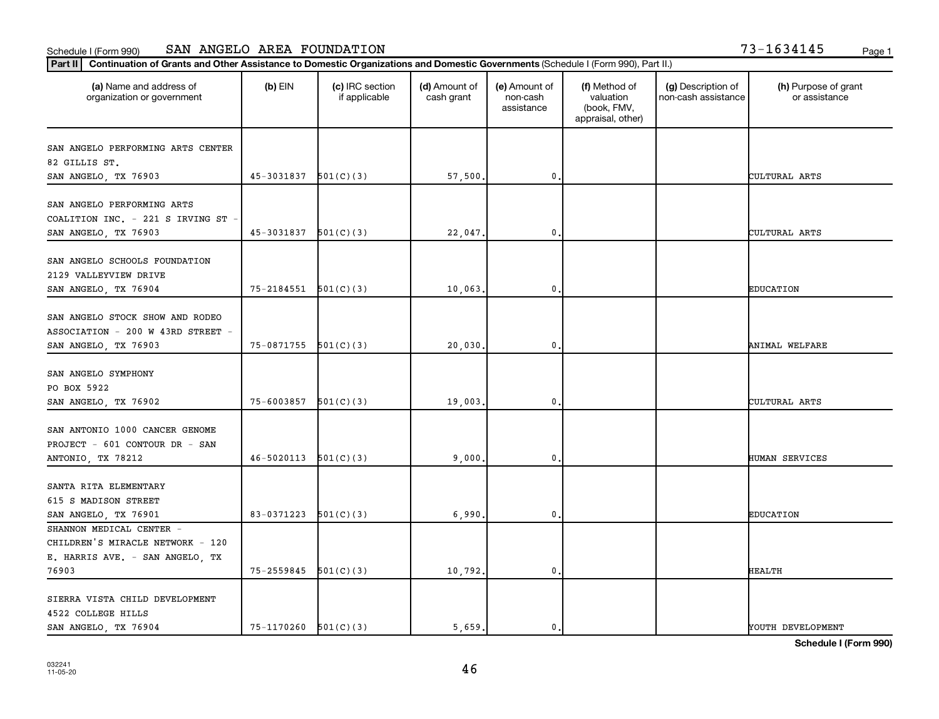| 73-1634145 | Page |  |  |  |  |  |  |  |  |  |
|------------|------|--|--|--|--|--|--|--|--|--|
|------------|------|--|--|--|--|--|--|--|--|--|

| (a) Name and address of<br>organization or government | $(b)$ EIN                  | (c) IRC section<br>if applicable | (d) Amount of<br>cash grant | (e) Amount of<br>non-cash<br>assistance | (f) Method of<br>valuation<br>(book, FMV,<br>appraisal, other) | (g) Description of<br>non-cash assistance | (h) Purpose of grant<br>or assistance |
|-------------------------------------------------------|----------------------------|----------------------------------|-----------------------------|-----------------------------------------|----------------------------------------------------------------|-------------------------------------------|---------------------------------------|
| SAN ANGELO PERFORMING ARTS CENTER                     |                            |                                  |                             |                                         |                                                                |                                           |                                       |
| 82 GILLIS ST.                                         |                            |                                  |                             |                                         |                                                                |                                           |                                       |
| SAN ANGELO, TX 76903                                  | $45-3031837$ $501(C)(3)$   |                                  | 57,500.                     | $\pmb{0}$                               |                                                                |                                           | CULTURAL ARTS                         |
| SAN ANGELO PERFORMING ARTS                            |                            |                                  |                             |                                         |                                                                |                                           |                                       |
| COALITION INC. - 221 S IRVING ST                      |                            |                                  |                             |                                         |                                                                |                                           |                                       |
| SAN ANGELO, TX 76903                                  | 45-3031837                 | 501(C)(3)                        | 22,047.                     | $\mathbf 0$                             |                                                                |                                           | CULTURAL ARTS                         |
|                                                       |                            |                                  |                             |                                         |                                                                |                                           |                                       |
| SAN ANGELO SCHOOLS FOUNDATION                         |                            |                                  |                             |                                         |                                                                |                                           |                                       |
| 2129 VALLEYVIEW DRIVE                                 |                            |                                  |                             |                                         |                                                                |                                           |                                       |
| SAN ANGELO, TX 76904                                  | $75 - 2184551$ $501(C)(3)$ |                                  | 10,063.                     | 0.                                      |                                                                |                                           | <b>EDUCATION</b>                      |
|                                                       |                            |                                  |                             |                                         |                                                                |                                           |                                       |
| SAN ANGELO STOCK SHOW AND RODEO                       |                            |                                  |                             |                                         |                                                                |                                           |                                       |
| ASSOCIATION - 200 W 43RD STREET -                     |                            |                                  |                             |                                         |                                                                |                                           |                                       |
| SAN ANGELO, TX 76903                                  | $75-0871755$ $501(C)(3)$   |                                  | 20,030.                     | $\mathbf{0}$                            |                                                                |                                           | ANIMAL WELFARE                        |
|                                                       |                            |                                  |                             |                                         |                                                                |                                           |                                       |
| SAN ANGELO SYMPHONY                                   |                            |                                  |                             |                                         |                                                                |                                           |                                       |
| PO BOX 5922                                           |                            |                                  |                             |                                         |                                                                |                                           |                                       |
| SAN ANGELO, TX 76902                                  | 75-6003857                 | 501(C)(3)                        | 19,003.                     | $\mathbf 0$                             |                                                                |                                           | CULTURAL ARTS                         |
| SAN ANTONIO 1000 CANCER GENOME                        |                            |                                  |                             |                                         |                                                                |                                           |                                       |
| PROJECT - 601 CONTOUR DR - SAN                        |                            |                                  |                             |                                         |                                                                |                                           |                                       |
| ANTONIO, TX 78212                                     | 46-5020113                 | 501(C)(3)                        | 9,000.                      | 0,                                      |                                                                |                                           | HUMAN SERVICES                        |
|                                                       |                            |                                  |                             |                                         |                                                                |                                           |                                       |
| SANTA RITA ELEMENTARY                                 |                            |                                  |                             |                                         |                                                                |                                           |                                       |
| 615 S MADISON STREET                                  |                            |                                  |                             |                                         |                                                                |                                           |                                       |
| SAN ANGELO, TX 76901                                  | 83-0371223                 | 501(C)(3)                        | 6,990.                      | $\mathbf 0$                             |                                                                |                                           | <b>EDUCATION</b>                      |
| SHANNON MEDICAL CENTER -                              |                            |                                  |                             |                                         |                                                                |                                           |                                       |
| CHILDREN'S MIRACLE NETWORK - 120                      |                            |                                  |                             |                                         |                                                                |                                           |                                       |
| E. HARRIS AVE. - SAN ANGELO, TX                       |                            |                                  |                             |                                         |                                                                |                                           |                                       |
| 76903                                                 | 75-2559845                 | 501(C)(3)                        | 10,792.                     | 0.                                      |                                                                |                                           | <b>HEALTH</b>                         |
|                                                       |                            |                                  |                             |                                         |                                                                |                                           |                                       |
| SIERRA VISTA CHILD DEVELOPMENT                        |                            |                                  |                             |                                         |                                                                |                                           |                                       |
| 4522 COLLEGE HILLS                                    |                            |                                  |                             |                                         |                                                                |                                           |                                       |
| SAN ANGELO, TX 76904                                  | $75-1170260$ $501(C)(3)$   |                                  | 5,659.                      | 0.                                      |                                                                |                                           | YOUTH DEVELOPMENT                     |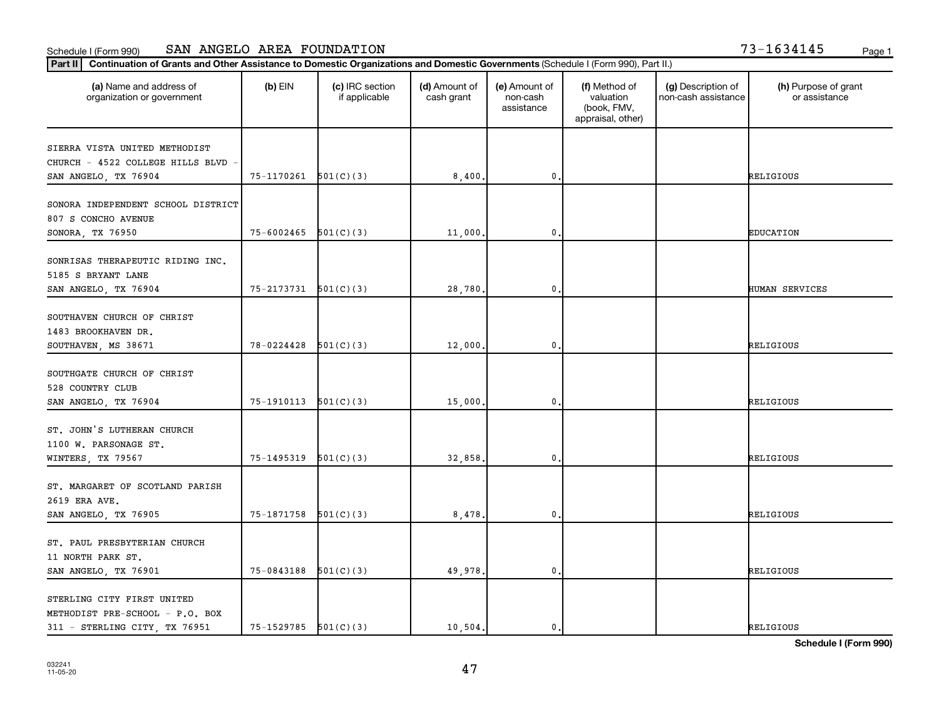| $3 - 1634145$ | Page |
|---------------|------|
|---------------|------|

| Continuation of Grants and Other Assistance to Domestic Organizations and Domestic Governments (Schedule I (Form 990), Part II.)<br>Part II |                            |                                  |                             |                                         |                                                                |                                           |                                       |
|---------------------------------------------------------------------------------------------------------------------------------------------|----------------------------|----------------------------------|-----------------------------|-----------------------------------------|----------------------------------------------------------------|-------------------------------------------|---------------------------------------|
| (a) Name and address of<br>organization or government                                                                                       | $(b)$ EIN                  | (c) IRC section<br>if applicable | (d) Amount of<br>cash grant | (e) Amount of<br>non-cash<br>assistance | (f) Method of<br>valuation<br>(book, FMV,<br>appraisal, other) | (g) Description of<br>non-cash assistance | (h) Purpose of grant<br>or assistance |
| SIERRA VISTA UNITED METHODIST<br>CHURCH - 4522 COLLEGE HILLS BLVD<br>SAN ANGELO, TX 76904                                                   | 75-1170261                 | 501(C)(3)                        | 8,400.                      | $\mathbf{0}$                            |                                                                |                                           | RELIGIOUS                             |
| SONORA INDEPENDENT SCHOOL DISTRICT<br>807 S CONCHO AVENUE<br>SONORA, TX 76950                                                               | $75 - 6002465$ 501(C)(3)   |                                  | 11,000.                     | $\mathbf{0}$                            |                                                                |                                           | <b>EDUCATION</b>                      |
| SONRISAS THERAPEUTIC RIDING INC.<br>5185 S BRYANT LANE<br>SAN ANGELO, TX 76904                                                              | 75-2173731                 | 501(C)(3)                        | 28,780.                     | $\mathbf{0}$                            |                                                                |                                           | HUMAN SERVICES                        |
| SOUTHAVEN CHURCH OF CHRIST<br>1483 BROOKHAVEN DR.<br>SOUTHAVEN, MS 38671                                                                    | 78-0224428                 | 501(C)(3)                        | 12,000.                     | $\mathbf{0}$                            |                                                                |                                           | RELIGIOUS                             |
| SOUTHGATE CHURCH OF CHRIST<br>528 COUNTRY CLUB<br>SAN ANGELO, TX 76904                                                                      | $75-1910113$ $501(C)(3)$   |                                  | 15,000.                     | $\mathbf 0$                             |                                                                |                                           | RELIGIOUS                             |
| ST. JOHN'S LUTHERAN CHURCH<br>1100 W. PARSONAGE ST.<br>WINTERS, TX 79567                                                                    | 75-1495319                 | 501(C)(3)                        | 32,858.                     | $\mathbf 0$                             |                                                                |                                           | RELIGIOUS                             |
| ST. MARGARET OF SCOTLAND PARISH<br>2619 ERA AVE.<br>SAN ANGELO, TX 76905                                                                    | $75-1871758$ $501(C)(3)$   |                                  | 8,478                       | 0.                                      |                                                                |                                           | RELIGIOUS                             |
| ST. PAUL PRESBYTERIAN CHURCH<br>11 NORTH PARK ST.<br>SAN ANGELO, TX 76901                                                                   | 75-0843188                 | 501(C)(3)                        | 49,978                      | $\mathbf{0}$                            |                                                                |                                           | RELIGIOUS                             |
| STERLING CITY FIRST UNITED<br>METHODIST PRE-SCHOOL - P.O. BOX<br>311 - STERLING CITY, TX 76951                                              | $75 - 1529785$ $501(C)(3)$ |                                  | 10,504.                     | 0.                                      |                                                                |                                           | RELIGIOUS                             |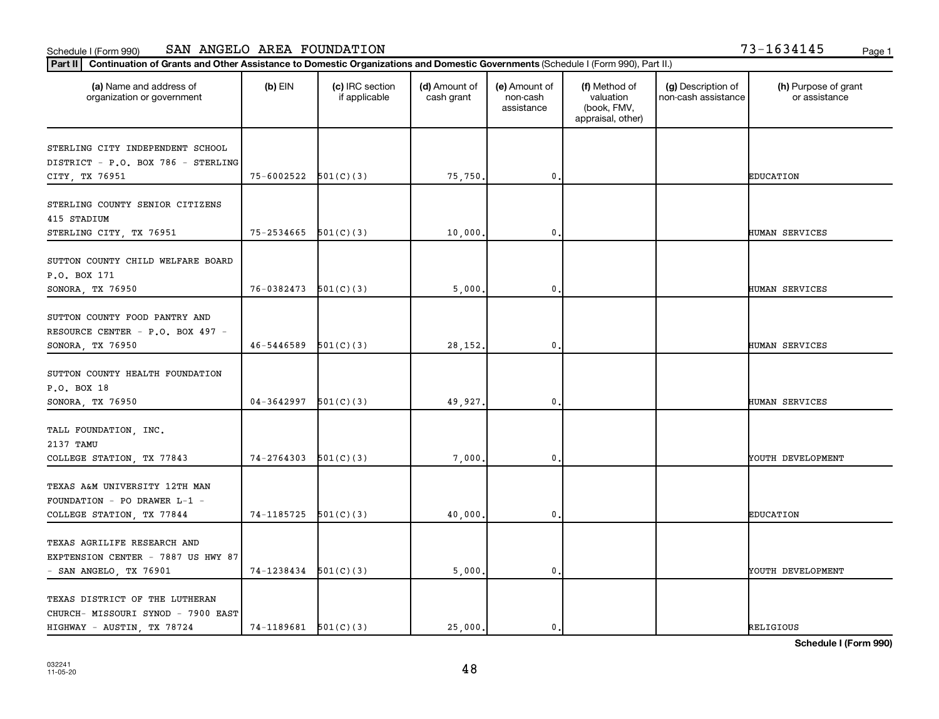|  | $3 - 1634145$ |  |  | Page |
|--|---------------|--|--|------|
|  |               |  |  |      |

| Continuation of Grants and Other Assistance to Domestic Organizations and Domestic Governments (Schedule I (Form 990), Part II.)<br>Part II |                            |                                  |                             |                                         |                                                                |                                           |                                       |
|---------------------------------------------------------------------------------------------------------------------------------------------|----------------------------|----------------------------------|-----------------------------|-----------------------------------------|----------------------------------------------------------------|-------------------------------------------|---------------------------------------|
| (a) Name and address of<br>organization or government                                                                                       | $(b)$ EIN                  | (c) IRC section<br>if applicable | (d) Amount of<br>cash grant | (e) Amount of<br>non-cash<br>assistance | (f) Method of<br>valuation<br>(book, FMV,<br>appraisal, other) | (g) Description of<br>non-cash assistance | (h) Purpose of grant<br>or assistance |
| STERLING CITY INDEPENDENT SCHOOL<br>DISTRICT - P.O. BOX 786 - STERLING<br>CITY, TX 76951                                                    | $75 - 6002522$ $501(C)(3)$ |                                  | 75,750.                     | $\mathbf{0}$                            |                                                                |                                           | <b>EDUCATION</b>                      |
| STERLING COUNTY SENIOR CITIZENS<br>415 STADIUM<br>STERLING CITY, TX 76951                                                                   | $75-2534665$ $501(C)(3)$   |                                  | 10,000.                     | 0                                       |                                                                |                                           | <b>HUMAN SERVICES</b>                 |
| SUTTON COUNTY CHILD WELFARE BOARD<br>P.O. BOX 171<br>SONORA, TX 76950                                                                       | 76-0382473                 | 501(C)(3)                        | 5,000.                      | 0                                       |                                                                |                                           | HUMAN SERVICES                        |
| SUTTON COUNTY FOOD PANTRY AND<br>RESOURCE CENTER - P.O. BOX 497 -<br>SONORA, TX 76950                                                       | 46-5446589                 | 501(C)(3)                        | 28,152.                     | 0                                       |                                                                |                                           | HUMAN SERVICES                        |
| SUTTON COUNTY HEALTH FOUNDATION<br>P.O. BOX 18<br>SONORA, TX 76950                                                                          | $04-3642997$ $501(C)(3)$   |                                  | 49,927.                     | 0                                       |                                                                |                                           | <b>HUMAN SERVICES</b>                 |
| TALL FOUNDATION, INC.<br>2137 TAMU<br>COLLEGE STATION, TX 77843                                                                             | 74-2764303                 | 501(C)(3)                        | 7,000.                      | 0                                       |                                                                |                                           | YOUTH DEVELOPMENT                     |
| TEXAS A&M UNIVERSITY 12TH MAN<br>FOUNDATION - PO DRAWER L-1 -<br>COLLEGE STATION, TX 77844                                                  | $74-1185725$ $501(C)(3)$   |                                  | 40,000.                     | 0                                       |                                                                |                                           | <b>EDUCATION</b>                      |
| TEXAS AGRILIFE RESEARCH AND<br>EXPTENSION CENTER - 7887 US HWY 87<br>- SAN ANGELO, TX 76901                                                 | $74-1238434$ $501(C)(3)$   |                                  | 5,000.                      | 0                                       |                                                                |                                           | YOUTH DEVELOPMENT                     |
| TEXAS DISTRICT OF THE LUTHERAN<br>CHURCH- MISSOURI SYNOD - 7900 EAST<br>HIGHWAY - AUSTIN, TX 78724                                          | $74-1189681$ $501(C)(3)$   |                                  | 25,000.                     | 0.                                      |                                                                |                                           | <b>RELIGIOUS</b>                      |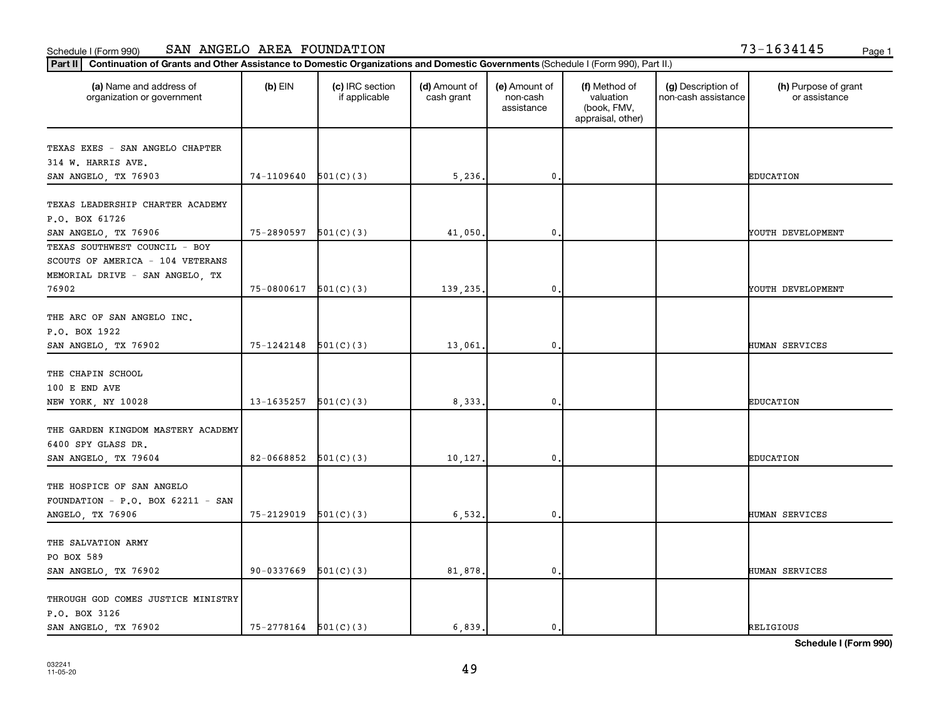|  | 13-1634145 | Page |
|--|------------|------|
|  |            |      |

| (a) Name and address of<br>organization or government | $(b)$ EIN                  | (c) IRC section<br>if applicable | (d) Amount of<br>cash grant | (e) Amount of<br>non-cash<br>assistance | (f) Method of<br>valuation<br>(book, FMV,<br>appraisal, other) | (g) Description of<br>non-cash assistance | (h) Purpose of grant<br>or assistance |
|-------------------------------------------------------|----------------------------|----------------------------------|-----------------------------|-----------------------------------------|----------------------------------------------------------------|-------------------------------------------|---------------------------------------|
| TEXAS EXES - SAN ANGELO CHAPTER                       |                            |                                  |                             |                                         |                                                                |                                           |                                       |
| 314 W. HARRIS AVE.                                    |                            |                                  |                             |                                         |                                                                |                                           |                                       |
| SAN ANGELO, TX 76903                                  | 74-1109640                 | 501(C)(3)                        | 5,236.                      | $\mathbf{0}$                            |                                                                |                                           | <b>EDUCATION</b>                      |
|                                                       |                            |                                  |                             |                                         |                                                                |                                           |                                       |
| TEXAS LEADERSHIP CHARTER ACADEMY                      |                            |                                  |                             |                                         |                                                                |                                           |                                       |
| P.O. BOX 61726                                        |                            |                                  |                             |                                         |                                                                |                                           |                                       |
| SAN ANGELO, TX 76906                                  | 75-2890597                 | 501(C)(3)                        | 41,050.                     | $\mathbf 0$                             |                                                                |                                           | YOUTH DEVELOPMENT                     |
| TEXAS SOUTHWEST COUNCIL - BOY                         |                            |                                  |                             |                                         |                                                                |                                           |                                       |
| SCOUTS OF AMERICA - 104 VETERANS                      |                            |                                  |                             |                                         |                                                                |                                           |                                       |
| MEMORIAL DRIVE - SAN ANGELO, TX                       |                            |                                  |                             |                                         |                                                                |                                           |                                       |
| 76902                                                 | 75-0800617                 | 501(C)(3)                        | 139,235.                    | $\mathbf{0}$                            |                                                                |                                           | YOUTH DEVELOPMENT                     |
|                                                       |                            |                                  |                             |                                         |                                                                |                                           |                                       |
| THE ARC OF SAN ANGELO INC.                            |                            |                                  |                             |                                         |                                                                |                                           |                                       |
| P.O. BOX 1922                                         |                            |                                  |                             |                                         |                                                                |                                           |                                       |
| SAN ANGELO, TX 76902                                  | 75-1242148                 | 501(C)(3)                        | 13,061.                     | $\mathbf{0}$                            |                                                                |                                           | HUMAN SERVICES                        |
| THE CHAPIN SCHOOL                                     |                            |                                  |                             |                                         |                                                                |                                           |                                       |
| 100 E END AVE                                         |                            |                                  |                             |                                         |                                                                |                                           |                                       |
| NEW YORK, NY 10028                                    | 13-1635257                 | 501(C)(3)                        | 8,333.                      | $\mathbf{0}$                            |                                                                |                                           | <b>EDUCATION</b>                      |
|                                                       |                            |                                  |                             |                                         |                                                                |                                           |                                       |
| THE GARDEN KINGDOM MASTERY ACADEMY                    |                            |                                  |                             |                                         |                                                                |                                           |                                       |
| 6400 SPY GLASS DR.                                    |                            |                                  |                             |                                         |                                                                |                                           |                                       |
| SAN ANGELO, TX 79604                                  | 82-0668852                 | 501(C)(3)                        | 10,127.                     | 0                                       |                                                                |                                           | <b>EDUCATION</b>                      |
|                                                       |                            |                                  |                             |                                         |                                                                |                                           |                                       |
| THE HOSPICE OF SAN ANGELO                             |                            |                                  |                             |                                         |                                                                |                                           |                                       |
| FOUNDATION - $P.O.$ BOX 62211 - SAN                   |                            |                                  |                             |                                         |                                                                |                                           |                                       |
| ANGELO, TX 76906                                      | 75-2129019                 | 501(C)(3)                        | 6,532.                      | $\mathbf 0$ .                           |                                                                |                                           | HUMAN SERVICES                        |
|                                                       |                            |                                  |                             |                                         |                                                                |                                           |                                       |
| THE SALVATION ARMY                                    |                            |                                  |                             |                                         |                                                                |                                           |                                       |
| PO BOX 589                                            |                            |                                  |                             |                                         |                                                                |                                           |                                       |
| SAN ANGELO, TX 76902                                  | 90-0337669                 | 501(C)(3)                        | 81,878.                     | $\mathbf 0$                             |                                                                |                                           | HUMAN SERVICES                        |
|                                                       |                            |                                  |                             |                                         |                                                                |                                           |                                       |
| THROUGH GOD COMES JUSTICE MINISTRY                    |                            |                                  |                             |                                         |                                                                |                                           |                                       |
| P.O. BOX 3126                                         |                            |                                  |                             |                                         |                                                                |                                           |                                       |
| SAN ANGELO, TX 76902                                  | $75 - 2778164$ $501(C)(3)$ |                                  | 6,839.                      | 0.                                      |                                                                |                                           | <b>RELIGIOUS</b>                      |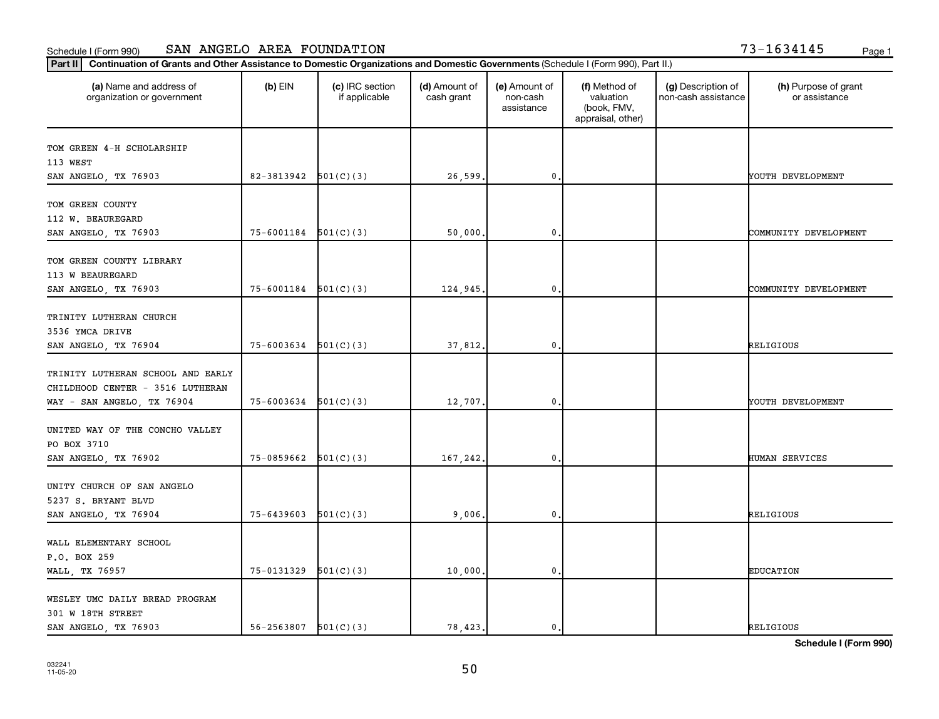| (a) Name and address of<br>organization or government | $(b)$ EIN                  | (c) IRC section<br>if applicable | (d) Amount of<br>cash grant | (e) Amount of<br>non-cash<br>assistance | (f) Method of<br>valuation<br>(book, FMV,<br>appraisal, other) | (g) Description of<br>non-cash assistance | (h) Purpose of grant<br>or assistance |
|-------------------------------------------------------|----------------------------|----------------------------------|-----------------------------|-----------------------------------------|----------------------------------------------------------------|-------------------------------------------|---------------------------------------|
| TOM GREEN 4-H SCHOLARSHIP                             |                            |                                  |                             |                                         |                                                                |                                           |                                       |
| 113 WEST                                              |                            |                                  |                             |                                         |                                                                |                                           |                                       |
| SAN ANGELO, TX 76903                                  | 82-3813942                 | 501(C)(3)                        | 26,599.                     | $\mathbf{0}$                            |                                                                |                                           | YOUTH DEVELOPMENT                     |
| TOM GREEN COUNTY                                      |                            |                                  |                             |                                         |                                                                |                                           |                                       |
| 112 W. BEAUREGARD                                     |                            |                                  |                             |                                         |                                                                |                                           |                                       |
| SAN ANGELO, TX 76903                                  | 75-6001184                 | 501(C)(3)                        | 50,000.                     | 0                                       |                                                                |                                           | COMMUNITY DEVELOPMENT                 |
|                                                       |                            |                                  |                             |                                         |                                                                |                                           |                                       |
| TOM GREEN COUNTY LIBRARY                              |                            |                                  |                             |                                         |                                                                |                                           |                                       |
| 113 W BEAUREGARD                                      |                            |                                  |                             |                                         |                                                                |                                           |                                       |
| SAN ANGELO, TX 76903                                  | 75-6001184                 | 501(C)(3)                        | 124,945.                    | $\mathbf{0}$                            |                                                                |                                           | COMMUNITY DEVELOPMENT                 |
|                                                       |                            |                                  |                             |                                         |                                                                |                                           |                                       |
| TRINITY LUTHERAN CHURCH                               |                            |                                  |                             |                                         |                                                                |                                           |                                       |
| 3536 YMCA DRIVE                                       |                            |                                  |                             |                                         |                                                                |                                           |                                       |
| SAN ANGELO, TX 76904                                  | 75-6003634                 | 501(C)(3)                        | 37,812.                     | $\mathbf{0}$                            |                                                                |                                           | RELIGIOUS                             |
| TRINITY LUTHERAN SCHOOL AND EARLY                     |                            |                                  |                             |                                         |                                                                |                                           |                                       |
| CHILDHOOD CENTER - 3516 LUTHERAN                      |                            |                                  |                             |                                         |                                                                |                                           |                                       |
| WAY - SAN ANGELO, TX 76904                            | 75-6003634                 | 501(C)(3)                        | 12,707.                     | 0                                       |                                                                |                                           | YOUTH DEVELOPMENT                     |
|                                                       |                            |                                  |                             |                                         |                                                                |                                           |                                       |
| UNITED WAY OF THE CONCHO VALLEY                       |                            |                                  |                             |                                         |                                                                |                                           |                                       |
| PO BOX 3710                                           |                            |                                  |                             |                                         |                                                                |                                           |                                       |
| SAN ANGELO, TX 76902                                  | 75-0859662                 | 501(C)(3)                        | 167,242.                    | 0                                       |                                                                |                                           | HUMAN SERVICES                        |
|                                                       |                            |                                  |                             |                                         |                                                                |                                           |                                       |
| UNITY CHURCH OF SAN ANGELO                            |                            |                                  |                             |                                         |                                                                |                                           |                                       |
| 5237 S. BRYANT BLVD                                   |                            |                                  |                             |                                         |                                                                |                                           |                                       |
| SAN ANGELO, TX 76904                                  | $75 - 6439603$ $501(C)(3)$ |                                  | 9,006.                      | $\mathbf 0$                             |                                                                |                                           | RELIGIOUS                             |
|                                                       |                            |                                  |                             |                                         |                                                                |                                           |                                       |
| WALL ELEMENTARY SCHOOL                                |                            |                                  |                             |                                         |                                                                |                                           |                                       |
| P.O. BOX 259                                          |                            |                                  |                             |                                         |                                                                |                                           |                                       |
| WALL, TX 76957                                        | 75-0131329                 | 501(C)(3)                        | 10,000.                     | $\mathbf 0$                             |                                                                |                                           | <b>EDUCATION</b>                      |
| WESLEY UMC DAILY BREAD PROGRAM                        |                            |                                  |                             |                                         |                                                                |                                           |                                       |
| 301 W 18TH STREET                                     |                            |                                  |                             |                                         |                                                                |                                           |                                       |
| SAN ANGELO, TX 76903                                  | $56 - 2563807$ $501(C)(3)$ |                                  | 78,423.                     | 0.                                      |                                                                |                                           | RELIGIOUS                             |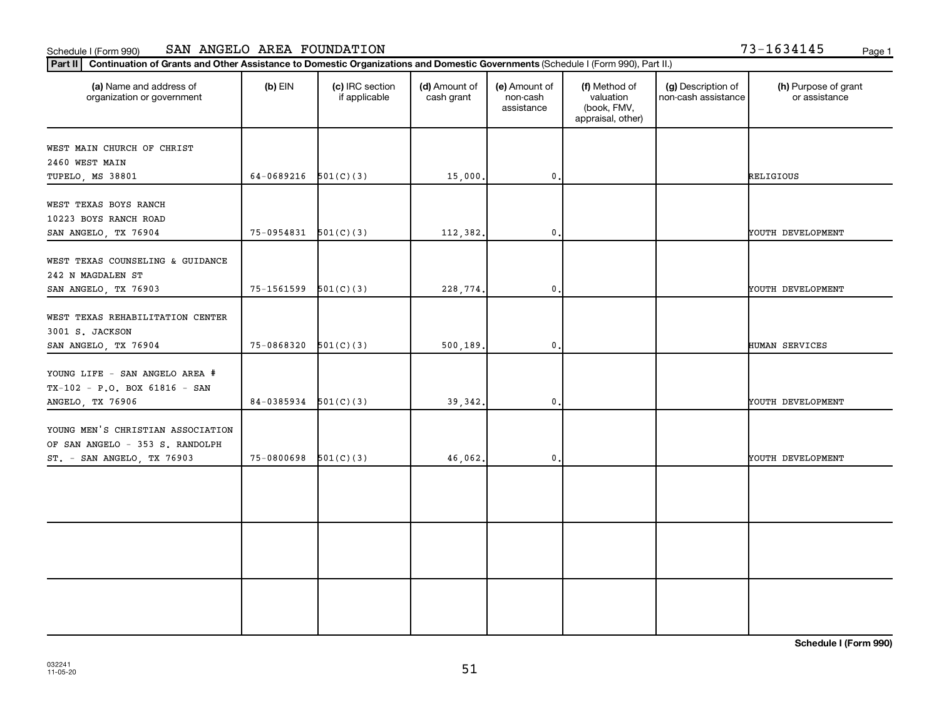| 73-1634145 |  | Page |  |  |  |  |  |  |  |  |
|------------|--|------|--|--|--|--|--|--|--|--|
|------------|--|------|--|--|--|--|--|--|--|--|

| Part II Continuation of Grants and Other Assistance to Domestic Organizations and Domestic Governments (Schedule I (Form 990), Part II.) |                          |                                  |                             |                                         |                                                                |                                           |                                       |  |  |  |
|------------------------------------------------------------------------------------------------------------------------------------------|--------------------------|----------------------------------|-----------------------------|-----------------------------------------|----------------------------------------------------------------|-------------------------------------------|---------------------------------------|--|--|--|
| (a) Name and address of<br>organization or government                                                                                    | $(b)$ EIN                | (c) IRC section<br>if applicable | (d) Amount of<br>cash grant | (e) Amount of<br>non-cash<br>assistance | (f) Method of<br>valuation<br>(book, FMV,<br>appraisal, other) | (g) Description of<br>non-cash assistance | (h) Purpose of grant<br>or assistance |  |  |  |
| WEST MAIN CHURCH OF CHRIST<br>2460 WEST MAIN<br>TUPELO, MS 38801                                                                         | 64-0689216 $501(C)(3)$   |                                  | 15,000.                     | 0.                                      |                                                                |                                           | RELIGIOUS                             |  |  |  |
| WEST TEXAS BOYS RANCH<br>10223 BOYS RANCH ROAD<br>SAN ANGELO, TX 76904                                                                   | $75-0954831$ $501(C)(3)$ |                                  | 112,382.                    | $\mathbf 0$ .                           |                                                                |                                           | YOUTH DEVELOPMENT                     |  |  |  |
| WEST TEXAS COUNSELING & GUIDANCE<br>242 N MAGDALEN ST<br>SAN ANGELO, TX 76903                                                            | 75-1561599               | 501(C)(3)                        | 228,774.                    | $\mathbf 0$                             |                                                                |                                           | YOUTH DEVELOPMENT                     |  |  |  |
| WEST TEXAS REHABILITATION CENTER<br>3001 S. JACKSON<br>SAN ANGELO, TX 76904                                                              | $75-0868320$ $501(C)(3)$ |                                  | 500,189.                    | $\mathbf 0$ .                           |                                                                |                                           | HUMAN SERVICES                        |  |  |  |
| YOUNG LIFE - SAN ANGELO AREA #<br>$TX-102 - P.0$ . BOX 61816 - SAN<br>ANGELO, TX 76906                                                   | $84-0385934$ $501(C)(3)$ |                                  | 39, 342.                    | $\mathbf 0$ .                           |                                                                |                                           | YOUTH DEVELOPMENT                     |  |  |  |
| YOUNG MEN'S CHRISTIAN ASSOCIATION<br>OF SAN ANGELO - 353 S. RANDOLPH<br>ST. - SAN ANGELO, TX 76903                                       | 75-0800698               | 501(C)(3)                        | 46,062.                     | $\mathbf 0$                             |                                                                |                                           | YOUTH DEVELOPMENT                     |  |  |  |
|                                                                                                                                          |                          |                                  |                             |                                         |                                                                |                                           |                                       |  |  |  |
|                                                                                                                                          |                          |                                  |                             |                                         |                                                                |                                           |                                       |  |  |  |
|                                                                                                                                          |                          |                                  |                             |                                         |                                                                |                                           |                                       |  |  |  |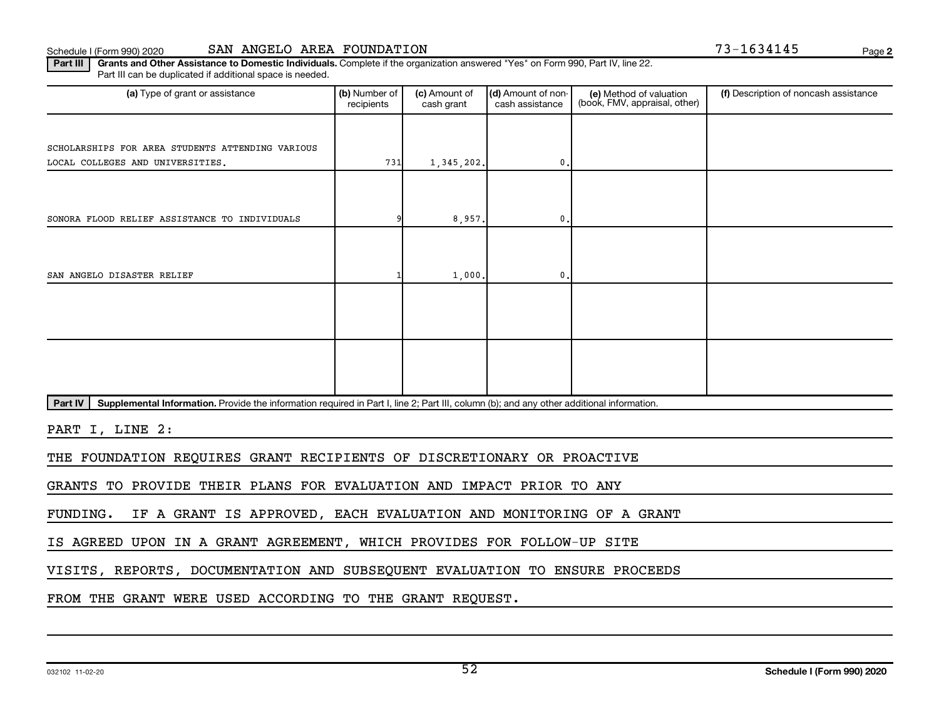#### Schedule I (Form 990) 2020 **SAN ANGELO AREA FOUNDATION** Page

**2**

Part III | Grants and Other Assistance to Domestic Individuals. Complete if the organization answered "Yes" on Form 990, Part IV, line 22. Part III can be duplicated if additional space is needed.

| (a) Type of grant or assistance                                                                                                                      | (b) Number of<br>recipients | (c) Amount of<br>cash grant | (d) Amount of non-<br>cash assistance | (e) Method of valuation<br>(book, FMV, appraisal, other) | (f) Description of noncash assistance |
|------------------------------------------------------------------------------------------------------------------------------------------------------|-----------------------------|-----------------------------|---------------------------------------|----------------------------------------------------------|---------------------------------------|
|                                                                                                                                                      |                             |                             |                                       |                                                          |                                       |
| SCHOLARSHIPS FOR AREA STUDENTS ATTENDING VARIOUS                                                                                                     |                             |                             |                                       |                                                          |                                       |
| LOCAL COLLEGES AND UNIVERSITIES.                                                                                                                     | 731                         | 1,345,202.                  | $\mathbf{0}$ .                        |                                                          |                                       |
|                                                                                                                                                      |                             |                             |                                       |                                                          |                                       |
|                                                                                                                                                      |                             |                             |                                       |                                                          |                                       |
| SONORA FLOOD RELIEF ASSISTANCE TO INDIVIDUALS                                                                                                        |                             | 8,957.                      | 0.                                    |                                                          |                                       |
|                                                                                                                                                      |                             |                             |                                       |                                                          |                                       |
|                                                                                                                                                      |                             |                             |                                       |                                                          |                                       |
| SAN ANGELO DISASTER RELIEF                                                                                                                           |                             | 1,000.                      | $\mathbf{0}$ .                        |                                                          |                                       |
|                                                                                                                                                      |                             |                             |                                       |                                                          |                                       |
|                                                                                                                                                      |                             |                             |                                       |                                                          |                                       |
|                                                                                                                                                      |                             |                             |                                       |                                                          |                                       |
|                                                                                                                                                      |                             |                             |                                       |                                                          |                                       |
|                                                                                                                                                      |                             |                             |                                       |                                                          |                                       |
|                                                                                                                                                      |                             |                             |                                       |                                                          |                                       |
| Part IV<br>Supplemental Information. Provide the information required in Part I, line 2; Part III, column (b); and any other additional information. |                             |                             |                                       |                                                          |                                       |

PART I, LINE 2:

THE FOUNDATION REQUIRES GRANT RECIPIENTS OF DISCRETIONARY OR PROACTIVE

GRANTS TO PROVIDE THEIR PLANS FOR EVALUATION AND IMPACT PRIOR TO ANY

FUNDING. IF A GRANT IS APPROVED, EACH EVALUATION AND MONITORING OF A GRANT

IS AGREED UPON IN A GRANT AGREEMENT, WHICH PROVIDES FOR FOLLOW-UP SITE

VISITS, REPORTS, DOCUMENTATION AND SUBSEQUENT EVALUATION TO ENSURE PROCEEDS

FROM THE GRANT WERE USED ACCORDING TO THE GRANT REQUEST.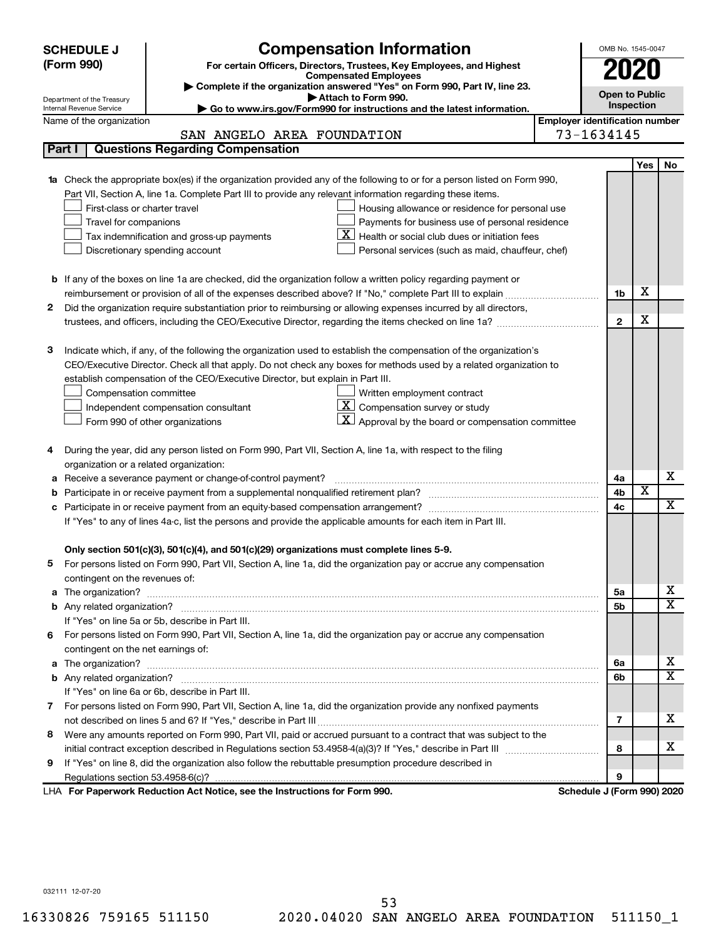|                                                                                                                           | <b>Compensation Information</b><br><b>SCHEDULE J</b>                                                                                    |                                                                                                                                                                                                                                      |                                       |                            |                         |                         |  |  |  |
|---------------------------------------------------------------------------------------------------------------------------|-----------------------------------------------------------------------------------------------------------------------------------------|--------------------------------------------------------------------------------------------------------------------------------------------------------------------------------------------------------------------------------------|---------------------------------------|----------------------------|-------------------------|-------------------------|--|--|--|
|                                                                                                                           | (Form 990)                                                                                                                              | For certain Officers, Directors, Trustees, Key Employees, and Highest                                                                                                                                                                |                                       |                            |                         |                         |  |  |  |
|                                                                                                                           |                                                                                                                                         | <b>Compensated Employees</b>                                                                                                                                                                                                         |                                       |                            |                         |                         |  |  |  |
|                                                                                                                           | Department of the Treasury                                                                                                              | Complete if the organization answered "Yes" on Form 990, Part IV, line 23.<br>Attach to Form 990.                                                                                                                                    |                                       | <b>Open to Public</b>      |                         |                         |  |  |  |
|                                                                                                                           | Internal Revenue Service                                                                                                                | Go to www.irs.gov/Form990 for instructions and the latest information.                                                                                                                                                               |                                       |                            | Inspection              |                         |  |  |  |
|                                                                                                                           | Name of the organization                                                                                                                |                                                                                                                                                                                                                                      | <b>Employer identification number</b> |                            |                         |                         |  |  |  |
|                                                                                                                           |                                                                                                                                         | SAN ANGELO AREA FOUNDATION                                                                                                                                                                                                           |                                       | 73-1634145                 |                         |                         |  |  |  |
| <b>Questions Regarding Compensation</b><br>Part I                                                                         |                                                                                                                                         |                                                                                                                                                                                                                                      |                                       |                            |                         |                         |  |  |  |
|                                                                                                                           |                                                                                                                                         |                                                                                                                                                                                                                                      |                                       |                            | <b>Yes</b>              | No                      |  |  |  |
| 1a Check the appropriate box(es) if the organization provided any of the following to or for a person listed on Form 990, |                                                                                                                                         |                                                                                                                                                                                                                                      |                                       |                            |                         |                         |  |  |  |
|                                                                                                                           |                                                                                                                                         | Part VII, Section A, line 1a. Complete Part III to provide any relevant information regarding these items.                                                                                                                           |                                       |                            |                         |                         |  |  |  |
|                                                                                                                           | First-class or charter travel                                                                                                           | Housing allowance or residence for personal use                                                                                                                                                                                      |                                       |                            |                         |                         |  |  |  |
|                                                                                                                           | Travel for companions                                                                                                                   | Payments for business use of personal residence                                                                                                                                                                                      |                                       |                            |                         |                         |  |  |  |
|                                                                                                                           |                                                                                                                                         | Health or social club dues or initiation fees<br>Tax indemnification and gross-up payments                                                                                                                                           |                                       |                            |                         |                         |  |  |  |
|                                                                                                                           |                                                                                                                                         | Discretionary spending account<br>Personal services (such as maid, chauffeur, chef)                                                                                                                                                  |                                       |                            |                         |                         |  |  |  |
|                                                                                                                           |                                                                                                                                         |                                                                                                                                                                                                                                      |                                       |                            |                         |                         |  |  |  |
|                                                                                                                           |                                                                                                                                         | <b>b</b> If any of the boxes on line 1a are checked, did the organization follow a written policy regarding payment or                                                                                                               |                                       |                            | х                       |                         |  |  |  |
|                                                                                                                           |                                                                                                                                         | reimbursement or provision of all of the expenses described above? If "No," complete Part III to explain                                                                                                                             |                                       | 1b                         |                         |                         |  |  |  |
| 2                                                                                                                         |                                                                                                                                         | Did the organization require substantiation prior to reimbursing or allowing expenses incurred by all directors,                                                                                                                     |                                       | $\mathbf{2}$               | X                       |                         |  |  |  |
|                                                                                                                           |                                                                                                                                         |                                                                                                                                                                                                                                      |                                       |                            |                         |                         |  |  |  |
| 3                                                                                                                         |                                                                                                                                         | Indicate which, if any, of the following the organization used to establish the compensation of the organization's                                                                                                                   |                                       |                            |                         |                         |  |  |  |
|                                                                                                                           |                                                                                                                                         | CEO/Executive Director. Check all that apply. Do not check any boxes for methods used by a related organization to                                                                                                                   |                                       |                            |                         |                         |  |  |  |
|                                                                                                                           |                                                                                                                                         |                                                                                                                                                                                                                                      |                                       |                            |                         |                         |  |  |  |
|                                                                                                                           | establish compensation of the CEO/Executive Director, but explain in Part III.<br>Compensation committee<br>Written employment contract |                                                                                                                                                                                                                                      |                                       |                            |                         |                         |  |  |  |
|                                                                                                                           | $\overline{X}$ Compensation survey or study<br>Independent compensation consultant                                                      |                                                                                                                                                                                                                                      |                                       |                            |                         |                         |  |  |  |
|                                                                                                                           | Approval by the board or compensation committee<br>Form 990 of other organizations                                                      |                                                                                                                                                                                                                                      |                                       |                            |                         |                         |  |  |  |
|                                                                                                                           |                                                                                                                                         |                                                                                                                                                                                                                                      |                                       |                            |                         |                         |  |  |  |
| 4                                                                                                                         |                                                                                                                                         | During the year, did any person listed on Form 990, Part VII, Section A, line 1a, with respect to the filing                                                                                                                         |                                       |                            |                         |                         |  |  |  |
|                                                                                                                           | organization or a related organization:                                                                                                 |                                                                                                                                                                                                                                      |                                       |                            |                         |                         |  |  |  |
| а                                                                                                                         |                                                                                                                                         | Receive a severance payment or change-of-control payment?                                                                                                                                                                            |                                       | 4a                         |                         | х                       |  |  |  |
|                                                                                                                           |                                                                                                                                         |                                                                                                                                                                                                                                      |                                       | 4b                         | $\overline{\textbf{x}}$ |                         |  |  |  |
| c                                                                                                                         |                                                                                                                                         | Participate in or receive payment from an equity-based compensation arrangement?                                                                                                                                                     |                                       | 4c                         |                         | $\overline{\mathbf{X}}$ |  |  |  |
|                                                                                                                           |                                                                                                                                         | If "Yes" to any of lines 4a-c, list the persons and provide the applicable amounts for each item in Part III.                                                                                                                        |                                       |                            |                         |                         |  |  |  |
|                                                                                                                           |                                                                                                                                         |                                                                                                                                                                                                                                      |                                       |                            |                         |                         |  |  |  |
|                                                                                                                           |                                                                                                                                         | Only section 501(c)(3), 501(c)(4), and 501(c)(29) organizations must complete lines 5-9.                                                                                                                                             |                                       |                            |                         |                         |  |  |  |
|                                                                                                                           |                                                                                                                                         | For persons listed on Form 990, Part VII, Section A, line 1a, did the organization pay or accrue any compensation                                                                                                                    |                                       |                            |                         |                         |  |  |  |
|                                                                                                                           | contingent on the revenues of:                                                                                                          |                                                                                                                                                                                                                                      |                                       |                            |                         |                         |  |  |  |
|                                                                                                                           |                                                                                                                                         |                                                                                                                                                                                                                                      |                                       | 5a                         |                         | х                       |  |  |  |
|                                                                                                                           |                                                                                                                                         |                                                                                                                                                                                                                                      |                                       | 5b                         |                         | $\overline{\mathbf{X}}$ |  |  |  |
|                                                                                                                           |                                                                                                                                         | If "Yes" on line 5a or 5b, describe in Part III.                                                                                                                                                                                     |                                       |                            |                         |                         |  |  |  |
|                                                                                                                           |                                                                                                                                         | 6 For persons listed on Form 990, Part VII, Section A, line 1a, did the organization pay or accrue any compensation                                                                                                                  |                                       |                            |                         |                         |  |  |  |
|                                                                                                                           | contingent on the net earnings of:                                                                                                      |                                                                                                                                                                                                                                      |                                       |                            |                         |                         |  |  |  |
| a                                                                                                                         |                                                                                                                                         | The organization? <b>With the contract of the contract of the contract of the contract of the contract of the contract of the contract of the contract of the contract of the contract of the contract of the contract of the co</b> |                                       | 6а                         |                         | х                       |  |  |  |
|                                                                                                                           |                                                                                                                                         |                                                                                                                                                                                                                                      |                                       | 6b                         |                         | $\overline{\mathbf{X}}$ |  |  |  |
|                                                                                                                           |                                                                                                                                         | If "Yes" on line 6a or 6b, describe in Part III.                                                                                                                                                                                     |                                       |                            |                         |                         |  |  |  |
|                                                                                                                           |                                                                                                                                         | 7 For persons listed on Form 990, Part VII, Section A, line 1a, did the organization provide any nonfixed payments                                                                                                                   |                                       |                            |                         |                         |  |  |  |
|                                                                                                                           |                                                                                                                                         |                                                                                                                                                                                                                                      |                                       | 7                          |                         | x                       |  |  |  |
| 8                                                                                                                         |                                                                                                                                         | Were any amounts reported on Form 990, Part VII, paid or accrued pursuant to a contract that was subject to the                                                                                                                      |                                       |                            |                         |                         |  |  |  |
|                                                                                                                           |                                                                                                                                         |                                                                                                                                                                                                                                      |                                       | 8                          |                         | х                       |  |  |  |
| 9                                                                                                                         |                                                                                                                                         | If "Yes" on line 8, did the organization also follow the rebuttable presumption procedure described in                                                                                                                               |                                       |                            |                         |                         |  |  |  |
|                                                                                                                           |                                                                                                                                         |                                                                                                                                                                                                                                      |                                       | 9                          |                         |                         |  |  |  |
|                                                                                                                           |                                                                                                                                         | LHA For Paperwork Reduction Act Notice, see the Instructions for Form 990.                                                                                                                                                           |                                       | Schedule J (Form 990) 2020 |                         |                         |  |  |  |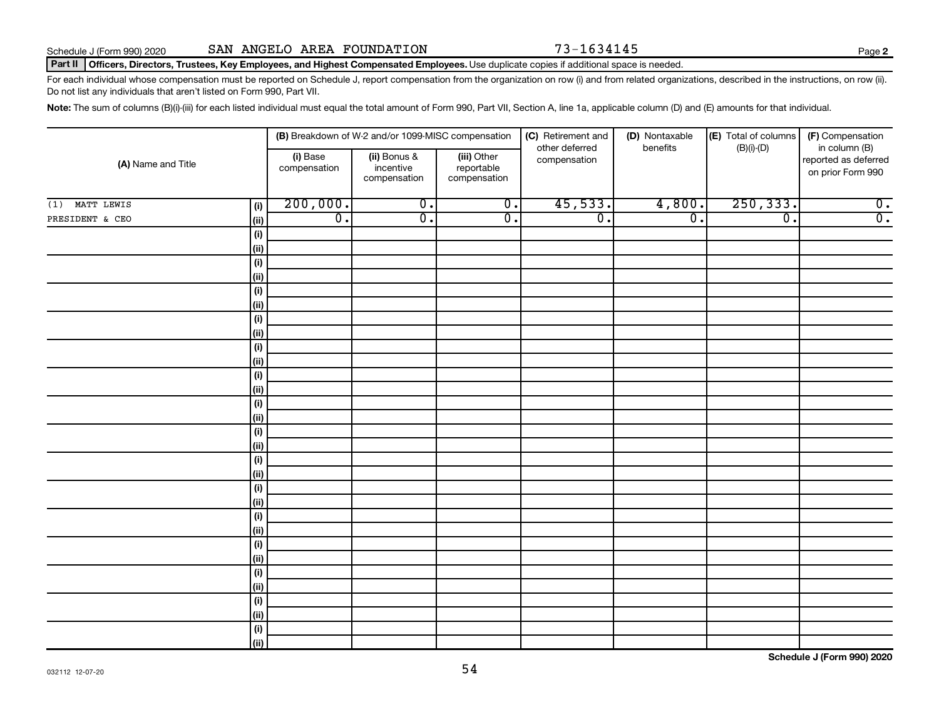#### **Part II Officers, Directors, Trustees, Key Employees, and Highest Compensated Employees.** Use duplicate copies if additional space is needed.

For each individual whose compensation must be reported on Schedule J, report compensation from the organization on row (i) and from related organizations, described in the instructions, on row (ii). Do not list any individuals that aren't listed on Form 990, Part VII.

Note: The sum of columns (B)(i)-(iii) for each listed individual must equal the total amount of Form 990, Part VII, Section A, line 1a, applicable column (D) and (E) amounts for that individual.

|                    |                   |                          | (B) Breakdown of W-2 and/or 1099-MISC compensation |                                           | (C) Retirement and             | (D) Nontaxable              | (E) Total of columns        | (F) Compensation                                           |
|--------------------|-------------------|--------------------------|----------------------------------------------------|-------------------------------------------|--------------------------------|-----------------------------|-----------------------------|------------------------------------------------------------|
| (A) Name and Title |                   | (i) Base<br>compensation | (ii) Bonus &<br>incentive<br>compensation          | (iii) Other<br>reportable<br>compensation | other deferred<br>compensation | benefits                    | $(B)(i)$ - $(D)$            | in column (B)<br>reported as deferred<br>on prior Form 990 |
| MATT LEWIS<br>(1)  | (i)               | 200,000.                 | $\overline{0}$ .                                   | $\overline{0}$ .                          | 45,533.                        | 4,800.                      | 250, 333.                   | $\overline{0}$ .                                           |
| PRESIDENT & CEO    | (ii)              | $\overline{0}$ .         | $\overline{0}$ .                                   | $\overline{0}$ .                          | $\overline{0}$ .               | $\overline{\mathfrak{o}}$ . | $\overline{\mathfrak{o}}$ . | $\overline{0}$ .                                           |
|                    | (i)               |                          |                                                    |                                           |                                |                             |                             |                                                            |
|                    | (ii)              |                          |                                                    |                                           |                                |                             |                             |                                                            |
|                    | $(\sf{i})$        |                          |                                                    |                                           |                                |                             |                             |                                                            |
|                    | (ii)              |                          |                                                    |                                           |                                |                             |                             |                                                            |
|                    | $(\sf{i})$        |                          |                                                    |                                           |                                |                             |                             |                                                            |
|                    | (ii)              |                          |                                                    |                                           |                                |                             |                             |                                                            |
|                    | (i)               |                          |                                                    |                                           |                                |                             |                             |                                                            |
|                    | (ii)              |                          |                                                    |                                           |                                |                             |                             |                                                            |
|                    | (i)               |                          |                                                    |                                           |                                |                             |                             |                                                            |
|                    | (ii)              |                          |                                                    |                                           |                                |                             |                             |                                                            |
|                    | (i)               |                          |                                                    |                                           |                                |                             |                             |                                                            |
|                    | (ii)              |                          |                                                    |                                           |                                |                             |                             |                                                            |
|                    | $(\sf{i})$        |                          |                                                    |                                           |                                |                             |                             |                                                            |
|                    | (ii)              |                          |                                                    |                                           |                                |                             |                             |                                                            |
|                    | $(\sf{i})$        |                          |                                                    |                                           |                                |                             |                             |                                                            |
|                    | (i)<br>$(\sf{i})$ |                          |                                                    |                                           |                                |                             |                             |                                                            |
|                    | (i)               |                          |                                                    |                                           |                                |                             |                             |                                                            |
|                    | (i)               |                          |                                                    |                                           |                                |                             |                             |                                                            |
|                    | (ii)              |                          |                                                    |                                           |                                |                             |                             |                                                            |
|                    | (i)               |                          |                                                    |                                           |                                |                             |                             |                                                            |
|                    | (ii)              |                          |                                                    |                                           |                                |                             |                             |                                                            |
|                    | (i)               |                          |                                                    |                                           |                                |                             |                             |                                                            |
|                    | (ii)              |                          |                                                    |                                           |                                |                             |                             |                                                            |
|                    | (i)               |                          |                                                    |                                           |                                |                             |                             |                                                            |
|                    | (ii)              |                          |                                                    |                                           |                                |                             |                             |                                                            |
|                    | (i)               |                          |                                                    |                                           |                                |                             |                             |                                                            |
|                    | (ii)              |                          |                                                    |                                           |                                |                             |                             |                                                            |
|                    | $(\sf{i})$        |                          |                                                    |                                           |                                |                             |                             |                                                            |
|                    | (ii)              |                          |                                                    |                                           |                                |                             |                             |                                                            |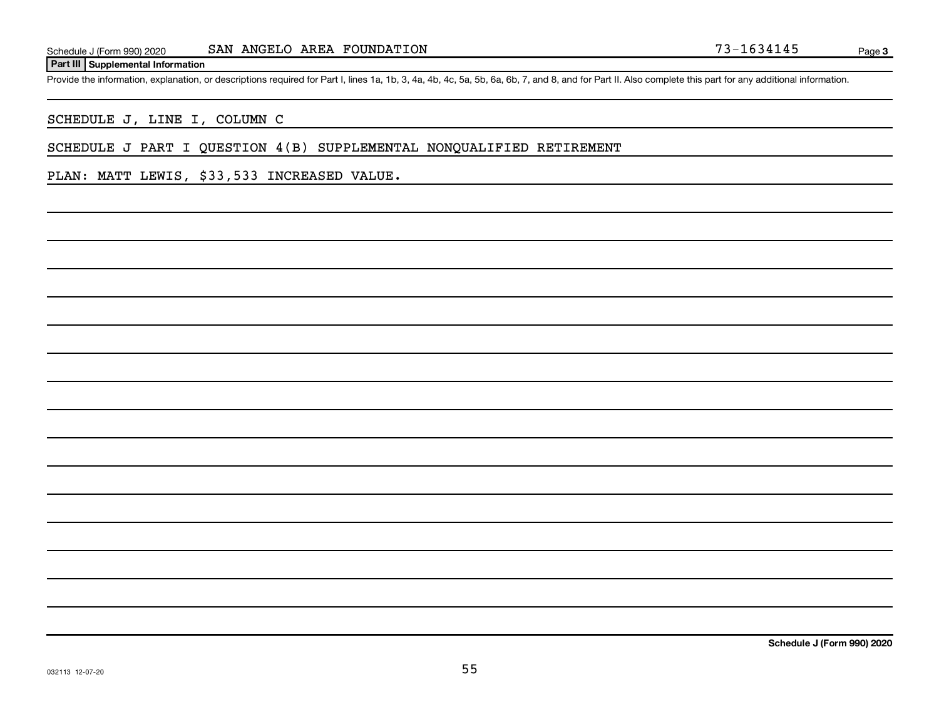#### **Part III Supplemental Information**

Provide the information, explanation, or descriptions required for Part I, lines 1a, 1b, 3, 4a, 4b, 4c, 5a, 5b, 6a, 6b, 7, and 8, and for Part II. Also complete this part for any additional information.

SCHEDULE J, LINE I, COLUMN C

SCHEDULE J PART I QUESTION 4(B) SUPPLEMENTAL NONQUALIFIED RETIREMENT

PLAN: MATT LEWIS, \$33,533 INCREASED VALUE.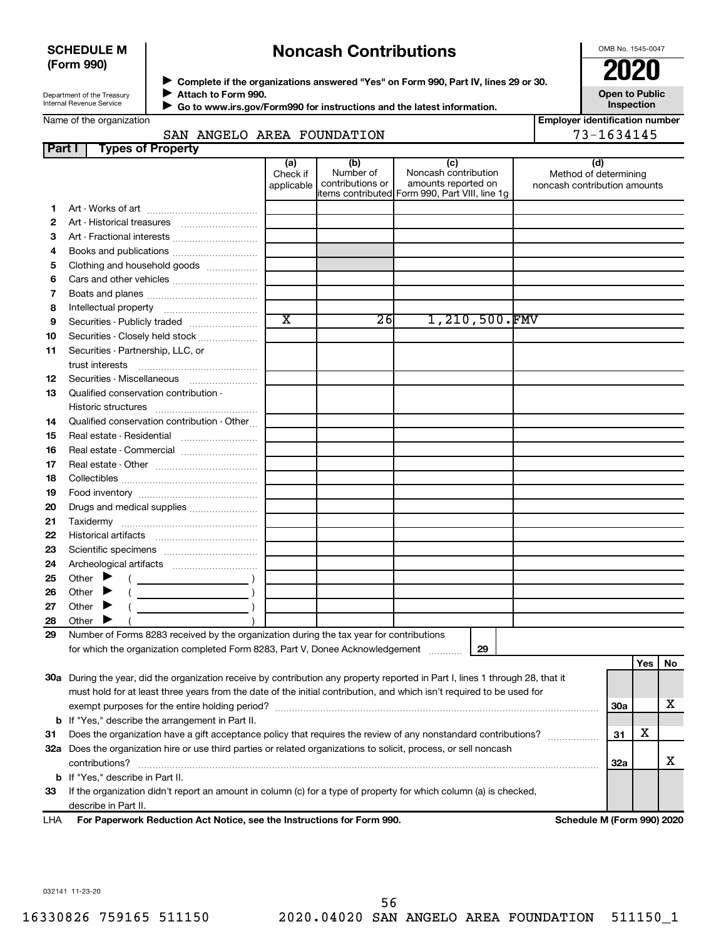#### **SCHEDULE M (Form 990)**

# **Noncash Contributions**

OMB No. 1545-0047

**Employer identification number**

| Department of the Treasury |
|----------------------------|
| Internal Revenue Service   |
|                            |

◆ Complete if the organizations answered "Yes" on Form 990, Part IV, lines 29 or 30.<br>● Complete if the organizations answered "Yes" on Form 990, Part IV, lines 29 or 30. **Attach to Form 990.**  $\blacktriangleright$ 

**Open to Public Inspection**

**Go to www.irs.gov/Form990 for instructions and the latest information.** J

## SAN ANGELO AREA FOUNDATION 73-1634145

| <b>Part I</b> | <b>Types of Property</b>                                                                                                       |                       |                               |                                                |                              |     |     |    |
|---------------|--------------------------------------------------------------------------------------------------------------------------------|-----------------------|-------------------------------|------------------------------------------------|------------------------------|-----|-----|----|
|               |                                                                                                                                | (a)                   | (b)                           | (c)                                            | (d)                          |     |     |    |
|               |                                                                                                                                | Check if              | Number of<br>contributions or | Noncash contribution<br>amounts reported on    | Method of determining        |     |     |    |
|               |                                                                                                                                | applicable            |                               | items contributed Form 990, Part VIII, line 1g | noncash contribution amounts |     |     |    |
| 1             |                                                                                                                                |                       |                               |                                                |                              |     |     |    |
| 2             |                                                                                                                                |                       |                               |                                                |                              |     |     |    |
| З             | Art - Fractional interests                                                                                                     |                       |                               |                                                |                              |     |     |    |
| 4             | Books and publications                                                                                                         |                       |                               |                                                |                              |     |     |    |
| 5             | Clothing and household goods                                                                                                   |                       |                               |                                                |                              |     |     |    |
| 6             | Cars and other vehicles                                                                                                        |                       |                               |                                                |                              |     |     |    |
| 7             |                                                                                                                                |                       |                               |                                                |                              |     |     |    |
| 8             |                                                                                                                                |                       |                               |                                                |                              |     |     |    |
| 9             | Securities - Publicly traded                                                                                                   | $\overline{\text{x}}$ | 26                            | 1,210,500.FMV                                  |                              |     |     |    |
| 10            | Securities - Closely held stock                                                                                                |                       |                               |                                                |                              |     |     |    |
| 11            | Securities - Partnership, LLC, or                                                                                              |                       |                               |                                                |                              |     |     |    |
|               | trust interests                                                                                                                |                       |                               |                                                |                              |     |     |    |
| 12            |                                                                                                                                |                       |                               |                                                |                              |     |     |    |
| 13            | Qualified conservation contribution -                                                                                          |                       |                               |                                                |                              |     |     |    |
|               |                                                                                                                                |                       |                               |                                                |                              |     |     |    |
| 14            | Qualified conservation contribution - Other                                                                                    |                       |                               |                                                |                              |     |     |    |
| 15            | Real estate - Residential                                                                                                      |                       |                               |                                                |                              |     |     |    |
| 16            | Real estate - Commercial                                                                                                       |                       |                               |                                                |                              |     |     |    |
| 17            |                                                                                                                                |                       |                               |                                                |                              |     |     |    |
| 18            |                                                                                                                                |                       |                               |                                                |                              |     |     |    |
| 19            |                                                                                                                                |                       |                               |                                                |                              |     |     |    |
| 20            | Drugs and medical supplies                                                                                                     |                       |                               |                                                |                              |     |     |    |
| 21            |                                                                                                                                |                       |                               |                                                |                              |     |     |    |
| 22            |                                                                                                                                |                       |                               |                                                |                              |     |     |    |
| 23            |                                                                                                                                |                       |                               |                                                |                              |     |     |    |
| 24            |                                                                                                                                |                       |                               |                                                |                              |     |     |    |
| 25            | Other $\blacktriangleright$                                                                                                    |                       |                               |                                                |                              |     |     |    |
| 26            | Other                                                                                                                          |                       |                               |                                                |                              |     |     |    |
| 27            | Other                                                                                                                          |                       |                               |                                                |                              |     |     |    |
| 28            | Other                                                                                                                          |                       |                               |                                                |                              |     |     |    |
| 29            | Number of Forms 8283 received by the organization during the tax year for contributions                                        |                       |                               |                                                |                              |     |     |    |
|               | for which the organization completed Form 8283, Part V, Donee Acknowledgement                                                  |                       |                               | 29                                             |                              |     |     |    |
|               |                                                                                                                                |                       |                               |                                                |                              |     | Yes | No |
|               | 30a During the year, did the organization receive by contribution any property reported in Part I, lines 1 through 28, that it |                       |                               |                                                |                              |     |     |    |
|               | must hold for at least three years from the date of the initial contribution, and which isn't required to be used for          |                       |                               |                                                |                              |     |     |    |
|               |                                                                                                                                |                       |                               |                                                |                              | 30a |     | x  |
| b             | If "Yes," describe the arrangement in Part II.                                                                                 |                       |                               |                                                |                              |     |     |    |
| 31            | Does the organization have a gift acceptance policy that requires the review of any nonstandard contributions?                 |                       |                               |                                                |                              | 31  | х   |    |
|               | 32a Does the organization hire or use third parties or related organizations to solicit, process, or sell noncash              |                       |                               |                                                |                              |     |     |    |
|               | contributions?                                                                                                                 |                       |                               |                                                |                              | 32a |     | x  |

**For Paperwork Reduction Act Notice, see the Instructions for Form 990. Schedule M (Form 990) 2020** LHA describe in Part II.

**33** If the organization didn't report an amount in column (c) for a type of property for which column (a) is checked,

032141 11-23-20

**b** If "Yes," describe in Part II.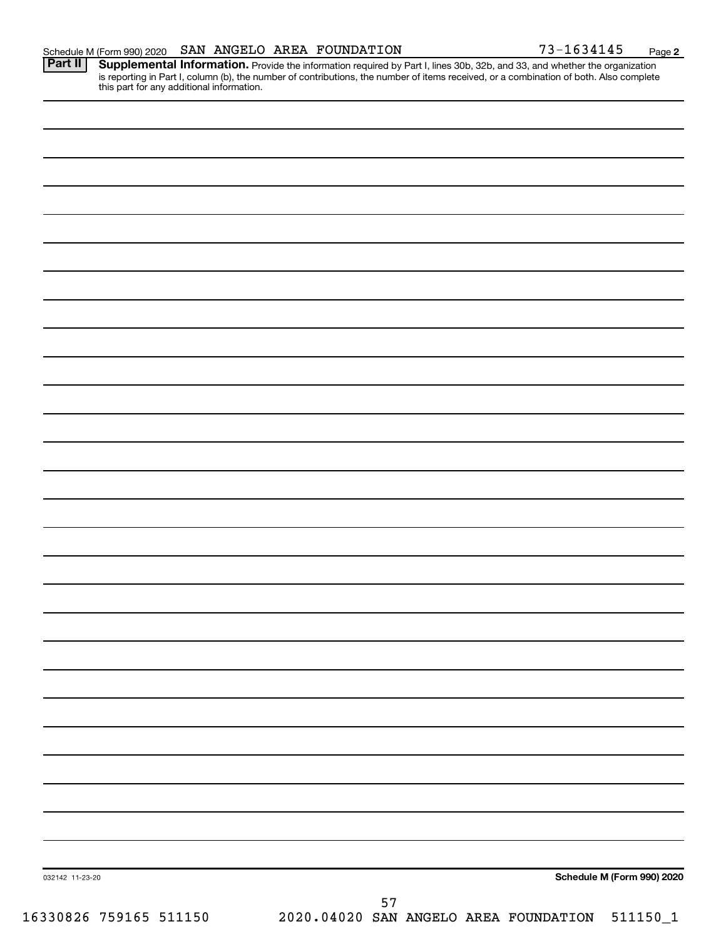Provide the information required by Part I, lines 30b, 32b, and 33, and whether the organization is reporting in Part I, column (b), the number of contributions, the number of items received, or a combination of both. Also complete this part for any additional information. **Part II Supplemental Information.**

| 032142 11-23-20        |                                                |    |  | Schedule M (Form 990) 2020 |
|------------------------|------------------------------------------------|----|--|----------------------------|
|                        |                                                | 57 |  |                            |
| 16330826 759165 511150 | 2020.04020 SAN ANGELO AREA FOUNDATION 511150_1 |    |  |                            |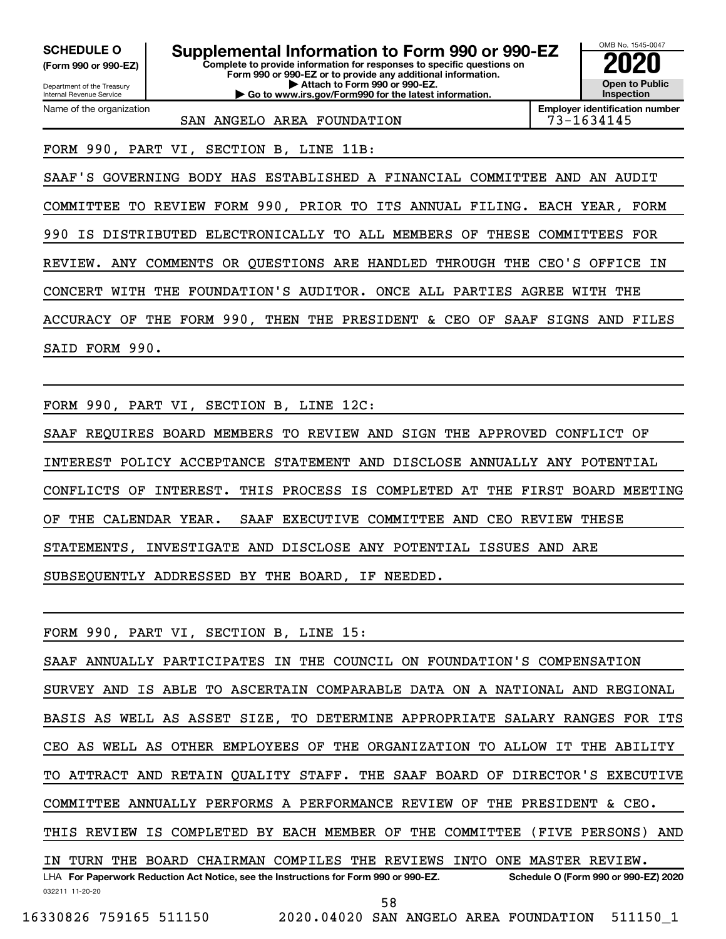Department of the Treasury **(Form 990 or 990-EZ)**

Name of the organization

Internal Revenue Service

**Complete to provide information for responses to specific questions on Form 990 or 990-EZ or to provide any additional information. | Attach to Form 990 or 990-EZ. | Go to www.irs.gov/Form990 for the latest information. SCHEDULE O Supplemental Information to Form 990 or 990-EZ 2020**<br>(Form 990 or 990-EZ) Complete to provide information for responses to specific questions on



**Employer identification number**

SAN ANGELO AREA FOUNDATION 73-1634145

FORM 990, PART VI, SECTION B, LINE 11B:

SAAF'S GOVERNING BODY HAS ESTABLISHED A FINANCIAL COMMITTEE AND AN AUDIT COMMITTEE TO REVIEW FORM 990, PRIOR TO ITS ANNUAL FILING. EACH YEAR, FORM 990 IS DISTRIBUTED ELECTRONICALLY TO ALL MEMBERS OF THESE COMMITTEES FOR REVIEW. ANY COMMENTS OR QUESTIONS ARE HANDLED THROUGH THE CEO'S OFFICE IN CONCERT WITH THE FOUNDATION'S AUDITOR. ONCE ALL PARTIES AGREE WITH THE ACCURACY OF THE FORM 990, THEN THE PRESIDENT & CEO OF SAAF SIGNS AND FILES SAID FORM 990.

FORM 990, PART VI, SECTION B, LINE 12C:

SAAF REQUIRES BOARD MEMBERS TO REVIEW AND SIGN THE APPROVED CONFLICT OF INTEREST POLICY ACCEPTANCE STATEMENT AND DISCLOSE ANNUALLY ANY POTENTIAL CONFLICTS OF INTEREST. THIS PROCESS IS COMPLETED AT THE FIRST BOARD MEETING OF THE CALENDAR YEAR. SAAF EXECUTIVE COMMITTEE AND CEO REVIEW THESE STATEMENTS, INVESTIGATE AND DISCLOSE ANY POTENTIAL ISSUES AND ARE SUBSEQUENTLY ADDRESSED BY THE BOARD, IF NEEDED.

FORM 990, PART VI, SECTION B, LINE 15:

032211 11-20-20 **For Paperwork Reduction Act Notice, see the Instructions for Form 990 or 990-EZ. Schedule O (Form 990 or 990-EZ) 2020** LHA SAAF ANNUALLY PARTICIPATES IN THE COUNCIL ON FOUNDATION'S COMPENSATION SURVEY AND IS ABLE TO ASCERTAIN COMPARABLE DATA ON A NATIONAL AND REGIONAL BASIS AS WELL AS ASSET SIZE, TO DETERMINE APPROPRIATE SALARY RANGES FOR ITS CEO AS WELL AS OTHER EMPLOYEES OF THE ORGANIZATION TO ALLOW IT THE ABILITY TO ATTRACT AND RETAIN QUALITY STAFF. THE SAAF BOARD OF DIRECTOR'S EXECUTIVE COMMITTEE ANNUALLY PERFORMS A PERFORMANCE REVIEW OF THE PRESIDENT & CEO. THIS REVIEW IS COMPLETED BY EACH MEMBER OF THE COMMITTEE (FIVE PERSONS) AND IN TURN THE BOARD CHAIRMAN COMPILES THE REVIEWS INTO ONE MASTER REVIEW. 58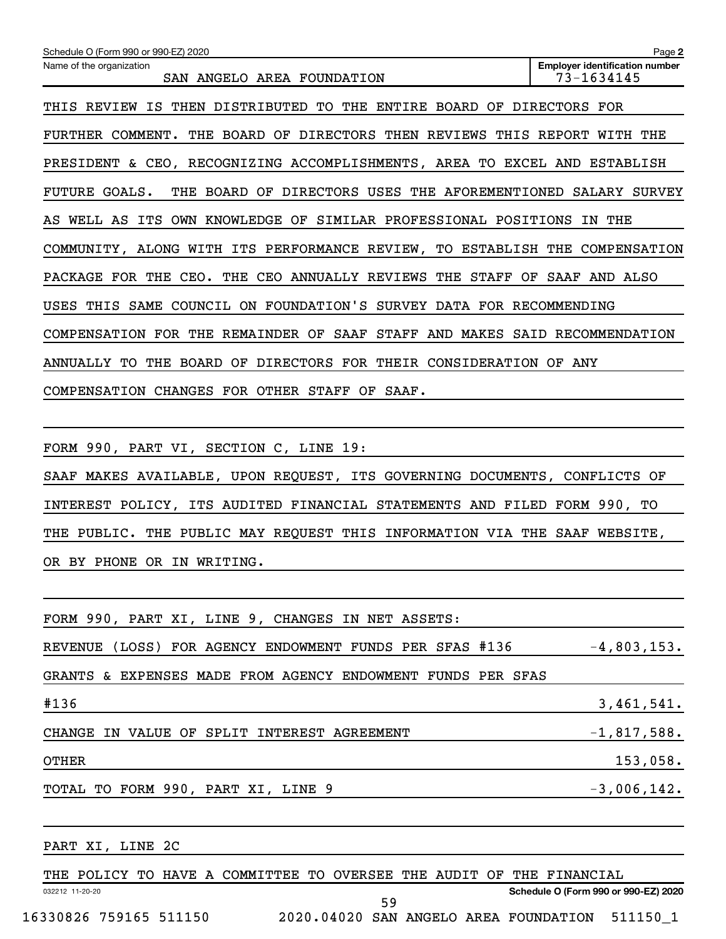| Schedule O (Form 990 or 990-EZ) 2020                                                 | Page 2                                              |
|--------------------------------------------------------------------------------------|-----------------------------------------------------|
| Name of the organization<br>SAN ANGELO AREA FOUNDATION                               | <b>Employer identification number</b><br>73-1634145 |
| THIS REVIEW IS THEN DISTRIBUTED TO THE ENTIRE BOARD OF DIRECTORS FOR                 |                                                     |
| FURTHER COMMENT. THE BOARD OF DIRECTORS THEN REVIEWS THIS REPORT WITH THE            |                                                     |
| PRESIDENT & CEO, RECOGNIZING ACCOMPLISHMENTS, AREA TO EXCEL AND ESTABLISH            |                                                     |
| <b>FUTURE GOALS.</b><br>THE BOARD OF DIRECTORS USES THE AFOREMENTIONED SALARY SURVEY |                                                     |
| AS WELL AS ITS OWN KNOWLEDGE OF SIMILAR PROFESSIONAL POSITIONS IN THE                |                                                     |
| COMMUNITY, ALONG WITH ITS PERFORMANCE REVIEW, TO ESTABLISH THE COMPENSATION          |                                                     |
| PACKAGE FOR THE CEO. THE CEO ANNUALLY REVIEWS THE STAFF OF SAAF AND ALSO             |                                                     |
| USES THIS SAME COUNCIL ON FOUNDATION'S SURVEY DATA FOR RECOMMENDING                  |                                                     |
| COMPENSATION FOR THE REMAINDER OF SAAF STAFF AND MAKES SAID RECOMMENDATION           |                                                     |
| ANNUALLY TO THE BOARD OF DIRECTORS FOR THEIR CONSIDERATION OF ANY                    |                                                     |
| COMPENSATION CHANGES FOR OTHER STAFF OF SAAF.                                        |                                                     |
|                                                                                      |                                                     |
| FORM 990, PART VI, SECTION C, LINE 19:                                               |                                                     |
| SAAF MAKES AVAILABLE, UPON REQUEST, ITS GOVERNING DOCUMENTS, CONFLICTS OF            |                                                     |
| INTEREST POLICY, ITS AUDITED FINANCIAL STATEMENTS AND FILED FORM 990, TO             |                                                     |
| THE PUBLIC. THE PUBLIC MAY REQUEST THIS INFORMATION VIA THE SAAF WEBSITE,            |                                                     |
| OR BY PHONE OR IN WRITING.                                                           |                                                     |
|                                                                                      |                                                     |
| FORM 990, PART XI, LINE 9, CHANGES IN NET ASSETS:                                    |                                                     |
| REVENUE (LOSS) FOR AGENCY ENDOWMENT FUNDS PER SFAS #136                              | $-4,803,153.$                                       |
| GRANTS & EXPENSES MADE FROM AGENCY ENDOWMENT FUNDS PER SFAS                          |                                                     |
| #136                                                                                 | 3,461,541.                                          |
| CHANGE IN VALUE OF SPLIT INTEREST AGREEMENT                                          | $-1,817,588.$                                       |
| <b>OTHER</b>                                                                         | 153,058.                                            |
| TOTAL TO FORM 990, PART XI, LINE 9                                                   | $-3,006,142$ .                                      |
|                                                                                      |                                                     |
| PART XI, LINE 2C                                                                     |                                                     |
| THE POLICY TO HAVE A COMMITTEE TO OVERSEE THE AUDIT OF THE FINANCIAL                 |                                                     |
| 032212 11-20-20                                                                      | Schedule O (Form 990 or 990-EZ) 2020                |

16330826 759165 511150 2020.04020 SAN ANGELO AREA FOUNDATION 511150\_1

59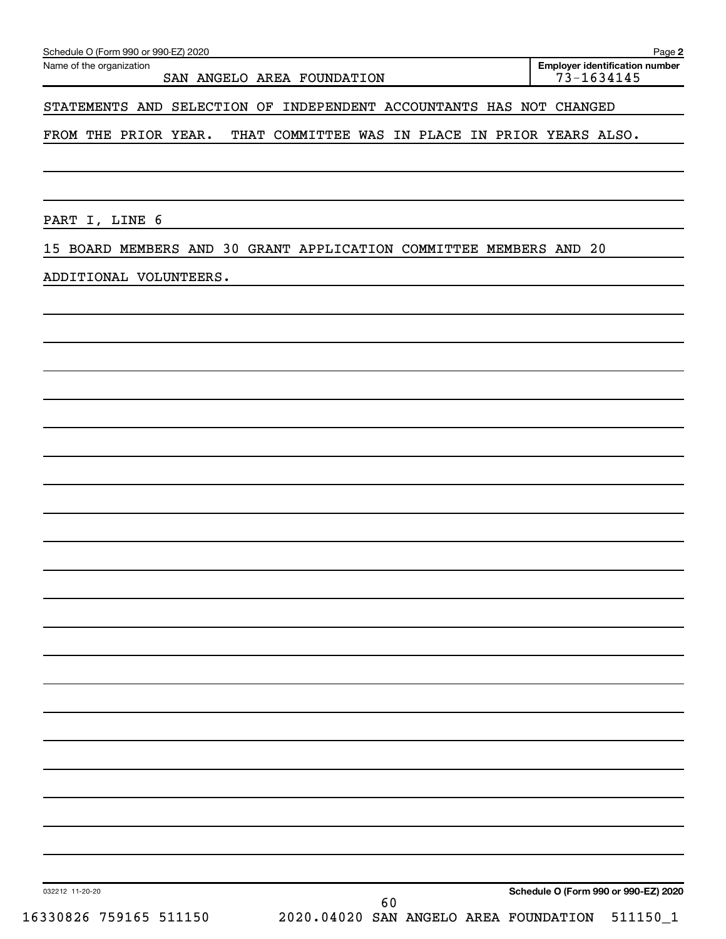|  | Schedule O (Form 990 or 990-EZ) 2020 |  | Paqe |
|--|--------------------------------------|--|------|
|--|--------------------------------------|--|------|

Name of the organization

**Employer identification number**

STATEMENTS AND SELECTION OF INDEPENDENT ACCOUNTANTS HAS NOT CHANGED

FROM THE PRIOR YEAR. THAT COMMITTEE WAS IN PLACE IN PRIOR YEARS ALSO.

PART I, LINE 6

15 BOARD MEMBERS AND 30 GRANT APPLICATION COMMITTEE MEMBERS AND 20

#### ADDITIONAL VOLUNTEERS.

032212 11-20-20

60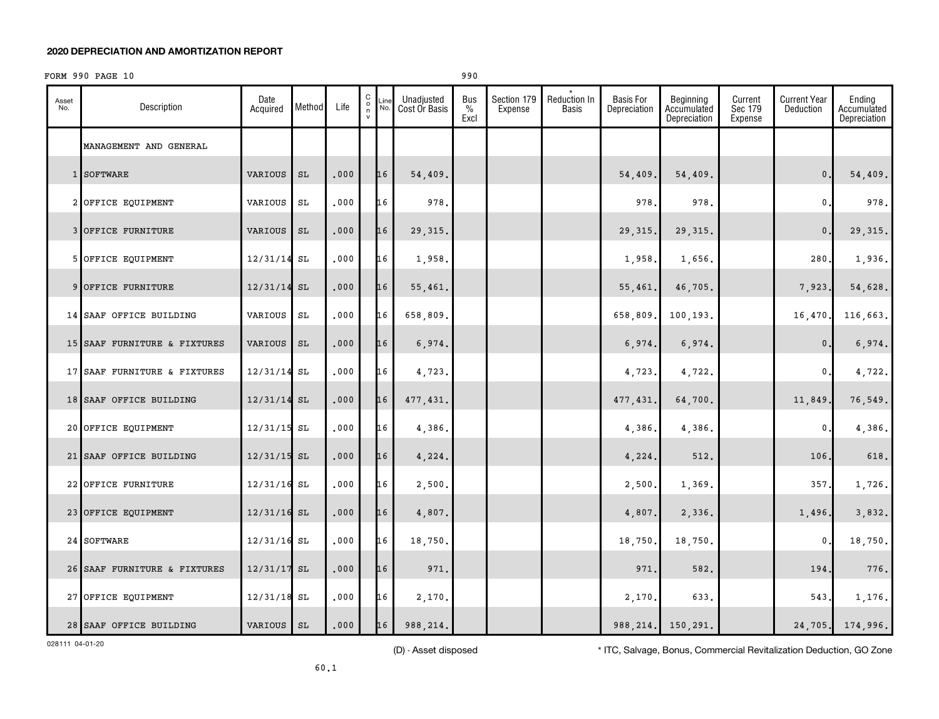#### **2020 DEPRECIATION AND AMORTIZATION REPORT**

#### $FORM 990 PAGE 10$

| Asset<br>No. | Description                  | Date<br>Acquired | Method              | Life | $\begin{matrix} 0 \\ 0 \\ n \end{matrix}$ | Line<br>No. | Unadjusted<br>Cost Or Basis | <b>Bus</b><br>$\frac{0}{0}$<br>Excl | Section 179<br>Expense | Reduction In<br><b>Basis</b> | <b>Basis For</b><br>Depreciation | Beginning<br>Accumulated<br>Depreciation | Current<br>Sec 179<br>Expense | <b>Current Year</b><br>Deduction | Ending<br>Accumulated<br>Depreciation |
|--------------|------------------------------|------------------|---------------------|------|-------------------------------------------|-------------|-----------------------------|-------------------------------------|------------------------|------------------------------|----------------------------------|------------------------------------------|-------------------------------|----------------------------------|---------------------------------------|
|              | MANAGEMENT AND GENERAL       |                  |                     |      |                                           |             |                             |                                     |                        |                              |                                  |                                          |                               |                                  |                                       |
|              | 1 SOFTWARE                   | VARIOUS          | SL                  | .000 |                                           | 16          | 54,409.                     |                                     |                        |                              | 54,409.                          | 54,409.                                  |                               | $\mathbf{0}$ .                   | 54,409.                               |
|              | 2 OFFICE EQUIPMENT           | VARIOUS          | $\operatorname{SL}$ | .000 |                                           | 16          | 978.                        |                                     |                        |                              | 978                              | 978.                                     |                               | $\mathbf 0$ .                    | 978.                                  |
|              | 3 OFFICE FURNITURE           | VARIOUS          | SL                  | .000 |                                           | 16          | 29, 315.                    |                                     |                        |                              | 29,315                           | 29, 315.                                 |                               | $\mathbf{0}$ .                   | 29, 315.                              |
|              | 5 OFFICE EQUIPMENT           | $12/31/14$ SL    |                     | .000 |                                           | 16          | 1,958.                      |                                     |                        |                              | 1,958                            | 1,656.                                   |                               | 280.                             | 1,936.                                |
|              | 9 OFFICE FURNITURE           | $12/31/14$ SL    |                     | .000 |                                           | 16          | 55,461.                     |                                     |                        |                              | 55,461.                          | 46,705.                                  |                               | 7,923.                           | 54,628.                               |
|              | 14 SAAF OFFICE BUILDING      | VARIOUS          | SL                  | .000 |                                           | 16          | 658,809.                    |                                     |                        |                              | 658,809                          | 100,193.                                 |                               | 16,470                           | 116,663.                              |
|              | 15 SAAF FURNITURE & FIXTURES | VARIOUS          | SL                  | .000 |                                           | 16          | 6,974.                      |                                     |                        |                              | 6,974.                           | 6,974.                                   |                               | $\mathbf{0}$ .                   | 6,974.                                |
|              | 17 SAAF FURNITURE & FIXTURES | 12/31/14 SL      |                     | .000 |                                           | 16          | 4,723.                      |                                     |                        |                              | 4,723.                           | 4,722.                                   |                               | 0.                               | 4,722.                                |
|              | 18 SAAF OFFICE BUILDING      | $12/31/14$ SL    |                     | .000 |                                           | 16          | 477,431.                    |                                     |                        |                              | 477,431.                         | 64,700.                                  |                               | 11,849                           | 76,549.                               |
|              | 20 OFFICE EQUIPMENT          | $12/31/15$ SL    |                     | .000 |                                           | 16          | 4,386.                      |                                     |                        |                              | 4,386.                           | 4,386.                                   |                               | $\mathbf{0}$                     | 4,386.                                |
|              | 21 SAAF OFFICE BUILDING      | $12/31/15$ SL    |                     | .000 |                                           | 16          | 4,224.                      |                                     |                        |                              | 4,224.                           | 512.                                     |                               | 106.                             | 618.                                  |
|              | 22 OFFICE FURNITURE          | $12/31/16$ SL    |                     | .000 |                                           | 16          | 2,500.                      |                                     |                        |                              | 2,500.                           | 1,369.                                   |                               | 357.                             | 1,726.                                |
|              | 23 OFFICE EQUIPMENT          | $12/31/16$ SL    |                     | .000 |                                           | 16          | 4,807.                      |                                     |                        |                              | 4,807.                           | 2,336.                                   |                               | 1,496.                           | 3,832.                                |
|              | 24 SOFTWARE                  | $12/31/16$ SL    |                     | .000 |                                           | 16          | 18,750.                     |                                     |                        |                              | 18,750                           | 18,750.                                  |                               | 0                                | 18,750.                               |
|              | 26 SAAF FURNITURE & FIXTURES | $12/31/17$ SL    |                     | .000 |                                           | 16          | 971.                        |                                     |                        |                              | 971                              | 582.                                     |                               | 194.                             | 776.                                  |
|              | 27 OFFICE EQUIPMENT          | $12/31/18$ SL    |                     | .000 |                                           | 16          | 2,170.                      |                                     |                        |                              | 2,170                            | 633.                                     |                               | 543.                             | 1,176.                                |
|              | 28 SAAF OFFICE BUILDING      | VARIOUS SL       |                     | .000 |                                           | 16          | 988, 214.                   |                                     |                        |                              | 988, 214.                        | 150,291.                                 |                               | 24,705.                          | 174,996.                              |

028111 04-01-20

(D) - Asset disposed \* ITC, Salvage, Bonus, Commercial Revitalization Deduction, GO Zone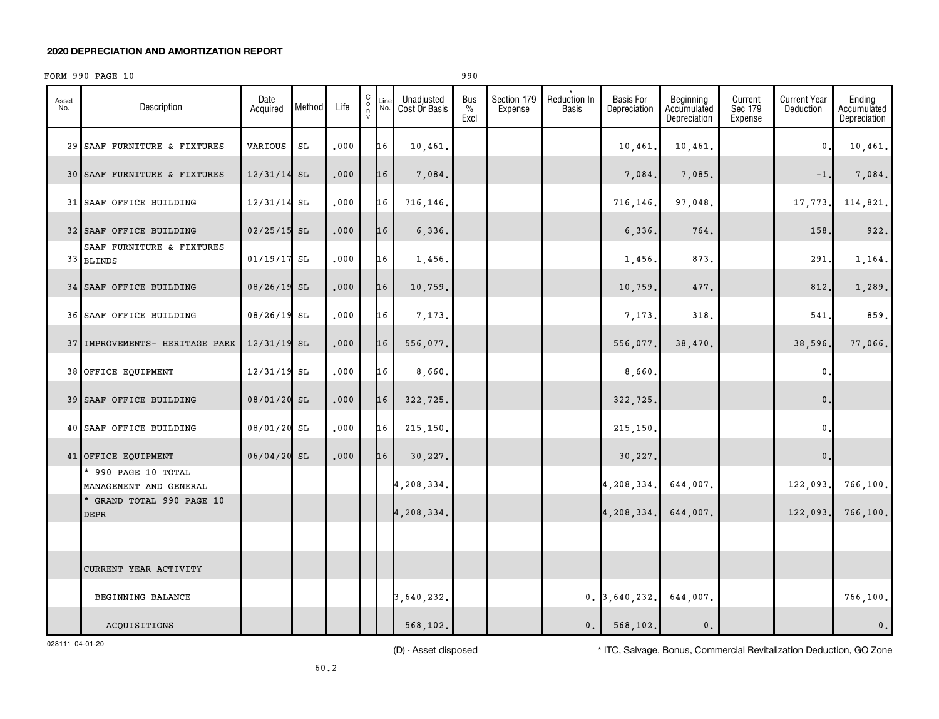#### **2020 DEPRECIATION AND AMORTIZATION REPORT**

### FORM 990 PAGE 10 990

| Asset<br>No. | Description                                   | Date<br>Acquired | Method | Life | 0000 | Line<br>No. | Unadjusted<br>Cost Or Basis | <b>Bus</b><br>$\frac{0}{0}$<br>Excl | Section 179<br>Expense | Reduction In<br><b>Basis</b> | <b>Basis For</b><br>Depreciation | Beginning<br>Accumulated<br>Depreciation | Current<br>Sec 179<br>Expense | <b>Current Year</b><br>Deduction | Ending<br>Accumulated<br>Depreciation |
|--------------|-----------------------------------------------|------------------|--------|------|------|-------------|-----------------------------|-------------------------------------|------------------------|------------------------------|----------------------------------|------------------------------------------|-------------------------------|----------------------------------|---------------------------------------|
|              | 29 SAAF FURNITURE & FIXTURES                  | VARIOUS          | SL     | .000 |      | 16          | 10,461.                     |                                     |                        |                              | 10,461                           | 10,461.                                  |                               | 0                                | 10,461.                               |
|              | 30 SAAF FURNITURE & FIXTURES                  | 12/31/14         | SL     | .000 |      | 16          | 7,084.                      |                                     |                        |                              | 7,084.                           | 7,085.                                   |                               | $-1$                             | 7,084.                                |
|              | 31 SAAF OFFICE BUILDING                       | 12/31/14 SL      |        | .000 |      | 16          | 716,146.                    |                                     |                        |                              | 716,146                          | 97,048.                                  |                               | 17,773                           | 114,821.                              |
|              | 32 SAAF OFFICE BUILDING                       | $02/25/15$ SL    |        | .000 |      | 16          | 6,336.                      |                                     |                        |                              | 6,336.                           | 764.                                     |                               | 158                              | 922.                                  |
|              | SAAF FURNITURE & FIXTURES<br>33 BLINDS        | $01/19/17$ SL    |        | .000 |      | 16          | 1,456.                      |                                     |                        |                              | 1,456                            | 873.                                     |                               | 291                              | 1,164.                                |
|              | 34 SAAF OFFICE BUILDING                       | 08/26/19 SL      |        | .000 |      | 16          | 10,759.                     |                                     |                        |                              | 10,759                           | 477.                                     |                               | 812                              | 1,289.                                |
|              | 36 SAAF OFFICE BUILDING                       | 08/26/19 SL      |        | .000 |      | 16          | 7,173.                      |                                     |                        |                              | 7,173                            | 318                                      |                               | 541                              | 859.                                  |
|              | 37 IMPROVEMENTS- HERITAGE PARK                | $12/31/19$ SL    |        | .000 |      | 16          | 556,077.                    |                                     |                        |                              | 556,077.                         | 38,470.                                  |                               | 38,596.                          | 77,066.                               |
|              | 38 OFFICE EQUIPMENT                           | 12/31/19 SL      |        | .000 |      | 16          | 8,660.                      |                                     |                        |                              | 8,660                            |                                          |                               | 0                                |                                       |
|              | 39 SAAF OFFICE BUILDING                       | 08/01/20 SL      |        | .000 |      | 16          | 322,725.                    |                                     |                        |                              | 322,725.                         |                                          |                               | $\mathbf{0}$                     |                                       |
|              | 40 SAAF OFFICE BUILDING                       | 08/01/20 SL      |        | .000 |      | 16          | 215,150.                    |                                     |                        |                              | 215,150                          |                                          |                               | $\mathbf{0}$                     |                                       |
|              | 41 OFFICE EQUIPMENT                           | $06/04/20$ SL    |        | .000 |      | 16          | 30,227.                     |                                     |                        |                              | 30,227.                          |                                          |                               | $\mathbf{0}$ .                   |                                       |
|              | * 990 PAGE 10 TOTAL<br>MANAGEMENT AND GENERAL |                  |        |      |      |             | 4,208,334.                  |                                     |                        |                              | 4,208,334.                       | 644,007.                                 |                               | 122,093                          | 766, 100.                             |
|              | * GRAND TOTAL 990 PAGE 10<br><b>DEPR</b>      |                  |        |      |      |             | 4,208,334.                  |                                     |                        |                              | 4,208,334.                       | 644,007.                                 |                               | 122,093                          | 766, 100.                             |
|              |                                               |                  |        |      |      |             |                             |                                     |                        |                              |                                  |                                          |                               |                                  |                                       |
|              | CURRENT YEAR ACTIVITY                         |                  |        |      |      |             |                             |                                     |                        |                              |                                  |                                          |                               |                                  |                                       |
|              | BEGINNING BALANCE                             |                  |        |      |      |             | 3,640,232.                  |                                     |                        |                              | 0.3,640,232.                     | 644,007.                                 |                               |                                  | 766,100.                              |
|              | ACQUISITIONS                                  |                  |        |      |      |             | 568, 102.                   |                                     |                        | 0.                           | 568,102.                         | $\mathsf{0}\,$ .                         |                               |                                  | 0.                                    |

028111 04-01-20

(D) - Asset disposed \* ITC, Salvage, Bonus, Commercial Revitalization Deduction, GO Zone